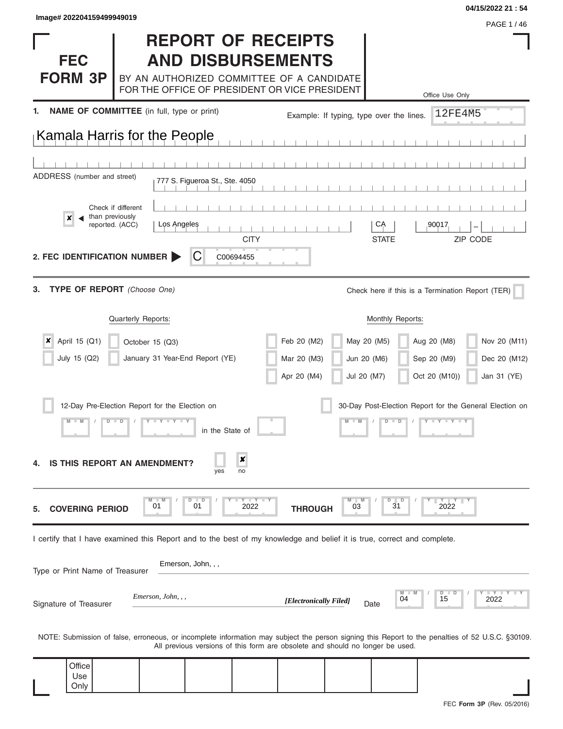Only

|                                                                                                                         |                    |                    |                                 |             | <b>REPORT OF RECEIPTS</b>                                                                  |                                          |                    |                                                                                                                                                  |
|-------------------------------------------------------------------------------------------------------------------------|--------------------|--------------------|---------------------------------|-------------|--------------------------------------------------------------------------------------------|------------------------------------------|--------------------|--------------------------------------------------------------------------------------------------------------------------------------------------|
| <b>FEC</b>                                                                                                              |                    |                    |                                 |             | <b>AND DISBURSEMENTS</b>                                                                   |                                          |                    |                                                                                                                                                  |
| <b>FORM 3P</b>                                                                                                          |                    |                    |                                 |             | BY AN AUTHORIZED COMMITTEE OF A CANDIDATE<br>FOR THE OFFICE OF PRESIDENT OR VICE PRESIDENT |                                          |                    | Office Use Only                                                                                                                                  |
| NAME OF COMMITTEE (in full, type or print)                                                                              |                    |                    |                                 |             |                                                                                            | Example: If typing, type over the lines. |                    | 12FE4M5                                                                                                                                          |
| Kamala Harris for the People                                                                                            |                    |                    |                                 |             |                                                                                            |                                          |                    |                                                                                                                                                  |
|                                                                                                                         |                    |                    |                                 |             |                                                                                            |                                          |                    |                                                                                                                                                  |
| ADDRESS (number and street)                                                                                             |                    |                    | 777 S. Figueroa St., Ste. 4050  |             |                                                                                            |                                          |                    |                                                                                                                                                  |
| than previously                                                                                                         | Check if different |                    |                                 |             |                                                                                            |                                          |                    |                                                                                                                                                  |
|                                                                                                                         | reported. (ACC)    | Los Angeles        |                                 | <b>CITY</b> |                                                                                            |                                          | CĄ<br><b>STATE</b> | 90017<br>ZIP CODE                                                                                                                                |
| 2. FEC IDENTIFICATION NUMBER                                                                                            |                    |                    | C                               | C00694455   |                                                                                            |                                          |                    |                                                                                                                                                  |
| TYPE OF REPORT (Choose One)<br>З.                                                                                       |                    |                    |                                 |             |                                                                                            |                                          |                    | Check here if this is a Termination Report (TER)                                                                                                 |
|                                                                                                                         |                    | Quarterly Reports: |                                 |             |                                                                                            |                                          | Monthly Reports:   |                                                                                                                                                  |
| April 15 (Q1)                                                                                                           |                    | October 15 (Q3)    |                                 |             | Feb 20 (M2)                                                                                | May 20 (M5)                              |                    | Nov 20 (M11)<br>Aug 20 (M8)                                                                                                                      |
| July 15 (Q2)                                                                                                            |                    |                    | January 31 Year-End Report (YE) |             | Mar 20 (M3)                                                                                | Jun 20 (M6)                              |                    | Sep 20 (M9)<br>Dec 20 (M12)                                                                                                                      |
|                                                                                                                         |                    |                    |                                 |             | Apr 20 (M4)                                                                                | Jul 20 (M7)                              |                    | Oct 20 (M10))<br>Jan 31 (YE)                                                                                                                     |
| 12-Day Pre-Election Report for the Election on                                                                          |                    |                    |                                 |             |                                                                                            |                                          |                    | 30-Day Post-Election Report for the General Election on                                                                                          |
|                                                                                                                         | D                  | Y = Y = Y = Y      | in the State of                 |             |                                                                                            |                                          | $\blacksquare$     | $Y = Y = Y - Y$                                                                                                                                  |
| <b>IS THIS REPORT AN AMENDMENT?</b>                                                                                     |                    |                    | yes                             | x<br>no     |                                                                                            |                                          |                    |                                                                                                                                                  |
| <b>COVERING PERIOD</b>                                                                                                  |                    | <b>M</b><br>01     | D<br>$\blacksquare$<br>01       | 2022        | <b>THROUGH</b>                                                                             | $M$ $M$<br>03                            | D<br>D<br>31       | YY<br>2022                                                                                                                                       |
| I certify that I have examined this Report and to the best of my knowledge and belief it is true, correct and complete. |                    |                    |                                 |             |                                                                                            |                                          |                    |                                                                                                                                                  |
| Type or Print Name of Treasurer                                                                                         |                    |                    | Emerson, John, , ,              |             |                                                                                            |                                          |                    |                                                                                                                                                  |
| Signature of Treasurer                                                                                                  |                    | Emerson, John, , , |                                 |             | [Electronically Filed]                                                                     |                                          | 04<br>Date         | $\Box Y \Box Y$<br>D<br>15<br>2022                                                                                                               |
|                                                                                                                         |                    |                    |                                 |             | All previous versions of this form are obsolete and should no longer be used.              |                                          |                    | NOTE: Submission of false, erroneous, or incomplete information may subject the person signing this Report to the penalties of 52 U.S.C. §30109. |
| Office<br>Use                                                                                                           |                    |                    |                                 |             |                                                                                            |                                          |                    |                                                                                                                                                  |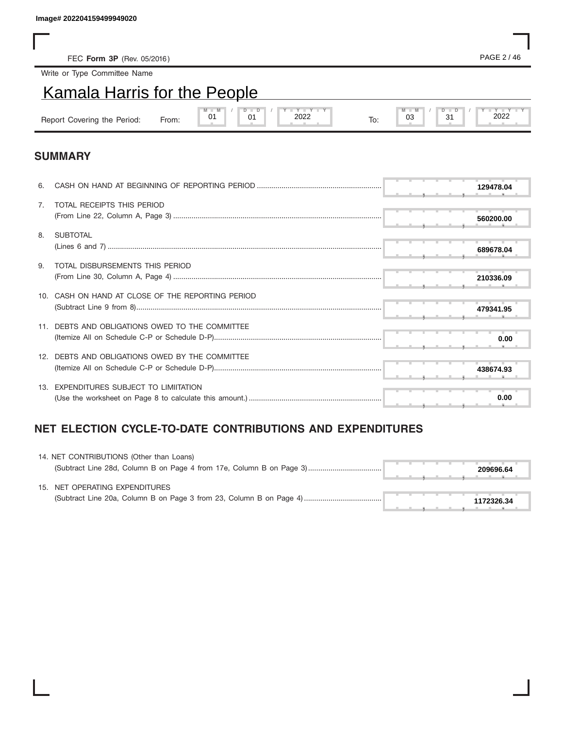# Kamala Harris for the People

| lmage# 202204159499949020           |       |                                                           |     |                             |
|-------------------------------------|-------|-----------------------------------------------------------|-----|-----------------------------|
|                                     |       |                                                           |     |                             |
| FEC Form 3P (Rev. 05/2016)          |       |                                                           |     | PAGE 2/46                   |
| Write or Type Committee Name        |       |                                                           |     |                             |
| <b>Kamala Harris for the People</b> |       |                                                           |     |                             |
| Report Covering the Period:         | From: | $Y + Y + Y + Y$<br>$M - M$<br>$D$ $D$<br>01<br>2022<br>01 | To: | $M = M$<br>2022<br>03<br>31 |

### **SUMMARY**

| 6.             |                                                   |  | 129478.04 |
|----------------|---------------------------------------------------|--|-----------|
| 7 <sub>1</sub> | TOTAL RECEIPTS THIS PERIOD                        |  | 560200.00 |
| 8.             | SUBTOTAL                                          |  | 689678.04 |
| 9.             | TOTAL DISBURSEMENTS THIS PERIOD                   |  | 210336.09 |
|                | 10. CASH ON HAND AT CLOSE OF THE REPORTING PERIOD |  | 479341.95 |
|                | DEBTS AND OBLIGATIONS OWED TO THE COMMITTEE       |  | 0.00      |
|                | 12. DEBTS AND OBLIGATIONS OWED BY THE COMMITTEE   |  | 438674.93 |
|                | 13. EXPENDITURES SUBJECT TO LIMIITATION           |  | 0.00      |

## **NET ELECTION CYCLE-TO-DATE CONTRIBUTIONS AND EXPENDITURES**

| 14. NET CONTRIBUTIONS (Other than Loans) |  |  |  |            |  |
|------------------------------------------|--|--|--|------------|--|
|                                          |  |  |  | 209696.64  |  |
| 15. NET OPERATING EXPENDITURES           |  |  |  |            |  |
|                                          |  |  |  |            |  |
|                                          |  |  |  | 1172326.34 |  |
|                                          |  |  |  |            |  |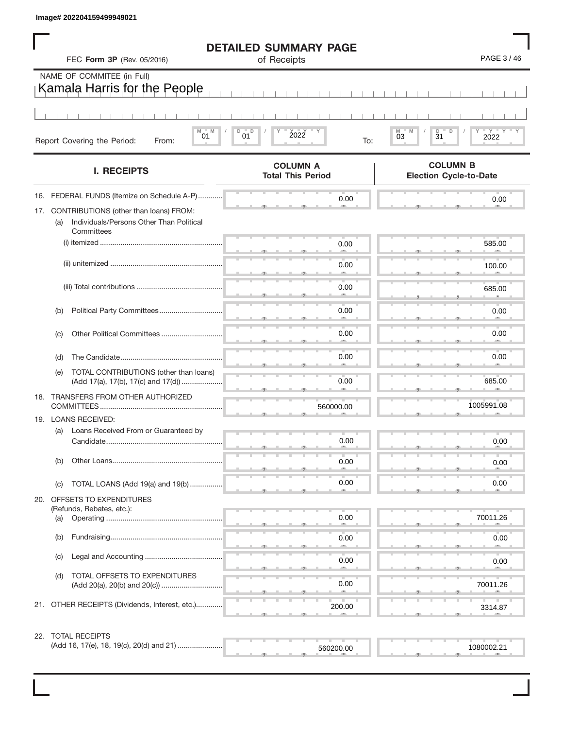|     | FEC Form 3P (Rev. 05/2016)                                                                              | <b>DETAILED SUMMARY PAGE</b><br>of Receipts | PAGE 3/46                                                  |
|-----|---------------------------------------------------------------------------------------------------------|---------------------------------------------|------------------------------------------------------------|
|     | NAME OF COMMITEE (in Full)<br>Kamala Harris for the People                                              |                                             |                                                            |
|     |                                                                                                         |                                             |                                                            |
|     | M<br>M<br>01<br>Report Covering the Period:<br>From:                                                    | D<br>$\mathsf D$<br>2022<br>01<br>To:       | D<br>D<br>≣ γ ≡<br>$_{03}$<br>M<br>$\overline{3}1$<br>2022 |
|     | <b>I. RECEIPTS</b>                                                                                      | <b>COLUMN A</b><br><b>Total This Period</b> | <b>COLUMN B</b><br><b>Election Cycle-to-Date</b>           |
| 16. | FEDERAL FUNDS (Itemize on Schedule A-P)                                                                 | 0.00                                        | 0.00                                                       |
| 17. | CONTRIBUTIONS (other than loans) FROM:<br>Individuals/Persons Other Than Political<br>(a)<br>Committees |                                             |                                                            |
|     |                                                                                                         | 0.00                                        | 585.00                                                     |
|     |                                                                                                         | 0.00                                        | 100.00                                                     |
|     |                                                                                                         | 0.00                                        | 685.00                                                     |
|     | Political Party Committees<br>(b)                                                                       | 0.00                                        | 0.00                                                       |
|     | (C)                                                                                                     | 0.00                                        | 0.00                                                       |
|     |                                                                                                         |                                             |                                                            |
|     | (d)<br>TOTAL CONTRIBUTIONS (other than loans)<br>(e)                                                    | 0.00                                        | 0.00                                                       |
|     | (Add 17(a), 17(b), 17(c) and 17(d))                                                                     | 0.00                                        | 685.00                                                     |
|     | 18. TRANSFERS FROM OTHER AUTHORIZED                                                                     | 560000.00                                   | 1005991.08                                                 |
|     | 19. LOANS RECEIVED:<br>(a)<br>Loans Received From or Guaranteed by                                      |                                             |                                                            |
|     | Candidate                                                                                               | 0.00                                        | 0.00                                                       |
|     | Other Loans<br>(b)                                                                                      | 0.00                                        | 0.00                                                       |
|     | TOTAL LOANS (Add 19(a) and 19(b)<br>(c)                                                                 | 0.00                                        | 0.00                                                       |
|     | 20. OFFSETS TO EXPENDITURES                                                                             |                                             |                                                            |
|     | (Refunds, Rebates, etc.):<br>(a)                                                                        | 0.00                                        | 70011.26                                                   |
|     | (b)                                                                                                     | 0.00                                        | 0.00                                                       |
|     | (c)                                                                                                     | 0.00                                        | 0.00                                                       |
|     | TOTAL OFFSETS TO EXPENDITURES<br>(d)                                                                    | 0.00                                        | 70011.26                                                   |
|     | 21. OTHER RECEIPTS (Dividends, Interest, etc.)                                                          | 200.00                                      | 3314.87                                                    |

| 2. IUIALIILULII IU                        |  |  |  |  | _______ |  |  |  |  |           |  |
|-------------------------------------------|--|--|--|--|---------|--|--|--|--|-----------|--|
| (Add 16, 17(e), 18, 19(c), 20(d) and 21). |  |  |  |  |         |  |  |  |  | 1080002.4 |  |
|                                           |  |  |  |  |         |  |  |  |  |           |  |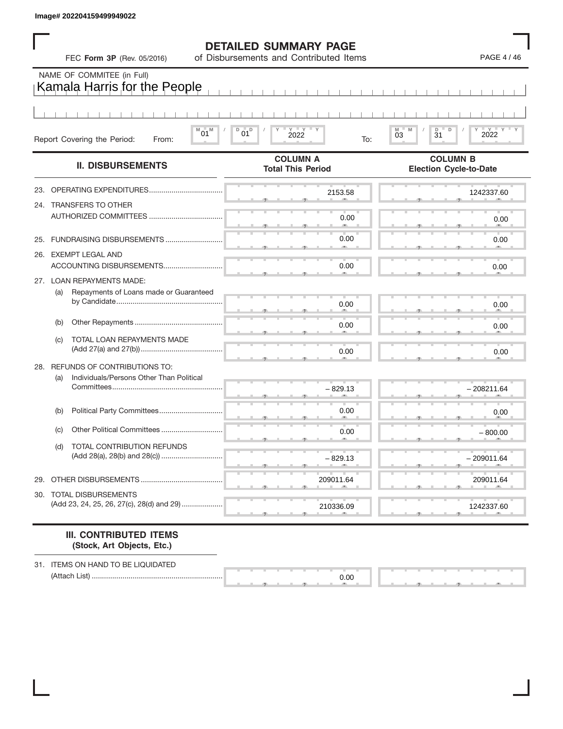|  | <b>DETAILED SUMMARY PAGE</b> |  |
|--|------------------------------|--|
|--|------------------------------|--|

|     |     | FEC Form 3P (Rev. 05/2016)                                                   | <b>DETAILED SUMMARY PAGE</b><br>of Disbursements and Contributed Items | PAGE 4 / 46                                      |
|-----|-----|------------------------------------------------------------------------------|------------------------------------------------------------------------|--------------------------------------------------|
|     |     | NAME OF COMMITEE (in Full)<br>Kamala Harris for the People                   |                                                                        |                                                  |
|     |     | $^{\textrm{\tiny{M}}}$ 01 $^{\textrm{\tiny{M}}}$                             | $Y$ $Y$ $Y$<br>D<br>$01^D$                                             | M<br>D<br>D                                      |
|     |     | Report Covering the Period:<br>From:                                         | 2022<br>To:                                                            | $_{03}^{\text{\tiny{M}}}$<br>2022<br>31          |
|     |     | <b>II. DISBURSEMENTS</b>                                                     | <b>COLUMN A</b><br><b>Total This Period</b>                            | <b>COLUMN B</b><br><b>Election Cycle-to-Date</b> |
| 23. |     | OPERATING EXPENDITURES                                                       | 2153.58                                                                | 1242337.60                                       |
|     |     | 24. TRANSFERS TO OTHER                                                       | 0.00                                                                   | 0.00                                             |
| 25. |     |                                                                              | 0.00                                                                   | 0.00                                             |
|     |     | 26. EXEMPT LEGAL AND                                                         | 0.00                                                                   | 0.00                                             |
|     | (a) | 27. LOAN REPAYMENTS MADE:<br>Repayments of Loans made or Guaranteed          |                                                                        |                                                  |
|     |     |                                                                              | 0.00                                                                   | 0.00                                             |
|     | (b) |                                                                              | 0.00                                                                   | 0.00                                             |
|     | (c) | TOTAL LOAN REPAYMENTS MADE                                                   | 0.00                                                                   | 0.00                                             |
|     | (a) | 28. REFUNDS OF CONTRIBUTIONS TO:<br>Individuals/Persons Other Than Political |                                                                        |                                                  |
|     |     |                                                                              | $-829.13$                                                              | $-208211.64$                                     |
|     | (b) | Political Party Committees                                                   | 0.00                                                                   | 0.00                                             |
|     | (c) | Other Political Committees.                                                  | 0.00                                                                   | $-800.00$                                        |
|     | (d) | TOTAL CONTRIBUTION REFUNDS                                                   | $-829.13$                                                              | $-209011.64$                                     |
| 29. |     | OTHER DISBURSEMENTS                                                          | 209011.64                                                              | 209011.64                                        |
|     |     | 30. TOTAL DISBURSEMENTS<br>(Add 23, 24, 25, 26, 27(c), 28(d) and 29)         | 210336.09                                                              | 1242337.60                                       |

#### **III. CONTRIBUTED ITEMS (Stock, Art Objects, Etc.)**

31. ITEMS ON HAND TO BE LIQUIDATED (Attach List) ................................................................

 $\frac{0.0}{0.4}$ 0.00

▲ ▲ ▲ , , .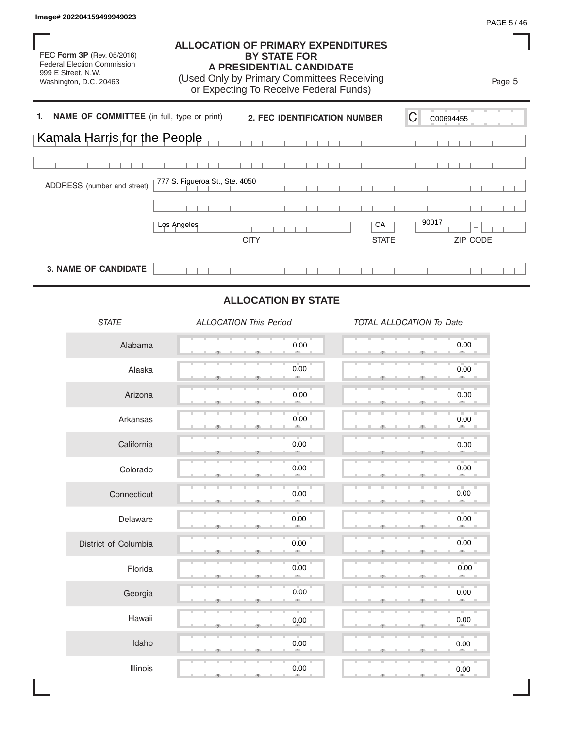FEC **Form 3P** (Rev. 05/2016) Federal Election Commission 999 E Street, N.W. Washington, D.C. 20463

#### **ALLOCATION OF PRIMARY EXPENDITURES BY STATE FOR A PRESIDENTIAL CANDIDATE**

(Used Only by Primary Committees Receiving or Expecting To Receive Federal Funds)

**EEC Form 3P (Rev. 05/2016)**<br> **LALOCATION OF PRIMARY EXPENDITURES**<br> **LACCATION OF PRIMARY EXPENDITURES**<br> **LACCATION OF PRIMARY EXPENDITURES**<br> **LACCE FOR COMMITTE (In the PRIMARY COMMITTED CONSULATER CARDIDATE**<br> **IDENTIFIC 1. NAME OF COMMITTEE** (in full, type or print) 2. FEC IDENTIFICATION NUMBER C Kamala Harris for the People 777 S. Figueroa St., Ste. 4050 ADDRESS (number and street) CITY STATE ZIP CODE **3. NAME OF CANDIDATE**  $\overline{1}$ 1 1 1 1 1 1 1 1 1 1 1 1 1 1 1 1  $\Box$ 

### **ALLOCATION BY STATE**

| <b>STATE</b>         | <b>ALLOCATION This Period</b> | TOTAL ALLOCATION To Date |
|----------------------|-------------------------------|--------------------------|
| Alabama              | 0.00                          | 0.00<br>m.               |
| Alaska               | 0.00<br>$-1$                  | 0.00<br>$\sim$           |
| Arizona              | 0.00                          | 0.00<br>m.               |
| Arkansas             | 0.00<br>m.                    | 0.00<br>ALC:             |
| California           | 0.00                          | 0.00                     |
| Colorado             | 0.00<br>m.                    | 0.00<br>m.               |
| Connecticut          | 0.00                          | 0.00                     |
| Delaware             | 0.00<br>m.                    | 0.00<br>$-10$            |
| District of Columbia | 0.00                          | 0.00<br>m.               |
| Florida              | 0.00                          | 0.00                     |
| Georgia              | 0.00                          | 0.00<br>œ.               |
| Hawaii               | 0.00                          | 0.00                     |
| Idaho                | 0.00                          | v.<br>$0.00\,$           |
| Illinois             | т<br>0.00                     | 0.00                     |

Page 5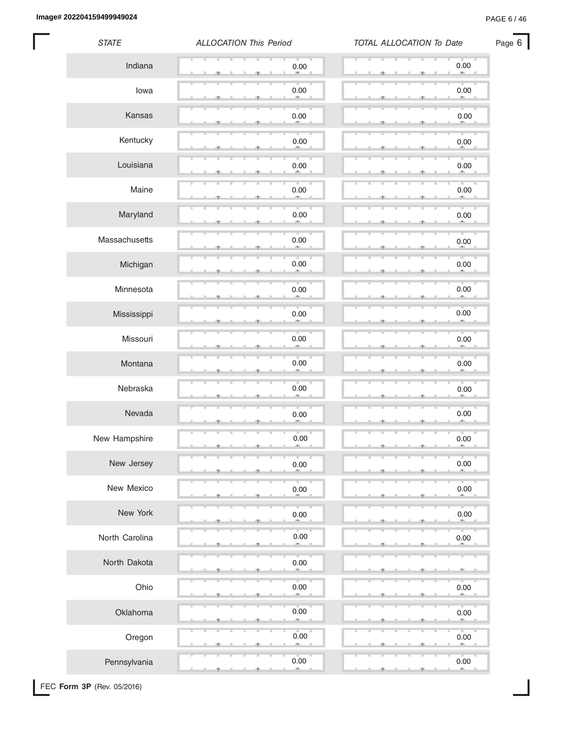**Image# 202204159499949024** PAGE 6 / 46

Page 6

| <b>STATE</b>   | <b>ALLOCATION This Period</b> | TOTAL ALLOCATION To Date |
|----------------|-------------------------------|--------------------------|
| Indiana        | 0.00                          | 0.00                     |
| lowa           | 0.00                          | 0.00                     |
| Kansas         | 0.00                          | 0.00                     |
| Kentucky       | $0.00\,$                      | 0.00                     |
| Louisiana      | 0.00                          | 0.00                     |
| Maine          | 0.00                          | $0.00\,$                 |
| Maryland       | 0.00                          | $0.00\,$                 |
| Massachusetts  | 0.00                          | $0.00\,$                 |
| Michigan       | 0.00<br>э                     | $0.00\,$                 |
| Minnesota      | u<br>0.00<br>œ,               | T.<br>$0.00\,$<br>×      |
| Mississippi    | 0.00                          | $0.00\,$                 |
| Missouri       | 0.00                          | 0.00                     |
| Montana        | 0.00                          | 0.00                     |
| Nebraska       | 0.00                          | u.<br>T<br>$0.00\,$      |
| Nevada         | 0.00                          | $0.00\,$                 |
| New Hampshire  | $0.00\,$<br>-9                | 0.00                     |
| New Jersey     | 0.00                          | 0.00                     |
| New Mexico     | 0.00                          | $0.00\,$                 |
| New York       | 0.00                          | 0.00                     |
| North Carolina | 0.00                          | 0.00                     |
| North Dakota   | 0.00                          |                          |
| Ohio           | 0.00                          | 0.00                     |
| Oklahoma       | 0.00                          | 0.00                     |
| Oregon         | 0.00<br>×                     | 0.00                     |
| Pennsylvania   | 0.00<br>m.                    | 0.00<br>m.               |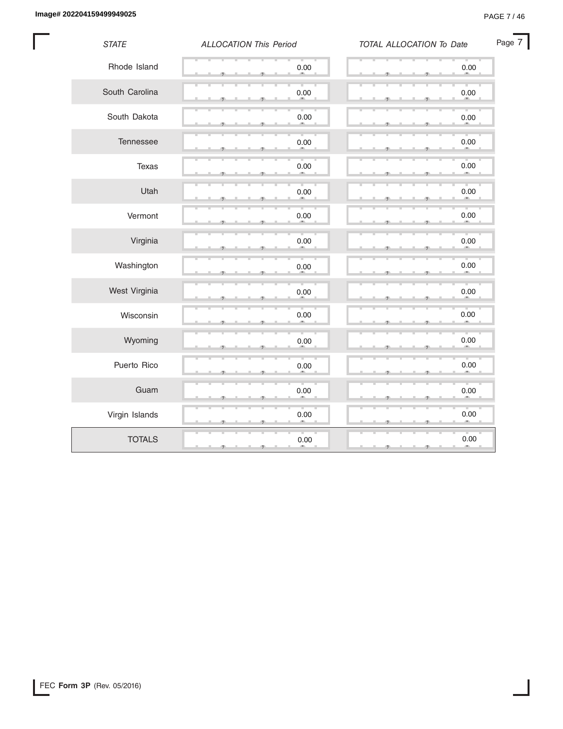I

| <b>STATE</b>   | <b>ALLOCATION This Period</b> | TOTAL ALLOCATION To Date | Page 7 |
|----------------|-------------------------------|--------------------------|--------|
| Rhode Island   | $0.00\,$                      | $0.00\,$                 |        |
| South Carolina | 0.00                          | 0.00                     |        |
| South Dakota   | 0.00                          | 0.00                     |        |
| Tennessee      | 0.00                          | 0.00                     |        |
| Texas          | 0.00                          | 0.00                     |        |
| Utah           | $0.00\,$                      | 0.00                     |        |
| Vermont        | 0.00                          | 0.00                     |        |
| Virginia       | 0.00                          | 0.00                     |        |
| Washington     | 0.00                          | $0.00\,$                 |        |
| West Virginia  | 0.00                          | $0.00\,$                 |        |
| Wisconsin      | $0.00\,$<br>cm.               | 0.00<br>an.              |        |
| Wyoming        | $0.00\,$                      | 0.00                     |        |
| Puerto Rico    | 0.00                          | 0.00                     |        |
| Guam           | 0.00                          | 0.00<br>m.               |        |
| Virgin Islands | $0.00\,$                      | 0.00                     |        |
| <b>TOTALS</b>  | 0.00<br>- 71                  | 0.00<br>-9               |        |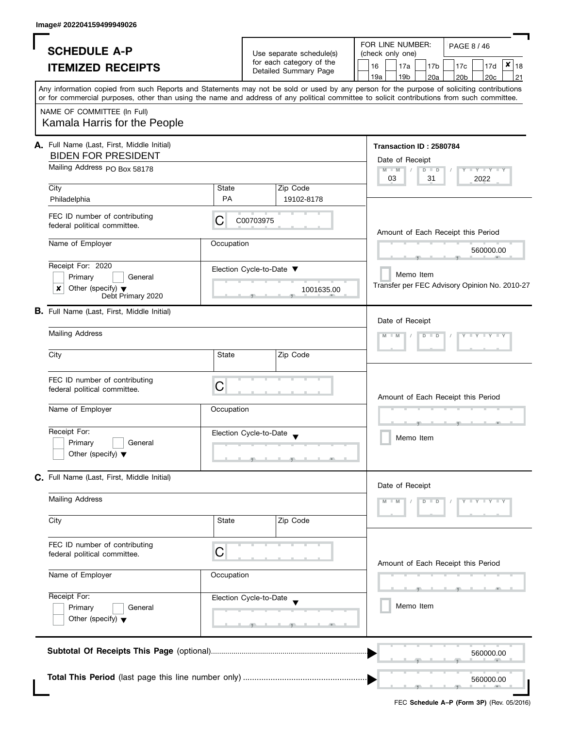| <b>SCHEDULE A-P</b>                                                                                                                                                                                                                                                                                                    |                              |                                                                               | FOR LINE NUMBER:                                                                  | PAGE 8 / 46                                                                              |  |  |  |  |
|------------------------------------------------------------------------------------------------------------------------------------------------------------------------------------------------------------------------------------------------------------------------------------------------------------------------|------------------------------|-------------------------------------------------------------------------------|-----------------------------------------------------------------------------------|------------------------------------------------------------------------------------------|--|--|--|--|
| <b>ITEMIZED RECEIPTS</b>                                                                                                                                                                                                                                                                                               |                              | Use separate schedule(s)<br>for each category of the<br>Detailed Summary Page | (check only one)<br>16<br>17a<br>17 <sub>b</sub><br>19a<br>19 <sub>b</sub><br>20a | $ \mathbf{x} _{18}$<br>17c<br>17d<br>20 <sub>b</sub><br>20c<br>21                        |  |  |  |  |
| Any information copied from such Reports and Statements may not be sold or used by any person for the purpose of soliciting contributions<br>or for commercial purposes, other than using the name and address of any political committee to solicit contributions from such committee.<br>NAME OF COMMITTEE (In Full) |                              |                                                                               |                                                                                   |                                                                                          |  |  |  |  |
| Kamala Harris for the People                                                                                                                                                                                                                                                                                           |                              |                                                                               |                                                                                   |                                                                                          |  |  |  |  |
| A. Full Name (Last, First, Middle Initial)<br><b>BIDEN FOR PRESIDENT</b>                                                                                                                                                                                                                                               | Mailing Address PO Box 58178 |                                                                               |                                                                                   |                                                                                          |  |  |  |  |
|                                                                                                                                                                                                                                                                                                                        |                              |                                                                               | $M$ M<br>$D$ $D$<br>31<br>03                                                      | $\mathbf{I} \cdot \mathbf{Y} \cdot \mathbf{I} \cdot \mathbf{Y} \cdot \mathbf{I}$<br>2022 |  |  |  |  |
| City<br>Philadelphia                                                                                                                                                                                                                                                                                                   | State<br><b>PA</b>           | Zip Code<br>19102-8178                                                        |                                                                                   |                                                                                          |  |  |  |  |
| FEC ID number of contributing<br>federal political committee.                                                                                                                                                                                                                                                          | C00703975                    | Amount of Each Receipt this Period                                            |                                                                                   |                                                                                          |  |  |  |  |
| Name of Employer                                                                                                                                                                                                                                                                                                       | Occupation                   |                                                                               |                                                                                   | 560000.00                                                                                |  |  |  |  |
| Receipt For: 2020<br>Primary<br>General<br>Other (specify) $\blacktriangledown$<br>x<br>Debt Primary 2020                                                                                                                                                                                                              |                              | Election Cycle-to-Date ▼<br>1001635.00                                        | Memo Item                                                                         | Transfer per FEC Advisory Opinion No. 2010-27                                            |  |  |  |  |
| <b>B.</b> Full Name (Last, First, Middle Initial)                                                                                                                                                                                                                                                                      |                              | Date of Receipt                                                               |                                                                                   |                                                                                          |  |  |  |  |
| <b>Mailing Address</b>                                                                                                                                                                                                                                                                                                 |                              |                                                                               |                                                                                   |                                                                                          |  |  |  |  |
| City                                                                                                                                                                                                                                                                                                                   | <b>State</b>                 | Zip Code                                                                      |                                                                                   |                                                                                          |  |  |  |  |
| FEC ID number of contributing<br>federal political committee.                                                                                                                                                                                                                                                          | C                            |                                                                               |                                                                                   | Amount of Each Receipt this Period<br>Memo Item                                          |  |  |  |  |
| Name of Employer                                                                                                                                                                                                                                                                                                       | Occupation                   |                                                                               |                                                                                   |                                                                                          |  |  |  |  |
| Receipt For:<br>Primary<br>General<br>Other (specify) $\blacktriangledown$                                                                                                                                                                                                                                             |                              | Election Cycle-to-Date                                                        |                                                                                   |                                                                                          |  |  |  |  |
| C. Full Name (Last, First, Middle Initial)                                                                                                                                                                                                                                                                             |                              |                                                                               |                                                                                   |                                                                                          |  |  |  |  |
| <b>Mailing Address</b>                                                                                                                                                                                                                                                                                                 |                              |                                                                               | Date of Receipt<br>$M - M$<br>D<br>$\Box$                                         | Y X Y X Y X                                                                              |  |  |  |  |
| City                                                                                                                                                                                                                                                                                                                   | State                        | Zip Code                                                                      |                                                                                   |                                                                                          |  |  |  |  |
| FEC ID number of contributing<br>federal political committee.                                                                                                                                                                                                                                                          | C                            |                                                                               |                                                                                   | Amount of Each Receipt this Period                                                       |  |  |  |  |
| Name of Employer                                                                                                                                                                                                                                                                                                       | Occupation                   |                                                                               |                                                                                   |                                                                                          |  |  |  |  |
| Receipt For:<br>Primary<br>General<br>Other (specify) $\blacktriangledown$                                                                                                                                                                                                                                             |                              | Election Cycle-to-Date                                                        | Memo Item                                                                         |                                                                                          |  |  |  |  |
|                                                                                                                                                                                                                                                                                                                        |                              |                                                                               |                                                                                   | 560000.00                                                                                |  |  |  |  |
|                                                                                                                                                                                                                                                                                                                        |                              |                                                                               |                                                                                   | 560000.00                                                                                |  |  |  |  |

<u>in the part of the set of the set of the set of the set of the set of the set of the set of the set of the set of the set of the set of the set of the set of the set of the set of the set of the set of the set of the set </u>

, , .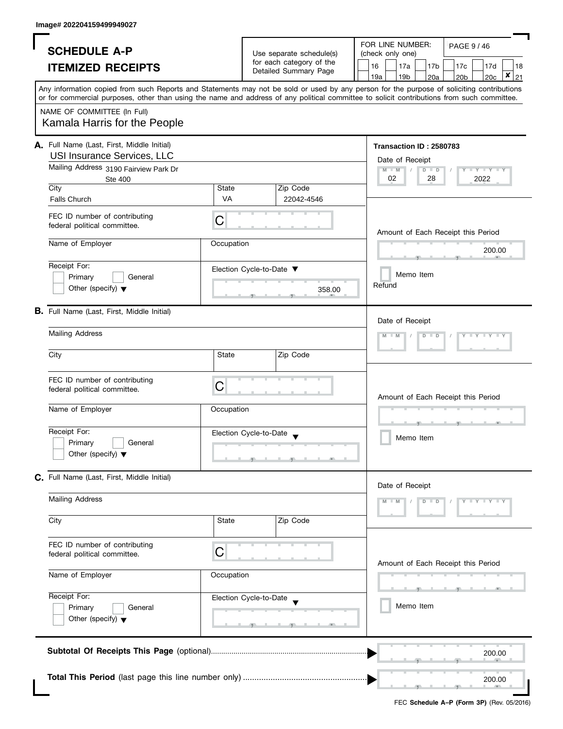| <b>SCHEDULE A-P</b><br><b>ITEMIZED RECEIPTS</b>                                                                                              |                       | Use separate schedule(s)<br>for each category of the<br>Detailed Summary Page | FOR LINE NUMBER:<br>PAGE 9 / 46<br>(check only one)<br>17a<br>16<br>17 <sub>c</sub><br>17d<br>17 <sub>b</sub><br>18<br>$\pmb{\times}$<br>19a<br>19 <sub>b</sub><br>20c<br>20a<br>20 <sub>b</sub><br>21                                                                                  |
|----------------------------------------------------------------------------------------------------------------------------------------------|-----------------------|-------------------------------------------------------------------------------|-----------------------------------------------------------------------------------------------------------------------------------------------------------------------------------------------------------------------------------------------------------------------------------------|
| NAME OF COMMITTEE (In Full)<br>Kamala Harris for the People                                                                                  |                       |                                                                               | Any information copied from such Reports and Statements may not be sold or used by any person for the purpose of soliciting contributions<br>or for commercial purposes, other than using the name and address of any political committee to solicit contributions from such committee. |
| A. Full Name (Last, First, Middle Initial)<br>USI Insurance Services, LLC<br>Mailing Address 3190 Fairview Park Dr<br><b>Ste 400</b><br>City | State                 | Zip Code                                                                      | Transaction ID: 2580783<br>Date of Receipt<br>$M - M$<br>$D$ $D$<br>$\overline{\phantom{a}}$<br>$Y + Y + Y + Y$<br>28<br>02<br>2022                                                                                                                                                     |
| <b>Falls Church</b><br>FEC ID number of contributing<br>federal political committee.                                                         | <b>VA</b><br>C        | 22042-4546                                                                    | Amount of Each Receipt this Period                                                                                                                                                                                                                                                      |
| Name of Employer<br>Receipt For:<br>Primary<br>Other (specify) $\blacktriangledown$                                                          | Occupation<br>General | Election Cycle-to-Date ▼<br>358.00                                            | 200.00<br>Memo Item<br>Refund                                                                                                                                                                                                                                                           |
| <b>B.</b> Full Name (Last, First, Middle Initial)<br><b>Mailing Address</b><br>City                                                          | State                 | Zip Code                                                                      | Date of Receipt<br>$M - M$<br>$\overline{D}$                                                                                                                                                                                                                                            |
| FEC ID number of contributing<br>federal political committee.<br>Name of Employer                                                            | C<br>Occupation       |                                                                               | Amount of Each Receipt this Period                                                                                                                                                                                                                                                      |
| Receipt For:<br>Primary<br>Other (specify) $\blacktriangledown$                                                                              | General               | Election Cycle-to-Date                                                        | Memo Item                                                                                                                                                                                                                                                                               |
| C. Full Name (Last, First, Middle Initial)                                                                                                   |                       |                                                                               | Date of Receipt                                                                                                                                                                                                                                                                         |
| <b>Mailing Address</b><br>City                                                                                                               | State                 | Zip Code                                                                      | Y X Y X Y X<br>$M - M$<br>$D$ $D$                                                                                                                                                                                                                                                       |
| FEC ID number of contributing<br>federal political committee.                                                                                | C                     |                                                                               | Amount of Each Receipt this Period                                                                                                                                                                                                                                                      |
| Name of Employer<br>Receipt For:<br>Primary<br>Other (specify) $\blacktriangledown$                                                          | Occupation<br>General | Election Cycle-to-Date                                                        | Memo Item                                                                                                                                                                                                                                                                               |
|                                                                                                                                              |                       |                                                                               | 200.00                                                                                                                                                                                                                                                                                  |
|                                                                                                                                              |                       |                                                                               | 200.00                                                                                                                                                                                                                                                                                  |

×. a,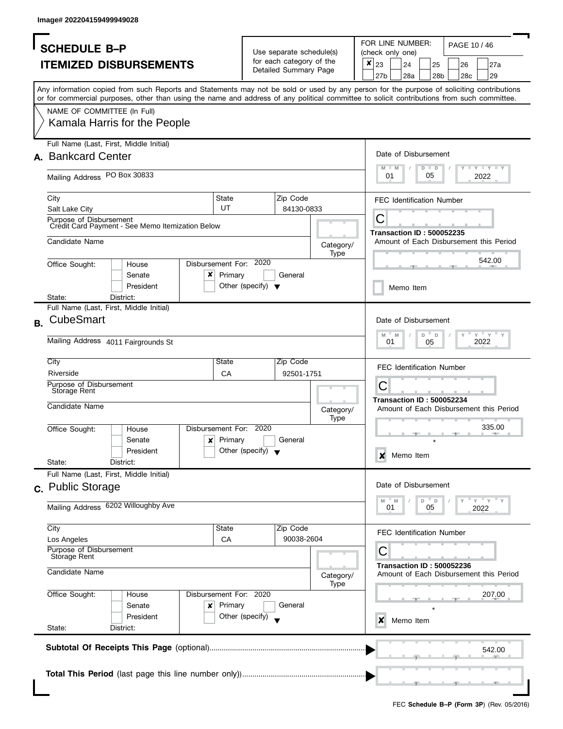|           | <b>SCHEDULE B-P</b>                                                                                                                        |                                      | Use separate schedule(s) |           |   | FOR LINE NUMBER:<br>PAGE 10 / 46<br>(check only one) |                                  |         |                 |  |     |                                         |
|-----------|--------------------------------------------------------------------------------------------------------------------------------------------|--------------------------------------|--------------------------|-----------|---|------------------------------------------------------|----------------------------------|---------|-----------------|--|-----|-----------------------------------------|
|           | <b>ITEMIZED DISBURSEMENTS</b>                                                                                                              |                                      | for each category of the |           | × | 23                                                   | 24                               |         | 25              |  | 26  | 27a                                     |
|           |                                                                                                                                            |                                      | Detailed Summary Page    |           |   | 27 <sub>b</sub>                                      | 28a                              |         | 28 <sub>b</sub> |  | 28c | 29                                      |
|           | Any information copied from such Reports and Statements may not be sold or used by any person for the purpose of soliciting contributions  |                                      |                          |           |   |                                                      |                                  |         |                 |  |     |                                         |
|           | or for commercial purposes, other than using the name and address of any political committee to solicit contributions from such committee. |                                      |                          |           |   |                                                      |                                  |         |                 |  |     |                                         |
|           | NAME OF COMMITTEE (In Full)                                                                                                                |                                      |                          |           |   |                                                      |                                  |         |                 |  |     |                                         |
|           | Kamala Harris for the People                                                                                                               |                                      |                          |           |   |                                                      |                                  |         |                 |  |     |                                         |
|           |                                                                                                                                            |                                      |                          |           |   |                                                      |                                  |         |                 |  |     |                                         |
|           | Full Name (Last, First, Middle Initial)                                                                                                    |                                      |                          |           |   |                                                      |                                  |         |                 |  |     |                                         |
|           | A. Bankcard Center                                                                                                                         |                                      |                          |           |   |                                                      | Date of Disbursement             |         |                 |  |     |                                         |
|           | Mailing Address PO Box 30833                                                                                                               |                                      |                          |           |   | M<br>01                                              | $-M$                             | $D$ $D$ | 05              |  |     | <b>LYLYLY</b><br>2022                   |
|           |                                                                                                                                            |                                      |                          |           |   |                                                      |                                  |         |                 |  |     |                                         |
|           | City                                                                                                                                       | State                                | Zip Code                 |           |   |                                                      | <b>FEC Identification Number</b> |         |                 |  |     |                                         |
|           | Salt Lake City                                                                                                                             | UT                                   | 84130-0833               |           |   |                                                      |                                  |         |                 |  |     |                                         |
|           | Purpose of Disbursement<br>Credit Card Payment - See Memo Itemization Below                                                                |                                      |                          |           |   | С                                                    |                                  |         |                 |  |     |                                         |
|           | Candidate Name                                                                                                                             |                                      |                          |           |   |                                                      | <b>Transaction ID: 500052235</b> |         |                 |  |     | Amount of Each Disbursement this Period |
|           |                                                                                                                                            |                                      |                          | Category/ |   |                                                      |                                  |         |                 |  |     |                                         |
|           | Disbursement For: 2020<br>Office Sought:<br>House                                                                                          |                                      |                          | Type      |   |                                                      |                                  |         |                 |  |     | 542.00                                  |
|           | ×<br>Senate                                                                                                                                | Primary                              | General                  |           |   |                                                      |                                  |         |                 |  |     |                                         |
|           | President                                                                                                                                  | Other (specify) $\blacktriangledown$ |                          |           |   |                                                      | Memo Item                        |         |                 |  |     |                                         |
|           | State:<br>District:                                                                                                                        |                                      |                          |           |   |                                                      |                                  |         |                 |  |     |                                         |
|           | Full Name (Last, First, Middle Initial)                                                                                                    |                                      |                          |           |   |                                                      |                                  |         |                 |  |     |                                         |
| <b>B.</b> | <b>CubeSmart</b>                                                                                                                           |                                      |                          |           |   |                                                      | Date of Disbursement             |         |                 |  |     |                                         |
|           |                                                                                                                                            |                                      |                          |           |   | M                                                    | $-M$                             | D       | D               |  |     | $Y = Y$                                 |
|           | Mailing Address 4011 Fairgrounds St                                                                                                        |                                      |                          |           |   |                                                      | 01                               | 05      |                 |  |     | 2022                                    |
|           | City                                                                                                                                       | State                                | Zip Code                 |           |   |                                                      |                                  |         |                 |  |     |                                         |
|           | Riverside                                                                                                                                  | <b>CA</b>                            | 92501-1751               |           |   |                                                      | <b>FEC Identification Number</b> |         |                 |  |     |                                         |
|           | Purpose of Disbursement                                                                                                                    |                                      |                          |           |   | C                                                    |                                  |         |                 |  |     |                                         |
|           | Storage Rent                                                                                                                               |                                      |                          |           |   |                                                      | <b>Transaction ID: 500052234</b> |         |                 |  |     |                                         |
|           | Candidate Name                                                                                                                             |                                      |                          | Category/ |   |                                                      |                                  |         |                 |  |     | Amount of Each Disbursement this Period |
|           |                                                                                                                                            |                                      |                          | Type      |   |                                                      |                                  |         |                 |  |     |                                         |
|           | Disbursement For: 2020<br>Office Sought:<br>House                                                                                          |                                      |                          |           |   |                                                      |                                  |         |                 |  |     | 335.00                                  |
|           | $\mathbf{x}$<br>Senate                                                                                                                     | Primary                              | General                  |           |   |                                                      |                                  |         |                 |  |     |                                         |
|           | President<br>State:<br>District:                                                                                                           | Other (specify) $\blacktriangledown$ |                          |           |   | X                                                    | Memo Item                        |         |                 |  |     |                                         |
|           | Full Name (Last, First, Middle Initial)                                                                                                    |                                      |                          |           |   |                                                      |                                  |         |                 |  |     |                                         |
|           | c. Public Storage                                                                                                                          |                                      |                          |           |   |                                                      | Date of Disbursement             |         |                 |  |     |                                         |
|           |                                                                                                                                            |                                      |                          |           |   | M                                                    | M                                | D       | D               |  |     | $-\gamma$ $-\gamma$                     |
|           | Mailing Address 6202 Willoughby Ave                                                                                                        |                                      |                          |           |   |                                                      | 01                               |         | 05              |  |     | 2022                                    |
|           |                                                                                                                                            |                                      |                          |           |   |                                                      |                                  |         |                 |  |     |                                         |
|           | City<br>Los Angeles                                                                                                                        | State<br>CA                          | Zip Code<br>90038-2604   |           |   |                                                      | <b>FEC Identification Number</b> |         |                 |  |     |                                         |
|           | Purpose of Disbursement                                                                                                                    |                                      |                          |           |   | С                                                    |                                  |         |                 |  |     |                                         |
|           | Storage Rent                                                                                                                               |                                      |                          |           |   |                                                      | <b>Transaction ID: 500052236</b> |         |                 |  |     |                                         |
|           | Candidate Name                                                                                                                             |                                      |                          | Category/ |   |                                                      |                                  |         |                 |  |     | Amount of Each Disbursement this Period |
|           |                                                                                                                                            |                                      |                          | Type      |   |                                                      |                                  |         |                 |  |     |                                         |
|           | Office Sought:<br>Disbursement For: 2020<br>House                                                                                          |                                      |                          |           |   |                                                      |                                  |         |                 |  |     | 207.00                                  |
|           | Senate<br>×                                                                                                                                | Primary                              | General                  |           |   |                                                      |                                  |         |                 |  |     |                                         |
|           | President<br>State:<br>District:                                                                                                           | Other (specify)                      |                          |           |   | x                                                    | Memo Item                        |         |                 |  |     |                                         |
|           |                                                                                                                                            |                                      |                          |           |   |                                                      |                                  |         |                 |  |     |                                         |
|           |                                                                                                                                            |                                      |                          |           |   |                                                      |                                  |         |                 |  |     | 542.00                                  |
|           |                                                                                                                                            |                                      |                          |           |   |                                                      |                                  |         |                 |  |     |                                         |
|           |                                                                                                                                            |                                      |                          |           |   |                                                      |                                  |         |                 |  |     |                                         |
|           |                                                                                                                                            |                                      |                          |           |   |                                                      |                                  |         |                 |  |     |                                         |
|           |                                                                                                                                            |                                      |                          |           |   |                                                      |                                  |         |                 |  |     |                                         |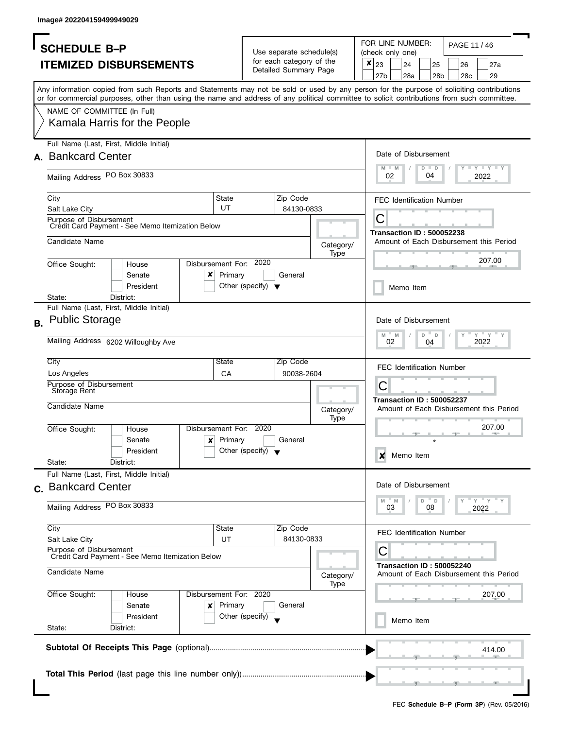|           | <b>SCHEDULE B-P</b>                                                                                                                        |         |                                      | Use separate schedule(s) |           |   | FOR LINE NUMBER:<br>PAGE 11 / 46<br>(check only one) |                                  |               |                 |  |     |                                         |
|-----------|--------------------------------------------------------------------------------------------------------------------------------------------|---------|--------------------------------------|--------------------------|-----------|---|------------------------------------------------------|----------------------------------|---------------|-----------------|--|-----|-----------------------------------------|
|           | <b>ITEMIZED DISBURSEMENTS</b>                                                                                                              |         |                                      | for each category of the |           | × | 23                                                   | 24                               |               | 25              |  | 26  | 27a                                     |
|           |                                                                                                                                            |         |                                      | Detailed Summary Page    |           |   | 27b                                                  | 28a                              |               | 28 <sub>b</sub> |  | 28c | 29                                      |
|           | Any information copied from such Reports and Statements may not be sold or used by any person for the purpose of soliciting contributions  |         |                                      |                          |           |   |                                                      |                                  |               |                 |  |     |                                         |
|           | or for commercial purposes, other than using the name and address of any political committee to solicit contributions from such committee. |         |                                      |                          |           |   |                                                      |                                  |               |                 |  |     |                                         |
|           | NAME OF COMMITTEE (In Full)                                                                                                                |         |                                      |                          |           |   |                                                      |                                  |               |                 |  |     |                                         |
|           | Kamala Harris for the People                                                                                                               |         |                                      |                          |           |   |                                                      |                                  |               |                 |  |     |                                         |
|           | Full Name (Last, First, Middle Initial)                                                                                                    |         |                                      |                          |           |   |                                                      |                                  |               |                 |  |     |                                         |
|           | A. Bankcard Center                                                                                                                         |         |                                      |                          |           |   |                                                      | Date of Disbursement             |               |                 |  |     |                                         |
|           | Mailing Address PO Box 30833                                                                                                               |         |                                      |                          |           |   | M<br>02                                              | $-M$                             | $D$ $D$<br>04 |                 |  |     | <b>LYLYLY</b><br>2022                   |
|           | City                                                                                                                                       | State   |                                      | Zip Code                 |           |   |                                                      | <b>FEC Identification Number</b> |               |                 |  |     |                                         |
|           | Salt Lake City                                                                                                                             | UT      |                                      | 84130-0833               |           |   |                                                      |                                  |               |                 |  |     |                                         |
|           | Purpose of Disbursement<br>Credit Card Payment - See Memo Itemization Below                                                                |         |                                      |                          |           |   | С                                                    |                                  |               |                 |  |     |                                         |
|           |                                                                                                                                            |         |                                      |                          |           |   |                                                      | <b>Transaction ID: 500052238</b> |               |                 |  |     |                                         |
|           | Candidate Name                                                                                                                             |         |                                      |                          | Category/ |   |                                                      |                                  |               |                 |  |     | Amount of Each Disbursement this Period |
|           |                                                                                                                                            |         |                                      |                          | Type      |   |                                                      |                                  |               |                 |  |     | 207.00                                  |
|           | Disbursement For: 2020<br>Office Sought:<br>House                                                                                          |         |                                      |                          |           |   |                                                      |                                  |               |                 |  |     |                                         |
|           | x<br>Senate<br>President                                                                                                                   | Primary |                                      | General                  |           |   |                                                      |                                  |               |                 |  |     |                                         |
|           | State:<br>District:                                                                                                                        |         | Other (specify) $\blacktriangledown$ |                          |           |   |                                                      | Memo Item                        |               |                 |  |     |                                         |
|           | Full Name (Last, First, Middle Initial)                                                                                                    |         |                                      |                          |           |   |                                                      |                                  |               |                 |  |     |                                         |
| <b>B.</b> | <b>Public Storage</b>                                                                                                                      |         |                                      |                          |           |   |                                                      | Date of Disbursement             |               |                 |  |     |                                         |
|           | Mailing Address 6202 Willoughby Ave                                                                                                        |         |                                      |                          |           |   | $M$ $M$<br>02                                        |                                  | D<br>04       | $\mathsf{D}$    |  |     | $Y = Y$<br>2022                         |
|           | City                                                                                                                                       | State   |                                      | Zip Code                 |           |   |                                                      |                                  |               |                 |  |     |                                         |
|           | Los Angeles                                                                                                                                | CA      |                                      | 90038-2604               |           |   |                                                      | <b>FEC Identification Number</b> |               |                 |  |     |                                         |
|           | Purpose of Disbursement<br>Storage Rent                                                                                                    |         |                                      |                          |           |   | С                                                    |                                  |               |                 |  |     |                                         |
|           |                                                                                                                                            |         |                                      |                          |           |   |                                                      | <b>Transaction ID: 500052237</b> |               |                 |  |     |                                         |
|           | Candidate Name                                                                                                                             |         |                                      |                          | Category/ |   |                                                      |                                  |               |                 |  |     | Amount of Each Disbursement this Period |
|           | Disbursement For: 2020<br>Office Sought:<br>House                                                                                          |         |                                      |                          | Type      |   |                                                      |                                  |               |                 |  |     | 207.00                                  |
|           | $\boldsymbol{\mathsf{x}}$  <br>Senate                                                                                                      | Primary |                                      | General                  |           |   |                                                      |                                  |               |                 |  |     |                                         |
|           | President                                                                                                                                  |         | Other (specify) $\bullet$            |                          |           |   |                                                      |                                  |               |                 |  |     |                                         |
|           | State:<br>District:                                                                                                                        |         |                                      |                          |           |   | X                                                    | Memo Item                        |               |                 |  |     |                                         |
|           | Full Name (Last, First, Middle Initial)                                                                                                    |         |                                      |                          |           |   |                                                      |                                  |               |                 |  |     |                                         |
|           | c. Bankcard Center                                                                                                                         |         |                                      |                          |           |   |                                                      | Date of Disbursement             |               |                 |  |     |                                         |
|           |                                                                                                                                            |         |                                      |                          |           |   | M                                                    | M                                | D             | D               |  |     | $-\gamma + \gamma$                      |
|           | Mailing Address PO Box 30833                                                                                                               |         |                                      |                          |           |   | 03                                                   |                                  |               | 08              |  |     | 2022                                    |
|           | City                                                                                                                                       | State   |                                      | Zip Code                 |           |   |                                                      |                                  |               |                 |  |     |                                         |
|           | Salt Lake City                                                                                                                             | UT      |                                      | 84130-0833               |           |   |                                                      | <b>FEC Identification Number</b> |               |                 |  |     |                                         |
|           | Purpose of Disbursement<br>Credit Card Payment - See Memo Itemization Below                                                                |         |                                      |                          |           |   | С                                                    |                                  |               |                 |  |     |                                         |
|           | Candidate Name                                                                                                                             |         |                                      |                          | Category/ |   |                                                      | <b>Transaction ID: 500052240</b> |               |                 |  |     | Amount of Each Disbursement this Period |
|           | Disbursement For: 2020<br>Office Sought:<br>House                                                                                          |         |                                      |                          | Type      |   |                                                      |                                  |               |                 |  |     | 207.00                                  |
|           | Senate<br>×                                                                                                                                | Primary |                                      | General                  |           |   |                                                      |                                  |               |                 |  |     |                                         |
|           | President                                                                                                                                  |         | Other (specify)                      |                          |           |   |                                                      |                                  |               |                 |  |     |                                         |
|           | State:<br>District:                                                                                                                        |         |                                      |                          |           |   |                                                      | Memo Item                        |               |                 |  |     |                                         |
|           |                                                                                                                                            |         |                                      |                          |           |   |                                                      |                                  |               |                 |  |     |                                         |
|           |                                                                                                                                            |         |                                      |                          |           |   |                                                      |                                  |               |                 |  |     | 414.00                                  |
|           |                                                                                                                                            |         |                                      |                          |           |   |                                                      |                                  |               |                 |  |     |                                         |
|           |                                                                                                                                            |         |                                      |                          |           |   |                                                      |                                  |               |                 |  |     |                                         |
|           |                                                                                                                                            |         |                                      |                          |           |   |                                                      |                                  |               |                 |  |     |                                         |
|           |                                                                                                                                            |         |                                      |                          |           |   |                                                      |                                  |               |                 |  |     |                                         |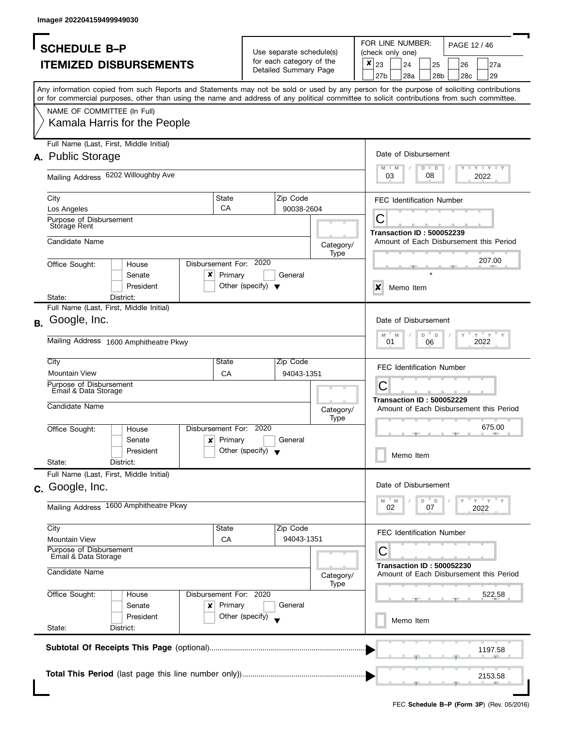| FOR LINE NUMBER:<br>PAGE 12 / 46<br><b>SCHEDULE B-P</b><br>Use separate schedule(s)<br>(check only one)<br>for each category of the<br>×<br><b>ITEMIZED DISBURSEMENTS</b><br>23<br>24<br>25<br>26<br>27a<br>Detailed Summary Page<br>27 <sub>b</sub><br>28a<br>29<br>28 <sub>b</sub><br>28c<br>Any information copied from such Reports and Statements may not be sold or used by any person for the purpose of soliciting contributions<br>or for commercial purposes, other than using the name and address of any political committee to solicit contributions from such committee.<br>NAME OF COMMITTEE (In Full)<br>Kamala Harris for the People<br>Full Name (Last, First, Middle Initial)<br>Date of Disbursement<br>A. Public Storage<br><b>LEY LEY LEY</b><br>M<br>$D$ $D$<br>M<br>Mailing Address 6202 Willoughby Ave<br>08<br>03<br>2022<br>State<br>Zip Code<br>City<br><b>FEC Identification Number</b><br>CA<br>90038-2604<br>Los Angeles<br>С<br>Purpose of Disbursement<br>Storage Rent<br><b>Transaction ID: 500052239</b><br>Candidate Name<br>Amount of Each Disbursement this Period<br>Category/<br>Type<br>207.00<br>2020<br>Disbursement For:<br>Office Sought:<br>House<br>×<br>Primary<br>General<br>Senate<br>President<br>Other (specify) $\blacktriangledown$<br>X<br>Memo Item<br>State:<br>District:<br>Full Name (Last, First, Middle Initial)<br>Google, Inc.<br>Date of Disbursement<br>$Y = Y$<br>D<br>M<br>M<br>D<br>Mailing Address 1600 Amphitheatre Pkwy<br>01<br>2022<br>06<br>City<br>State<br>Zip Code<br><b>FEC Identification Number</b><br><b>Mountain View</b><br><b>CA</b><br>94043-1351<br>C<br>Purpose of Disbursement<br>Email & Data Storage<br><b>Transaction ID: 500052229</b><br>Candidate Name<br>Amount of Each Disbursement this Period<br>Category/<br>Type<br>675.00<br>Disbursement For: 2020<br>Office Sought:<br>House<br>Primary<br>General<br>$\boldsymbol{x}$<br>Senate<br>Other (specify) $\blacktriangledown$<br>President<br>Memo Item<br>State:<br>District:<br>Full Name (Last, First, Middle Initial)<br>Date of Disbursement<br>c. Google, Inc.<br>" γ " γ "<br>M<br>M<br>D<br>D<br>Mailing Address 1600 Amphitheatre Pkwy<br>02<br>07<br>2022<br>City<br>State<br>Zip Code<br><b>FEC Identification Number</b><br>94043-1351<br><b>Mountain View</b><br>CA<br>Purpose of Disbursement<br>С<br>Email & Data Storage<br><b>Transaction ID: 500052230</b><br>Candidate Name<br>Amount of Each Disbursement this Period<br>Category/<br>Type<br>Office Sought:<br>Disbursement For: 2020<br>522.58<br>House<br>Primary<br>Senate<br>General<br>×<br>Other (specify)<br>President<br>Memo Item<br>State:<br>District:<br>1197.58<br>2153.58 |    |  |  |  |  |  |  |  |  |  |  |  |
|----------------------------------------------------------------------------------------------------------------------------------------------------------------------------------------------------------------------------------------------------------------------------------------------------------------------------------------------------------------------------------------------------------------------------------------------------------------------------------------------------------------------------------------------------------------------------------------------------------------------------------------------------------------------------------------------------------------------------------------------------------------------------------------------------------------------------------------------------------------------------------------------------------------------------------------------------------------------------------------------------------------------------------------------------------------------------------------------------------------------------------------------------------------------------------------------------------------------------------------------------------------------------------------------------------------------------------------------------------------------------------------------------------------------------------------------------------------------------------------------------------------------------------------------------------------------------------------------------------------------------------------------------------------------------------------------------------------------------------------------------------------------------------------------------------------------------------------------------------------------------------------------------------------------------------------------------------------------------------------------------------------------------------------------------------------------------------------------------------------------------------------------------------------------------------------------------------------------------------------------------------------------------------------------------------------------------------------------------------------------------------------------------------------------------------------------------------------------------------------------------------------------------------------------------------------------------------------------------------------------------------------------------------------------------------------------------------------|----|--|--|--|--|--|--|--|--|--|--|--|
|                                                                                                                                                                                                                                                                                                                                                                                                                                                                                                                                                                                                                                                                                                                                                                                                                                                                                                                                                                                                                                                                                                                                                                                                                                                                                                                                                                                                                                                                                                                                                                                                                                                                                                                                                                                                                                                                                                                                                                                                                                                                                                                                                                                                                                                                                                                                                                                                                                                                                                                                                                                                                                                                                                                |    |  |  |  |  |  |  |  |  |  |  |  |
|                                                                                                                                                                                                                                                                                                                                                                                                                                                                                                                                                                                                                                                                                                                                                                                                                                                                                                                                                                                                                                                                                                                                                                                                                                                                                                                                                                                                                                                                                                                                                                                                                                                                                                                                                                                                                                                                                                                                                                                                                                                                                                                                                                                                                                                                                                                                                                                                                                                                                                                                                                                                                                                                                                                |    |  |  |  |  |  |  |  |  |  |  |  |
|                                                                                                                                                                                                                                                                                                                                                                                                                                                                                                                                                                                                                                                                                                                                                                                                                                                                                                                                                                                                                                                                                                                                                                                                                                                                                                                                                                                                                                                                                                                                                                                                                                                                                                                                                                                                                                                                                                                                                                                                                                                                                                                                                                                                                                                                                                                                                                                                                                                                                                                                                                                                                                                                                                                |    |  |  |  |  |  |  |  |  |  |  |  |
|                                                                                                                                                                                                                                                                                                                                                                                                                                                                                                                                                                                                                                                                                                                                                                                                                                                                                                                                                                                                                                                                                                                                                                                                                                                                                                                                                                                                                                                                                                                                                                                                                                                                                                                                                                                                                                                                                                                                                                                                                                                                                                                                                                                                                                                                                                                                                                                                                                                                                                                                                                                                                                                                                                                |    |  |  |  |  |  |  |  |  |  |  |  |
|                                                                                                                                                                                                                                                                                                                                                                                                                                                                                                                                                                                                                                                                                                                                                                                                                                                                                                                                                                                                                                                                                                                                                                                                                                                                                                                                                                                                                                                                                                                                                                                                                                                                                                                                                                                                                                                                                                                                                                                                                                                                                                                                                                                                                                                                                                                                                                                                                                                                                                                                                                                                                                                                                                                |    |  |  |  |  |  |  |  |  |  |  |  |
|                                                                                                                                                                                                                                                                                                                                                                                                                                                                                                                                                                                                                                                                                                                                                                                                                                                                                                                                                                                                                                                                                                                                                                                                                                                                                                                                                                                                                                                                                                                                                                                                                                                                                                                                                                                                                                                                                                                                                                                                                                                                                                                                                                                                                                                                                                                                                                                                                                                                                                                                                                                                                                                                                                                |    |  |  |  |  |  |  |  |  |  |  |  |
|                                                                                                                                                                                                                                                                                                                                                                                                                                                                                                                                                                                                                                                                                                                                                                                                                                                                                                                                                                                                                                                                                                                                                                                                                                                                                                                                                                                                                                                                                                                                                                                                                                                                                                                                                                                                                                                                                                                                                                                                                                                                                                                                                                                                                                                                                                                                                                                                                                                                                                                                                                                                                                                                                                                |    |  |  |  |  |  |  |  |  |  |  |  |
|                                                                                                                                                                                                                                                                                                                                                                                                                                                                                                                                                                                                                                                                                                                                                                                                                                                                                                                                                                                                                                                                                                                                                                                                                                                                                                                                                                                                                                                                                                                                                                                                                                                                                                                                                                                                                                                                                                                                                                                                                                                                                                                                                                                                                                                                                                                                                                                                                                                                                                                                                                                                                                                                                                                |    |  |  |  |  |  |  |  |  |  |  |  |
|                                                                                                                                                                                                                                                                                                                                                                                                                                                                                                                                                                                                                                                                                                                                                                                                                                                                                                                                                                                                                                                                                                                                                                                                                                                                                                                                                                                                                                                                                                                                                                                                                                                                                                                                                                                                                                                                                                                                                                                                                                                                                                                                                                                                                                                                                                                                                                                                                                                                                                                                                                                                                                                                                                                |    |  |  |  |  |  |  |  |  |  |  |  |
|                                                                                                                                                                                                                                                                                                                                                                                                                                                                                                                                                                                                                                                                                                                                                                                                                                                                                                                                                                                                                                                                                                                                                                                                                                                                                                                                                                                                                                                                                                                                                                                                                                                                                                                                                                                                                                                                                                                                                                                                                                                                                                                                                                                                                                                                                                                                                                                                                                                                                                                                                                                                                                                                                                                |    |  |  |  |  |  |  |  |  |  |  |  |
|                                                                                                                                                                                                                                                                                                                                                                                                                                                                                                                                                                                                                                                                                                                                                                                                                                                                                                                                                                                                                                                                                                                                                                                                                                                                                                                                                                                                                                                                                                                                                                                                                                                                                                                                                                                                                                                                                                                                                                                                                                                                                                                                                                                                                                                                                                                                                                                                                                                                                                                                                                                                                                                                                                                |    |  |  |  |  |  |  |  |  |  |  |  |
|                                                                                                                                                                                                                                                                                                                                                                                                                                                                                                                                                                                                                                                                                                                                                                                                                                                                                                                                                                                                                                                                                                                                                                                                                                                                                                                                                                                                                                                                                                                                                                                                                                                                                                                                                                                                                                                                                                                                                                                                                                                                                                                                                                                                                                                                                                                                                                                                                                                                                                                                                                                                                                                                                                                |    |  |  |  |  |  |  |  |  |  |  |  |
|                                                                                                                                                                                                                                                                                                                                                                                                                                                                                                                                                                                                                                                                                                                                                                                                                                                                                                                                                                                                                                                                                                                                                                                                                                                                                                                                                                                                                                                                                                                                                                                                                                                                                                                                                                                                                                                                                                                                                                                                                                                                                                                                                                                                                                                                                                                                                                                                                                                                                                                                                                                                                                                                                                                |    |  |  |  |  |  |  |  |  |  |  |  |
|                                                                                                                                                                                                                                                                                                                                                                                                                                                                                                                                                                                                                                                                                                                                                                                                                                                                                                                                                                                                                                                                                                                                                                                                                                                                                                                                                                                                                                                                                                                                                                                                                                                                                                                                                                                                                                                                                                                                                                                                                                                                                                                                                                                                                                                                                                                                                                                                                                                                                                                                                                                                                                                                                                                | В. |  |  |  |  |  |  |  |  |  |  |  |
|                                                                                                                                                                                                                                                                                                                                                                                                                                                                                                                                                                                                                                                                                                                                                                                                                                                                                                                                                                                                                                                                                                                                                                                                                                                                                                                                                                                                                                                                                                                                                                                                                                                                                                                                                                                                                                                                                                                                                                                                                                                                                                                                                                                                                                                                                                                                                                                                                                                                                                                                                                                                                                                                                                                |    |  |  |  |  |  |  |  |  |  |  |  |
|                                                                                                                                                                                                                                                                                                                                                                                                                                                                                                                                                                                                                                                                                                                                                                                                                                                                                                                                                                                                                                                                                                                                                                                                                                                                                                                                                                                                                                                                                                                                                                                                                                                                                                                                                                                                                                                                                                                                                                                                                                                                                                                                                                                                                                                                                                                                                                                                                                                                                                                                                                                                                                                                                                                |    |  |  |  |  |  |  |  |  |  |  |  |
|                                                                                                                                                                                                                                                                                                                                                                                                                                                                                                                                                                                                                                                                                                                                                                                                                                                                                                                                                                                                                                                                                                                                                                                                                                                                                                                                                                                                                                                                                                                                                                                                                                                                                                                                                                                                                                                                                                                                                                                                                                                                                                                                                                                                                                                                                                                                                                                                                                                                                                                                                                                                                                                                                                                |    |  |  |  |  |  |  |  |  |  |  |  |
|                                                                                                                                                                                                                                                                                                                                                                                                                                                                                                                                                                                                                                                                                                                                                                                                                                                                                                                                                                                                                                                                                                                                                                                                                                                                                                                                                                                                                                                                                                                                                                                                                                                                                                                                                                                                                                                                                                                                                                                                                                                                                                                                                                                                                                                                                                                                                                                                                                                                                                                                                                                                                                                                                                                |    |  |  |  |  |  |  |  |  |  |  |  |
|                                                                                                                                                                                                                                                                                                                                                                                                                                                                                                                                                                                                                                                                                                                                                                                                                                                                                                                                                                                                                                                                                                                                                                                                                                                                                                                                                                                                                                                                                                                                                                                                                                                                                                                                                                                                                                                                                                                                                                                                                                                                                                                                                                                                                                                                                                                                                                                                                                                                                                                                                                                                                                                                                                                |    |  |  |  |  |  |  |  |  |  |  |  |
|                                                                                                                                                                                                                                                                                                                                                                                                                                                                                                                                                                                                                                                                                                                                                                                                                                                                                                                                                                                                                                                                                                                                                                                                                                                                                                                                                                                                                                                                                                                                                                                                                                                                                                                                                                                                                                                                                                                                                                                                                                                                                                                                                                                                                                                                                                                                                                                                                                                                                                                                                                                                                                                                                                                |    |  |  |  |  |  |  |  |  |  |  |  |
|                                                                                                                                                                                                                                                                                                                                                                                                                                                                                                                                                                                                                                                                                                                                                                                                                                                                                                                                                                                                                                                                                                                                                                                                                                                                                                                                                                                                                                                                                                                                                                                                                                                                                                                                                                                                                                                                                                                                                                                                                                                                                                                                                                                                                                                                                                                                                                                                                                                                                                                                                                                                                                                                                                                |    |  |  |  |  |  |  |  |  |  |  |  |
|                                                                                                                                                                                                                                                                                                                                                                                                                                                                                                                                                                                                                                                                                                                                                                                                                                                                                                                                                                                                                                                                                                                                                                                                                                                                                                                                                                                                                                                                                                                                                                                                                                                                                                                                                                                                                                                                                                                                                                                                                                                                                                                                                                                                                                                                                                                                                                                                                                                                                                                                                                                                                                                                                                                |    |  |  |  |  |  |  |  |  |  |  |  |
|                                                                                                                                                                                                                                                                                                                                                                                                                                                                                                                                                                                                                                                                                                                                                                                                                                                                                                                                                                                                                                                                                                                                                                                                                                                                                                                                                                                                                                                                                                                                                                                                                                                                                                                                                                                                                                                                                                                                                                                                                                                                                                                                                                                                                                                                                                                                                                                                                                                                                                                                                                                                                                                                                                                |    |  |  |  |  |  |  |  |  |  |  |  |
|                                                                                                                                                                                                                                                                                                                                                                                                                                                                                                                                                                                                                                                                                                                                                                                                                                                                                                                                                                                                                                                                                                                                                                                                                                                                                                                                                                                                                                                                                                                                                                                                                                                                                                                                                                                                                                                                                                                                                                                                                                                                                                                                                                                                                                                                                                                                                                                                                                                                                                                                                                                                                                                                                                                |    |  |  |  |  |  |  |  |  |  |  |  |
|                                                                                                                                                                                                                                                                                                                                                                                                                                                                                                                                                                                                                                                                                                                                                                                                                                                                                                                                                                                                                                                                                                                                                                                                                                                                                                                                                                                                                                                                                                                                                                                                                                                                                                                                                                                                                                                                                                                                                                                                                                                                                                                                                                                                                                                                                                                                                                                                                                                                                                                                                                                                                                                                                                                |    |  |  |  |  |  |  |  |  |  |  |  |
|                                                                                                                                                                                                                                                                                                                                                                                                                                                                                                                                                                                                                                                                                                                                                                                                                                                                                                                                                                                                                                                                                                                                                                                                                                                                                                                                                                                                                                                                                                                                                                                                                                                                                                                                                                                                                                                                                                                                                                                                                                                                                                                                                                                                                                                                                                                                                                                                                                                                                                                                                                                                                                                                                                                |    |  |  |  |  |  |  |  |  |  |  |  |
|                                                                                                                                                                                                                                                                                                                                                                                                                                                                                                                                                                                                                                                                                                                                                                                                                                                                                                                                                                                                                                                                                                                                                                                                                                                                                                                                                                                                                                                                                                                                                                                                                                                                                                                                                                                                                                                                                                                                                                                                                                                                                                                                                                                                                                                                                                                                                                                                                                                                                                                                                                                                                                                                                                                |    |  |  |  |  |  |  |  |  |  |  |  |
|                                                                                                                                                                                                                                                                                                                                                                                                                                                                                                                                                                                                                                                                                                                                                                                                                                                                                                                                                                                                                                                                                                                                                                                                                                                                                                                                                                                                                                                                                                                                                                                                                                                                                                                                                                                                                                                                                                                                                                                                                                                                                                                                                                                                                                                                                                                                                                                                                                                                                                                                                                                                                                                                                                                |    |  |  |  |  |  |  |  |  |  |  |  |
|                                                                                                                                                                                                                                                                                                                                                                                                                                                                                                                                                                                                                                                                                                                                                                                                                                                                                                                                                                                                                                                                                                                                                                                                                                                                                                                                                                                                                                                                                                                                                                                                                                                                                                                                                                                                                                                                                                                                                                                                                                                                                                                                                                                                                                                                                                                                                                                                                                                                                                                                                                                                                                                                                                                |    |  |  |  |  |  |  |  |  |  |  |  |
|                                                                                                                                                                                                                                                                                                                                                                                                                                                                                                                                                                                                                                                                                                                                                                                                                                                                                                                                                                                                                                                                                                                                                                                                                                                                                                                                                                                                                                                                                                                                                                                                                                                                                                                                                                                                                                                                                                                                                                                                                                                                                                                                                                                                                                                                                                                                                                                                                                                                                                                                                                                                                                                                                                                |    |  |  |  |  |  |  |  |  |  |  |  |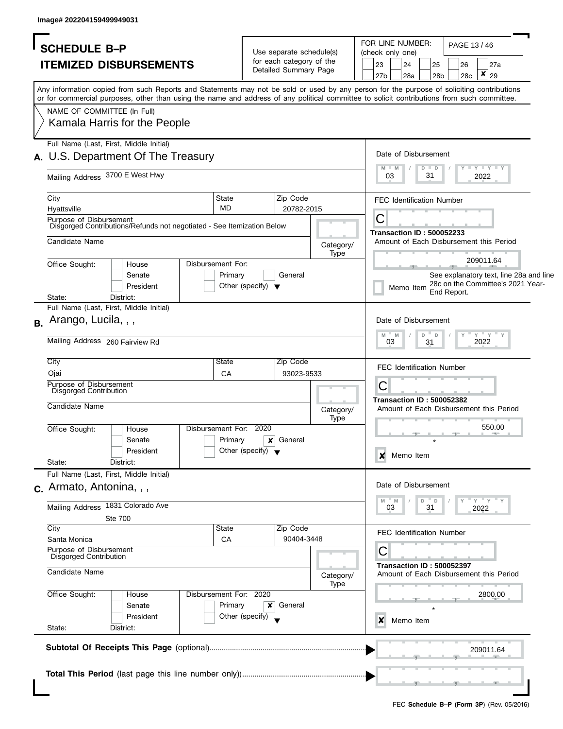| <b>SCHEDULE B-P</b>                                                                                                                                                                                                                                                                                                    |                                                                               | FOR LINE NUMBER:<br>PAGE 13/46                                                                                  |
|------------------------------------------------------------------------------------------------------------------------------------------------------------------------------------------------------------------------------------------------------------------------------------------------------------------------|-------------------------------------------------------------------------------|-----------------------------------------------------------------------------------------------------------------|
| <b>ITEMIZED DISBURSEMENTS</b>                                                                                                                                                                                                                                                                                          | Use separate schedule(s)<br>for each category of the<br>Detailed Summary Page | (check only one)<br>23<br>24<br>25<br>26<br>27a<br>$\pmb{\times}$<br>27b<br>28a<br>29<br>28 <sub>b</sub><br>28c |
| Any information copied from such Reports and Statements may not be sold or used by any person for the purpose of soliciting contributions<br>or for commercial purposes, other than using the name and address of any political committee to solicit contributions from such committee.<br>NAME OF COMMITTEE (In Full) |                                                                               |                                                                                                                 |
| Kamala Harris for the People                                                                                                                                                                                                                                                                                           |                                                                               |                                                                                                                 |
| Full Name (Last, First, Middle Initial)<br>U.S. Department Of The Treasury                                                                                                                                                                                                                                             |                                                                               | Date of Disbursement<br>$Y - Y - Y - Y + Y$<br>$M - M$<br>$D$ $D$                                               |
| Mailing Address 3700 E West Hwy                                                                                                                                                                                                                                                                                        |                                                                               | 03<br>31<br>2022                                                                                                |
| State<br>City<br><b>MD</b><br>Hyattsville                                                                                                                                                                                                                                                                              | Zip Code<br>20782-2015                                                        | <b>FEC Identification Number</b>                                                                                |
| Purpose of Disbursement<br>Disgorged Contributions/Refunds not negotiated - See Itemization Below                                                                                                                                                                                                                      |                                                                               | С<br><b>Transaction ID: 500052233</b>                                                                           |
| Candidate Name                                                                                                                                                                                                                                                                                                         | Category/                                                                     | Amount of Each Disbursement this Period                                                                         |
| Disbursement For:<br>Office Sought:<br>House<br>Primary<br>Senate<br>President                                                                                                                                                                                                                                         | Type<br>General<br>Other (specify) $\blacktriangledown$                       | 209011.64<br>See explanatory text, line 28a and line<br>28c on the Committee's 2021 Year-<br>Memo Item          |
| District:<br>State:                                                                                                                                                                                                                                                                                                    |                                                                               | End Report.                                                                                                     |
| Full Name (Last, First, Middle Initial)<br>Arango, Lucila, , ,<br><b>B.</b>                                                                                                                                                                                                                                            |                                                                               | Date of Disbursement                                                                                            |
| Mailing Address 260 Fairview Rd                                                                                                                                                                                                                                                                                        |                                                                               | $Y$ $Y$ $Y$<br>$M$ =<br>M<br>D<br>$\mathbb D$<br>03<br>2022<br>31                                               |
| City<br>State                                                                                                                                                                                                                                                                                                          | Zip Code                                                                      | <b>FEC Identification Number</b>                                                                                |
| Ojai<br>CA<br>Purpose of Disbursement                                                                                                                                                                                                                                                                                  | 93023-9533                                                                    |                                                                                                                 |
| Disgorged Contribution<br>Candidate Name                                                                                                                                                                                                                                                                               | Category/                                                                     | С<br><b>Transaction ID: 500052382</b><br>Amount of Each Disbursement this Period                                |
| Disbursement For:<br>Office Sought:<br>House<br>Primary<br>Senate<br>President<br>State:<br>District:                                                                                                                                                                                                                  | <b>Type</b><br>2020<br>General<br>x<br>Other (specify) $\blacktriangledown$   | 550.00<br>Memo Item<br>x                                                                                        |
| Full Name (Last, First, Middle Initial)                                                                                                                                                                                                                                                                                |                                                                               |                                                                                                                 |
| c. Armato, Antonina, , ,                                                                                                                                                                                                                                                                                               |                                                                               | Date of Disbursement                                                                                            |
| Mailing Address 1831 Colorado Ave<br><b>Ste 700</b>                                                                                                                                                                                                                                                                    |                                                                               | $Y = Y + Y$<br>$- M$<br>D<br>- D<br>M<br>03<br>31<br>2022                                                       |
| City<br>State<br>Santa Monica<br>CA                                                                                                                                                                                                                                                                                    | Zip Code<br>90404-3448                                                        | <b>FEC Identification Number</b>                                                                                |
| Purpose of Disbursement<br>Disgorged Contribution                                                                                                                                                                                                                                                                      |                                                                               | С                                                                                                               |
| Candidate Name                                                                                                                                                                                                                                                                                                         | Category/<br>Type                                                             | <b>Transaction ID: 500052397</b><br>Amount of Each Disbursement this Period                                     |
| Disbursement For: 2020<br>Office Sought:<br>House<br>Primary<br>Senate<br>President                                                                                                                                                                                                                                    | General<br>$\boldsymbol{x}$<br>Other (specify)                                | 2800.00<br>Memo Item<br>x                                                                                       |
| State:<br>District:                                                                                                                                                                                                                                                                                                    |                                                                               |                                                                                                                 |
|                                                                                                                                                                                                                                                                                                                        |                                                                               | 209011.64                                                                                                       |
|                                                                                                                                                                                                                                                                                                                        |                                                                               |                                                                                                                 |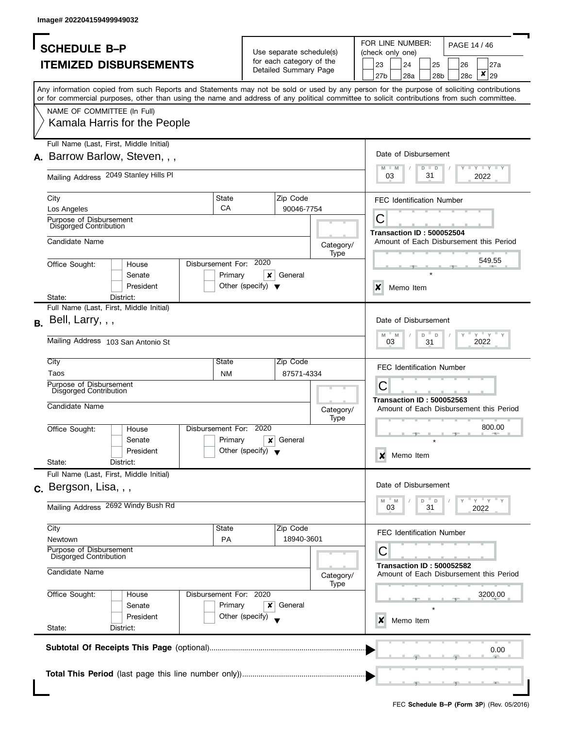| <b>SCHEDULE B-P</b>                                      |                                                                                                                                            |                        |                                      | Use separate schedule(s) |                   | FOR LINE NUMBER:<br>PAGE 14 / 46<br>(check only one) |                                  |               |                       |           |                                         |
|----------------------------------------------------------|--------------------------------------------------------------------------------------------------------------------------------------------|------------------------|--------------------------------------|--------------------------|-------------------|------------------------------------------------------|----------------------------------|---------------|-----------------------|-----------|-----------------------------------------|
|                                                          |                                                                                                                                            |                        |                                      | for each category of the |                   |                                                      |                                  |               |                       |           |                                         |
|                                                          | <b>ITEMIZED DISBURSEMENTS</b>                                                                                                              |                        |                                      | Detailed Summary Page    |                   | 23<br>27 <sub>b</sub>                                | 24<br>28a                        |               | 25<br>28 <sub>b</sub> | 26<br>28c | 27a<br>×<br>29                          |
|                                                          | Any information copied from such Reports and Statements may not be sold or used by any person for the purpose of soliciting contributions  |                        |                                      |                          |                   |                                                      |                                  |               |                       |           |                                         |
|                                                          | or for commercial purposes, other than using the name and address of any political committee to solicit contributions from such committee. |                        |                                      |                          |                   |                                                      |                                  |               |                       |           |                                         |
|                                                          | NAME OF COMMITTEE (In Full)                                                                                                                |                        |                                      |                          |                   |                                                      |                                  |               |                       |           |                                         |
|                                                          | Kamala Harris for the People                                                                                                               |                        |                                      |                          |                   |                                                      |                                  |               |                       |           |                                         |
|                                                          | Full Name (Last, First, Middle Initial)                                                                                                    |                        |                                      |                          |                   |                                                      |                                  |               |                       |           |                                         |
|                                                          | A. Barrow Barlow, Steven, , ,                                                                                                              |                        |                                      |                          |                   |                                                      | Date of Disbursement             |               |                       |           |                                         |
|                                                          | Mailing Address 2049 Stanley Hills PI                                                                                                      |                        |                                      |                          |                   |                                                      | $M$ M<br>03                      | $D$ $D$<br>31 |                       |           | <b>LYLYLY</b><br>2022                   |
| City                                                     |                                                                                                                                            | State                  |                                      | Zip Code                 |                   |                                                      | <b>FEC Identification Number</b> |               |                       |           |                                         |
| Los Angeles                                              |                                                                                                                                            | CA                     |                                      | 90046-7754               |                   |                                                      |                                  |               |                       |           |                                         |
| Purpose of Disbursement<br>Disgorged Contribution        |                                                                                                                                            |                        |                                      |                          |                   | С                                                    |                                  |               |                       |           |                                         |
|                                                          |                                                                                                                                            |                        |                                      |                          |                   |                                                      | <b>Transaction ID: 500052504</b> |               |                       |           |                                         |
| Candidate Name                                           |                                                                                                                                            |                        |                                      |                          | Category/         |                                                      |                                  |               |                       |           | Amount of Each Disbursement this Period |
| Office Sought:                                           | House                                                                                                                                      | Disbursement For:      | 2020                                 |                          | Type              |                                                      |                                  |               |                       |           | 549.55                                  |
|                                                          | Senate                                                                                                                                     | Primary                | ×                                    | General                  |                   |                                                      |                                  |               |                       |           |                                         |
|                                                          | President                                                                                                                                  |                        | Other (specify) $\blacktriangledown$ |                          |                   | X                                                    |                                  |               |                       |           |                                         |
| State:                                                   | District:                                                                                                                                  |                        |                                      |                          |                   |                                                      | Memo Item                        |               |                       |           |                                         |
|                                                          | Full Name (Last, First, Middle Initial)                                                                                                    |                        |                                      |                          |                   |                                                      |                                  |               |                       |           |                                         |
| Bell, Larry, , ,<br><b>B.</b>                            |                                                                                                                                            |                        |                                      |                          |                   |                                                      | Date of Disbursement             |               |                       |           |                                         |
|                                                          | Mailing Address 103 San Antonio St                                                                                                         |                        |                                      |                          |                   | M                                                    | $-M$<br>03                       | D<br>31       | D                     |           | $Y = Y$<br>2022                         |
| City                                                     |                                                                                                                                            | State                  |                                      | Zip Code                 |                   |                                                      | <b>FEC Identification Number</b> |               |                       |           |                                         |
| Taos                                                     |                                                                                                                                            | <b>NM</b>              |                                      | 87571-4334               |                   |                                                      |                                  |               |                       |           |                                         |
| Purpose of Disbursement<br>Disgorged Contribution        |                                                                                                                                            |                        |                                      |                          |                   | C                                                    |                                  |               |                       |           |                                         |
| Candidate Name                                           |                                                                                                                                            |                        |                                      |                          |                   |                                                      | <b>Transaction ID: 500052563</b> |               |                       |           |                                         |
|                                                          |                                                                                                                                            |                        |                                      |                          | Category/<br>Type |                                                      |                                  |               |                       |           | Amount of Each Disbursement this Period |
| Office Sought:                                           | House                                                                                                                                      | Disbursement For: 2020 |                                      |                          |                   |                                                      |                                  |               |                       |           | 800.00                                  |
|                                                          | Senate                                                                                                                                     | Primary                | X                                    | General                  |                   |                                                      |                                  |               |                       |           |                                         |
|                                                          | President                                                                                                                                  |                        | Other (specify) $\blacktriangledown$ |                          |                   |                                                      | Memo Item                        |               |                       |           |                                         |
| State:                                                   | District:                                                                                                                                  |                        |                                      |                          |                   | ×                                                    |                                  |               |                       |           |                                         |
|                                                          | Full Name (Last, First, Middle Initial)                                                                                                    |                        |                                      |                          |                   |                                                      |                                  |               |                       |           |                                         |
| c. Bergson, Lisa, , ,                                    |                                                                                                                                            |                        |                                      |                          |                   |                                                      | Date of Disbursement             |               |                       |           |                                         |
|                                                          | Mailing Address 2692 Windy Bush Rd                                                                                                         |                        |                                      |                          |                   | M                                                    | " M                              | D             | D                     |           | $-\gamma + \gamma$                      |
|                                                          |                                                                                                                                            |                        |                                      |                          |                   |                                                      | 03                               | 31            |                       |           | 2022                                    |
| City                                                     |                                                                                                                                            | State                  |                                      | Zip Code                 |                   |                                                      | <b>FEC Identification Number</b> |               |                       |           |                                         |
| Newtown                                                  |                                                                                                                                            | <b>PA</b>              |                                      | 18940-3601               |                   |                                                      |                                  |               |                       |           |                                         |
| Purpose of Disbursement<br><b>Disgorged Contribution</b> |                                                                                                                                            |                        |                                      |                          |                   | С                                                    |                                  |               |                       |           |                                         |
| Candidate Name                                           |                                                                                                                                            |                        |                                      |                          | Category/<br>Type |                                                      | <b>Transaction ID: 500052582</b> |               |                       |           | Amount of Each Disbursement this Period |
| Office Sought:                                           | House                                                                                                                                      | Disbursement For: 2020 |                                      |                          |                   |                                                      |                                  |               |                       |           | 3200.00                                 |
|                                                          | Senate                                                                                                                                     | Primary                | ×                                    | General                  |                   |                                                      |                                  |               |                       |           |                                         |
|                                                          | President                                                                                                                                  |                        | Other (specify)                      |                          |                   |                                                      | Memo Item                        |               |                       |           |                                         |
| State:                                                   | District:                                                                                                                                  |                        |                                      |                          |                   | x                                                    |                                  |               |                       |           |                                         |
|                                                          |                                                                                                                                            |                        |                                      |                          |                   |                                                      |                                  |               |                       |           |                                         |
|                                                          |                                                                                                                                            |                        |                                      |                          |                   |                                                      |                                  |               |                       |           | 0.00                                    |
|                                                          |                                                                                                                                            |                        |                                      |                          |                   |                                                      |                                  |               |                       |           |                                         |
|                                                          |                                                                                                                                            |                        |                                      |                          |                   |                                                      |                                  |               |                       |           |                                         |
|                                                          |                                                                                                                                            |                        |                                      |                          |                   |                                                      |                                  |               |                       |           |                                         |
|                                                          |                                                                                                                                            |                        |                                      |                          |                   |                                                      |                                  |               |                       |           |                                         |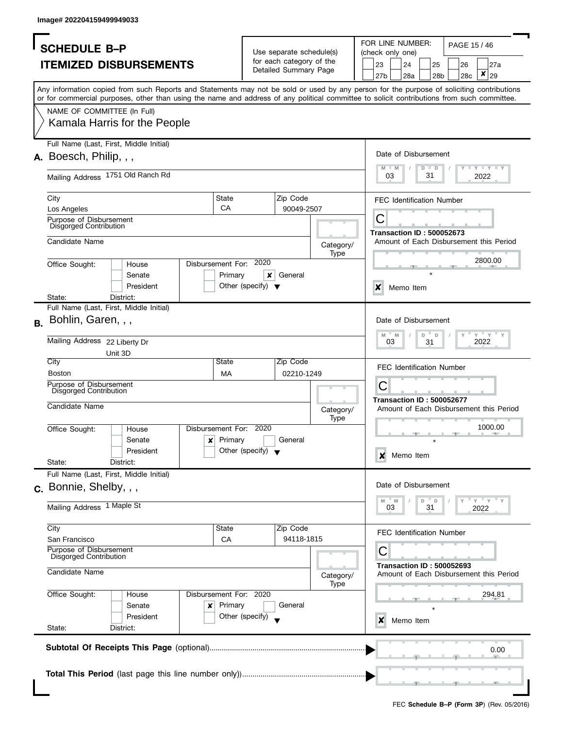| PAGE 15 / 46<br><b>SCHEDULE B-P</b><br>Use separate schedule(s)<br>(check only one)<br>for each category of the<br><b>ITEMIZED DISBURSEMENTS</b><br>23<br>24<br>25<br>27a<br>26<br>Detailed Summary Page<br>×<br>29<br>27b<br>28a<br>28 <sub>b</sub><br>28c<br>Any information copied from such Reports and Statements may not be sold or used by any person for the purpose of soliciting contributions<br>or for commercial purposes, other than using the name and address of any political committee to solicit contributions from such committee.<br>NAME OF COMMITTEE (In Full)<br>Kamala Harris for the People<br>Full Name (Last, First, Middle Initial)<br>Date of Disbursement<br>A. Boesch, Philip, , ,<br>$\Box$ $\Upsilon$ $\Box$ $\Upsilon$ $\Box$ $\Upsilon$<br>M<br>$D$ $D$<br>M<br>Mailing Address 1751 Old Ranch Rd<br>31<br>03<br>2022<br>State<br>Zip Code<br>City<br><b>FEC Identification Number</b><br>CA<br>Los Angeles<br>90049-2507<br>С<br>Purpose of Disbursement<br>Disgorged Contribution<br><b>Transaction ID: 500052673</b><br>Candidate Name<br>Category/<br>Type<br>2800.00<br>Disbursement For: 2020<br>Office Sought:<br>House<br>Primary<br>×<br>General<br>Senate<br>President<br>Other (specify) $\blacktriangledown$<br>$\boldsymbol{\mathsf{x}}$<br>Memo Item<br>State:<br>District:<br>Full Name (Last, First, Middle Initial)<br>Bohlin, Garen, , ,<br>Date of Disbursement<br>В.<br>$Y = Y$<br>M<br>M<br>D<br>D<br>Mailing Address 22 Liberty Dr<br>2022<br>03<br>31<br>Unit 3D<br>City<br>State<br>Zip Code<br><b>FEC Identification Number</b><br><b>Boston</b><br>02210-1249<br>MA<br>С<br>Purpose of Disbursement<br><b>Disgorged Contribution</b><br><b>Transaction ID: 500052677</b><br>Candidate Name<br>Amount of Each Disbursement this Period<br>Category/<br>Type<br>1000.00<br>Disbursement For: 2020<br>Office Sought:<br>House<br>Primary<br>General<br>$\mathsf{x}$<br>Senate<br>Other (specify) $\blacktriangledown$<br>President<br>Memo Item<br>×<br>State:<br>District:<br>Full Name (Last, First, Middle Initial)<br>Date of Disbursement<br>c. Bonnie, Shelby, , ,<br>" Y " Y<br>M<br>D<br>D<br>M<br>Mailing Address 1 Maple St<br>03<br>31<br>2022<br>Zip Code<br>City<br>State<br><b>FEC Identification Number</b><br>94118-1815<br>CA<br>San Francisco<br>Purpose of Disbursement<br>С<br>Disgorged Contribution<br><b>Transaction ID: 500052693</b><br>Candidate Name<br>Category/<br>Type<br>Disbursement For: 2020<br>Office Sought:<br>294.81<br>House<br>Primary<br>Senate<br>General<br>x<br>Other (specify)<br>President<br>Memo Item<br>x<br>State:<br>District:<br>0.00 |  |                                         |
|------------------------------------------------------------------------------------------------------------------------------------------------------------------------------------------------------------------------------------------------------------------------------------------------------------------------------------------------------------------------------------------------------------------------------------------------------------------------------------------------------------------------------------------------------------------------------------------------------------------------------------------------------------------------------------------------------------------------------------------------------------------------------------------------------------------------------------------------------------------------------------------------------------------------------------------------------------------------------------------------------------------------------------------------------------------------------------------------------------------------------------------------------------------------------------------------------------------------------------------------------------------------------------------------------------------------------------------------------------------------------------------------------------------------------------------------------------------------------------------------------------------------------------------------------------------------------------------------------------------------------------------------------------------------------------------------------------------------------------------------------------------------------------------------------------------------------------------------------------------------------------------------------------------------------------------------------------------------------------------------------------------------------------------------------------------------------------------------------------------------------------------------------------------------------------------------------------------------------------------------------------------------------------------------------------------------------------------------------------------------------------------------------------------------------------------------------------------------------------------------------------------------------------------------------------------------------------------------------------------------------------------------------|--|-----------------------------------------|
|                                                                                                                                                                                                                                                                                                                                                                                                                                                                                                                                                                                                                                                                                                                                                                                                                                                                                                                                                                                                                                                                                                                                                                                                                                                                                                                                                                                                                                                                                                                                                                                                                                                                                                                                                                                                                                                                                                                                                                                                                                                                                                                                                                                                                                                                                                                                                                                                                                                                                                                                                                                                                                                      |  | FOR LINE NUMBER:                        |
|                                                                                                                                                                                                                                                                                                                                                                                                                                                                                                                                                                                                                                                                                                                                                                                                                                                                                                                                                                                                                                                                                                                                                                                                                                                                                                                                                                                                                                                                                                                                                                                                                                                                                                                                                                                                                                                                                                                                                                                                                                                                                                                                                                                                                                                                                                                                                                                                                                                                                                                                                                                                                                                      |  |                                         |
|                                                                                                                                                                                                                                                                                                                                                                                                                                                                                                                                                                                                                                                                                                                                                                                                                                                                                                                                                                                                                                                                                                                                                                                                                                                                                                                                                                                                                                                                                                                                                                                                                                                                                                                                                                                                                                                                                                                                                                                                                                                                                                                                                                                                                                                                                                                                                                                                                                                                                                                                                                                                                                                      |  |                                         |
|                                                                                                                                                                                                                                                                                                                                                                                                                                                                                                                                                                                                                                                                                                                                                                                                                                                                                                                                                                                                                                                                                                                                                                                                                                                                                                                                                                                                                                                                                                                                                                                                                                                                                                                                                                                                                                                                                                                                                                                                                                                                                                                                                                                                                                                                                                                                                                                                                                                                                                                                                                                                                                                      |  |                                         |
|                                                                                                                                                                                                                                                                                                                                                                                                                                                                                                                                                                                                                                                                                                                                                                                                                                                                                                                                                                                                                                                                                                                                                                                                                                                                                                                                                                                                                                                                                                                                                                                                                                                                                                                                                                                                                                                                                                                                                                                                                                                                                                                                                                                                                                                                                                                                                                                                                                                                                                                                                                                                                                                      |  |                                         |
|                                                                                                                                                                                                                                                                                                                                                                                                                                                                                                                                                                                                                                                                                                                                                                                                                                                                                                                                                                                                                                                                                                                                                                                                                                                                                                                                                                                                                                                                                                                                                                                                                                                                                                                                                                                                                                                                                                                                                                                                                                                                                                                                                                                                                                                                                                                                                                                                                                                                                                                                                                                                                                                      |  |                                         |
|                                                                                                                                                                                                                                                                                                                                                                                                                                                                                                                                                                                                                                                                                                                                                                                                                                                                                                                                                                                                                                                                                                                                                                                                                                                                                                                                                                                                                                                                                                                                                                                                                                                                                                                                                                                                                                                                                                                                                                                                                                                                                                                                                                                                                                                                                                                                                                                                                                                                                                                                                                                                                                                      |  |                                         |
|                                                                                                                                                                                                                                                                                                                                                                                                                                                                                                                                                                                                                                                                                                                                                                                                                                                                                                                                                                                                                                                                                                                                                                                                                                                                                                                                                                                                                                                                                                                                                                                                                                                                                                                                                                                                                                                                                                                                                                                                                                                                                                                                                                                                                                                                                                                                                                                                                                                                                                                                                                                                                                                      |  |                                         |
|                                                                                                                                                                                                                                                                                                                                                                                                                                                                                                                                                                                                                                                                                                                                                                                                                                                                                                                                                                                                                                                                                                                                                                                                                                                                                                                                                                                                                                                                                                                                                                                                                                                                                                                                                                                                                                                                                                                                                                                                                                                                                                                                                                                                                                                                                                                                                                                                                                                                                                                                                                                                                                                      |  |                                         |
|                                                                                                                                                                                                                                                                                                                                                                                                                                                                                                                                                                                                                                                                                                                                                                                                                                                                                                                                                                                                                                                                                                                                                                                                                                                                                                                                                                                                                                                                                                                                                                                                                                                                                                                                                                                                                                                                                                                                                                                                                                                                                                                                                                                                                                                                                                                                                                                                                                                                                                                                                                                                                                                      |  |                                         |
|                                                                                                                                                                                                                                                                                                                                                                                                                                                                                                                                                                                                                                                                                                                                                                                                                                                                                                                                                                                                                                                                                                                                                                                                                                                                                                                                                                                                                                                                                                                                                                                                                                                                                                                                                                                                                                                                                                                                                                                                                                                                                                                                                                                                                                                                                                                                                                                                                                                                                                                                                                                                                                                      |  |                                         |
|                                                                                                                                                                                                                                                                                                                                                                                                                                                                                                                                                                                                                                                                                                                                                                                                                                                                                                                                                                                                                                                                                                                                                                                                                                                                                                                                                                                                                                                                                                                                                                                                                                                                                                                                                                                                                                                                                                                                                                                                                                                                                                                                                                                                                                                                                                                                                                                                                                                                                                                                                                                                                                                      |  |                                         |
|                                                                                                                                                                                                                                                                                                                                                                                                                                                                                                                                                                                                                                                                                                                                                                                                                                                                                                                                                                                                                                                                                                                                                                                                                                                                                                                                                                                                                                                                                                                                                                                                                                                                                                                                                                                                                                                                                                                                                                                                                                                                                                                                                                                                                                                                                                                                                                                                                                                                                                                                                                                                                                                      |  |                                         |
|                                                                                                                                                                                                                                                                                                                                                                                                                                                                                                                                                                                                                                                                                                                                                                                                                                                                                                                                                                                                                                                                                                                                                                                                                                                                                                                                                                                                                                                                                                                                                                                                                                                                                                                                                                                                                                                                                                                                                                                                                                                                                                                                                                                                                                                                                                                                                                                                                                                                                                                                                                                                                                                      |  | Amount of Each Disbursement this Period |
|                                                                                                                                                                                                                                                                                                                                                                                                                                                                                                                                                                                                                                                                                                                                                                                                                                                                                                                                                                                                                                                                                                                                                                                                                                                                                                                                                                                                                                                                                                                                                                                                                                                                                                                                                                                                                                                                                                                                                                                                                                                                                                                                                                                                                                                                                                                                                                                                                                                                                                                                                                                                                                                      |  |                                         |
|                                                                                                                                                                                                                                                                                                                                                                                                                                                                                                                                                                                                                                                                                                                                                                                                                                                                                                                                                                                                                                                                                                                                                                                                                                                                                                                                                                                                                                                                                                                                                                                                                                                                                                                                                                                                                                                                                                                                                                                                                                                                                                                                                                                                                                                                                                                                                                                                                                                                                                                                                                                                                                                      |  |                                         |
|                                                                                                                                                                                                                                                                                                                                                                                                                                                                                                                                                                                                                                                                                                                                                                                                                                                                                                                                                                                                                                                                                                                                                                                                                                                                                                                                                                                                                                                                                                                                                                                                                                                                                                                                                                                                                                                                                                                                                                                                                                                                                                                                                                                                                                                                                                                                                                                                                                                                                                                                                                                                                                                      |  |                                         |
|                                                                                                                                                                                                                                                                                                                                                                                                                                                                                                                                                                                                                                                                                                                                                                                                                                                                                                                                                                                                                                                                                                                                                                                                                                                                                                                                                                                                                                                                                                                                                                                                                                                                                                                                                                                                                                                                                                                                                                                                                                                                                                                                                                                                                                                                                                                                                                                                                                                                                                                                                                                                                                                      |  |                                         |
|                                                                                                                                                                                                                                                                                                                                                                                                                                                                                                                                                                                                                                                                                                                                                                                                                                                                                                                                                                                                                                                                                                                                                                                                                                                                                                                                                                                                                                                                                                                                                                                                                                                                                                                                                                                                                                                                                                                                                                                                                                                                                                                                                                                                                                                                                                                                                                                                                                                                                                                                                                                                                                                      |  |                                         |
|                                                                                                                                                                                                                                                                                                                                                                                                                                                                                                                                                                                                                                                                                                                                                                                                                                                                                                                                                                                                                                                                                                                                                                                                                                                                                                                                                                                                                                                                                                                                                                                                                                                                                                                                                                                                                                                                                                                                                                                                                                                                                                                                                                                                                                                                                                                                                                                                                                                                                                                                                                                                                                                      |  |                                         |
|                                                                                                                                                                                                                                                                                                                                                                                                                                                                                                                                                                                                                                                                                                                                                                                                                                                                                                                                                                                                                                                                                                                                                                                                                                                                                                                                                                                                                                                                                                                                                                                                                                                                                                                                                                                                                                                                                                                                                                                                                                                                                                                                                                                                                                                                                                                                                                                                                                                                                                                                                                                                                                                      |  |                                         |
|                                                                                                                                                                                                                                                                                                                                                                                                                                                                                                                                                                                                                                                                                                                                                                                                                                                                                                                                                                                                                                                                                                                                                                                                                                                                                                                                                                                                                                                                                                                                                                                                                                                                                                                                                                                                                                                                                                                                                                                                                                                                                                                                                                                                                                                                                                                                                                                                                                                                                                                                                                                                                                                      |  |                                         |
|                                                                                                                                                                                                                                                                                                                                                                                                                                                                                                                                                                                                                                                                                                                                                                                                                                                                                                                                                                                                                                                                                                                                                                                                                                                                                                                                                                                                                                                                                                                                                                                                                                                                                                                                                                                                                                                                                                                                                                                                                                                                                                                                                                                                                                                                                                                                                                                                                                                                                                                                                                                                                                                      |  |                                         |
|                                                                                                                                                                                                                                                                                                                                                                                                                                                                                                                                                                                                                                                                                                                                                                                                                                                                                                                                                                                                                                                                                                                                                                                                                                                                                                                                                                                                                                                                                                                                                                                                                                                                                                                                                                                                                                                                                                                                                                                                                                                                                                                                                                                                                                                                                                                                                                                                                                                                                                                                                                                                                                                      |  |                                         |
|                                                                                                                                                                                                                                                                                                                                                                                                                                                                                                                                                                                                                                                                                                                                                                                                                                                                                                                                                                                                                                                                                                                                                                                                                                                                                                                                                                                                                                                                                                                                                                                                                                                                                                                                                                                                                                                                                                                                                                                                                                                                                                                                                                                                                                                                                                                                                                                                                                                                                                                                                                                                                                                      |  |                                         |
|                                                                                                                                                                                                                                                                                                                                                                                                                                                                                                                                                                                                                                                                                                                                                                                                                                                                                                                                                                                                                                                                                                                                                                                                                                                                                                                                                                                                                                                                                                                                                                                                                                                                                                                                                                                                                                                                                                                                                                                                                                                                                                                                                                                                                                                                                                                                                                                                                                                                                                                                                                                                                                                      |  |                                         |
|                                                                                                                                                                                                                                                                                                                                                                                                                                                                                                                                                                                                                                                                                                                                                                                                                                                                                                                                                                                                                                                                                                                                                                                                                                                                                                                                                                                                                                                                                                                                                                                                                                                                                                                                                                                                                                                                                                                                                                                                                                                                                                                                                                                                                                                                                                                                                                                                                                                                                                                                                                                                                                                      |  |                                         |
|                                                                                                                                                                                                                                                                                                                                                                                                                                                                                                                                                                                                                                                                                                                                                                                                                                                                                                                                                                                                                                                                                                                                                                                                                                                                                                                                                                                                                                                                                                                                                                                                                                                                                                                                                                                                                                                                                                                                                                                                                                                                                                                                                                                                                                                                                                                                                                                                                                                                                                                                                                                                                                                      |  |                                         |
|                                                                                                                                                                                                                                                                                                                                                                                                                                                                                                                                                                                                                                                                                                                                                                                                                                                                                                                                                                                                                                                                                                                                                                                                                                                                                                                                                                                                                                                                                                                                                                                                                                                                                                                                                                                                                                                                                                                                                                                                                                                                                                                                                                                                                                                                                                                                                                                                                                                                                                                                                                                                                                                      |  |                                         |
|                                                                                                                                                                                                                                                                                                                                                                                                                                                                                                                                                                                                                                                                                                                                                                                                                                                                                                                                                                                                                                                                                                                                                                                                                                                                                                                                                                                                                                                                                                                                                                                                                                                                                                                                                                                                                                                                                                                                                                                                                                                                                                                                                                                                                                                                                                                                                                                                                                                                                                                                                                                                                                                      |  |                                         |
|                                                                                                                                                                                                                                                                                                                                                                                                                                                                                                                                                                                                                                                                                                                                                                                                                                                                                                                                                                                                                                                                                                                                                                                                                                                                                                                                                                                                                                                                                                                                                                                                                                                                                                                                                                                                                                                                                                                                                                                                                                                                                                                                                                                                                                                                                                                                                                                                                                                                                                                                                                                                                                                      |  |                                         |
|                                                                                                                                                                                                                                                                                                                                                                                                                                                                                                                                                                                                                                                                                                                                                                                                                                                                                                                                                                                                                                                                                                                                                                                                                                                                                                                                                                                                                                                                                                                                                                                                                                                                                                                                                                                                                                                                                                                                                                                                                                                                                                                                                                                                                                                                                                                                                                                                                                                                                                                                                                                                                                                      |  |                                         |
|                                                                                                                                                                                                                                                                                                                                                                                                                                                                                                                                                                                                                                                                                                                                                                                                                                                                                                                                                                                                                                                                                                                                                                                                                                                                                                                                                                                                                                                                                                                                                                                                                                                                                                                                                                                                                                                                                                                                                                                                                                                                                                                                                                                                                                                                                                                                                                                                                                                                                                                                                                                                                                                      |  |                                         |
|                                                                                                                                                                                                                                                                                                                                                                                                                                                                                                                                                                                                                                                                                                                                                                                                                                                                                                                                                                                                                                                                                                                                                                                                                                                                                                                                                                                                                                                                                                                                                                                                                                                                                                                                                                                                                                                                                                                                                                                                                                                                                                                                                                                                                                                                                                                                                                                                                                                                                                                                                                                                                                                      |  |                                         |
|                                                                                                                                                                                                                                                                                                                                                                                                                                                                                                                                                                                                                                                                                                                                                                                                                                                                                                                                                                                                                                                                                                                                                                                                                                                                                                                                                                                                                                                                                                                                                                                                                                                                                                                                                                                                                                                                                                                                                                                                                                                                                                                                                                                                                                                                                                                                                                                                                                                                                                                                                                                                                                                      |  |                                         |
|                                                                                                                                                                                                                                                                                                                                                                                                                                                                                                                                                                                                                                                                                                                                                                                                                                                                                                                                                                                                                                                                                                                                                                                                                                                                                                                                                                                                                                                                                                                                                                                                                                                                                                                                                                                                                                                                                                                                                                                                                                                                                                                                                                                                                                                                                                                                                                                                                                                                                                                                                                                                                                                      |  |                                         |
|                                                                                                                                                                                                                                                                                                                                                                                                                                                                                                                                                                                                                                                                                                                                                                                                                                                                                                                                                                                                                                                                                                                                                                                                                                                                                                                                                                                                                                                                                                                                                                                                                                                                                                                                                                                                                                                                                                                                                                                                                                                                                                                                                                                                                                                                                                                                                                                                                                                                                                                                                                                                                                                      |  |                                         |
|                                                                                                                                                                                                                                                                                                                                                                                                                                                                                                                                                                                                                                                                                                                                                                                                                                                                                                                                                                                                                                                                                                                                                                                                                                                                                                                                                                                                                                                                                                                                                                                                                                                                                                                                                                                                                                                                                                                                                                                                                                                                                                                                                                                                                                                                                                                                                                                                                                                                                                                                                                                                                                                      |  |                                         |
|                                                                                                                                                                                                                                                                                                                                                                                                                                                                                                                                                                                                                                                                                                                                                                                                                                                                                                                                                                                                                                                                                                                                                                                                                                                                                                                                                                                                                                                                                                                                                                                                                                                                                                                                                                                                                                                                                                                                                                                                                                                                                                                                                                                                                                                                                                                                                                                                                                                                                                                                                                                                                                                      |  |                                         |
|                                                                                                                                                                                                                                                                                                                                                                                                                                                                                                                                                                                                                                                                                                                                                                                                                                                                                                                                                                                                                                                                                                                                                                                                                                                                                                                                                                                                                                                                                                                                                                                                                                                                                                                                                                                                                                                                                                                                                                                                                                                                                                                                                                                                                                                                                                                                                                                                                                                                                                                                                                                                                                                      |  | Amount of Each Disbursement this Period |
|                                                                                                                                                                                                                                                                                                                                                                                                                                                                                                                                                                                                                                                                                                                                                                                                                                                                                                                                                                                                                                                                                                                                                                                                                                                                                                                                                                                                                                                                                                                                                                                                                                                                                                                                                                                                                                                                                                                                                                                                                                                                                                                                                                                                                                                                                                                                                                                                                                                                                                                                                                                                                                                      |  |                                         |
|                                                                                                                                                                                                                                                                                                                                                                                                                                                                                                                                                                                                                                                                                                                                                                                                                                                                                                                                                                                                                                                                                                                                                                                                                                                                                                                                                                                                                                                                                                                                                                                                                                                                                                                                                                                                                                                                                                                                                                                                                                                                                                                                                                                                                                                                                                                                                                                                                                                                                                                                                                                                                                                      |  |                                         |
|                                                                                                                                                                                                                                                                                                                                                                                                                                                                                                                                                                                                                                                                                                                                                                                                                                                                                                                                                                                                                                                                                                                                                                                                                                                                                                                                                                                                                                                                                                                                                                                                                                                                                                                                                                                                                                                                                                                                                                                                                                                                                                                                                                                                                                                                                                                                                                                                                                                                                                                                                                                                                                                      |  |                                         |
|                                                                                                                                                                                                                                                                                                                                                                                                                                                                                                                                                                                                                                                                                                                                                                                                                                                                                                                                                                                                                                                                                                                                                                                                                                                                                                                                                                                                                                                                                                                                                                                                                                                                                                                                                                                                                                                                                                                                                                                                                                                                                                                                                                                                                                                                                                                                                                                                                                                                                                                                                                                                                                                      |  |                                         |
|                                                                                                                                                                                                                                                                                                                                                                                                                                                                                                                                                                                                                                                                                                                                                                                                                                                                                                                                                                                                                                                                                                                                                                                                                                                                                                                                                                                                                                                                                                                                                                                                                                                                                                                                                                                                                                                                                                                                                                                                                                                                                                                                                                                                                                                                                                                                                                                                                                                                                                                                                                                                                                                      |  |                                         |
|                                                                                                                                                                                                                                                                                                                                                                                                                                                                                                                                                                                                                                                                                                                                                                                                                                                                                                                                                                                                                                                                                                                                                                                                                                                                                                                                                                                                                                                                                                                                                                                                                                                                                                                                                                                                                                                                                                                                                                                                                                                                                                                                                                                                                                                                                                                                                                                                                                                                                                                                                                                                                                                      |  |                                         |
|                                                                                                                                                                                                                                                                                                                                                                                                                                                                                                                                                                                                                                                                                                                                                                                                                                                                                                                                                                                                                                                                                                                                                                                                                                                                                                                                                                                                                                                                                                                                                                                                                                                                                                                                                                                                                                                                                                                                                                                                                                                                                                                                                                                                                                                                                                                                                                                                                                                                                                                                                                                                                                                      |  |                                         |
|                                                                                                                                                                                                                                                                                                                                                                                                                                                                                                                                                                                                                                                                                                                                                                                                                                                                                                                                                                                                                                                                                                                                                                                                                                                                                                                                                                                                                                                                                                                                                                                                                                                                                                                                                                                                                                                                                                                                                                                                                                                                                                                                                                                                                                                                                                                                                                                                                                                                                                                                                                                                                                                      |  |                                         |
|                                                                                                                                                                                                                                                                                                                                                                                                                                                                                                                                                                                                                                                                                                                                                                                                                                                                                                                                                                                                                                                                                                                                                                                                                                                                                                                                                                                                                                                                                                                                                                                                                                                                                                                                                                                                                                                                                                                                                                                                                                                                                                                                                                                                                                                                                                                                                                                                                                                                                                                                                                                                                                                      |  |                                         |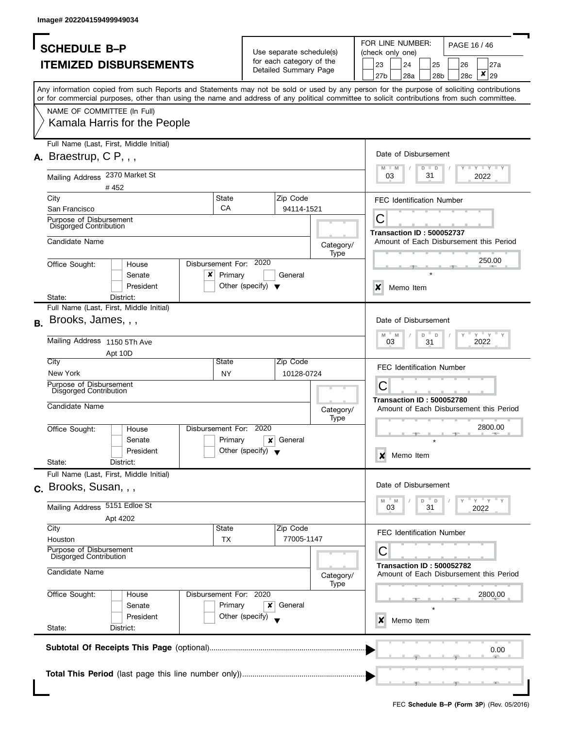| <b>SCHEDULE B-P</b>                               |                                                                                                                                                                                                                                                                                         |                        |                                      | Use separate schedule(s) |                   |  | FOR LINE NUMBER:<br>PAGE 16 / 46<br>(check only one)                             |                                  |         |             |     |                                         |  |
|---------------------------------------------------|-----------------------------------------------------------------------------------------------------------------------------------------------------------------------------------------------------------------------------------------------------------------------------------------|------------------------|--------------------------------------|--------------------------|-------------------|--|----------------------------------------------------------------------------------|----------------------------------|---------|-------------|-----|-----------------------------------------|--|
|                                                   |                                                                                                                                                                                                                                                                                         |                        |                                      | for each category of the |                   |  |                                                                                  |                                  |         |             |     |                                         |  |
|                                                   | <b>ITEMIZED DISBURSEMENTS</b>                                                                                                                                                                                                                                                           |                        |                                      | Detailed Summary Page    |                   |  | 23                                                                               | 24                               |         | 25          | 26  | 27a<br>×                                |  |
|                                                   |                                                                                                                                                                                                                                                                                         |                        |                                      |                          |                   |  | 27 <sub>b</sub>                                                                  | 28a                              |         | 28b         | 28c | 29                                      |  |
|                                                   | Any information copied from such Reports and Statements may not be sold or used by any person for the purpose of soliciting contributions<br>or for commercial purposes, other than using the name and address of any political committee to solicit contributions from such committee. |                        |                                      |                          |                   |  |                                                                                  |                                  |         |             |     |                                         |  |
|                                                   |                                                                                                                                                                                                                                                                                         |                        |                                      |                          |                   |  |                                                                                  |                                  |         |             |     |                                         |  |
| NAME OF COMMITTEE (In Full)                       |                                                                                                                                                                                                                                                                                         |                        |                                      |                          |                   |  |                                                                                  |                                  |         |             |     |                                         |  |
|                                                   | Kamala Harris for the People                                                                                                                                                                                                                                                            |                        |                                      |                          |                   |  |                                                                                  |                                  |         |             |     |                                         |  |
|                                                   | Full Name (Last, First, Middle Initial)                                                                                                                                                                                                                                                 |                        |                                      |                          |                   |  |                                                                                  |                                  |         |             |     |                                         |  |
| A. Braestrup, $CP, \ldots$                        |                                                                                                                                                                                                                                                                                         |                        |                                      |                          |                   |  |                                                                                  | Date of Disbursement             |         |             |     |                                         |  |
|                                                   |                                                                                                                                                                                                                                                                                         |                        |                                      |                          |                   |  | $M - M$                                                                          |                                  | $D$ $D$ |             |     | Y TY TY TY                              |  |
| Mailing Address 2370 Market St                    |                                                                                                                                                                                                                                                                                         |                        |                                      |                          |                   |  | 03                                                                               |                                  | 31      |             |     | 2022                                    |  |
| City                                              | #452                                                                                                                                                                                                                                                                                    | State                  |                                      | Zip Code                 |                   |  |                                                                                  |                                  |         |             |     |                                         |  |
| San Francisco                                     |                                                                                                                                                                                                                                                                                         | CA                     |                                      | 94114-1521               |                   |  |                                                                                  | <b>FEC Identification Number</b> |         |             |     |                                         |  |
| Purpose of Disbursement                           |                                                                                                                                                                                                                                                                                         |                        |                                      |                          |                   |  | С<br><b>Transaction ID: 500052737</b><br>Amount of Each Disbursement this Period |                                  |         |             |     |                                         |  |
| Disgorged Contribution                            |                                                                                                                                                                                                                                                                                         |                        |                                      |                          |                   |  |                                                                                  |                                  |         |             |     |                                         |  |
| Candidate Name                                    |                                                                                                                                                                                                                                                                                         |                        |                                      |                          | Category/         |  |                                                                                  |                                  |         |             |     |                                         |  |
|                                                   |                                                                                                                                                                                                                                                                                         |                        |                                      |                          | Type              |  |                                                                                  |                                  |         |             |     |                                         |  |
| Office Sought:                                    | House                                                                                                                                                                                                                                                                                   | Disbursement For: 2020 |                                      |                          |                   |  |                                                                                  |                                  |         |             |     | 250.00                                  |  |
|                                                   | ×<br>Senate                                                                                                                                                                                                                                                                             | Primary                |                                      | General                  |                   |  |                                                                                  |                                  |         |             |     |                                         |  |
|                                                   | President                                                                                                                                                                                                                                                                               |                        | Other (specify) $\blacktriangledown$ |                          |                   |  | $\boldsymbol{\mathsf{x}}$                                                        | Memo Item                        |         |             |     |                                         |  |
| State:                                            | District:                                                                                                                                                                                                                                                                               |                        |                                      |                          |                   |  |                                                                                  |                                  |         |             |     |                                         |  |
|                                                   | Full Name (Last, First, Middle Initial)                                                                                                                                                                                                                                                 |                        |                                      |                          |                   |  |                                                                                  |                                  |         |             |     |                                         |  |
| Brooks, James, , ,<br><b>B.</b>                   |                                                                                                                                                                                                                                                                                         |                        |                                      |                          |                   |  |                                                                                  | Date of Disbursement             |         |             |     |                                         |  |
|                                                   |                                                                                                                                                                                                                                                                                         |                        |                                      |                          |                   |  | M                                                                                | M                                | D       | $\mathbb D$ |     | $Y$ $Y$ $Y$                             |  |
| Mailing Address 1150 5Th Ave                      |                                                                                                                                                                                                                                                                                         |                        |                                      |                          |                   |  |                                                                                  | 03                               | 31      |             |     | 2022                                    |  |
| City                                              | Apt 10D                                                                                                                                                                                                                                                                                 | State                  |                                      | Zip Code                 |                   |  |                                                                                  |                                  |         |             |     |                                         |  |
| New York                                          |                                                                                                                                                                                                                                                                                         | <b>NY</b>              |                                      | 10128-0724               |                   |  |                                                                                  | <b>FEC Identification Number</b> |         |             |     |                                         |  |
| Purpose of Disbursement                           |                                                                                                                                                                                                                                                                                         |                        |                                      |                          |                   |  | С                                                                                |                                  |         |             |     |                                         |  |
| <b>Disgorged Contribution</b>                     |                                                                                                                                                                                                                                                                                         |                        |                                      |                          |                   |  |                                                                                  |                                  |         |             |     |                                         |  |
| Candidate Name                                    |                                                                                                                                                                                                                                                                                         |                        |                                      |                          | Category/         |  |                                                                                  | <b>Transaction ID: 500052780</b> |         |             |     | Amount of Each Disbursement this Period |  |
|                                                   |                                                                                                                                                                                                                                                                                         |                        |                                      |                          | Type              |  |                                                                                  |                                  |         |             |     |                                         |  |
| Office Sought:                                    | House                                                                                                                                                                                                                                                                                   | Disbursement For: 2020 |                                      |                          |                   |  |                                                                                  |                                  |         |             |     | 2800.00                                 |  |
|                                                   | Senate                                                                                                                                                                                                                                                                                  | Primary                | ×                                    | General                  |                   |  |                                                                                  |                                  |         |             |     |                                         |  |
|                                                   | President                                                                                                                                                                                                                                                                               |                        | Other (specify) $\blacktriangledown$ |                          |                   |  | x                                                                                | Memo Item                        |         |             |     |                                         |  |
| State:                                            | District:                                                                                                                                                                                                                                                                               |                        |                                      |                          |                   |  |                                                                                  |                                  |         |             |     |                                         |  |
|                                                   | Full Name (Last, First, Middle Initial)                                                                                                                                                                                                                                                 |                        |                                      |                          |                   |  |                                                                                  |                                  |         |             |     |                                         |  |
| c. Brooks, Susan, .,                              |                                                                                                                                                                                                                                                                                         |                        |                                      |                          |                   |  |                                                                                  | Date of Disbursement             |         |             |     |                                         |  |
| Mailing Address 5151 Edloe St                     |                                                                                                                                                                                                                                                                                         |                        |                                      |                          |                   |  | M                                                                                | M                                | D       | $\mathsf D$ |     | $-\gamma + \gamma$                      |  |
|                                                   |                                                                                                                                                                                                                                                                                         |                        |                                      |                          |                   |  |                                                                                  | 03                               | 31      |             |     | 2022                                    |  |
| City                                              | Apt 4202                                                                                                                                                                                                                                                                                | State                  |                                      | Zip Code                 |                   |  |                                                                                  |                                  |         |             |     |                                         |  |
| Houston                                           |                                                                                                                                                                                                                                                                                         | <b>TX</b>              |                                      | 77005-1147               |                   |  |                                                                                  | <b>FEC Identification Number</b> |         |             |     |                                         |  |
| Purpose of Disbursement<br>Disgorged Contribution |                                                                                                                                                                                                                                                                                         |                        |                                      |                          |                   |  | С                                                                                |                                  |         |             |     |                                         |  |
|                                                   |                                                                                                                                                                                                                                                                                         |                        |                                      |                          |                   |  | <b>Transaction ID: 500052782</b><br>Amount of Each Disbursement this Period      |                                  |         |             |     |                                         |  |
|                                                   |                                                                                                                                                                                                                                                                                         |                        |                                      |                          | Category/<br>Type |  |                                                                                  |                                  |         |             |     |                                         |  |
| Candidate Name                                    |                                                                                                                                                                                                                                                                                         | Disbursement For: 2020 |                                      |                          |                   |  |                                                                                  |                                  |         |             |     | 2800.00                                 |  |
| Office Sought:                                    | House                                                                                                                                                                                                                                                                                   |                        | x                                    | General                  |                   |  |                                                                                  |                                  |         |             |     |                                         |  |
|                                                   | Senate                                                                                                                                                                                                                                                                                  | Primary                |                                      |                          |                   |  |                                                                                  |                                  |         |             |     |                                         |  |
|                                                   | President                                                                                                                                                                                                                                                                               | Other (specify)        |                                      |                          |                   |  |                                                                                  |                                  |         |             |     |                                         |  |
| State:                                            | District:                                                                                                                                                                                                                                                                               |                        |                                      |                          |                   |  | x                                                                                | Memo Item                        |         |             |     |                                         |  |
|                                                   |                                                                                                                                                                                                                                                                                         |                        |                                      |                          |                   |  |                                                                                  |                                  |         |             |     |                                         |  |
|                                                   |                                                                                                                                                                                                                                                                                         |                        |                                      |                          |                   |  |                                                                                  |                                  |         |             |     | 0.00                                    |  |
|                                                   |                                                                                                                                                                                                                                                                                         |                        |                                      |                          |                   |  |                                                                                  |                                  |         |             |     |                                         |  |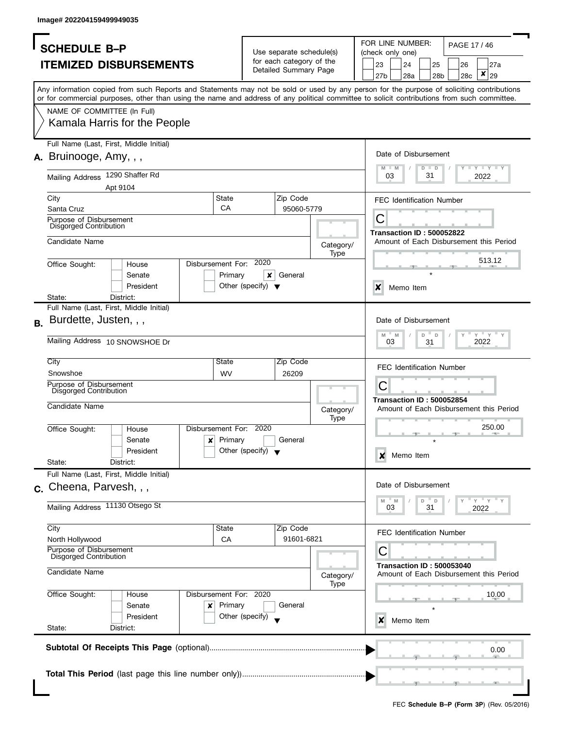| <b>SCHEDULE B-P</b>                                                                                                                                                                                                                                                                     | Use separate schedule(s)                             | FOR LINE NUMBER:<br>PAGE 17 / 46<br>(check only one)                           |
|-----------------------------------------------------------------------------------------------------------------------------------------------------------------------------------------------------------------------------------------------------------------------------------------|------------------------------------------------------|--------------------------------------------------------------------------------|
| <b>ITEMIZED DISBURSEMENTS</b>                                                                                                                                                                                                                                                           | for each category of the<br>Detailed Summary Page    | 23<br>24<br>25<br>26<br>27a<br>×<br>27b<br>28a<br>29<br>28 <sub>b</sub><br>28c |
| Any information copied from such Reports and Statements may not be sold or used by any person for the purpose of soliciting contributions<br>or for commercial purposes, other than using the name and address of any political committee to solicit contributions from such committee. |                                                      |                                                                                |
| NAME OF COMMITTEE (In Full)<br>Kamala Harris for the People                                                                                                                                                                                                                             |                                                      |                                                                                |
| Full Name (Last, First, Middle Initial)<br>$A.$ Bruinooge, Amy, , ,                                                                                                                                                                                                                     |                                                      | Date of Disbursement<br>$T - Y$ $T - Y$ $T - Y$<br>M<br>$-M$<br>$D$ $D$        |
| Mailing Address 1290 Shaffer Rd<br>Apt 9104                                                                                                                                                                                                                                             |                                                      | 31<br>03<br>2022                                                               |
| State<br>City<br>CA<br>Santa Cruz                                                                                                                                                                                                                                                       | Zip Code<br>95060-5779                               | <b>FEC Identification Number</b>                                               |
| Purpose of Disbursement<br><b>Disgorged Contribution</b>                                                                                                                                                                                                                                |                                                      | С<br><b>Transaction ID: 500052822</b>                                          |
| Candidate Name                                                                                                                                                                                                                                                                          | Category/<br>Type<br>2020                            | Amount of Each Disbursement this Period<br>513.12                              |
| Disbursement For:<br>Office Sought:<br>House<br>Primary<br>Senate<br>President                                                                                                                                                                                                          | General<br>x<br>Other (specify) $\blacktriangledown$ | $\boldsymbol{\mathsf{x}}$<br>Memo Item                                         |
| State:<br>District:<br>Full Name (Last, First, Middle Initial)                                                                                                                                                                                                                          |                                                      |                                                                                |
| Burdette, Justen, , ,<br>В.                                                                                                                                                                                                                                                             |                                                      | Date of Disbursement                                                           |
| Mailing Address 10 SNOWSHOE Dr                                                                                                                                                                                                                                                          |                                                      | $Y = Y$<br>M<br>M<br>D<br>$\mathsf{D}$<br>03<br>2022<br>31                     |
| City<br>State<br>Snowshoe<br><b>WV</b><br>Purpose of Disbursement                                                                                                                                                                                                                       | Zip Code<br>26209                                    | <b>FEC Identification Number</b><br>С                                          |
| <b>Disgorged Contribution</b><br>Candidate Name                                                                                                                                                                                                                                         | Category/                                            | <b>Transaction ID: 500052854</b><br>Amount of Each Disbursement this Period    |
| Disbursement For: 2020<br>Office Sought:<br>House<br>Primary<br>$\mathsf{x}$<br>Senate<br>President                                                                                                                                                                                     | Type<br>General<br>Other (specify) $\bullet$         | 250.00<br>Memo Item<br>×                                                       |
| State:<br>District:                                                                                                                                                                                                                                                                     |                                                      |                                                                                |
| Full Name (Last, First, Middle Initial)<br>c. Cheena, Parvesh, , ,                                                                                                                                                                                                                      |                                                      | Date of Disbursement                                                           |
| Mailing Address 11130 Otsego St                                                                                                                                                                                                                                                         |                                                      | " y " y "<br>M<br>M<br>D<br>D<br>03<br>31<br>2022                              |
| City<br>State<br>North Hollywood<br>СA                                                                                                                                                                                                                                                  | Zip Code<br>91601-6821                               | <b>FEC Identification Number</b>                                               |
| Purpose of Disbursement<br><b>Disgorged Contribution</b>                                                                                                                                                                                                                                |                                                      | С                                                                              |
| Candidate Name                                                                                                                                                                                                                                                                          | Category/<br>Type                                    | <b>Transaction ID: 500053040</b><br>Amount of Each Disbursement this Period    |
| Office Sought:<br>Disbursement For: 2020<br>House<br>Primary<br>Senate<br>×<br>President<br>State:<br>District:                                                                                                                                                                         | General<br>Other (specify)                           | 10.00<br>Memo Item<br>x                                                        |
|                                                                                                                                                                                                                                                                                         |                                                      | 0.00                                                                           |
|                                                                                                                                                                                                                                                                                         |                                                      |                                                                                |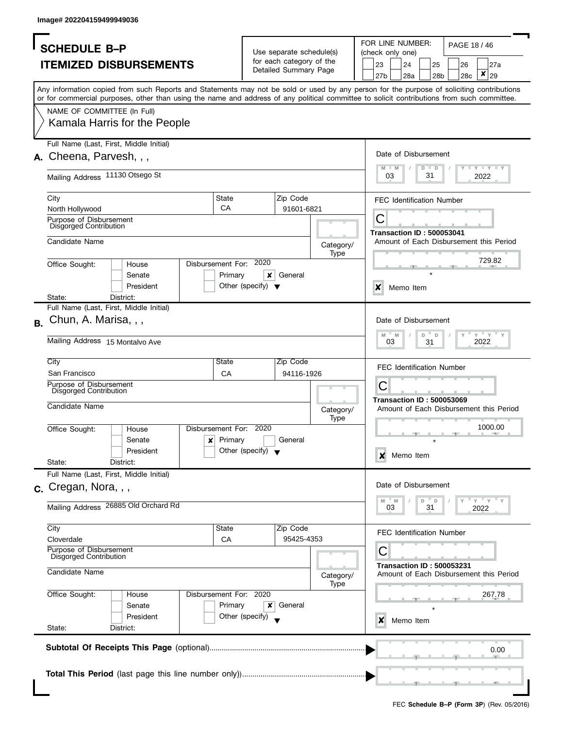| <b>SCHEDULE B-P</b>                                                                                                                                                                                                                                                                     |                                      |                                                      |             |                                                                             | FOR LINE NUMBER:<br>PAGE 18 / 46<br>(check only one) |              |     |     |                                         |
|-----------------------------------------------------------------------------------------------------------------------------------------------------------------------------------------------------------------------------------------------------------------------------------------|--------------------------------------|------------------------------------------------------|-------------|-----------------------------------------------------------------------------|------------------------------------------------------|--------------|-----|-----|-----------------------------------------|
|                                                                                                                                                                                                                                                                                         |                                      | Use separate schedule(s)<br>for each category of the |             |                                                                             |                                                      |              |     |     |                                         |
| <b>ITEMIZED DISBURSEMENTS</b>                                                                                                                                                                                                                                                           |                                      | Detailed Summary Page                                |             | 23                                                                          | 24                                                   | 25           |     | 26  | 27a                                     |
|                                                                                                                                                                                                                                                                                         |                                      |                                                      |             | 27b                                                                         | 28a                                                  |              | 28b | 28c | ×<br>29                                 |
| Any information copied from such Reports and Statements may not be sold or used by any person for the purpose of soliciting contributions<br>or for commercial purposes, other than using the name and address of any political committee to solicit contributions from such committee. |                                      |                                                      |             |                                                                             |                                                      |              |     |     |                                         |
| NAME OF COMMITTEE (In Full)                                                                                                                                                                                                                                                             |                                      |                                                      |             |                                                                             |                                                      |              |     |     |                                         |
| Kamala Harris for the People                                                                                                                                                                                                                                                            |                                      |                                                      |             |                                                                             |                                                      |              |     |     |                                         |
| Full Name (Last, First, Middle Initial)                                                                                                                                                                                                                                                 |                                      |                                                      |             |                                                                             |                                                      |              |     |     |                                         |
| A. Cheena, Parvesh, , ,                                                                                                                                                                                                                                                                 |                                      |                                                      |             |                                                                             | Date of Disbursement                                 |              |     |     |                                         |
|                                                                                                                                                                                                                                                                                         |                                      |                                                      |             |                                                                             |                                                      | $D$ $D$      |     |     | $- Y - Y - Y$                           |
| Mailing Address 11130 Otsego St                                                                                                                                                                                                                                                         |                                      |                                                      |             | 03                                                                          |                                                      | 31           |     |     | 2022                                    |
|                                                                                                                                                                                                                                                                                         |                                      |                                                      |             |                                                                             |                                                      |              |     |     |                                         |
| City                                                                                                                                                                                                                                                                                    | State                                | Zip Code                                             |             |                                                                             | <b>FEC Identification Number</b>                     |              |     |     |                                         |
| North Hollywood                                                                                                                                                                                                                                                                         | CA                                   | 91601-6821                                           |             |                                                                             |                                                      |              |     |     |                                         |
| Purpose of Disbursement                                                                                                                                                                                                                                                                 |                                      |                                                      |             | С                                                                           |                                                      |              |     |     |                                         |
| <b>Disgorged Contribution</b>                                                                                                                                                                                                                                                           |                                      |                                                      |             |                                                                             | <b>Transaction ID: 500053041</b>                     |              |     |     |                                         |
| Candidate Name                                                                                                                                                                                                                                                                          |                                      |                                                      | Category/   |                                                                             |                                                      |              |     |     | Amount of Each Disbursement this Period |
|                                                                                                                                                                                                                                                                                         |                                      |                                                      | Type        |                                                                             |                                                      |              |     |     |                                         |
| Disbursement For:<br>Office Sought:<br>House                                                                                                                                                                                                                                            | 2020                                 |                                                      |             |                                                                             |                                                      |              |     |     | 729.82                                  |
| Senate                                                                                                                                                                                                                                                                                  | Primary<br>×                         | General                                              |             |                                                                             |                                                      |              |     |     |                                         |
| President                                                                                                                                                                                                                                                                               | Other (specify) $\blacktriangledown$ |                                                      |             | X                                                                           |                                                      |              |     |     |                                         |
| State:<br>District:                                                                                                                                                                                                                                                                     |                                      |                                                      |             |                                                                             | Memo Item                                            |              |     |     |                                         |
| Full Name (Last, First, Middle Initial)                                                                                                                                                                                                                                                 |                                      |                                                      |             |                                                                             |                                                      |              |     |     |                                         |
|                                                                                                                                                                                                                                                                                         |                                      |                                                      |             |                                                                             |                                                      |              |     |     |                                         |
| Chun, A. Marisa, , ,<br>В.                                                                                                                                                                                                                                                              |                                      |                                                      |             |                                                                             | Date of Disbursement                                 |              |     |     |                                         |
|                                                                                                                                                                                                                                                                                         |                                      |                                                      |             | M                                                                           | M                                                    | D<br>D       |     |     | $Y$ $Y$                                 |
| Mailing Address 15 Montalvo Ave                                                                                                                                                                                                                                                         |                                      |                                                      |             | 03                                                                          |                                                      | 31           |     |     | 2022                                    |
|                                                                                                                                                                                                                                                                                         |                                      |                                                      |             |                                                                             |                                                      |              |     |     |                                         |
| City                                                                                                                                                                                                                                                                                    | State                                | Zip Code                                             |             |                                                                             | <b>FEC Identification Number</b>                     |              |     |     |                                         |
| San Francisco                                                                                                                                                                                                                                                                           | CA                                   | 94116-1926                                           |             |                                                                             |                                                      |              |     |     |                                         |
| Purpose of Disbursement<br>Disgorged Contribution                                                                                                                                                                                                                                       |                                      |                                                      |             | C                                                                           |                                                      |              |     |     |                                         |
|                                                                                                                                                                                                                                                                                         |                                      |                                                      |             |                                                                             | <b>Transaction ID: 500053069</b>                     |              |     |     |                                         |
| Candidate Name                                                                                                                                                                                                                                                                          |                                      |                                                      | Category/   |                                                                             |                                                      |              |     |     | Amount of Each Disbursement this Period |
|                                                                                                                                                                                                                                                                                         |                                      |                                                      | <b>Type</b> |                                                                             |                                                      |              |     |     |                                         |
| Office Sought:<br>House                                                                                                                                                                                                                                                                 | Disbursement For: 2020               |                                                      |             |                                                                             |                                                      |              |     |     | 1000.00                                 |
| $\boldsymbol{x}$<br>Senate                                                                                                                                                                                                                                                              | Primary                              | General                                              |             |                                                                             |                                                      |              |     |     |                                         |
| President                                                                                                                                                                                                                                                                               | Other (specify) $\blacktriangledown$ |                                                      |             |                                                                             |                                                      |              |     |     |                                         |
| State:<br>District:                                                                                                                                                                                                                                                                     |                                      |                                                      |             | X                                                                           | Memo Item                                            |              |     |     |                                         |
| Full Name (Last, First, Middle Initial)                                                                                                                                                                                                                                                 |                                      |                                                      |             |                                                                             |                                                      |              |     |     |                                         |
|                                                                                                                                                                                                                                                                                         |                                      |                                                      |             |                                                                             | Date of Disbursement                                 |              |     |     |                                         |
| $c.$ Cregan, Nora, $,$                                                                                                                                                                                                                                                                  |                                      |                                                      |             |                                                                             |                                                      |              |     |     |                                         |
| Mailing Address 26885 Old Orchard Rd                                                                                                                                                                                                                                                    |                                      |                                                      |             | M<br>03                                                                     | M                                                    | D<br>D<br>31 |     |     | $=$ $Y =$ $X =$<br>2022                 |
|                                                                                                                                                                                                                                                                                         |                                      |                                                      |             |                                                                             |                                                      |              |     |     |                                         |
| City                                                                                                                                                                                                                                                                                    | State                                | Zip Code                                             |             |                                                                             |                                                      |              |     |     |                                         |
| Cloverdale                                                                                                                                                                                                                                                                              | CA                                   | 95425-4353                                           |             |                                                                             | <b>FEC Identification Number</b>                     |              |     |     |                                         |
| Purpose of Disbursement                                                                                                                                                                                                                                                                 |                                      |                                                      |             | С                                                                           |                                                      |              |     |     |                                         |
| Disgorged Contribution                                                                                                                                                                                                                                                                  |                                      |                                                      |             |                                                                             |                                                      |              |     |     |                                         |
| Candidate Name                                                                                                                                                                                                                                                                          |                                      |                                                      |             | <b>Transaction ID: 500053231</b><br>Amount of Each Disbursement this Period |                                                      |              |     |     |                                         |
|                                                                                                                                                                                                                                                                                         |                                      |                                                      | Category/   |                                                                             |                                                      |              |     |     |                                         |
|                                                                                                                                                                                                                                                                                         |                                      |                                                      | Type        |                                                                             |                                                      |              |     |     |                                         |
| Office Sought:<br>House                                                                                                                                                                                                                                                                 | Disbursement For: 2020               |                                                      |             |                                                                             |                                                      |              |     |     | 267.78                                  |
| Senate                                                                                                                                                                                                                                                                                  | Primary<br>x                         | General                                              |             |                                                                             |                                                      |              |     |     |                                         |
| President                                                                                                                                                                                                                                                                               | Other (specify)                      |                                                      |             | x                                                                           | Memo Item                                            |              |     |     |                                         |
| State:<br>District:                                                                                                                                                                                                                                                                     |                                      |                                                      |             |                                                                             |                                                      |              |     |     |                                         |
|                                                                                                                                                                                                                                                                                         |                                      |                                                      |             |                                                                             |                                                      |              |     |     |                                         |
|                                                                                                                                                                                                                                                                                         |                                      |                                                      |             |                                                                             |                                                      |              |     |     | 0.00                                    |
|                                                                                                                                                                                                                                                                                         |                                      |                                                      |             |                                                                             |                                                      |              |     |     |                                         |
|                                                                                                                                                                                                                                                                                         |                                      |                                                      |             |                                                                             |                                                      |              |     |     |                                         |
|                                                                                                                                                                                                                                                                                         |                                      |                                                      |             |                                                                             |                                                      |              |     |     |                                         |
|                                                                                                                                                                                                                                                                                         |                                      |                                                      |             |                                                                             |                                                      |              |     |     |                                         |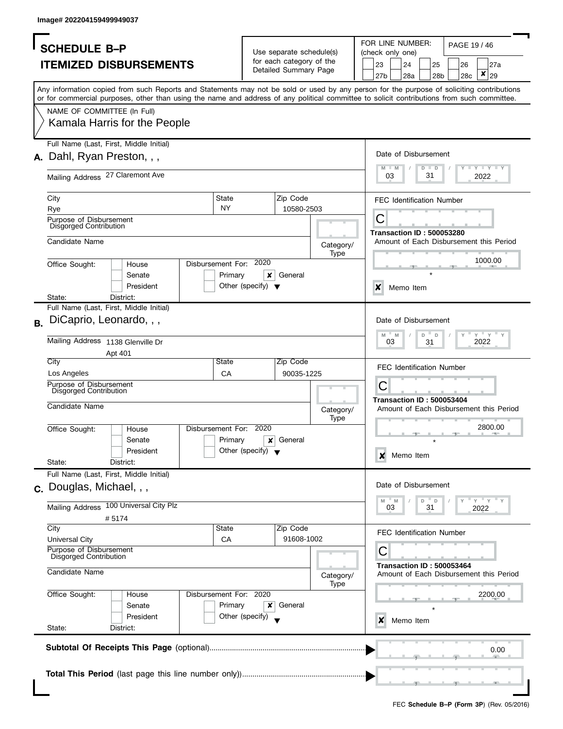| <b>SCHEDULE B-P</b>                                                                                                                        |                                                      |                   |                  |                                  | FOR LINE NUMBER:<br>PAGE 19 / 46<br>(check only one) |     |           |                                                           |  |
|--------------------------------------------------------------------------------------------------------------------------------------------|------------------------------------------------------|-------------------|------------------|----------------------------------|------------------------------------------------------|-----|-----------|-----------------------------------------------------------|--|
|                                                                                                                                            | Use separate schedule(s)<br>for each category of the |                   |                  |                                  |                                                      |     |           |                                                           |  |
| <b>ITEMIZED DISBURSEMENTS</b>                                                                                                              | Detailed Summary Page                                |                   | 23<br>27b        | 24<br>28a                        | 25                                                   | 28b | 26<br>28c | 27a<br>$\pmb{\times}$<br>29                               |  |
| Any information copied from such Reports and Statements may not be sold or used by any person for the purpose of soliciting contributions  |                                                      |                   |                  |                                  |                                                      |     |           |                                                           |  |
| or for commercial purposes, other than using the name and address of any political committee to solicit contributions from such committee. |                                                      |                   |                  |                                  |                                                      |     |           |                                                           |  |
| NAME OF COMMITTEE (In Full)                                                                                                                |                                                      |                   |                  |                                  |                                                      |     |           |                                                           |  |
| Kamala Harris for the People                                                                                                               |                                                      |                   |                  |                                  |                                                      |     |           |                                                           |  |
| Full Name (Last, First, Middle Initial)                                                                                                    |                                                      |                   |                  | Date of Disbursement             |                                                      |     |           |                                                           |  |
| A. Dahl, Ryan Preston, , ,                                                                                                                 |                                                      |                   |                  |                                  | $D$ $D$                                              |     |           | $\Box$ $\Upsilon$ $\Box$ $\Upsilon$ $\Upsilon$ $\Upsilon$ |  |
| Mailing Address 27 Claremont Ave                                                                                                           |                                                      |                   | 03               |                                  | 31                                                   |     |           | 2022                                                      |  |
| State<br>City                                                                                                                              | Zip Code                                             |                   |                  | <b>FEC Identification Number</b> |                                                      |     |           |                                                           |  |
| <b>NY</b><br>Rye                                                                                                                           | 10580-2503                                           |                   |                  |                                  |                                                      |     |           |                                                           |  |
| Purpose of Disbursement<br>Disgorged Contribution                                                                                          |                                                      |                   | С                | <b>Transaction ID: 500053280</b> |                                                      |     |           |                                                           |  |
| Candidate Name                                                                                                                             |                                                      | Category/         |                  |                                  |                                                      |     |           | Amount of Each Disbursement this Period                   |  |
| Disbursement For: 2020<br>Office Sought:<br>House                                                                                          |                                                      | Type              |                  |                                  |                                                      |     |           | 1000.00                                                   |  |
| Senate                                                                                                                                     | Primary<br>×<br>General                              |                   |                  |                                  |                                                      |     |           |                                                           |  |
| President                                                                                                                                  | Other (specify) $\blacktriangledown$                 |                   | X                | Memo Item                        |                                                      |     |           |                                                           |  |
| State:<br>District:                                                                                                                        |                                                      |                   |                  |                                  |                                                      |     |           |                                                           |  |
| Full Name (Last, First, Middle Initial)                                                                                                    |                                                      |                   |                  |                                  |                                                      |     |           |                                                           |  |
| DiCaprio, Leonardo, , ,<br><b>B.</b>                                                                                                       |                                                      |                   | $M$ <sup>=</sup> | Date of Disbursement<br>M        | D<br>D                                               |     |           | $Y$ $Y$                                                   |  |
| Mailing Address 1138 Glenville Dr                                                                                                          |                                                      |                   | 03               |                                  | 31                                                   |     |           | 2022                                                      |  |
| Apt 401<br>City<br>State                                                                                                                   | Zip Code                                             |                   |                  |                                  |                                                      |     |           |                                                           |  |
| Los Angeles<br>CA                                                                                                                          | 90035-1225                                           |                   |                  | <b>FEC Identification Number</b> |                                                      |     |           |                                                           |  |
| Purpose of Disbursement<br><b>Disgorged Contribution</b>                                                                                   |                                                      |                   | C                |                                  |                                                      |     |           |                                                           |  |
| Candidate Name                                                                                                                             |                                                      | Category/         |                  | <b>Transaction ID: 500053404</b> |                                                      |     |           | Amount of Each Disbursement this Period                   |  |
| Disbursement For:                                                                                                                          | 2020                                                 | <b>Type</b>       |                  |                                  |                                                      |     |           | 2800.00                                                   |  |
| Office Sought:<br>House<br>Senate                                                                                                          | Primary<br>General<br>×                              |                   |                  |                                  |                                                      |     |           |                                                           |  |
| President                                                                                                                                  | Other (specify) $\blacktriangledown$                 |                   |                  |                                  |                                                      |     |           |                                                           |  |
| State:<br>District:                                                                                                                        |                                                      |                   | X                | Memo Item                        |                                                      |     |           |                                                           |  |
| Full Name (Last, First, Middle Initial)                                                                                                    |                                                      |                   |                  |                                  |                                                      |     |           |                                                           |  |
| c. Douglas, Michael, , ,                                                                                                                   |                                                      |                   |                  | Date of Disbursement             |                                                      |     |           |                                                           |  |
| Mailing Address 100 Universal City Plz                                                                                                     |                                                      |                   | M<br>03          | M                                | D<br>D<br>31                                         |     |           | $=$ $Y = Y$<br>2022                                       |  |
| #5174                                                                                                                                      |                                                      |                   |                  |                                  |                                                      |     |           |                                                           |  |
| City<br>State                                                                                                                              | Zip Code                                             |                   |                  | <b>FEC Identification Number</b> |                                                      |     |           |                                                           |  |
| CA<br><b>Universal City</b>                                                                                                                | 91608-1002                                           |                   |                  |                                  |                                                      |     |           |                                                           |  |
| Purpose of Disbursement<br>Disgorged Contribution                                                                                          |                                                      |                   | С                |                                  |                                                      |     |           |                                                           |  |
| Candidate Name                                                                                                                             |                                                      | Category/<br>Type |                  | <b>Transaction ID: 500053464</b> |                                                      |     |           | Amount of Each Disbursement this Period                   |  |
| Disbursement For: 2020<br>Office Sought:<br>House                                                                                          |                                                      |                   |                  |                                  |                                                      |     |           | 2200.00                                                   |  |
| Senate                                                                                                                                     | Primary<br>General<br>x                              |                   |                  |                                  |                                                      |     |           |                                                           |  |
| President                                                                                                                                  | Other (specify)                                      |                   | x                | Memo Item                        |                                                      |     |           |                                                           |  |
| State:<br>District:                                                                                                                        |                                                      |                   |                  |                                  |                                                      |     |           |                                                           |  |
|                                                                                                                                            |                                                      |                   |                  |                                  |                                                      |     |           |                                                           |  |
|                                                                                                                                            |                                                      |                   |                  |                                  |                                                      |     |           | 0.00                                                      |  |
|                                                                                                                                            |                                                      |                   |                  |                                  |                                                      |     |           |                                                           |  |
|                                                                                                                                            |                                                      |                   |                  |                                  |                                                      |     |           |                                                           |  |
|                                                                                                                                            |                                                      |                   |                  |                                  |                                                      |     |           |                                                           |  |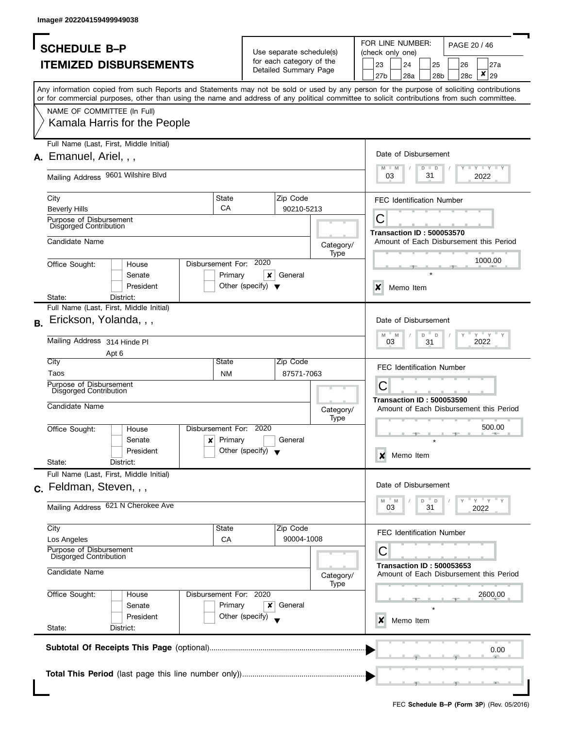| <b>SCHEDULE B-P</b>                               |                                                                                                                                                                                                                                                                                         |                         |                                      | Use separate schedule(s) |                   | FOR LINE NUMBER:<br>PAGE 20 / 46<br>(check only one) |                                  |         |        |     |                                         |
|---------------------------------------------------|-----------------------------------------------------------------------------------------------------------------------------------------------------------------------------------------------------------------------------------------------------------------------------------------|-------------------------|--------------------------------------|--------------------------|-------------------|------------------------------------------------------|----------------------------------|---------|--------|-----|-----------------------------------------|
|                                                   |                                                                                                                                                                                                                                                                                         |                         |                                      | for each category of the |                   |                                                      |                                  |         |        |     |                                         |
|                                                   | <b>ITEMIZED DISBURSEMENTS</b>                                                                                                                                                                                                                                                           |                         |                                      | Detailed Summary Page    |                   | 23                                                   | 24                               |         | 25     | 26  | 27a<br>$\pmb{\mathsf{x}}$               |
|                                                   |                                                                                                                                                                                                                                                                                         |                         |                                      |                          |                   | 27b                                                  | 28a                              |         | 28b    | 28c | 29                                      |
|                                                   | Any information copied from such Reports and Statements may not be sold or used by any person for the purpose of soliciting contributions<br>or for commercial purposes, other than using the name and address of any political committee to solicit contributions from such committee. |                         |                                      |                          |                   |                                                      |                                  |         |        |     |                                         |
|                                                   |                                                                                                                                                                                                                                                                                         |                         |                                      |                          |                   |                                                      |                                  |         |        |     |                                         |
| NAME OF COMMITTEE (In Full)                       |                                                                                                                                                                                                                                                                                         |                         |                                      |                          |                   |                                                      |                                  |         |        |     |                                         |
|                                                   | Kamala Harris for the People                                                                                                                                                                                                                                                            |                         |                                      |                          |                   |                                                      |                                  |         |        |     |                                         |
|                                                   | Full Name (Last, First, Middle Initial)                                                                                                                                                                                                                                                 |                         |                                      |                          |                   |                                                      |                                  |         |        |     |                                         |
| A. Emanuel, Ariel, , ,                            |                                                                                                                                                                                                                                                                                         |                         |                                      |                          |                   |                                                      | Date of Disbursement             |         |        |     |                                         |
|                                                   |                                                                                                                                                                                                                                                                                         |                         |                                      |                          |                   |                                                      |                                  | $D$ $D$ |        |     | $T$ $Y$ $T$ $Y$ $T$ $Y$                 |
|                                                   | Mailing Address 9601 Wilshire Blvd                                                                                                                                                                                                                                                      |                         |                                      |                          |                   | 03                                                   |                                  | 31      |        |     | 2022                                    |
|                                                   |                                                                                                                                                                                                                                                                                         |                         |                                      |                          |                   |                                                      |                                  |         |        |     |                                         |
| City                                              |                                                                                                                                                                                                                                                                                         | State<br>CA             |                                      | Zip Code                 |                   |                                                      | <b>FEC Identification Number</b> |         |        |     |                                         |
| <b>Beverly Hills</b><br>Purpose of Disbursement   |                                                                                                                                                                                                                                                                                         |                         |                                      | 90210-5213               |                   | С                                                    |                                  |         |        |     |                                         |
| Disgorged Contribution                            |                                                                                                                                                                                                                                                                                         |                         |                                      |                          |                   |                                                      | <b>Transaction ID: 500053570</b> |         |        |     |                                         |
| Candidate Name                                    |                                                                                                                                                                                                                                                                                         |                         |                                      |                          |                   |                                                      |                                  |         |        |     | Amount of Each Disbursement this Period |
|                                                   |                                                                                                                                                                                                                                                                                         |                         |                                      |                          | Category/<br>Type |                                                      |                                  |         |        |     |                                         |
| Office Sought:                                    | House                                                                                                                                                                                                                                                                                   | Disbursement For: 2020  |                                      |                          |                   |                                                      |                                  |         |        |     | 1000.00                                 |
|                                                   | Senate                                                                                                                                                                                                                                                                                  | Primary                 | ×                                    | General                  |                   |                                                      |                                  |         |        |     |                                         |
|                                                   | President                                                                                                                                                                                                                                                                               |                         | Other (specify) $\blacktriangledown$ |                          |                   | $\boldsymbol{\mathsf{x}}$                            | Memo Item                        |         |        |     |                                         |
| State:                                            | District:                                                                                                                                                                                                                                                                               |                         |                                      |                          |                   |                                                      |                                  |         |        |     |                                         |
|                                                   | Full Name (Last, First, Middle Initial)                                                                                                                                                                                                                                                 |                         |                                      |                          |                   |                                                      |                                  |         |        |     |                                         |
| Erickson, Yolanda, , ,<br><b>B.</b>               |                                                                                                                                                                                                                                                                                         |                         |                                      |                          |                   |                                                      | Date of Disbursement             |         |        |     |                                         |
| Mailing Address 314 Hinde PI                      |                                                                                                                                                                                                                                                                                         |                         |                                      |                          |                   | $M - M$<br>03                                        |                                  | D       | $\Box$ |     | $Y$ $Y$ $Y$<br>2022                     |
|                                                   | Apt 6                                                                                                                                                                                                                                                                                   |                         |                                      |                          |                   |                                                      |                                  | 31      |        |     |                                         |
| City                                              |                                                                                                                                                                                                                                                                                         | State                   |                                      | Zip Code                 |                   |                                                      |                                  |         |        |     |                                         |
| Taos                                              |                                                                                                                                                                                                                                                                                         | <b>NM</b>               |                                      | 87571-7063               |                   |                                                      | <b>FEC Identification Number</b> |         |        |     |                                         |
| Purpose of Disbursement<br>Disgorged Contribution |                                                                                                                                                                                                                                                                                         |                         |                                      |                          |                   | С                                                    |                                  |         |        |     |                                         |
|                                                   |                                                                                                                                                                                                                                                                                         |                         |                                      |                          |                   |                                                      | <b>Transaction ID: 500053590</b> |         |        |     |                                         |
| Candidate Name                                    |                                                                                                                                                                                                                                                                                         |                         |                                      |                          | Category/         |                                                      |                                  |         |        |     | Amount of Each Disbursement this Period |
| Office Sought:                                    | House                                                                                                                                                                                                                                                                                   | Disbursement For: 2020  |                                      |                          | <b>Type</b>       |                                                      |                                  |         |        |     | 500.00                                  |
|                                                   | Senate                                                                                                                                                                                                                                                                                  | Primary<br>$\mathbf{x}$ |                                      | General                  |                   |                                                      |                                  |         |        |     |                                         |
|                                                   | President                                                                                                                                                                                                                                                                               |                         | Other (specify) $\blacktriangledown$ |                          |                   |                                                      |                                  |         |        |     |                                         |
| State:                                            | District:                                                                                                                                                                                                                                                                               |                         |                                      |                          |                   | X                                                    | Memo Item                        |         |        |     |                                         |
|                                                   | Full Name (Last, First, Middle Initial)                                                                                                                                                                                                                                                 |                         |                                      |                          |                   |                                                      |                                  |         |        |     |                                         |
| $c.$ Feldman, Steven, , ,                         |                                                                                                                                                                                                                                                                                         |                         |                                      |                          |                   |                                                      | Date of Disbursement             |         |        |     |                                         |
|                                                   |                                                                                                                                                                                                                                                                                         |                         |                                      |                          |                   | M                                                    | $-M$                             | D       | D      |     | $=$ $\sqrt{2}$ $=$ $\sqrt{2}$           |
|                                                   | Mailing Address 621 N Cherokee Ave                                                                                                                                                                                                                                                      |                         |                                      |                          |                   | 03                                                   |                                  | 31      |        |     | 2022                                    |
| City                                              |                                                                                                                                                                                                                                                                                         | State                   |                                      | Zip Code                 |                   |                                                      |                                  |         |        |     |                                         |
| Los Angeles                                       |                                                                                                                                                                                                                                                                                         | CA                      |                                      | 90004-1008               |                   |                                                      | <b>FEC Identification Number</b> |         |        |     |                                         |
| Purpose of Disbursement<br>Disgorged Contribution |                                                                                                                                                                                                                                                                                         |                         |                                      |                          |                   | С                                                    |                                  |         |        |     |                                         |
|                                                   |                                                                                                                                                                                                                                                                                         |                         |                                      |                          |                   |                                                      | <b>Transaction ID: 500053653</b> |         |        |     |                                         |
| Candidate Name                                    |                                                                                                                                                                                                                                                                                         |                         |                                      |                          | Category/         | Amount of Each Disbursement this Period              |                                  |         |        |     |                                         |
|                                                   |                                                                                                                                                                                                                                                                                         | Disbursement For: 2020  |                                      |                          | Type              |                                                      |                                  |         |        |     |                                         |
| Office Sought:                                    | House<br>Senate                                                                                                                                                                                                                                                                         | Primary                 | ×                                    | General                  |                   |                                                      |                                  |         |        |     | 2600.00                                 |
|                                                   | President                                                                                                                                                                                                                                                                               |                         | Other (specify)                      |                          |                   |                                                      |                                  |         |        |     |                                         |
| State:                                            | District:                                                                                                                                                                                                                                                                               |                         |                                      |                          |                   | x                                                    | Memo Item                        |         |        |     |                                         |
|                                                   |                                                                                                                                                                                                                                                                                         |                         |                                      |                          |                   |                                                      |                                  |         |        |     |                                         |
|                                                   |                                                                                                                                                                                                                                                                                         |                         |                                      |                          |                   |                                                      |                                  |         |        |     | 0.00                                    |
|                                                   |                                                                                                                                                                                                                                                                                         |                         |                                      |                          |                   |                                                      |                                  |         |        |     |                                         |
|                                                   |                                                                                                                                                                                                                                                                                         |                         |                                      |                          |                   |                                                      |                                  |         |        |     |                                         |
|                                                   |                                                                                                                                                                                                                                                                                         |                         |                                      |                          |                   |                                                      |                                  |         |        |     |                                         |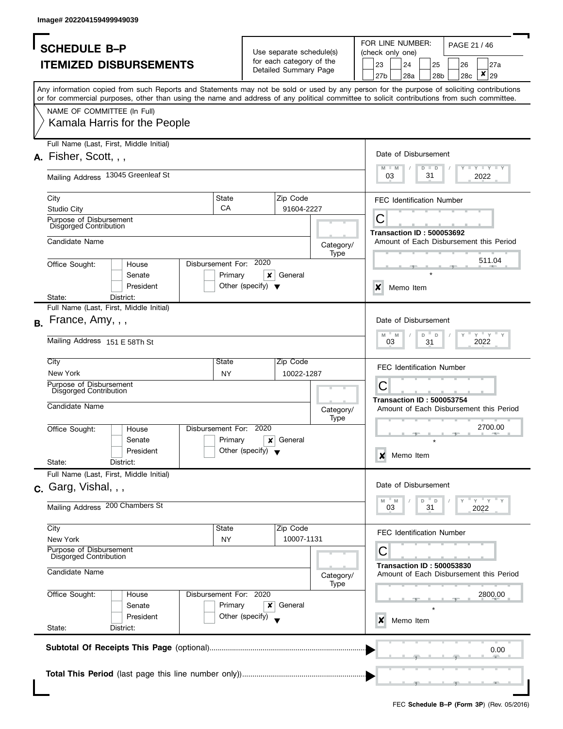|           | <b>SCHEDULE B-P</b>                                      |                                                                                                                                                                                                                                                                                         |                                   |                                               |                                                      |             |                  | FOR LINE NUMBER:                 |                   |     | PAGE 21 / 46 |                                         |  |  |
|-----------|----------------------------------------------------------|-----------------------------------------------------------------------------------------------------------------------------------------------------------------------------------------------------------------------------------------------------------------------------------------|-----------------------------------|-----------------------------------------------|------------------------------------------------------|-------------|------------------|----------------------------------|-------------------|-----|--------------|-----------------------------------------|--|--|
|           |                                                          |                                                                                                                                                                                                                                                                                         |                                   |                                               | Use separate schedule(s)<br>for each category of the |             |                  | (check only one)                 |                   |     |              |                                         |  |  |
|           |                                                          | <b>ITEMIZED DISBURSEMENTS</b>                                                                                                                                                                                                                                                           |                                   |                                               | Detailed Summary Page                                |             | 23               | 24                               | 25                |     | 26           | 27a                                     |  |  |
|           |                                                          |                                                                                                                                                                                                                                                                                         |                                   |                                               |                                                      |             | 27b              | 28a                              |                   | 28b | 28c          | $\pmb{\times}$<br>29                    |  |  |
|           |                                                          | Any information copied from such Reports and Statements may not be sold or used by any person for the purpose of soliciting contributions<br>or for commercial purposes, other than using the name and address of any political committee to solicit contributions from such committee. |                                   |                                               |                                                      |             |                  |                                  |                   |     |              |                                         |  |  |
|           | NAME OF COMMITTEE (In Full)                              |                                                                                                                                                                                                                                                                                         |                                   |                                               |                                                      |             |                  |                                  |                   |     |              |                                         |  |  |
|           |                                                          | Kamala Harris for the People                                                                                                                                                                                                                                                            |                                   |                                               |                                                      |             |                  |                                  |                   |     |              |                                         |  |  |
|           |                                                          | Full Name (Last, First, Middle Initial)                                                                                                                                                                                                                                                 |                                   |                                               |                                                      |             |                  |                                  |                   |     |              |                                         |  |  |
|           | A. Fisher, Scott, , ,                                    |                                                                                                                                                                                                                                                                                         |                                   |                                               |                                                      |             |                  | Date of Disbursement             |                   |     |              |                                         |  |  |
|           |                                                          | Mailing Address 13045 Greenleaf St                                                                                                                                                                                                                                                      |                                   |                                               |                                                      |             |                  | 03                               | D<br>$\Box$<br>31 |     |              | $- Y - Y - Y$<br>2022                   |  |  |
|           | City                                                     |                                                                                                                                                                                                                                                                                         | State                             |                                               | Zip Code                                             |             |                  | <b>FEC Identification Number</b> |                   |     |              |                                         |  |  |
|           | <b>Studio City</b>                                       |                                                                                                                                                                                                                                                                                         | CA                                |                                               | 91604-2227                                           |             |                  |                                  |                   |     |              |                                         |  |  |
|           | Purpose of Disbursement                                  |                                                                                                                                                                                                                                                                                         |                                   |                                               |                                                      |             | С                |                                  |                   |     |              |                                         |  |  |
|           | Disgorged Contribution                                   |                                                                                                                                                                                                                                                                                         |                                   |                                               |                                                      |             |                  | <b>Transaction ID: 500053692</b> |                   |     |              |                                         |  |  |
|           | Candidate Name                                           |                                                                                                                                                                                                                                                                                         |                                   |                                               |                                                      | Category/   |                  |                                  |                   |     |              | Amount of Each Disbursement this Period |  |  |
|           |                                                          |                                                                                                                                                                                                                                                                                         |                                   |                                               |                                                      | Type        |                  |                                  |                   |     |              | 511.04                                  |  |  |
|           | Office Sought:                                           | House                                                                                                                                                                                                                                                                                   | Disbursement For:                 | 2020                                          |                                                      |             |                  |                                  |                   |     |              |                                         |  |  |
|           |                                                          | Senate                                                                                                                                                                                                                                                                                  | Primary                           | ×                                             | General                                              |             |                  |                                  |                   |     |              |                                         |  |  |
|           |                                                          | President                                                                                                                                                                                                                                                                               |                                   | Other (specify) $\blacktriangledown$          |                                                      |             | $\boldsymbol{x}$ | Memo Item                        |                   |     |              |                                         |  |  |
|           | State:                                                   | District:<br>Full Name (Last, First, Middle Initial)                                                                                                                                                                                                                                    |                                   |                                               |                                                      |             |                  |                                  |                   |     |              |                                         |  |  |
|           |                                                          |                                                                                                                                                                                                                                                                                         |                                   |                                               |                                                      |             |                  |                                  |                   |     |              |                                         |  |  |
| <b>B.</b> | France, Amy, , ,                                         |                                                                                                                                                                                                                                                                                         |                                   |                                               |                                                      |             |                  | Date of Disbursement             |                   |     |              |                                         |  |  |
|           | Mailing Address 151 E 58Th St                            |                                                                                                                                                                                                                                                                                         |                                   |                                               |                                                      |             | M                | M<br>03                          | D<br>D<br>31      |     |              | $Y$ $Y$<br>2022                         |  |  |
|           | City                                                     |                                                                                                                                                                                                                                                                                         | State                             |                                               | Zip Code                                             |             |                  |                                  |                   |     |              |                                         |  |  |
|           | New York                                                 |                                                                                                                                                                                                                                                                                         | <b>NY</b>                         |                                               | 10022-1287                                           |             |                  | <b>FEC Identification Number</b> |                   |     |              |                                         |  |  |
|           | Purpose of Disbursement<br>Disgorged Contribution        |                                                                                                                                                                                                                                                                                         |                                   |                                               |                                                      |             | С                |                                  |                   |     |              |                                         |  |  |
|           |                                                          |                                                                                                                                                                                                                                                                                         |                                   |                                               |                                                      |             |                  | <b>Transaction ID: 500053754</b> |                   |     |              |                                         |  |  |
|           | Candidate Name                                           |                                                                                                                                                                                                                                                                                         |                                   |                                               |                                                      | Category/   |                  |                                  |                   |     |              | Amount of Each Disbursement this Period |  |  |
|           |                                                          |                                                                                                                                                                                                                                                                                         |                                   |                                               |                                                      | <b>Type</b> |                  |                                  |                   |     |              | 2700.00                                 |  |  |
|           | Office Sought:                                           | House                                                                                                                                                                                                                                                                                   | Disbursement For: 2020<br>Primary |                                               | General                                              |             |                  |                                  |                   |     |              |                                         |  |  |
|           |                                                          | Senate<br>President                                                                                                                                                                                                                                                                     |                                   | $\boldsymbol{x}$<br>Other (specify) $\sqrt{}$ |                                                      |             |                  |                                  |                   |     |              |                                         |  |  |
|           | State:                                                   | District:                                                                                                                                                                                                                                                                               |                                   |                                               |                                                      |             | x                | Memo Item                        |                   |     |              |                                         |  |  |
|           |                                                          | Full Name (Last, First, Middle Initial)                                                                                                                                                                                                                                                 |                                   |                                               |                                                      |             |                  |                                  |                   |     |              |                                         |  |  |
|           |                                                          |                                                                                                                                                                                                                                                                                         |                                   |                                               |                                                      |             |                  | Date of Disbursement             |                   |     |              |                                         |  |  |
|           | $c.$ Garg, Vishal, , ,                                   |                                                                                                                                                                                                                                                                                         |                                   |                                               |                                                      |             |                  |                                  |                   |     |              |                                         |  |  |
|           | Mailing Address 200 Chambers St                          |                                                                                                                                                                                                                                                                                         |                                   |                                               |                                                      |             | M                | M<br>03                          | D<br>D<br>31      |     |              | " Y " Y<br>2022                         |  |  |
|           |                                                          |                                                                                                                                                                                                                                                                                         |                                   |                                               |                                                      |             |                  |                                  |                   |     |              |                                         |  |  |
|           | City                                                     |                                                                                                                                                                                                                                                                                         | State                             |                                               | Zip Code                                             |             |                  | <b>FEC Identification Number</b> |                   |     |              |                                         |  |  |
|           | New York                                                 |                                                                                                                                                                                                                                                                                         | <b>NY</b>                         |                                               | 10007-1131                                           |             |                  |                                  |                   |     |              |                                         |  |  |
|           | Purpose of Disbursement<br><b>Disgorged Contribution</b> |                                                                                                                                                                                                                                                                                         |                                   |                                               |                                                      |             | C                |                                  |                   |     |              |                                         |  |  |
|           | Candidate Name                                           |                                                                                                                                                                                                                                                                                         |                                   |                                               |                                                      | Category/   |                  | <b>Transaction ID: 500053830</b> |                   |     |              | Amount of Each Disbursement this Period |  |  |
|           |                                                          |                                                                                                                                                                                                                                                                                         |                                   |                                               |                                                      | Type        |                  |                                  |                   |     |              |                                         |  |  |
|           | Office Sought:                                           | House                                                                                                                                                                                                                                                                                   | Disbursement For: 2020            |                                               |                                                      |             |                  |                                  |                   |     |              | 2800.00                                 |  |  |
|           |                                                          | Senate                                                                                                                                                                                                                                                                                  | Primary                           | ×                                             | General                                              |             |                  |                                  |                   |     |              |                                         |  |  |
|           |                                                          | President                                                                                                                                                                                                                                                                               |                                   | Other (specify)                               |                                                      |             | x                | Memo Item                        |                   |     |              |                                         |  |  |
|           | State:                                                   | District:                                                                                                                                                                                                                                                                               |                                   |                                               |                                                      |             |                  |                                  |                   |     |              |                                         |  |  |
|           |                                                          |                                                                                                                                                                                                                                                                                         |                                   |                                               |                                                      |             |                  |                                  |                   |     |              | 0.00                                    |  |  |
|           |                                                          |                                                                                                                                                                                                                                                                                         |                                   |                                               |                                                      |             |                  |                                  |                   |     |              |                                         |  |  |
|           |                                                          |                                                                                                                                                                                                                                                                                         |                                   |                                               |                                                      |             |                  |                                  |                   |     |              |                                         |  |  |
|           |                                                          |                                                                                                                                                                                                                                                                                         |                                   |                                               |                                                      |             |                  |                                  |                   |     |              |                                         |  |  |
|           |                                                          |                                                                                                                                                                                                                                                                                         |                                   |                                               |                                                      |             |                  |                                  |                   |     |              |                                         |  |  |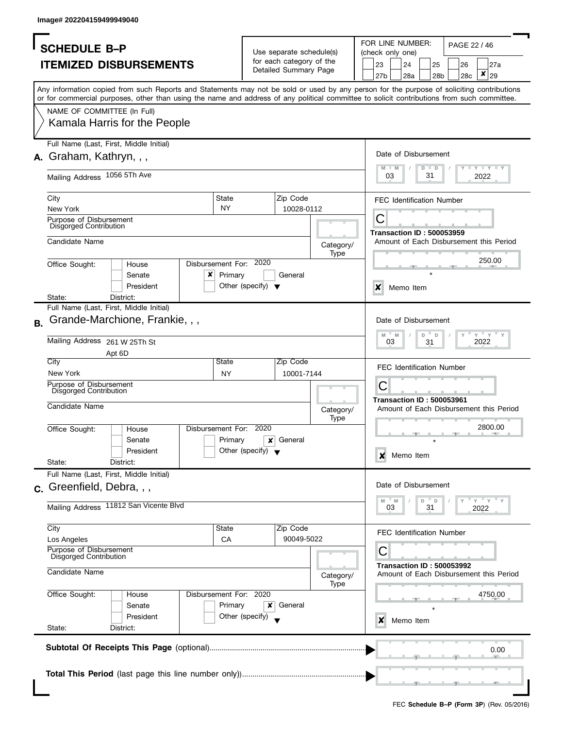|    | <b>SCHEDULE B-P</b>                                      |                                                                                                                                                                                                                                                                                         |                        |                                      |                                                      |                   |                  | FOR LINE NUMBER: |                      | PAGE 22 / 46                     |                 |                                                               |  |  |
|----|----------------------------------------------------------|-----------------------------------------------------------------------------------------------------------------------------------------------------------------------------------------------------------------------------------------------------------------------------------------|------------------------|--------------------------------------|------------------------------------------------------|-------------------|------------------|------------------|----------------------|----------------------------------|-----------------|---------------------------------------------------------------|--|--|
|    |                                                          |                                                                                                                                                                                                                                                                                         |                        |                                      | Use separate schedule(s)<br>for each category of the |                   |                  | (check only one) |                      |                                  |                 |                                                               |  |  |
|    |                                                          | <b>ITEMIZED DISBURSEMENTS</b>                                                                                                                                                                                                                                                           |                        |                                      | Detailed Summary Page                                |                   | 23               | 24               | 25                   | 26                               |                 | 27a                                                           |  |  |
|    |                                                          |                                                                                                                                                                                                                                                                                         |                        |                                      |                                                      |                   | 27b              | 28a              | 28b                  | 28c                              |                 | ×<br>29                                                       |  |  |
|    |                                                          | Any information copied from such Reports and Statements may not be sold or used by any person for the purpose of soliciting contributions<br>or for commercial purposes, other than using the name and address of any political committee to solicit contributions from such committee. |                        |                                      |                                                      |                   |                  |                  |                      |                                  |                 |                                                               |  |  |
|    | NAME OF COMMITTEE (In Full)                              |                                                                                                                                                                                                                                                                                         |                        |                                      |                                                      |                   |                  |                  |                      |                                  |                 |                                                               |  |  |
|    |                                                          | Kamala Harris for the People                                                                                                                                                                                                                                                            |                        |                                      |                                                      |                   |                  |                  |                      |                                  |                 |                                                               |  |  |
|    |                                                          | Full Name (Last, First, Middle Initial)                                                                                                                                                                                                                                                 |                        |                                      |                                                      |                   |                  |                  |                      |                                  |                 |                                                               |  |  |
|    | A. Graham, Kathryn, , ,                                  |                                                                                                                                                                                                                                                                                         |                        |                                      |                                                      |                   |                  |                  | Date of Disbursement |                                  |                 |                                                               |  |  |
|    | Mailing Address 1056 5Th Ave                             |                                                                                                                                                                                                                                                                                         |                        |                                      |                                                      |                   | M<br>M<br>03     |                  | $D$ $D$<br>31        |                                  |                 | $\Box$ $\Upsilon$ $\Box$ $\Upsilon$ $\Box$ $\Upsilon$<br>2022 |  |  |
|    | City                                                     |                                                                                                                                                                                                                                                                                         | State                  |                                      | Zip Code                                             |                   |                  |                  |                      | <b>FEC Identification Number</b> |                 |                                                               |  |  |
|    | New York                                                 |                                                                                                                                                                                                                                                                                         | <b>NY</b>              |                                      | 10028-0112                                           |                   |                  |                  |                      |                                  |                 |                                                               |  |  |
|    | Purpose of Disbursement                                  |                                                                                                                                                                                                                                                                                         |                        |                                      |                                                      |                   | С                |                  |                      |                                  |                 |                                                               |  |  |
|    | Disgorged Contribution                                   |                                                                                                                                                                                                                                                                                         |                        |                                      |                                                      |                   |                  |                  |                      | <b>Transaction ID: 500053959</b> |                 |                                                               |  |  |
|    | Candidate Name                                           |                                                                                                                                                                                                                                                                                         |                        |                                      |                                                      | Category/         |                  |                  |                      |                                  |                 | Amount of Each Disbursement this Period                       |  |  |
|    |                                                          |                                                                                                                                                                                                                                                                                         |                        |                                      |                                                      | Type              |                  |                  |                      |                                  |                 |                                                               |  |  |
|    | Office Sought:                                           | House                                                                                                                                                                                                                                                                                   | Disbursement For: 2020 |                                      |                                                      |                   |                  |                  |                      |                                  |                 | 250.00                                                        |  |  |
|    |                                                          | Senate                                                                                                                                                                                                                                                                                  | x<br>Primary           |                                      | General                                              |                   |                  |                  |                      |                                  |                 |                                                               |  |  |
|    |                                                          | President                                                                                                                                                                                                                                                                               |                        | Other (specify) $\blacktriangledown$ |                                                      |                   | X                | Memo Item        |                      |                                  |                 |                                                               |  |  |
|    | State:                                                   | District:                                                                                                                                                                                                                                                                               |                        |                                      |                                                      |                   |                  |                  |                      |                                  |                 |                                                               |  |  |
|    |                                                          | Full Name (Last, First, Middle Initial)                                                                                                                                                                                                                                                 |                        |                                      |                                                      |                   |                  |                  |                      |                                  |                 |                                                               |  |  |
| В. |                                                          | Grande-Marchione, Frankie, , ,                                                                                                                                                                                                                                                          |                        |                                      |                                                      |                   |                  |                  | Date of Disbursement |                                  |                 |                                                               |  |  |
|    | Mailing Address 261 W 25Th St                            |                                                                                                                                                                                                                                                                                         |                        |                                      |                                                      |                   | M<br>03          | M                | D<br>D               |                                  |                 | $Y = Y$<br>2022                                               |  |  |
|    |                                                          | Apt 6D                                                                                                                                                                                                                                                                                  |                        |                                      |                                                      |                   |                  |                  | 31                   |                                  |                 |                                                               |  |  |
|    | City                                                     |                                                                                                                                                                                                                                                                                         | State                  |                                      | Zip Code                                             |                   |                  |                  |                      |                                  |                 |                                                               |  |  |
|    | New York                                                 |                                                                                                                                                                                                                                                                                         | <b>NY</b>              |                                      | 10001-7144                                           |                   |                  |                  |                      | <b>FEC Identification Number</b> |                 |                                                               |  |  |
|    | Purpose of Disbursement                                  |                                                                                                                                                                                                                                                                                         |                        |                                      |                                                      |                   | С                |                  |                      |                                  |                 |                                                               |  |  |
|    | Disgorged Contribution                                   |                                                                                                                                                                                                                                                                                         |                        |                                      |                                                      |                   |                  |                  |                      | <b>Transaction ID: 500053961</b> |                 |                                                               |  |  |
|    | Candidate Name                                           |                                                                                                                                                                                                                                                                                         |                        |                                      |                                                      | Category/         |                  |                  |                      |                                  |                 | Amount of Each Disbursement this Period                       |  |  |
|    |                                                          |                                                                                                                                                                                                                                                                                         |                        |                                      |                                                      | Type              |                  |                  |                      |                                  |                 |                                                               |  |  |
|    | Office Sought:                                           | House                                                                                                                                                                                                                                                                                   | Disbursement For:      | 2020                                 |                                                      |                   |                  |                  |                      |                                  |                 | 2800.00                                                       |  |  |
|    |                                                          | Senate                                                                                                                                                                                                                                                                                  | Primary                | x                                    | General                                              |                   |                  |                  |                      |                                  |                 |                                                               |  |  |
|    |                                                          | President                                                                                                                                                                                                                                                                               |                        | Other (specify) $\blacktriangledown$ |                                                      |                   | ×                | Memo Item        |                      |                                  |                 |                                                               |  |  |
|    | State:                                                   | District:<br>Full Name (Last, First, Middle Initial)                                                                                                                                                                                                                                    |                        |                                      |                                                      |                   |                  |                  |                      |                                  |                 |                                                               |  |  |
|    |                                                          |                                                                                                                                                                                                                                                                                         |                        |                                      |                                                      |                   |                  |                  | Date of Disbursement |                                  |                 |                                                               |  |  |
|    | c. Greenfield, Debra, , ,                                |                                                                                                                                                                                                                                                                                         |                        |                                      |                                                      |                   |                  |                  |                      |                                  |                 |                                                               |  |  |
|    |                                                          | Mailing Address 11812 San Vicente Blvd                                                                                                                                                                                                                                                  |                        |                                      |                                                      |                   | $- M$<br>M<br>03 |                  | D<br>D<br>31         |                                  | " Y " Y<br>2022 |                                                               |  |  |
|    |                                                          |                                                                                                                                                                                                                                                                                         |                        |                                      |                                                      |                   |                  |                  |                      |                                  |                 |                                                               |  |  |
|    | City                                                     |                                                                                                                                                                                                                                                                                         | State                  |                                      | Zip Code                                             |                   |                  |                  |                      | <b>FEC Identification Number</b> |                 |                                                               |  |  |
|    | Los Angeles                                              |                                                                                                                                                                                                                                                                                         | CA                     |                                      | 90049-5022                                           |                   |                  |                  |                      |                                  |                 |                                                               |  |  |
|    | Purpose of Disbursement<br><b>Disgorged Contribution</b> |                                                                                                                                                                                                                                                                                         |                        |                                      |                                                      |                   | С                |                  |                      |                                  |                 |                                                               |  |  |
|    |                                                          |                                                                                                                                                                                                                                                                                         |                        |                                      |                                                      |                   |                  |                  |                      | <b>Transaction ID: 500053992</b> |                 |                                                               |  |  |
|    | Candidate Name                                           |                                                                                                                                                                                                                                                                                         |                        |                                      |                                                      | Category/<br>Type |                  |                  |                      |                                  |                 | Amount of Each Disbursement this Period                       |  |  |
|    | Office Sought:                                           | House                                                                                                                                                                                                                                                                                   | Disbursement For: 2020 |                                      |                                                      |                   | 4750.00          |                  |                      |                                  |                 |                                                               |  |  |
|    |                                                          | Senate                                                                                                                                                                                                                                                                                  | Primary                | x                                    | General                                              |                   |                  |                  |                      |                                  |                 |                                                               |  |  |
|    |                                                          | President                                                                                                                                                                                                                                                                               |                        | Other (specify)                      |                                                      |                   | x                |                  | Memo Item            |                                  |                 |                                                               |  |  |
|    | State:                                                   | District:                                                                                                                                                                                                                                                                               |                        |                                      |                                                      |                   |                  |                  |                      |                                  |                 |                                                               |  |  |
|    |                                                          |                                                                                                                                                                                                                                                                                         |                        |                                      |                                                      |                   |                  |                  |                      |                                  |                 |                                                               |  |  |
|    |                                                          |                                                                                                                                                                                                                                                                                         |                        |                                      |                                                      |                   |                  |                  |                      | 0.00                             |                 |                                                               |  |  |
|    |                                                          |                                                                                                                                                                                                                                                                                         |                        |                                      |                                                      |                   |                  |                  |                      |                                  |                 |                                                               |  |  |
|    |                                                          |                                                                                                                                                                                                                                                                                         |                        |                                      |                                                      |                   |                  |                  |                      |                                  |                 |                                                               |  |  |
|    |                                                          |                                                                                                                                                                                                                                                                                         |                        |                                      |                                                      |                   |                  |                  |                      |                                  |                 |                                                               |  |  |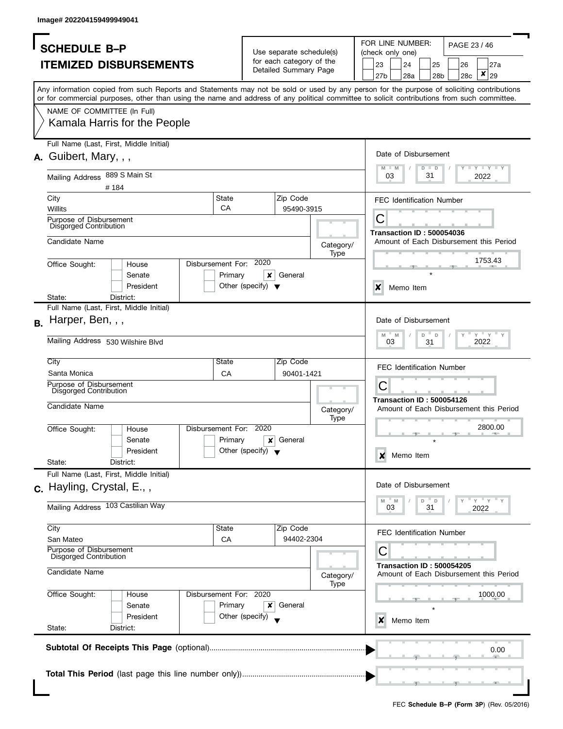|                                                                                                                                                                                                                                                                                         |                                                                         | FOR LINE NUMBER:<br>PAGE 23 / 46                                               |
|-----------------------------------------------------------------------------------------------------------------------------------------------------------------------------------------------------------------------------------------------------------------------------------------|-------------------------------------------------------------------------|--------------------------------------------------------------------------------|
| <b>SCHEDULE B-P</b>                                                                                                                                                                                                                                                                     | Use separate schedule(s)                                                | (check only one)                                                               |
| <b>ITEMIZED DISBURSEMENTS</b>                                                                                                                                                                                                                                                           | for each category of the<br>Detailed Summary Page                       | 23<br>24<br>25<br>26<br>27a<br>×<br>27b<br>29<br>28a<br>28 <sub>b</sub><br>28c |
| Any information copied from such Reports and Statements may not be sold or used by any person for the purpose of soliciting contributions<br>or for commercial purposes, other than using the name and address of any political committee to solicit contributions from such committee. |                                                                         |                                                                                |
| NAME OF COMMITTEE (In Full)<br>Kamala Harris for the People                                                                                                                                                                                                                             |                                                                         |                                                                                |
| Full Name (Last, First, Middle Initial)<br>A. Guibert, Mary, , ,                                                                                                                                                                                                                        |                                                                         | Date of Disbursement                                                           |
| Mailing Address 889 S Main St<br>#184                                                                                                                                                                                                                                                   |                                                                         | $Y - Y - Y - Y - Y$<br>$M - M$<br>$D$ $D$<br>03<br>31<br>2022                  |
| City<br>Willits                                                                                                                                                                                                                                                                         | <b>State</b><br>Zip Code<br>CA<br>95490-3915                            | <b>FEC Identification Number</b>                                               |
| Purpose of Disbursement<br>Disgorged Contribution                                                                                                                                                                                                                                       |                                                                         | С<br><b>Transaction ID: 500054036</b>                                          |
| Candidate Name                                                                                                                                                                                                                                                                          | Category/<br>Type                                                       | Amount of Each Disbursement this Period<br>1753.43                             |
| Disbursement For:<br>Office Sought:<br>House<br>Senate<br>President                                                                                                                                                                                                                     | 2020<br>Primary<br>General<br>×<br>Other (specify) $\blacktriangledown$ | x<br>Memo Item                                                                 |
| District:<br>State:<br>Full Name (Last, First, Middle Initial)                                                                                                                                                                                                                          |                                                                         |                                                                                |
| $B.$ Harper, Ben, , ,                                                                                                                                                                                                                                                                   |                                                                         | Date of Disbursement                                                           |
| Mailing Address 530 Wilshire Blvd                                                                                                                                                                                                                                                       |                                                                         | $Y$ $Y$ $Y$<br>M<br>M<br>D<br>D<br>2022<br>03<br>31                            |
| City                                                                                                                                                                                                                                                                                    | State<br>Zip Code                                                       | <b>FEC Identification Number</b>                                               |
| Santa Monica<br>Purpose of Disbursement                                                                                                                                                                                                                                                 | CA<br>90401-1421                                                        | C                                                                              |
| Disgorged Contribution                                                                                                                                                                                                                                                                  |                                                                         |                                                                                |
| Candidate Name                                                                                                                                                                                                                                                                          | Category/<br>Type                                                       | <b>Transaction ID: 500054126</b><br>Amount of Each Disbursement this Period    |
| Disbursement For:<br>Office Sought:<br>House<br>Senate<br>President                                                                                                                                                                                                                     | 2020<br>Primary<br>General<br>×<br>Other (specify) $\blacktriangledown$ | 2800.00                                                                        |
| State:<br>District:                                                                                                                                                                                                                                                                     |                                                                         | Memo Item<br>X                                                                 |
| Full Name (Last, First, Middle Initial)                                                                                                                                                                                                                                                 |                                                                         |                                                                                |
| c. Hayling, Crystal, E.,,                                                                                                                                                                                                                                                               |                                                                         | Date of Disbursement                                                           |
| Mailing Address 103 Castilian Way                                                                                                                                                                                                                                                       |                                                                         | $-\gamma$ $-\gamma$<br>D<br>M<br>M<br>D<br>31<br>03<br>2022                    |
| City                                                                                                                                                                                                                                                                                    | Zip Code<br>State                                                       | <b>FEC Identification Number</b>                                               |
| San Mateo                                                                                                                                                                                                                                                                               | 94402-2304<br>CA                                                        |                                                                                |
| Purpose of Disbursement<br><b>Disgorged Contribution</b>                                                                                                                                                                                                                                |                                                                         | C                                                                              |
| Candidate Name                                                                                                                                                                                                                                                                          | Category/<br>Type                                                       | <b>Transaction ID: 500054205</b><br>Amount of Each Disbursement this Period    |
| Office Sought:<br>House<br>Senate<br>President                                                                                                                                                                                                                                          | Disbursement For: 2020<br>Primary<br>General<br>x<br>Other (specify)    | 1000.00<br>x<br>Memo Item                                                      |
| State:<br>District:                                                                                                                                                                                                                                                                     |                                                                         |                                                                                |
|                                                                                                                                                                                                                                                                                         |                                                                         | 0.00                                                                           |
|                                                                                                                                                                                                                                                                                         |                                                                         |                                                                                |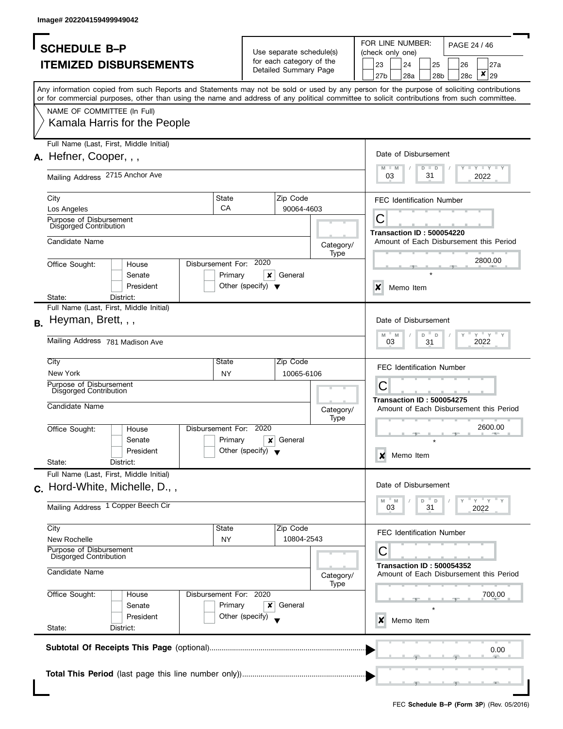| <b>SCHEDULE B-P</b><br><b>ITEMIZED DISBURSEMENTS</b><br>Any information copied from such Reports and Statements may not be sold or used by any person for the purpose of soliciting contributions<br>or for commercial purposes, other than using the name and address of any political committee to solicit contributions from such committee.<br>NAME OF COMMITTEE (In Full)<br>Kamala Harris for the People |                                      | Use separate schedule(s)<br>for each category of the<br>Detailed Summary Page |                   | FOR LINE NUMBER:<br>PAGE 24 / 46<br>(check only one)<br>23<br>24<br>25<br>27a<br>26<br>×<br>29<br>27b<br>28a<br>28 <sub>b</sub><br>28c |  |  |  |  |  |  |  |
|----------------------------------------------------------------------------------------------------------------------------------------------------------------------------------------------------------------------------------------------------------------------------------------------------------------------------------------------------------------------------------------------------------------|--------------------------------------|-------------------------------------------------------------------------------|-------------------|----------------------------------------------------------------------------------------------------------------------------------------|--|--|--|--|--|--|--|
|                                                                                                                                                                                                                                                                                                                                                                                                                |                                      |                                                                               |                   |                                                                                                                                        |  |  |  |  |  |  |  |
|                                                                                                                                                                                                                                                                                                                                                                                                                |                                      |                                                                               |                   |                                                                                                                                        |  |  |  |  |  |  |  |
|                                                                                                                                                                                                                                                                                                                                                                                                                |                                      |                                                                               |                   |                                                                                                                                        |  |  |  |  |  |  |  |
|                                                                                                                                                                                                                                                                                                                                                                                                                |                                      |                                                                               |                   |                                                                                                                                        |  |  |  |  |  |  |  |
|                                                                                                                                                                                                                                                                                                                                                                                                                |                                      |                                                                               |                   |                                                                                                                                        |  |  |  |  |  |  |  |
|                                                                                                                                                                                                                                                                                                                                                                                                                |                                      |                                                                               |                   |                                                                                                                                        |  |  |  |  |  |  |  |
|                                                                                                                                                                                                                                                                                                                                                                                                                |                                      |                                                                               |                   |                                                                                                                                        |  |  |  |  |  |  |  |
| Full Name (Last, First, Middle Initial)                                                                                                                                                                                                                                                                                                                                                                        |                                      |                                                                               |                   | Date of Disbursement                                                                                                                   |  |  |  |  |  |  |  |
| A. Hefner, Cooper, , ,                                                                                                                                                                                                                                                                                                                                                                                         |                                      |                                                                               |                   | $\Box$ $\Upsilon$ $\Box$ $\Upsilon$ $\Box$ $\Upsilon$<br>M<br>$D$ $D$<br>M                                                             |  |  |  |  |  |  |  |
| Mailing Address 2715 Anchor Ave                                                                                                                                                                                                                                                                                                                                                                                |                                      |                                                                               |                   | 31<br>03<br>2022                                                                                                                       |  |  |  |  |  |  |  |
| State<br>City                                                                                                                                                                                                                                                                                                                                                                                                  |                                      | Zip Code                                                                      |                   | <b>FEC Identification Number</b>                                                                                                       |  |  |  |  |  |  |  |
| CA<br>Los Angeles                                                                                                                                                                                                                                                                                                                                                                                              |                                      | 90064-4603                                                                    |                   |                                                                                                                                        |  |  |  |  |  |  |  |
| Purpose of Disbursement<br>Disgorged Contribution                                                                                                                                                                                                                                                                                                                                                              |                                      |                                                                               |                   | С                                                                                                                                      |  |  |  |  |  |  |  |
| Candidate Name                                                                                                                                                                                                                                                                                                                                                                                                 |                                      |                                                                               |                   | <b>Transaction ID: 500054220</b><br>Amount of Each Disbursement this Period                                                            |  |  |  |  |  |  |  |
|                                                                                                                                                                                                                                                                                                                                                                                                                |                                      |                                                                               | Category/<br>Type |                                                                                                                                        |  |  |  |  |  |  |  |
| Disbursement For: 2020<br>Office Sought:<br>House                                                                                                                                                                                                                                                                                                                                                              |                                      |                                                                               |                   | 2800.00                                                                                                                                |  |  |  |  |  |  |  |
| Primary<br>Senate                                                                                                                                                                                                                                                                                                                                                                                              | ×                                    | General                                                                       |                   |                                                                                                                                        |  |  |  |  |  |  |  |
| President                                                                                                                                                                                                                                                                                                                                                                                                      | Other (specify) $\blacktriangledown$ |                                                                               |                   | $\boldsymbol{\mathsf{x}}$<br>Memo Item                                                                                                 |  |  |  |  |  |  |  |
| State:<br>District:<br>Full Name (Last, First, Middle Initial)                                                                                                                                                                                                                                                                                                                                                 |                                      |                                                                               |                   |                                                                                                                                        |  |  |  |  |  |  |  |
|                                                                                                                                                                                                                                                                                                                                                                                                                |                                      |                                                                               |                   | Date of Disbursement                                                                                                                   |  |  |  |  |  |  |  |
| Heyman, Brett, , ,<br>В.                                                                                                                                                                                                                                                                                                                                                                                       |                                      |                                                                               |                   |                                                                                                                                        |  |  |  |  |  |  |  |
| Mailing Address 781 Madison Ave                                                                                                                                                                                                                                                                                                                                                                                |                                      |                                                                               |                   | $Y = Y$<br>M<br>M<br>D<br>D<br>2022<br>03<br>31                                                                                        |  |  |  |  |  |  |  |
| City<br>State                                                                                                                                                                                                                                                                                                                                                                                                  |                                      | Zip Code                                                                      |                   | <b>FEC Identification Number</b>                                                                                                       |  |  |  |  |  |  |  |
| New York<br><b>NY</b>                                                                                                                                                                                                                                                                                                                                                                                          |                                      | 10065-6106                                                                    |                   |                                                                                                                                        |  |  |  |  |  |  |  |
| Purpose of Disbursement<br>Disgorged Contribution                                                                                                                                                                                                                                                                                                                                                              |                                      |                                                                               |                   | С                                                                                                                                      |  |  |  |  |  |  |  |
| Candidate Name                                                                                                                                                                                                                                                                                                                                                                                                 |                                      |                                                                               |                   | <b>Transaction ID: 500054275</b>                                                                                                       |  |  |  |  |  |  |  |
|                                                                                                                                                                                                                                                                                                                                                                                                                |                                      |                                                                               | Category/<br>Type | Amount of Each Disbursement this Period                                                                                                |  |  |  |  |  |  |  |
| Disbursement For:<br>Office Sought:<br>House                                                                                                                                                                                                                                                                                                                                                                   | 2020                                 |                                                                               |                   | 2600.00                                                                                                                                |  |  |  |  |  |  |  |
| Primary<br>Senate                                                                                                                                                                                                                                                                                                                                                                                              | x                                    | General                                                                       |                   |                                                                                                                                        |  |  |  |  |  |  |  |
| President                                                                                                                                                                                                                                                                                                                                                                                                      | Other (specify) $\blacktriangledown$ |                                                                               |                   | Memo Item<br>×                                                                                                                         |  |  |  |  |  |  |  |
| State:<br>District:                                                                                                                                                                                                                                                                                                                                                                                            |                                      |                                                                               |                   |                                                                                                                                        |  |  |  |  |  |  |  |
| Full Name (Last, First, Middle Initial)                                                                                                                                                                                                                                                                                                                                                                        |                                      |                                                                               |                   |                                                                                                                                        |  |  |  |  |  |  |  |
| c. Hord-White, Michelle, D.,,                                                                                                                                                                                                                                                                                                                                                                                  |                                      |                                                                               |                   | Date of Disbursement                                                                                                                   |  |  |  |  |  |  |  |
| Mailing Address 1 Copper Beech Cir                                                                                                                                                                                                                                                                                                                                                                             |                                      |                                                                               |                   | " Y " Y<br>M<br>D<br>D<br>M<br>03<br>31<br>2022                                                                                        |  |  |  |  |  |  |  |
| City<br>State                                                                                                                                                                                                                                                                                                                                                                                                  |                                      | Zip Code                                                                      |                   |                                                                                                                                        |  |  |  |  |  |  |  |
| New Rochelle<br>ΝY                                                                                                                                                                                                                                                                                                                                                                                             |                                      | 10804-2543                                                                    |                   | <b>FEC Identification Number</b>                                                                                                       |  |  |  |  |  |  |  |
| Purpose of Disbursement<br>Disgorged Contribution                                                                                                                                                                                                                                                                                                                                                              |                                      |                                                                               |                   | С                                                                                                                                      |  |  |  |  |  |  |  |
| Candidate Name                                                                                                                                                                                                                                                                                                                                                                                                 |                                      |                                                                               | Category/         | <b>Transaction ID: 500054352</b><br>Amount of Each Disbursement this Period                                                            |  |  |  |  |  |  |  |
| Disbursement For: 2020<br>Office Sought:<br>House                                                                                                                                                                                                                                                                                                                                                              |                                      |                                                                               | Type              | 700.00                                                                                                                                 |  |  |  |  |  |  |  |
| Primary<br>Senate                                                                                                                                                                                                                                                                                                                                                                                              | x                                    | General                                                                       |                   |                                                                                                                                        |  |  |  |  |  |  |  |
| President                                                                                                                                                                                                                                                                                                                                                                                                      | Other (specify)                      |                                                                               |                   | Memo Item<br>x                                                                                                                         |  |  |  |  |  |  |  |
| State:<br>District:                                                                                                                                                                                                                                                                                                                                                                                            |                                      |                                                                               |                   |                                                                                                                                        |  |  |  |  |  |  |  |
|                                                                                                                                                                                                                                                                                                                                                                                                                |                                      |                                                                               |                   |                                                                                                                                        |  |  |  |  |  |  |  |
|                                                                                                                                                                                                                                                                                                                                                                                                                |                                      |                                                                               |                   | 0.00                                                                                                                                   |  |  |  |  |  |  |  |
|                                                                                                                                                                                                                                                                                                                                                                                                                |                                      |                                                                               |                   |                                                                                                                                        |  |  |  |  |  |  |  |
|                                                                                                                                                                                                                                                                                                                                                                                                                |                                      |                                                                               |                   |                                                                                                                                        |  |  |  |  |  |  |  |
|                                                                                                                                                                                                                                                                                                                                                                                                                |                                      |                                                                               |                   |                                                                                                                                        |  |  |  |  |  |  |  |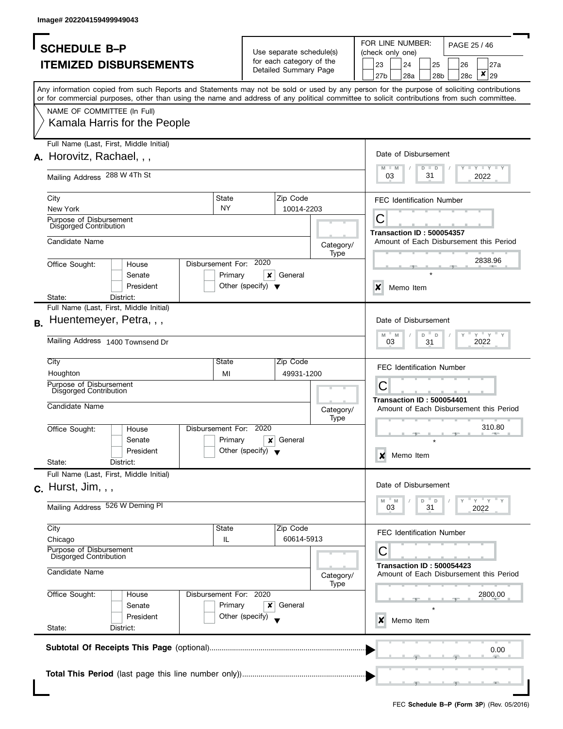| <b>SCHEDULE B-P</b>                                                                                                                        |                                      | Use separate schedule(s) |                   | FOR LINE NUMBER:<br>PAGE 25 / 46<br>(check only one)                                              |  |  |  |  |  |  |
|--------------------------------------------------------------------------------------------------------------------------------------------|--------------------------------------|--------------------------|-------------------|---------------------------------------------------------------------------------------------------|--|--|--|--|--|--|
| <b>ITEMIZED DISBURSEMENTS</b>                                                                                                              |                                      | for each category of the |                   | 23<br>24<br>25<br>27a<br>26                                                                       |  |  |  |  |  |  |
|                                                                                                                                            |                                      | Detailed Summary Page    |                   | ×<br>29<br>27b<br>28a<br>28 <sub>b</sub><br>28c                                                   |  |  |  |  |  |  |
| Any information copied from such Reports and Statements may not be sold or used by any person for the purpose of soliciting contributions  |                                      |                          |                   |                                                                                                   |  |  |  |  |  |  |
| or for commercial purposes, other than using the name and address of any political committee to solicit contributions from such committee. |                                      |                          |                   |                                                                                                   |  |  |  |  |  |  |
| NAME OF COMMITTEE (In Full)                                                                                                                |                                      |                          |                   |                                                                                                   |  |  |  |  |  |  |
| Kamala Harris for the People                                                                                                               |                                      |                          |                   |                                                                                                   |  |  |  |  |  |  |
|                                                                                                                                            |                                      |                          |                   |                                                                                                   |  |  |  |  |  |  |
| Full Name (Last, First, Middle Initial)                                                                                                    |                                      |                          |                   | Date of Disbursement                                                                              |  |  |  |  |  |  |
| A. Horovitz, Rachael, , ,                                                                                                                  |                                      |                          |                   |                                                                                                   |  |  |  |  |  |  |
| Mailing Address 288 W 4Th St                                                                                                               |                                      |                          |                   | $\Box$ $\Upsilon$ $\Box$ $\Upsilon$ $\Box$ $\Upsilon$<br>M<br>$-M$<br>$D$ $D$<br>31<br>03<br>2022 |  |  |  |  |  |  |
|                                                                                                                                            |                                      |                          |                   |                                                                                                   |  |  |  |  |  |  |
| City                                                                                                                                       | State                                | Zip Code                 |                   | <b>FEC Identification Number</b>                                                                  |  |  |  |  |  |  |
| New York                                                                                                                                   | <b>NY</b>                            | 10014-2203               |                   |                                                                                                   |  |  |  |  |  |  |
| Purpose of Disbursement<br>Disgorged Contribution                                                                                          |                                      |                          |                   | С                                                                                                 |  |  |  |  |  |  |
| Candidate Name                                                                                                                             |                                      |                          |                   | <b>Transaction ID: 500054357</b><br>Amount of Each Disbursement this Period                       |  |  |  |  |  |  |
|                                                                                                                                            |                                      |                          | Category/<br>Type |                                                                                                   |  |  |  |  |  |  |
| Office Sought:<br>House                                                                                                                    | Disbursement For: 2020               |                          |                   | 2838.96                                                                                           |  |  |  |  |  |  |
| Senate                                                                                                                                     | Primary<br>×                         | General                  |                   |                                                                                                   |  |  |  |  |  |  |
| President                                                                                                                                  | Other (specify) $\blacktriangledown$ |                          |                   | $\boldsymbol{x}$<br>Memo Item                                                                     |  |  |  |  |  |  |
| State:<br>District:<br>Full Name (Last, First, Middle Initial)                                                                             |                                      |                          |                   |                                                                                                   |  |  |  |  |  |  |
| Huentemeyer, Petra, , ,                                                                                                                    |                                      |                          |                   | Date of Disbursement                                                                              |  |  |  |  |  |  |
| В.                                                                                                                                         |                                      |                          |                   |                                                                                                   |  |  |  |  |  |  |
| Mailing Address 1400 Townsend Dr                                                                                                           |                                      |                          |                   | $Y'$ Y<br>D<br>M<br>M<br>D<br>2022<br>03<br>31                                                    |  |  |  |  |  |  |
|                                                                                                                                            |                                      |                          |                   |                                                                                                   |  |  |  |  |  |  |
| City<br>Houghton                                                                                                                           | State                                | Zip Code                 |                   | <b>FEC Identification Number</b>                                                                  |  |  |  |  |  |  |
| Purpose of Disbursement                                                                                                                    | MI                                   | 49931-1200               |                   | С                                                                                                 |  |  |  |  |  |  |
| Disgorged Contribution                                                                                                                     |                                      |                          |                   |                                                                                                   |  |  |  |  |  |  |
| Candidate Name                                                                                                                             |                                      |                          | Category/         | <b>Transaction ID: 500054401</b><br>Amount of Each Disbursement this Period                       |  |  |  |  |  |  |
|                                                                                                                                            |                                      |                          | <b>Type</b>       |                                                                                                   |  |  |  |  |  |  |
| Office Sought:<br>House                                                                                                                    | Disbursement For: 2020               |                          |                   | 310.80                                                                                            |  |  |  |  |  |  |
| Senate                                                                                                                                     | Primary<br>x                         | General                  |                   |                                                                                                   |  |  |  |  |  |  |
| President<br>State:<br>District:                                                                                                           | Other (specify) $\bullet$            |                          |                   | Memo Item<br>x                                                                                    |  |  |  |  |  |  |
| Full Name (Last, First, Middle Initial)                                                                                                    |                                      |                          |                   |                                                                                                   |  |  |  |  |  |  |
| $c.$ Hurst, Jim, $,$ ,                                                                                                                     |                                      |                          |                   | Date of Disbursement                                                                              |  |  |  |  |  |  |
|                                                                                                                                            |                                      |                          |                   | $= Y = Y$<br>M<br>M<br>D<br>D                                                                     |  |  |  |  |  |  |
| Mailing Address 526 W Deming PI                                                                                                            |                                      |                          |                   | 03<br>31<br>2022                                                                                  |  |  |  |  |  |  |
| City                                                                                                                                       | State                                | Zip Code                 |                   |                                                                                                   |  |  |  |  |  |  |
| Chicago                                                                                                                                    | IL                                   | 60614-5913               |                   | <b>FEC Identification Number</b>                                                                  |  |  |  |  |  |  |
| Purpose of Disbursement<br>Disgorged Contribution                                                                                          |                                      |                          |                   | С                                                                                                 |  |  |  |  |  |  |
|                                                                                                                                            |                                      |                          |                   | <b>Transaction ID: 500054423</b>                                                                  |  |  |  |  |  |  |
| Candidate Name                                                                                                                             |                                      |                          | Category/         | Amount of Each Disbursement this Period                                                           |  |  |  |  |  |  |
| Office Sought:<br>House                                                                                                                    | Disbursement For: 2020               |                          | Type              | 2800.00                                                                                           |  |  |  |  |  |  |
| Senate                                                                                                                                     | Primary<br>×                         | General                  |                   |                                                                                                   |  |  |  |  |  |  |
| President                                                                                                                                  | Other (specify)                      |                          |                   | Memo Item<br>x                                                                                    |  |  |  |  |  |  |
| State:<br>District:                                                                                                                        |                                      |                          |                   |                                                                                                   |  |  |  |  |  |  |
|                                                                                                                                            |                                      |                          |                   |                                                                                                   |  |  |  |  |  |  |
|                                                                                                                                            |                                      |                          |                   | 0.00                                                                                              |  |  |  |  |  |  |
|                                                                                                                                            |                                      |                          |                   |                                                                                                   |  |  |  |  |  |  |
|                                                                                                                                            |                                      |                          |                   |                                                                                                   |  |  |  |  |  |  |
|                                                                                                                                            |                                      |                          |                   |                                                                                                   |  |  |  |  |  |  |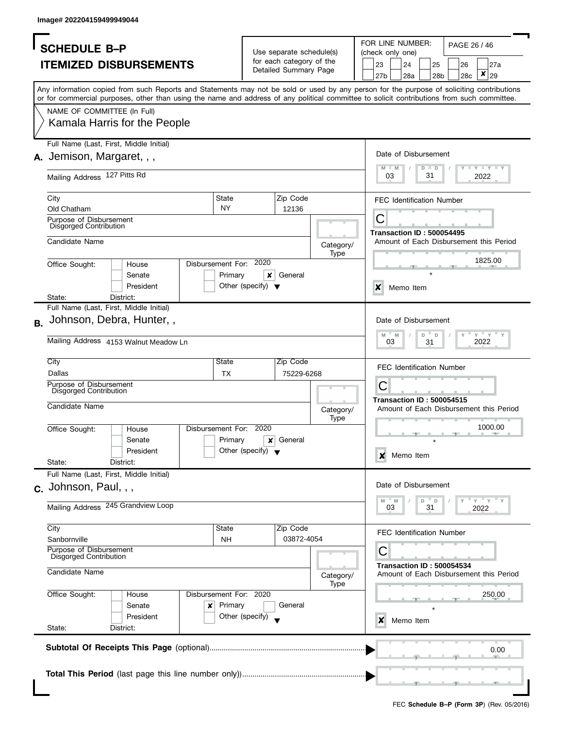|           | <b>SCHEDULE B-P</b>                                               |                                                                                                                                                                                                                                                                                         |                              |                                           |                                                      |           |  |           | FOR LINE NUMBER:                 |         |                       | PAGE 26 / 46 |                                         |  |  |  |
|-----------|-------------------------------------------------------------------|-----------------------------------------------------------------------------------------------------------------------------------------------------------------------------------------------------------------------------------------------------------------------------------------|------------------------------|-------------------------------------------|------------------------------------------------------|-----------|--|-----------|----------------------------------|---------|-----------------------|--------------|-----------------------------------------|--|--|--|
|           |                                                                   |                                                                                                                                                                                                                                                                                         |                              |                                           | Use separate schedule(s)<br>for each category of the |           |  |           | (check only one)                 |         |                       |              |                                         |  |  |  |
|           |                                                                   | <b>ITEMIZED DISBURSEMENTS</b>                                                                                                                                                                                                                                                           |                              |                                           | Detailed Summary Page                                |           |  | 23<br>27b | 24<br>28a                        |         | 25<br>28 <sub>b</sub> | 26<br>28c    | 27a<br>×<br>29                          |  |  |  |
|           |                                                                   | Any information copied from such Reports and Statements may not be sold or used by any person for the purpose of soliciting contributions<br>or for commercial purposes, other than using the name and address of any political committee to solicit contributions from such committee. |                              |                                           |                                                      |           |  |           |                                  |         |                       |              |                                         |  |  |  |
|           | NAME OF COMMITTEE (In Full)                                       |                                                                                                                                                                                                                                                                                         |                              |                                           |                                                      |           |  |           |                                  |         |                       |              |                                         |  |  |  |
|           |                                                                   | Kamala Harris for the People                                                                                                                                                                                                                                                            |                              |                                           |                                                      |           |  |           |                                  |         |                       |              |                                         |  |  |  |
|           | A. Jemison, Margaret, , ,                                         | Full Name (Last, First, Middle Initial)                                                                                                                                                                                                                                                 |                              |                                           |                                                      |           |  |           | Date of Disbursement             |         |                       |              |                                         |  |  |  |
|           |                                                                   |                                                                                                                                                                                                                                                                                         |                              |                                           |                                                      |           |  |           | $M - M$                          | $D$ $D$ |                       |              | <b>LIVELY LI</b>                        |  |  |  |
|           | Mailing Address 127 Pitts Rd                                      |                                                                                                                                                                                                                                                                                         |                              |                                           |                                                      |           |  | 03        |                                  | 31      |                       |              | 2022                                    |  |  |  |
|           | City<br>Old Chatham                                               |                                                                                                                                                                                                                                                                                         | State<br><b>NY</b>           |                                           | Zip Code<br>12136                                    |           |  |           | <b>FEC Identification Number</b> |         |                       |              |                                         |  |  |  |
|           | Purpose of Disbursement<br>Disgorged Contribution                 |                                                                                                                                                                                                                                                                                         |                              |                                           |                                                      |           |  | С         |                                  |         |                       |              |                                         |  |  |  |
|           | Candidate Name                                                    |                                                                                                                                                                                                                                                                                         |                              |                                           |                                                      | Category/ |  |           | <b>Transaction ID: 500054495</b> |         |                       |              | Amount of Each Disbursement this Period |  |  |  |
|           |                                                                   |                                                                                                                                                                                                                                                                                         |                              | 2020                                      |                                                      | Type      |  |           |                                  |         |                       |              | 1825.00                                 |  |  |  |
|           | Office Sought:                                                    | House<br>Senate                                                                                                                                                                                                                                                                         | Disbursement For:<br>Primary | ×                                         | General                                              |           |  |           |                                  |         |                       |              |                                         |  |  |  |
|           | State:                                                            | President<br>District:                                                                                                                                                                                                                                                                  |                              | Other (specify) $\blacktriangledown$      |                                                      |           |  | X         | Memo Item                        |         |                       |              |                                         |  |  |  |
|           |                                                                   | Full Name (Last, First, Middle Initial)                                                                                                                                                                                                                                                 |                              |                                           |                                                      |           |  |           |                                  |         |                       |              |                                         |  |  |  |
| <b>B.</b> |                                                                   | Johnson, Debra, Hunter,,                                                                                                                                                                                                                                                                |                              |                                           |                                                      |           |  |           | Date of Disbursement             |         |                       |              |                                         |  |  |  |
|           |                                                                   | Mailing Address 4153 Walnut Meadow Ln                                                                                                                                                                                                                                                   |                              |                                           |                                                      |           |  | M         | M<br>03                          | D<br>31 | D                     |              | $Y = Y$<br>2022                         |  |  |  |
|           | City<br>Dallas                                                    |                                                                                                                                                                                                                                                                                         | State<br><b>TX</b>           |                                           | Zip Code<br>75229-6268                               |           |  |           | <b>FEC Identification Number</b> |         |                       |              |                                         |  |  |  |
|           | Purpose of Disbursement<br>Disgorged Contribution                 |                                                                                                                                                                                                                                                                                         |                              |                                           |                                                      |           |  | С         |                                  |         |                       |              |                                         |  |  |  |
|           | Candidate Name                                                    |                                                                                                                                                                                                                                                                                         |                              |                                           |                                                      | Category/ |  |           | <b>Transaction ID: 500054515</b> |         |                       |              | Amount of Each Disbursement this Period |  |  |  |
|           | Office Sought:                                                    | House                                                                                                                                                                                                                                                                                   | Disbursement For:            | 2020                                      |                                                      | Type      |  |           |                                  |         |                       |              | 1000.00                                 |  |  |  |
|           |                                                                   | Senate<br>President                                                                                                                                                                                                                                                                     | Primary                      | ×<br>Other (specify) $\blacktriangledown$ | General                                              |           |  |           |                                  |         |                       |              |                                         |  |  |  |
|           | State:                                                            | District:                                                                                                                                                                                                                                                                               |                              |                                           |                                                      |           |  | X         | Memo Item                        |         |                       |              |                                         |  |  |  |
|           |                                                                   | Full Name (Last, First, Middle Initial)                                                                                                                                                                                                                                                 |                              |                                           |                                                      |           |  |           | Date of Disbursement             |         |                       |              |                                         |  |  |  |
|           | $c.$ Johnson, Paul, , ,                                           |                                                                                                                                                                                                                                                                                         |                              |                                           |                                                      |           |  | M         | M                                | D       | D                     | Y            | $=$ $Y$ $+$ $Y$ $+$                     |  |  |  |
|           |                                                                   | Mailing Address 245 Grandview Loop                                                                                                                                                                                                                                                      |                              |                                           |                                                      |           |  |           | 03                               | 31      |                       |              | 2022                                    |  |  |  |
|           | City                                                              |                                                                                                                                                                                                                                                                                         | State                        |                                           | Zip Code                                             |           |  |           | <b>FEC Identification Number</b> |         |                       |              |                                         |  |  |  |
|           | Sanbornville<br>Purpose of Disbursement<br>Disgorged Contribution |                                                                                                                                                                                                                                                                                         | NΗ                           |                                           | 03872-4054                                           |           |  | C         |                                  |         |                       |              |                                         |  |  |  |
|           | Candidate Name                                                    |                                                                                                                                                                                                                                                                                         |                              |                                           |                                                      | Category/ |  |           | <b>Transaction ID: 500054534</b> |         |                       |              | Amount of Each Disbursement this Period |  |  |  |
|           | Office Sought:                                                    | House                                                                                                                                                                                                                                                                                   | Disbursement For: 2020       |                                           |                                                      | Type      |  | 250.00    |                                  |         |                       |              |                                         |  |  |  |
|           |                                                                   | Senate<br>President                                                                                                                                                                                                                                                                     | Primary<br>x                 | Other (specify)                           | General                                              |           |  | x         | Memo Item                        |         |                       |              |                                         |  |  |  |
|           | State:                                                            | District:                                                                                                                                                                                                                                                                               |                              |                                           |                                                      |           |  |           |                                  |         |                       |              |                                         |  |  |  |
|           |                                                                   |                                                                                                                                                                                                                                                                                         |                              |                                           |                                                      |           |  |           |                                  |         |                       |              | 0.00                                    |  |  |  |
|           |                                                                   |                                                                                                                                                                                                                                                                                         |                              |                                           |                                                      |           |  |           |                                  |         |                       |              |                                         |  |  |  |
|           |                                                                   |                                                                                                                                                                                                                                                                                         |                              |                                           |                                                      |           |  |           |                                  |         |                       |              |                                         |  |  |  |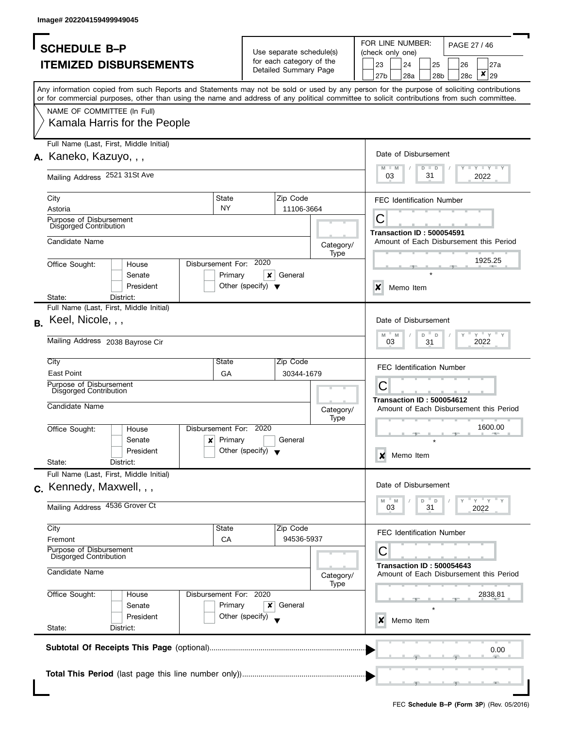| <b>SCHEDULE B-P</b><br><b>ITEMIZED DISBURSEMENTS</b><br>Any information copied from such Reports and Statements may not be sold or used by any person for the purpose of soliciting contributions<br>or for commercial purposes, other than using the name and address of any political committee to solicit contributions from such committee.<br>NAME OF COMMITTEE (In Full)<br>Kamala Harris for the People<br>Full Name (Last, First, Middle Initial)<br>A. Kaneko, Kazuyo, , , |                                           | Use separate schedule(s)<br>for each category of the<br>Detailed Summary Page |                   | FOR LINE NUMBER:<br>PAGE 27 / 46<br>(check only one)<br>23<br>24<br>25<br>27a<br>26<br>×<br>29<br>27b<br>28a<br>28 <sub>b</sub><br>28c |  |  |  |  |  |  |  |  |
|-------------------------------------------------------------------------------------------------------------------------------------------------------------------------------------------------------------------------------------------------------------------------------------------------------------------------------------------------------------------------------------------------------------------------------------------------------------------------------------|-------------------------------------------|-------------------------------------------------------------------------------|-------------------|----------------------------------------------------------------------------------------------------------------------------------------|--|--|--|--|--|--|--|--|
|                                                                                                                                                                                                                                                                                                                                                                                                                                                                                     |                                           |                                                                               |                   |                                                                                                                                        |  |  |  |  |  |  |  |  |
|                                                                                                                                                                                                                                                                                                                                                                                                                                                                                     |                                           |                                                                               |                   |                                                                                                                                        |  |  |  |  |  |  |  |  |
|                                                                                                                                                                                                                                                                                                                                                                                                                                                                                     |                                           |                                                                               |                   |                                                                                                                                        |  |  |  |  |  |  |  |  |
|                                                                                                                                                                                                                                                                                                                                                                                                                                                                                     |                                           |                                                                               |                   |                                                                                                                                        |  |  |  |  |  |  |  |  |
|                                                                                                                                                                                                                                                                                                                                                                                                                                                                                     |                                           |                                                                               |                   |                                                                                                                                        |  |  |  |  |  |  |  |  |
|                                                                                                                                                                                                                                                                                                                                                                                                                                                                                     |                                           |                                                                               |                   |                                                                                                                                        |  |  |  |  |  |  |  |  |
|                                                                                                                                                                                                                                                                                                                                                                                                                                                                                     |                                           |                                                                               |                   | Date of Disbursement<br>$\Box$ $\Upsilon$ $\Box$ $\Upsilon$ $\Box$ $\Upsilon$<br>M<br>$D$ $D$<br>M                                     |  |  |  |  |  |  |  |  |
| Mailing Address 2521 31St Ave                                                                                                                                                                                                                                                                                                                                                                                                                                                       |                                           |                                                                               |                   | 31<br>03<br>2022                                                                                                                       |  |  |  |  |  |  |  |  |
| State<br>City                                                                                                                                                                                                                                                                                                                                                                                                                                                                       |                                           | Zip Code                                                                      |                   | <b>FEC Identification Number</b>                                                                                                       |  |  |  |  |  |  |  |  |
| <b>NY</b><br>Astoria                                                                                                                                                                                                                                                                                                                                                                                                                                                                |                                           | 11106-3664                                                                    |                   |                                                                                                                                        |  |  |  |  |  |  |  |  |
| Purpose of Disbursement<br>Disgorged Contribution                                                                                                                                                                                                                                                                                                                                                                                                                                   |                                           |                                                                               |                   | С<br><b>Transaction ID: 500054591</b>                                                                                                  |  |  |  |  |  |  |  |  |
| Candidate Name                                                                                                                                                                                                                                                                                                                                                                                                                                                                      |                                           |                                                                               | Category/         | Amount of Each Disbursement this Period                                                                                                |  |  |  |  |  |  |  |  |
| Disbursement For: 2020                                                                                                                                                                                                                                                                                                                                                                                                                                                              |                                           |                                                                               | Type              | 1925.25                                                                                                                                |  |  |  |  |  |  |  |  |
| Office Sought:<br>House                                                                                                                                                                                                                                                                                                                                                                                                                                                             |                                           |                                                                               |                   |                                                                                                                                        |  |  |  |  |  |  |  |  |
| Primary<br>Senate<br>President                                                                                                                                                                                                                                                                                                                                                                                                                                                      | ×<br>Other (specify) $\blacktriangledown$ | General                                                                       |                   |                                                                                                                                        |  |  |  |  |  |  |  |  |
| State:<br>District:                                                                                                                                                                                                                                                                                                                                                                                                                                                                 |                                           |                                                                               |                   | $\boldsymbol{\mathsf{x}}$<br>Memo Item                                                                                                 |  |  |  |  |  |  |  |  |
| Full Name (Last, First, Middle Initial)                                                                                                                                                                                                                                                                                                                                                                                                                                             |                                           |                                                                               |                   |                                                                                                                                        |  |  |  |  |  |  |  |  |
| Keel, Nicole, , ,                                                                                                                                                                                                                                                                                                                                                                                                                                                                   |                                           |                                                                               |                   | Date of Disbursement                                                                                                                   |  |  |  |  |  |  |  |  |
| Mailing Address 2038 Bayrose Cir                                                                                                                                                                                                                                                                                                                                                                                                                                                    |                                           |                                                                               |                   | $Y = Y$<br>M<br>M<br>D<br>D<br>2022<br>03<br>31                                                                                        |  |  |  |  |  |  |  |  |
| City<br>State                                                                                                                                                                                                                                                                                                                                                                                                                                                                       |                                           | Zip Code                                                                      |                   | <b>FEC Identification Number</b>                                                                                                       |  |  |  |  |  |  |  |  |
| <b>East Point</b><br>GA                                                                                                                                                                                                                                                                                                                                                                                                                                                             |                                           | 30344-1679                                                                    |                   |                                                                                                                                        |  |  |  |  |  |  |  |  |
| Purpose of Disbursement<br>Disgorged Contribution                                                                                                                                                                                                                                                                                                                                                                                                                                   |                                           |                                                                               |                   | С<br><b>Transaction ID: 500054612</b>                                                                                                  |  |  |  |  |  |  |  |  |
| Candidate Name                                                                                                                                                                                                                                                                                                                                                                                                                                                                      |                                           |                                                                               | Category/         | Amount of Each Disbursement this Period                                                                                                |  |  |  |  |  |  |  |  |
| Disbursement For: 2020<br>Office Sought:<br>House                                                                                                                                                                                                                                                                                                                                                                                                                                   |                                           |                                                                               | Type              | 1600.00                                                                                                                                |  |  |  |  |  |  |  |  |
| Primary<br>$\mathsf{x}$<br>Senate<br>President                                                                                                                                                                                                                                                                                                                                                                                                                                      | Other (specify) $\blacktriangledown$      | General                                                                       |                   |                                                                                                                                        |  |  |  |  |  |  |  |  |
| State:<br>District:                                                                                                                                                                                                                                                                                                                                                                                                                                                                 |                                           |                                                                               |                   | Memo Item<br>×                                                                                                                         |  |  |  |  |  |  |  |  |
| Full Name (Last, First, Middle Initial)                                                                                                                                                                                                                                                                                                                                                                                                                                             |                                           |                                                                               |                   |                                                                                                                                        |  |  |  |  |  |  |  |  |
| c. Kennedy, Maxwell, , ,                                                                                                                                                                                                                                                                                                                                                                                                                                                            |                                           |                                                                               |                   | Date of Disbursement                                                                                                                   |  |  |  |  |  |  |  |  |
| Mailing Address 4536 Grover Ct                                                                                                                                                                                                                                                                                                                                                                                                                                                      |                                           |                                                                               |                   | " Y " Y<br>M<br>D<br>D<br>M<br>03<br>31<br>2022                                                                                        |  |  |  |  |  |  |  |  |
| City<br>State                                                                                                                                                                                                                                                                                                                                                                                                                                                                       |                                           | Zip Code                                                                      |                   | <b>FEC Identification Number</b>                                                                                                       |  |  |  |  |  |  |  |  |
| CA<br>Fremont                                                                                                                                                                                                                                                                                                                                                                                                                                                                       |                                           | 94536-5937                                                                    |                   |                                                                                                                                        |  |  |  |  |  |  |  |  |
| Purpose of Disbursement<br>Disgorged Contribution                                                                                                                                                                                                                                                                                                                                                                                                                                   |                                           |                                                                               |                   | С<br><b>Transaction ID: 500054643</b>                                                                                                  |  |  |  |  |  |  |  |  |
| Candidate Name                                                                                                                                                                                                                                                                                                                                                                                                                                                                      |                                           |                                                                               | Category/<br>Type | Amount of Each Disbursement this Period                                                                                                |  |  |  |  |  |  |  |  |
| Disbursement For: 2020<br>Office Sought:<br>House<br>Primary<br>Senate<br>President                                                                                                                                                                                                                                                                                                                                                                                                 | x<br>Other (specify)                      | General                                                                       |                   | 2838.81<br>Memo Item<br>x                                                                                                              |  |  |  |  |  |  |  |  |
| State:<br>District:                                                                                                                                                                                                                                                                                                                                                                                                                                                                 |                                           |                                                                               |                   |                                                                                                                                        |  |  |  |  |  |  |  |  |
|                                                                                                                                                                                                                                                                                                                                                                                                                                                                                     |                                           |                                                                               |                   | 0.00                                                                                                                                   |  |  |  |  |  |  |  |  |
|                                                                                                                                                                                                                                                                                                                                                                                                                                                                                     |                                           |                                                                               |                   |                                                                                                                                        |  |  |  |  |  |  |  |  |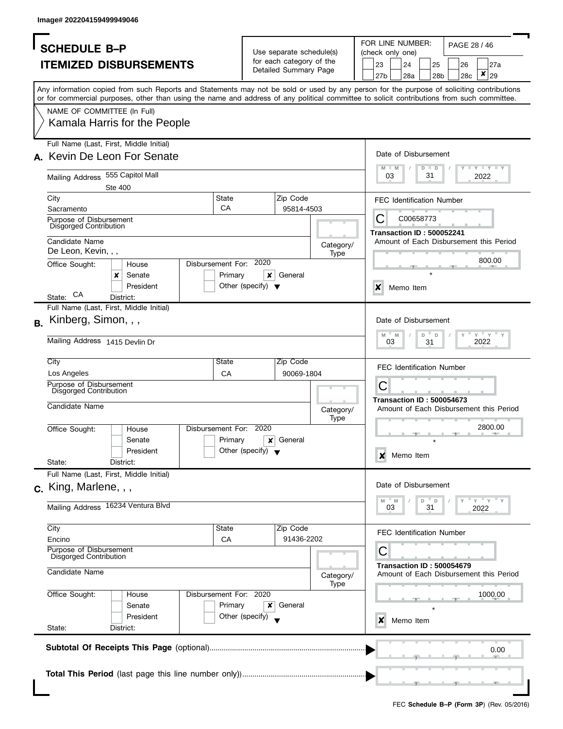| <b>SCHEDULE B-P</b>                                                                                                                        |                                      | Use separate schedule(s) | FOR LINE NUMBER:<br>PAGE 28 / 46<br>(check only one)                                                  |  |  |  |  |  |  |  |  |
|--------------------------------------------------------------------------------------------------------------------------------------------|--------------------------------------|--------------------------|-------------------------------------------------------------------------------------------------------|--|--|--|--|--|--|--|--|
| <b>ITEMIZED DISBURSEMENTS</b>                                                                                                              |                                      | for each category of the | 23<br>24<br>25<br>27a<br>26                                                                           |  |  |  |  |  |  |  |  |
|                                                                                                                                            |                                      | Detailed Summary Page    | ×<br>27 <sub>b</sub><br>28a<br>29<br>28 <sub>b</sub><br>28c                                           |  |  |  |  |  |  |  |  |
| Any information copied from such Reports and Statements may not be sold or used by any person for the purpose of soliciting contributions  |                                      |                          |                                                                                                       |  |  |  |  |  |  |  |  |
| or for commercial purposes, other than using the name and address of any political committee to solicit contributions from such committee. |                                      |                          |                                                                                                       |  |  |  |  |  |  |  |  |
| NAME OF COMMITTEE (In Full)                                                                                                                |                                      |                          |                                                                                                       |  |  |  |  |  |  |  |  |
| Kamala Harris for the People                                                                                                               |                                      |                          |                                                                                                       |  |  |  |  |  |  |  |  |
| Full Name (Last, First, Middle Initial)                                                                                                    |                                      |                          | Date of Disbursement                                                                                  |  |  |  |  |  |  |  |  |
| A. Kevin De Leon For Senate                                                                                                                |                                      |                          | $\mathbf{I}$ $\mathbf{Y}$ $\mathbf{I}$ $\mathbf{Y}$ $\mathbf{I}$ $\mathbf{Y}$<br>M<br>$-M$<br>$D$ $D$ |  |  |  |  |  |  |  |  |
| Mailing Address 555 Capitol Mall                                                                                                           |                                      |                          | 03<br>31<br>2022                                                                                      |  |  |  |  |  |  |  |  |
| Ste 400                                                                                                                                    |                                      |                          |                                                                                                       |  |  |  |  |  |  |  |  |
| City                                                                                                                                       | <b>State</b><br>Zip Code             |                          | <b>FEC Identification Number</b>                                                                      |  |  |  |  |  |  |  |  |
| Sacramento                                                                                                                                 | CA                                   | 95814-4503               | C00658773                                                                                             |  |  |  |  |  |  |  |  |
| Purpose of Disbursement<br>Disgorged Contribution                                                                                          |                                      |                          | C                                                                                                     |  |  |  |  |  |  |  |  |
| Candidate Name                                                                                                                             |                                      |                          | <b>Transaction ID: 500052241</b><br>Amount of Each Disbursement this Period                           |  |  |  |  |  |  |  |  |
| De Leon, Kevin, , ,                                                                                                                        |                                      | Category/<br>Type        |                                                                                                       |  |  |  |  |  |  |  |  |
| Office Sought:<br>House                                                                                                                    | Disbursement For: 2020               |                          | 800.00                                                                                                |  |  |  |  |  |  |  |  |
| Senate<br>x                                                                                                                                | Primary<br>×<br>General              |                          |                                                                                                       |  |  |  |  |  |  |  |  |
| President                                                                                                                                  | Other (specify) $\blacktriangledown$ |                          | $\boldsymbol{x}$<br>Memo Item                                                                         |  |  |  |  |  |  |  |  |
| CA<br>State:<br>District:                                                                                                                  |                                      |                          |                                                                                                       |  |  |  |  |  |  |  |  |
| Full Name (Last, First, Middle Initial)                                                                                                    |                                      |                          |                                                                                                       |  |  |  |  |  |  |  |  |
| Kinberg, Simon, , ,<br>В.                                                                                                                  |                                      |                          | Date of Disbursement                                                                                  |  |  |  |  |  |  |  |  |
| Mailing Address 1415 Devlin Dr                                                                                                             |                                      |                          | $Y$ $Y$ $Y$<br>$\mathsf D$<br>M<br>M<br>D<br>03                                                       |  |  |  |  |  |  |  |  |
|                                                                                                                                            |                                      |                          | 2022<br>31                                                                                            |  |  |  |  |  |  |  |  |
| City                                                                                                                                       | State<br>Zip Code                    |                          | <b>FEC Identification Number</b>                                                                      |  |  |  |  |  |  |  |  |
| Los Angeles                                                                                                                                | CA                                   | 90069-1804               |                                                                                                       |  |  |  |  |  |  |  |  |
| Purpose of Disbursement<br><b>Disgorged Contribution</b>                                                                                   |                                      |                          | С                                                                                                     |  |  |  |  |  |  |  |  |
|                                                                                                                                            |                                      |                          | <b>Transaction ID: 500054673</b>                                                                      |  |  |  |  |  |  |  |  |
| Candidate Name                                                                                                                             |                                      | Category/                | Amount of Each Disbursement this Period                                                               |  |  |  |  |  |  |  |  |
| Office Sought:<br>House                                                                                                                    | Disbursement For: 2020               | Type                     | 2800.00                                                                                               |  |  |  |  |  |  |  |  |
| Senate                                                                                                                                     | General<br>Primary<br>x              |                          |                                                                                                       |  |  |  |  |  |  |  |  |
| President                                                                                                                                  | Other (specify) $\blacktriangledown$ |                          |                                                                                                       |  |  |  |  |  |  |  |  |
| State:<br>District:                                                                                                                        |                                      |                          | Memo Item<br>x                                                                                        |  |  |  |  |  |  |  |  |
| Full Name (Last, First, Middle Initial)                                                                                                    |                                      |                          |                                                                                                       |  |  |  |  |  |  |  |  |
| $c.$ King, Marlene, , ,                                                                                                                    |                                      |                          | Date of Disbursement                                                                                  |  |  |  |  |  |  |  |  |
|                                                                                                                                            |                                      |                          | $= Y = Y$<br>$-M$<br>M<br>D<br>D                                                                      |  |  |  |  |  |  |  |  |
| Mailing Address 16234 Ventura Blvd                                                                                                         |                                      |                          | 03<br>31<br>2022                                                                                      |  |  |  |  |  |  |  |  |
| City                                                                                                                                       | Zip Code<br>State                    |                          |                                                                                                       |  |  |  |  |  |  |  |  |
| Encino                                                                                                                                     | CA                                   | 91436-2202               | <b>FEC Identification Number</b>                                                                      |  |  |  |  |  |  |  |  |
| Purpose of Disbursement<br>Disgorged Contribution                                                                                          |                                      |                          | С                                                                                                     |  |  |  |  |  |  |  |  |
| Candidate Name                                                                                                                             |                                      | Category/                | <b>Transaction ID: 500054679</b><br>Amount of Each Disbursement this Period                           |  |  |  |  |  |  |  |  |
|                                                                                                                                            | Disbursement For: 2020               | Type                     |                                                                                                       |  |  |  |  |  |  |  |  |
| Office Sought:<br>House<br>Senate                                                                                                          | Primary<br>x<br>General              |                          | 1000.00                                                                                               |  |  |  |  |  |  |  |  |
| President                                                                                                                                  | Other (specify)                      |                          |                                                                                                       |  |  |  |  |  |  |  |  |
| State:<br>District:                                                                                                                        |                                      |                          | Memo Item<br>x                                                                                        |  |  |  |  |  |  |  |  |
|                                                                                                                                            |                                      |                          |                                                                                                       |  |  |  |  |  |  |  |  |
|                                                                                                                                            |                                      |                          | 0.00                                                                                                  |  |  |  |  |  |  |  |  |
|                                                                                                                                            |                                      |                          |                                                                                                       |  |  |  |  |  |  |  |  |
|                                                                                                                                            |                                      |                          |                                                                                                       |  |  |  |  |  |  |  |  |
|                                                                                                                                            |                                      |                          |                                                                                                       |  |  |  |  |  |  |  |  |
|                                                                                                                                            |                                      |                          |                                                                                                       |  |  |  |  |  |  |  |  |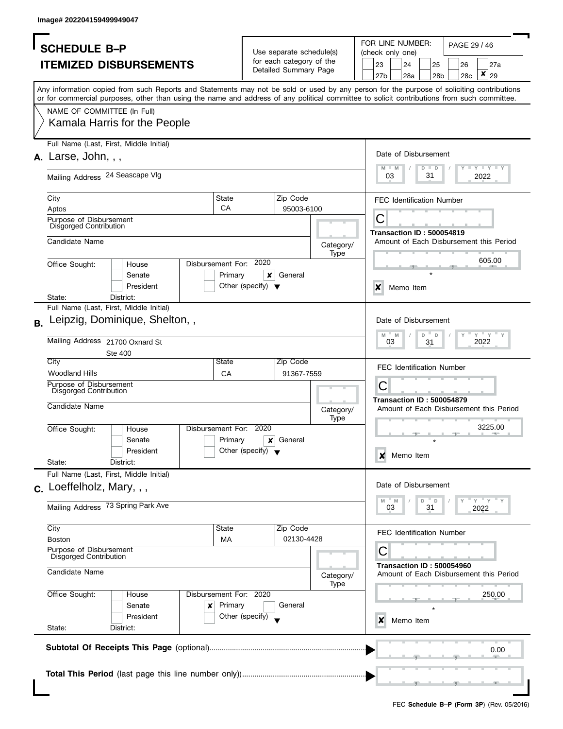| FOR LINE NUMBER:<br>PAGE 29 / 46<br>Use separate schedule(s)<br>(check only one)<br>for each category of the<br><b>ITEMIZED DISBURSEMENTS</b><br>23<br>24<br>25<br>26<br>27a<br>Detailed Summary Page<br>×<br>27b<br>28a<br>29<br>28c<br>28b<br>Any information copied from such Reports and Statements may not be sold or used by any person for the purpose of soliciting contributions<br>or for commercial purposes, other than using the name and address of any political committee to solicit contributions from such committee.<br>NAME OF COMMITTEE (In Full)<br>Kamala Harris for the People<br>Full Name (Last, First, Middle Initial)<br>Date of Disbursement<br>$A.$ Larse, John, , ,<br>$T - Y = Y + Y$<br>$M - M$<br>$D$ $D$<br>Mailing Address 24 Seascape VIg<br>31<br>03<br>2022<br>State<br>City<br>Zip Code<br><b>FEC Identification Number</b><br>CA<br>95003-6100<br>Aptos<br>С<br>Purpose of Disbursement<br><b>Disgorged Contribution</b><br><b>Transaction ID: 500054819</b><br>Candidate Name<br>Amount of Each Disbursement this Period<br>Category/<br>Type<br>605.00<br>Disbursement For: 2020<br>Office Sought:<br>House<br>Primary<br>×<br>General<br>Senate<br>President<br>Other (specify) $\blacktriangledown$<br>$\boldsymbol{\mathsf{x}}$<br>Memo Item<br>District:<br>State:<br>Full Name (Last, First, Middle Initial)<br>Leipzig, Dominique, Shelton,,<br>Date of Disbursement<br><b>B.</b><br>$Y$ $Y$<br>M<br>M<br>D<br>$\mathsf D$<br>Mailing Address 21700 Oxnard St<br>03<br>31<br>2022<br>Ste 400<br>City<br>State<br>Zip Code<br><b>FEC Identification Number</b><br><b>Woodland Hills</b><br>CA<br>91367-7559<br>Purpose of Disbursement<br>С<br><b>Disgorged Contribution</b><br><b>Transaction ID: 500054879</b><br>Candidate Name<br>Category/<br>Type<br>3225.00<br>Disbursement For:<br>2020<br>Office Sought:<br>House<br>Primary<br>General<br>x<br>Senate<br>Other (specify) $\blacktriangledown$<br>President<br>Memo Item<br>x<br>State:<br>District:<br>Full Name (Last, First, Middle Initial)<br>Date of Disbursement<br>$c.$ Loeffelholz, Mary, , ,<br>" γ " γ<br>" M<br>M<br>D<br>D<br>Mailing Address 73 Spring Park Ave<br>31<br>03<br>2022<br>City<br>Zip Code<br>State<br><b>FEC Identification Number</b><br>02130-4428<br><b>Boston</b><br>МA<br>Purpose of Disbursement<br>С<br>Disgorged Contribution<br><b>Transaction ID: 500054960</b><br>Candidate Name<br>Amount of Each Disbursement this Period<br>Category/<br>Type<br>Office Sought:<br>Disbursement For: 2020<br>250.00<br>House<br>Primary<br>General<br>Senate<br>x<br>President<br>Other (specify)<br>Memo Item<br>x<br>State:<br>District:<br>0.00 |                     |  |  |  |  |  |  |                                         |  |  |  |  |  |  |  |  |
|---------------------------------------------------------------------------------------------------------------------------------------------------------------------------------------------------------------------------------------------------------------------------------------------------------------------------------------------------------------------------------------------------------------------------------------------------------------------------------------------------------------------------------------------------------------------------------------------------------------------------------------------------------------------------------------------------------------------------------------------------------------------------------------------------------------------------------------------------------------------------------------------------------------------------------------------------------------------------------------------------------------------------------------------------------------------------------------------------------------------------------------------------------------------------------------------------------------------------------------------------------------------------------------------------------------------------------------------------------------------------------------------------------------------------------------------------------------------------------------------------------------------------------------------------------------------------------------------------------------------------------------------------------------------------------------------------------------------------------------------------------------------------------------------------------------------------------------------------------------------------------------------------------------------------------------------------------------------------------------------------------------------------------------------------------------------------------------------------------------------------------------------------------------------------------------------------------------------------------------------------------------------------------------------------------------------------------------------------------------------------------------------------------------------------------------------------------------------------------------------------------------------------------------------------------------------------------------------------------------------------------------------------------------------------------------|---------------------|--|--|--|--|--|--|-----------------------------------------|--|--|--|--|--|--|--|--|
|                                                                                                                                                                                                                                                                                                                                                                                                                                                                                                                                                                                                                                                                                                                                                                                                                                                                                                                                                                                                                                                                                                                                                                                                                                                                                                                                                                                                                                                                                                                                                                                                                                                                                                                                                                                                                                                                                                                                                                                                                                                                                                                                                                                                                                                                                                                                                                                                                                                                                                                                                                                                                                                                                       | <b>SCHEDULE B-P</b> |  |  |  |  |  |  |                                         |  |  |  |  |  |  |  |  |
|                                                                                                                                                                                                                                                                                                                                                                                                                                                                                                                                                                                                                                                                                                                                                                                                                                                                                                                                                                                                                                                                                                                                                                                                                                                                                                                                                                                                                                                                                                                                                                                                                                                                                                                                                                                                                                                                                                                                                                                                                                                                                                                                                                                                                                                                                                                                                                                                                                                                                                                                                                                                                                                                                       |                     |  |  |  |  |  |  |                                         |  |  |  |  |  |  |  |  |
|                                                                                                                                                                                                                                                                                                                                                                                                                                                                                                                                                                                                                                                                                                                                                                                                                                                                                                                                                                                                                                                                                                                                                                                                                                                                                                                                                                                                                                                                                                                                                                                                                                                                                                                                                                                                                                                                                                                                                                                                                                                                                                                                                                                                                                                                                                                                                                                                                                                                                                                                                                                                                                                                                       |                     |  |  |  |  |  |  |                                         |  |  |  |  |  |  |  |  |
|                                                                                                                                                                                                                                                                                                                                                                                                                                                                                                                                                                                                                                                                                                                                                                                                                                                                                                                                                                                                                                                                                                                                                                                                                                                                                                                                                                                                                                                                                                                                                                                                                                                                                                                                                                                                                                                                                                                                                                                                                                                                                                                                                                                                                                                                                                                                                                                                                                                                                                                                                                                                                                                                                       |                     |  |  |  |  |  |  |                                         |  |  |  |  |  |  |  |  |
|                                                                                                                                                                                                                                                                                                                                                                                                                                                                                                                                                                                                                                                                                                                                                                                                                                                                                                                                                                                                                                                                                                                                                                                                                                                                                                                                                                                                                                                                                                                                                                                                                                                                                                                                                                                                                                                                                                                                                                                                                                                                                                                                                                                                                                                                                                                                                                                                                                                                                                                                                                                                                                                                                       |                     |  |  |  |  |  |  |                                         |  |  |  |  |  |  |  |  |
|                                                                                                                                                                                                                                                                                                                                                                                                                                                                                                                                                                                                                                                                                                                                                                                                                                                                                                                                                                                                                                                                                                                                                                                                                                                                                                                                                                                                                                                                                                                                                                                                                                                                                                                                                                                                                                                                                                                                                                                                                                                                                                                                                                                                                                                                                                                                                                                                                                                                                                                                                                                                                                                                                       |                     |  |  |  |  |  |  |                                         |  |  |  |  |  |  |  |  |
|                                                                                                                                                                                                                                                                                                                                                                                                                                                                                                                                                                                                                                                                                                                                                                                                                                                                                                                                                                                                                                                                                                                                                                                                                                                                                                                                                                                                                                                                                                                                                                                                                                                                                                                                                                                                                                                                                                                                                                                                                                                                                                                                                                                                                                                                                                                                                                                                                                                                                                                                                                                                                                                                                       |                     |  |  |  |  |  |  |                                         |  |  |  |  |  |  |  |  |
|                                                                                                                                                                                                                                                                                                                                                                                                                                                                                                                                                                                                                                                                                                                                                                                                                                                                                                                                                                                                                                                                                                                                                                                                                                                                                                                                                                                                                                                                                                                                                                                                                                                                                                                                                                                                                                                                                                                                                                                                                                                                                                                                                                                                                                                                                                                                                                                                                                                                                                                                                                                                                                                                                       |                     |  |  |  |  |  |  |                                         |  |  |  |  |  |  |  |  |
|                                                                                                                                                                                                                                                                                                                                                                                                                                                                                                                                                                                                                                                                                                                                                                                                                                                                                                                                                                                                                                                                                                                                                                                                                                                                                                                                                                                                                                                                                                                                                                                                                                                                                                                                                                                                                                                                                                                                                                                                                                                                                                                                                                                                                                                                                                                                                                                                                                                                                                                                                                                                                                                                                       |                     |  |  |  |  |  |  |                                         |  |  |  |  |  |  |  |  |
|                                                                                                                                                                                                                                                                                                                                                                                                                                                                                                                                                                                                                                                                                                                                                                                                                                                                                                                                                                                                                                                                                                                                                                                                                                                                                                                                                                                                                                                                                                                                                                                                                                                                                                                                                                                                                                                                                                                                                                                                                                                                                                                                                                                                                                                                                                                                                                                                                                                                                                                                                                                                                                                                                       |                     |  |  |  |  |  |  |                                         |  |  |  |  |  |  |  |  |
|                                                                                                                                                                                                                                                                                                                                                                                                                                                                                                                                                                                                                                                                                                                                                                                                                                                                                                                                                                                                                                                                                                                                                                                                                                                                                                                                                                                                                                                                                                                                                                                                                                                                                                                                                                                                                                                                                                                                                                                                                                                                                                                                                                                                                                                                                                                                                                                                                                                                                                                                                                                                                                                                                       |                     |  |  |  |  |  |  |                                         |  |  |  |  |  |  |  |  |
|                                                                                                                                                                                                                                                                                                                                                                                                                                                                                                                                                                                                                                                                                                                                                                                                                                                                                                                                                                                                                                                                                                                                                                                                                                                                                                                                                                                                                                                                                                                                                                                                                                                                                                                                                                                                                                                                                                                                                                                                                                                                                                                                                                                                                                                                                                                                                                                                                                                                                                                                                                                                                                                                                       |                     |  |  |  |  |  |  |                                         |  |  |  |  |  |  |  |  |
|                                                                                                                                                                                                                                                                                                                                                                                                                                                                                                                                                                                                                                                                                                                                                                                                                                                                                                                                                                                                                                                                                                                                                                                                                                                                                                                                                                                                                                                                                                                                                                                                                                                                                                                                                                                                                                                                                                                                                                                                                                                                                                                                                                                                                                                                                                                                                                                                                                                                                                                                                                                                                                                                                       |                     |  |  |  |  |  |  |                                         |  |  |  |  |  |  |  |  |
|                                                                                                                                                                                                                                                                                                                                                                                                                                                                                                                                                                                                                                                                                                                                                                                                                                                                                                                                                                                                                                                                                                                                                                                                                                                                                                                                                                                                                                                                                                                                                                                                                                                                                                                                                                                                                                                                                                                                                                                                                                                                                                                                                                                                                                                                                                                                                                                                                                                                                                                                                                                                                                                                                       |                     |  |  |  |  |  |  |                                         |  |  |  |  |  |  |  |  |
|                                                                                                                                                                                                                                                                                                                                                                                                                                                                                                                                                                                                                                                                                                                                                                                                                                                                                                                                                                                                                                                                                                                                                                                                                                                                                                                                                                                                                                                                                                                                                                                                                                                                                                                                                                                                                                                                                                                                                                                                                                                                                                                                                                                                                                                                                                                                                                                                                                                                                                                                                                                                                                                                                       |                     |  |  |  |  |  |  |                                         |  |  |  |  |  |  |  |  |
|                                                                                                                                                                                                                                                                                                                                                                                                                                                                                                                                                                                                                                                                                                                                                                                                                                                                                                                                                                                                                                                                                                                                                                                                                                                                                                                                                                                                                                                                                                                                                                                                                                                                                                                                                                                                                                                                                                                                                                                                                                                                                                                                                                                                                                                                                                                                                                                                                                                                                                                                                                                                                                                                                       |                     |  |  |  |  |  |  |                                         |  |  |  |  |  |  |  |  |
|                                                                                                                                                                                                                                                                                                                                                                                                                                                                                                                                                                                                                                                                                                                                                                                                                                                                                                                                                                                                                                                                                                                                                                                                                                                                                                                                                                                                                                                                                                                                                                                                                                                                                                                                                                                                                                                                                                                                                                                                                                                                                                                                                                                                                                                                                                                                                                                                                                                                                                                                                                                                                                                                                       |                     |  |  |  |  |  |  |                                         |  |  |  |  |  |  |  |  |
|                                                                                                                                                                                                                                                                                                                                                                                                                                                                                                                                                                                                                                                                                                                                                                                                                                                                                                                                                                                                                                                                                                                                                                                                                                                                                                                                                                                                                                                                                                                                                                                                                                                                                                                                                                                                                                                                                                                                                                                                                                                                                                                                                                                                                                                                                                                                                                                                                                                                                                                                                                                                                                                                                       |                     |  |  |  |  |  |  |                                         |  |  |  |  |  |  |  |  |
|                                                                                                                                                                                                                                                                                                                                                                                                                                                                                                                                                                                                                                                                                                                                                                                                                                                                                                                                                                                                                                                                                                                                                                                                                                                                                                                                                                                                                                                                                                                                                                                                                                                                                                                                                                                                                                                                                                                                                                                                                                                                                                                                                                                                                                                                                                                                                                                                                                                                                                                                                                                                                                                                                       |                     |  |  |  |  |  |  |                                         |  |  |  |  |  |  |  |  |
|                                                                                                                                                                                                                                                                                                                                                                                                                                                                                                                                                                                                                                                                                                                                                                                                                                                                                                                                                                                                                                                                                                                                                                                                                                                                                                                                                                                                                                                                                                                                                                                                                                                                                                                                                                                                                                                                                                                                                                                                                                                                                                                                                                                                                                                                                                                                                                                                                                                                                                                                                                                                                                                                                       |                     |  |  |  |  |  |  |                                         |  |  |  |  |  |  |  |  |
|                                                                                                                                                                                                                                                                                                                                                                                                                                                                                                                                                                                                                                                                                                                                                                                                                                                                                                                                                                                                                                                                                                                                                                                                                                                                                                                                                                                                                                                                                                                                                                                                                                                                                                                                                                                                                                                                                                                                                                                                                                                                                                                                                                                                                                                                                                                                                                                                                                                                                                                                                                                                                                                                                       |                     |  |  |  |  |  |  |                                         |  |  |  |  |  |  |  |  |
|                                                                                                                                                                                                                                                                                                                                                                                                                                                                                                                                                                                                                                                                                                                                                                                                                                                                                                                                                                                                                                                                                                                                                                                                                                                                                                                                                                                                                                                                                                                                                                                                                                                                                                                                                                                                                                                                                                                                                                                                                                                                                                                                                                                                                                                                                                                                                                                                                                                                                                                                                                                                                                                                                       |                     |  |  |  |  |  |  |                                         |  |  |  |  |  |  |  |  |
|                                                                                                                                                                                                                                                                                                                                                                                                                                                                                                                                                                                                                                                                                                                                                                                                                                                                                                                                                                                                                                                                                                                                                                                                                                                                                                                                                                                                                                                                                                                                                                                                                                                                                                                                                                                                                                                                                                                                                                                                                                                                                                                                                                                                                                                                                                                                                                                                                                                                                                                                                                                                                                                                                       |                     |  |  |  |  |  |  |                                         |  |  |  |  |  |  |  |  |
|                                                                                                                                                                                                                                                                                                                                                                                                                                                                                                                                                                                                                                                                                                                                                                                                                                                                                                                                                                                                                                                                                                                                                                                                                                                                                                                                                                                                                                                                                                                                                                                                                                                                                                                                                                                                                                                                                                                                                                                                                                                                                                                                                                                                                                                                                                                                                                                                                                                                                                                                                                                                                                                                                       |                     |  |  |  |  |  |  |                                         |  |  |  |  |  |  |  |  |
|                                                                                                                                                                                                                                                                                                                                                                                                                                                                                                                                                                                                                                                                                                                                                                                                                                                                                                                                                                                                                                                                                                                                                                                                                                                                                                                                                                                                                                                                                                                                                                                                                                                                                                                                                                                                                                                                                                                                                                                                                                                                                                                                                                                                                                                                                                                                                                                                                                                                                                                                                                                                                                                                                       |                     |  |  |  |  |  |  |                                         |  |  |  |  |  |  |  |  |
|                                                                                                                                                                                                                                                                                                                                                                                                                                                                                                                                                                                                                                                                                                                                                                                                                                                                                                                                                                                                                                                                                                                                                                                                                                                                                                                                                                                                                                                                                                                                                                                                                                                                                                                                                                                                                                                                                                                                                                                                                                                                                                                                                                                                                                                                                                                                                                                                                                                                                                                                                                                                                                                                                       |                     |  |  |  |  |  |  |                                         |  |  |  |  |  |  |  |  |
|                                                                                                                                                                                                                                                                                                                                                                                                                                                                                                                                                                                                                                                                                                                                                                                                                                                                                                                                                                                                                                                                                                                                                                                                                                                                                                                                                                                                                                                                                                                                                                                                                                                                                                                                                                                                                                                                                                                                                                                                                                                                                                                                                                                                                                                                                                                                                                                                                                                                                                                                                                                                                                                                                       |                     |  |  |  |  |  |  |                                         |  |  |  |  |  |  |  |  |
|                                                                                                                                                                                                                                                                                                                                                                                                                                                                                                                                                                                                                                                                                                                                                                                                                                                                                                                                                                                                                                                                                                                                                                                                                                                                                                                                                                                                                                                                                                                                                                                                                                                                                                                                                                                                                                                                                                                                                                                                                                                                                                                                                                                                                                                                                                                                                                                                                                                                                                                                                                                                                                                                                       |                     |  |  |  |  |  |  |                                         |  |  |  |  |  |  |  |  |
|                                                                                                                                                                                                                                                                                                                                                                                                                                                                                                                                                                                                                                                                                                                                                                                                                                                                                                                                                                                                                                                                                                                                                                                                                                                                                                                                                                                                                                                                                                                                                                                                                                                                                                                                                                                                                                                                                                                                                                                                                                                                                                                                                                                                                                                                                                                                                                                                                                                                                                                                                                                                                                                                                       |                     |  |  |  |  |  |  |                                         |  |  |  |  |  |  |  |  |
|                                                                                                                                                                                                                                                                                                                                                                                                                                                                                                                                                                                                                                                                                                                                                                                                                                                                                                                                                                                                                                                                                                                                                                                                                                                                                                                                                                                                                                                                                                                                                                                                                                                                                                                                                                                                                                                                                                                                                                                                                                                                                                                                                                                                                                                                                                                                                                                                                                                                                                                                                                                                                                                                                       |                     |  |  |  |  |  |  | Amount of Each Disbursement this Period |  |  |  |  |  |  |  |  |
|                                                                                                                                                                                                                                                                                                                                                                                                                                                                                                                                                                                                                                                                                                                                                                                                                                                                                                                                                                                                                                                                                                                                                                                                                                                                                                                                                                                                                                                                                                                                                                                                                                                                                                                                                                                                                                                                                                                                                                                                                                                                                                                                                                                                                                                                                                                                                                                                                                                                                                                                                                                                                                                                                       |                     |  |  |  |  |  |  |                                         |  |  |  |  |  |  |  |  |
|                                                                                                                                                                                                                                                                                                                                                                                                                                                                                                                                                                                                                                                                                                                                                                                                                                                                                                                                                                                                                                                                                                                                                                                                                                                                                                                                                                                                                                                                                                                                                                                                                                                                                                                                                                                                                                                                                                                                                                                                                                                                                                                                                                                                                                                                                                                                                                                                                                                                                                                                                                                                                                                                                       |                     |  |  |  |  |  |  |                                         |  |  |  |  |  |  |  |  |
|                                                                                                                                                                                                                                                                                                                                                                                                                                                                                                                                                                                                                                                                                                                                                                                                                                                                                                                                                                                                                                                                                                                                                                                                                                                                                                                                                                                                                                                                                                                                                                                                                                                                                                                                                                                                                                                                                                                                                                                                                                                                                                                                                                                                                                                                                                                                                                                                                                                                                                                                                                                                                                                                                       |                     |  |  |  |  |  |  |                                         |  |  |  |  |  |  |  |  |
|                                                                                                                                                                                                                                                                                                                                                                                                                                                                                                                                                                                                                                                                                                                                                                                                                                                                                                                                                                                                                                                                                                                                                                                                                                                                                                                                                                                                                                                                                                                                                                                                                                                                                                                                                                                                                                                                                                                                                                                                                                                                                                                                                                                                                                                                                                                                                                                                                                                                                                                                                                                                                                                                                       |                     |  |  |  |  |  |  |                                         |  |  |  |  |  |  |  |  |
|                                                                                                                                                                                                                                                                                                                                                                                                                                                                                                                                                                                                                                                                                                                                                                                                                                                                                                                                                                                                                                                                                                                                                                                                                                                                                                                                                                                                                                                                                                                                                                                                                                                                                                                                                                                                                                                                                                                                                                                                                                                                                                                                                                                                                                                                                                                                                                                                                                                                                                                                                                                                                                                                                       |                     |  |  |  |  |  |  |                                         |  |  |  |  |  |  |  |  |
|                                                                                                                                                                                                                                                                                                                                                                                                                                                                                                                                                                                                                                                                                                                                                                                                                                                                                                                                                                                                                                                                                                                                                                                                                                                                                                                                                                                                                                                                                                                                                                                                                                                                                                                                                                                                                                                                                                                                                                                                                                                                                                                                                                                                                                                                                                                                                                                                                                                                                                                                                                                                                                                                                       |                     |  |  |  |  |  |  |                                         |  |  |  |  |  |  |  |  |
|                                                                                                                                                                                                                                                                                                                                                                                                                                                                                                                                                                                                                                                                                                                                                                                                                                                                                                                                                                                                                                                                                                                                                                                                                                                                                                                                                                                                                                                                                                                                                                                                                                                                                                                                                                                                                                                                                                                                                                                                                                                                                                                                                                                                                                                                                                                                                                                                                                                                                                                                                                                                                                                                                       |                     |  |  |  |  |  |  |                                         |  |  |  |  |  |  |  |  |
|                                                                                                                                                                                                                                                                                                                                                                                                                                                                                                                                                                                                                                                                                                                                                                                                                                                                                                                                                                                                                                                                                                                                                                                                                                                                                                                                                                                                                                                                                                                                                                                                                                                                                                                                                                                                                                                                                                                                                                                                                                                                                                                                                                                                                                                                                                                                                                                                                                                                                                                                                                                                                                                                                       |                     |  |  |  |  |  |  |                                         |  |  |  |  |  |  |  |  |
|                                                                                                                                                                                                                                                                                                                                                                                                                                                                                                                                                                                                                                                                                                                                                                                                                                                                                                                                                                                                                                                                                                                                                                                                                                                                                                                                                                                                                                                                                                                                                                                                                                                                                                                                                                                                                                                                                                                                                                                                                                                                                                                                                                                                                                                                                                                                                                                                                                                                                                                                                                                                                                                                                       |                     |  |  |  |  |  |  |                                         |  |  |  |  |  |  |  |  |
|                                                                                                                                                                                                                                                                                                                                                                                                                                                                                                                                                                                                                                                                                                                                                                                                                                                                                                                                                                                                                                                                                                                                                                                                                                                                                                                                                                                                                                                                                                                                                                                                                                                                                                                                                                                                                                                                                                                                                                                                                                                                                                                                                                                                                                                                                                                                                                                                                                                                                                                                                                                                                                                                                       |                     |  |  |  |  |  |  |                                         |  |  |  |  |  |  |  |  |
|                                                                                                                                                                                                                                                                                                                                                                                                                                                                                                                                                                                                                                                                                                                                                                                                                                                                                                                                                                                                                                                                                                                                                                                                                                                                                                                                                                                                                                                                                                                                                                                                                                                                                                                                                                                                                                                                                                                                                                                                                                                                                                                                                                                                                                                                                                                                                                                                                                                                                                                                                                                                                                                                                       |                     |  |  |  |  |  |  |                                         |  |  |  |  |  |  |  |  |
|                                                                                                                                                                                                                                                                                                                                                                                                                                                                                                                                                                                                                                                                                                                                                                                                                                                                                                                                                                                                                                                                                                                                                                                                                                                                                                                                                                                                                                                                                                                                                                                                                                                                                                                                                                                                                                                                                                                                                                                                                                                                                                                                                                                                                                                                                                                                                                                                                                                                                                                                                                                                                                                                                       |                     |  |  |  |  |  |  |                                         |  |  |  |  |  |  |  |  |
|                                                                                                                                                                                                                                                                                                                                                                                                                                                                                                                                                                                                                                                                                                                                                                                                                                                                                                                                                                                                                                                                                                                                                                                                                                                                                                                                                                                                                                                                                                                                                                                                                                                                                                                                                                                                                                                                                                                                                                                                                                                                                                                                                                                                                                                                                                                                                                                                                                                                                                                                                                                                                                                                                       |                     |  |  |  |  |  |  |                                         |  |  |  |  |  |  |  |  |
|                                                                                                                                                                                                                                                                                                                                                                                                                                                                                                                                                                                                                                                                                                                                                                                                                                                                                                                                                                                                                                                                                                                                                                                                                                                                                                                                                                                                                                                                                                                                                                                                                                                                                                                                                                                                                                                                                                                                                                                                                                                                                                                                                                                                                                                                                                                                                                                                                                                                                                                                                                                                                                                                                       |                     |  |  |  |  |  |  |                                         |  |  |  |  |  |  |  |  |
|                                                                                                                                                                                                                                                                                                                                                                                                                                                                                                                                                                                                                                                                                                                                                                                                                                                                                                                                                                                                                                                                                                                                                                                                                                                                                                                                                                                                                                                                                                                                                                                                                                                                                                                                                                                                                                                                                                                                                                                                                                                                                                                                                                                                                                                                                                                                                                                                                                                                                                                                                                                                                                                                                       |                     |  |  |  |  |  |  |                                         |  |  |  |  |  |  |  |  |
|                                                                                                                                                                                                                                                                                                                                                                                                                                                                                                                                                                                                                                                                                                                                                                                                                                                                                                                                                                                                                                                                                                                                                                                                                                                                                                                                                                                                                                                                                                                                                                                                                                                                                                                                                                                                                                                                                                                                                                                                                                                                                                                                                                                                                                                                                                                                                                                                                                                                                                                                                                                                                                                                                       |                     |  |  |  |  |  |  |                                         |  |  |  |  |  |  |  |  |
|                                                                                                                                                                                                                                                                                                                                                                                                                                                                                                                                                                                                                                                                                                                                                                                                                                                                                                                                                                                                                                                                                                                                                                                                                                                                                                                                                                                                                                                                                                                                                                                                                                                                                                                                                                                                                                                                                                                                                                                                                                                                                                                                                                                                                                                                                                                                                                                                                                                                                                                                                                                                                                                                                       |                     |  |  |  |  |  |  |                                         |  |  |  |  |  |  |  |  |
|                                                                                                                                                                                                                                                                                                                                                                                                                                                                                                                                                                                                                                                                                                                                                                                                                                                                                                                                                                                                                                                                                                                                                                                                                                                                                                                                                                                                                                                                                                                                                                                                                                                                                                                                                                                                                                                                                                                                                                                                                                                                                                                                                                                                                                                                                                                                                                                                                                                                                                                                                                                                                                                                                       |                     |  |  |  |  |  |  |                                         |  |  |  |  |  |  |  |  |
|                                                                                                                                                                                                                                                                                                                                                                                                                                                                                                                                                                                                                                                                                                                                                                                                                                                                                                                                                                                                                                                                                                                                                                                                                                                                                                                                                                                                                                                                                                                                                                                                                                                                                                                                                                                                                                                                                                                                                                                                                                                                                                                                                                                                                                                                                                                                                                                                                                                                                                                                                                                                                                                                                       |                     |  |  |  |  |  |  |                                         |  |  |  |  |  |  |  |  |
|                                                                                                                                                                                                                                                                                                                                                                                                                                                                                                                                                                                                                                                                                                                                                                                                                                                                                                                                                                                                                                                                                                                                                                                                                                                                                                                                                                                                                                                                                                                                                                                                                                                                                                                                                                                                                                                                                                                                                                                                                                                                                                                                                                                                                                                                                                                                                                                                                                                                                                                                                                                                                                                                                       |                     |  |  |  |  |  |  |                                         |  |  |  |  |  |  |  |  |
|                                                                                                                                                                                                                                                                                                                                                                                                                                                                                                                                                                                                                                                                                                                                                                                                                                                                                                                                                                                                                                                                                                                                                                                                                                                                                                                                                                                                                                                                                                                                                                                                                                                                                                                                                                                                                                                                                                                                                                                                                                                                                                                                                                                                                                                                                                                                                                                                                                                                                                                                                                                                                                                                                       |                     |  |  |  |  |  |  |                                         |  |  |  |  |  |  |  |  |
|                                                                                                                                                                                                                                                                                                                                                                                                                                                                                                                                                                                                                                                                                                                                                                                                                                                                                                                                                                                                                                                                                                                                                                                                                                                                                                                                                                                                                                                                                                                                                                                                                                                                                                                                                                                                                                                                                                                                                                                                                                                                                                                                                                                                                                                                                                                                                                                                                                                                                                                                                                                                                                                                                       |                     |  |  |  |  |  |  |                                         |  |  |  |  |  |  |  |  |
|                                                                                                                                                                                                                                                                                                                                                                                                                                                                                                                                                                                                                                                                                                                                                                                                                                                                                                                                                                                                                                                                                                                                                                                                                                                                                                                                                                                                                                                                                                                                                                                                                                                                                                                                                                                                                                                                                                                                                                                                                                                                                                                                                                                                                                                                                                                                                                                                                                                                                                                                                                                                                                                                                       |                     |  |  |  |  |  |  |                                         |  |  |  |  |  |  |  |  |
|                                                                                                                                                                                                                                                                                                                                                                                                                                                                                                                                                                                                                                                                                                                                                                                                                                                                                                                                                                                                                                                                                                                                                                                                                                                                                                                                                                                                                                                                                                                                                                                                                                                                                                                                                                                                                                                                                                                                                                                                                                                                                                                                                                                                                                                                                                                                                                                                                                                                                                                                                                                                                                                                                       |                     |  |  |  |  |  |  |                                         |  |  |  |  |  |  |  |  |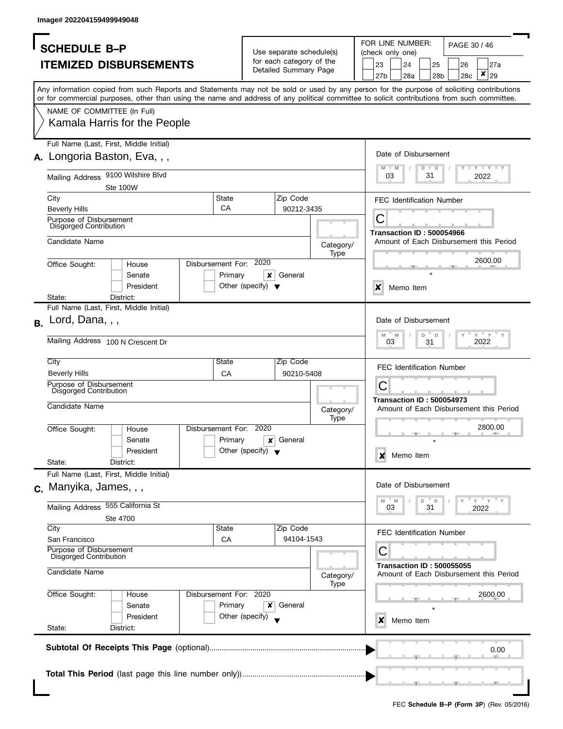|           | <b>SCHEDULE B-P</b>                                      |                                         |                        |                                      |                                                      |                   | FOR LINE NUMBER:<br>PAGE 30 / 46                                                                                                                                                                                                                                                        |  |  |  |  |  |  |  |
|-----------|----------------------------------------------------------|-----------------------------------------|------------------------|--------------------------------------|------------------------------------------------------|-------------------|-----------------------------------------------------------------------------------------------------------------------------------------------------------------------------------------------------------------------------------------------------------------------------------------|--|--|--|--|--|--|--|
|           |                                                          |                                         |                        |                                      | Use separate schedule(s)<br>for each category of the |                   | (check only one)                                                                                                                                                                                                                                                                        |  |  |  |  |  |  |  |
|           |                                                          | <b>ITEMIZED DISBURSEMENTS</b>           |                        |                                      | Detailed Summary Page                                |                   | 23<br>24<br>25<br>27a<br>26<br>×<br>27 <sub>b</sub><br>28a<br>29<br>28 <sub>b</sub>                                                                                                                                                                                                     |  |  |  |  |  |  |  |
|           |                                                          |                                         |                        |                                      |                                                      |                   | 28c                                                                                                                                                                                                                                                                                     |  |  |  |  |  |  |  |
|           |                                                          |                                         |                        |                                      |                                                      |                   | Any information copied from such Reports and Statements may not be sold or used by any person for the purpose of soliciting contributions<br>or for commercial purposes, other than using the name and address of any political committee to solicit contributions from such committee. |  |  |  |  |  |  |  |
|           | NAME OF COMMITTEE (In Full)                              |                                         |                        |                                      |                                                      |                   |                                                                                                                                                                                                                                                                                         |  |  |  |  |  |  |  |
|           |                                                          | Kamala Harris for the People            |                        |                                      |                                                      |                   |                                                                                                                                                                                                                                                                                         |  |  |  |  |  |  |  |
|           |                                                          | Full Name (Last, First, Middle Initial) |                        |                                      |                                                      |                   |                                                                                                                                                                                                                                                                                         |  |  |  |  |  |  |  |
|           |                                                          | A. Longoria Baston, Eva, , ,            |                        |                                      |                                                      |                   | Date of Disbursement                                                                                                                                                                                                                                                                    |  |  |  |  |  |  |  |
|           |                                                          | Mailing Address 9100 Wilshire Blvd      |                        |                                      |                                                      |                   | $\mathbf{I}$ $\mathbf{Y}$ $\mathbf{I}$ $\mathbf{Y}$ $\mathbf{I}$ $\mathbf{Y}$<br>M<br>$-M$<br>$D$ $D$<br>03<br>31<br>2022                                                                                                                                                               |  |  |  |  |  |  |  |
|           |                                                          | Ste 100W                                |                        |                                      |                                                      |                   |                                                                                                                                                                                                                                                                                         |  |  |  |  |  |  |  |
|           | City                                                     |                                         | <b>State</b>           |                                      | Zip Code                                             |                   | <b>FEC Identification Number</b>                                                                                                                                                                                                                                                        |  |  |  |  |  |  |  |
|           | <b>Beverly Hills</b>                                     |                                         | CA                     |                                      | 90212-3435                                           |                   |                                                                                                                                                                                                                                                                                         |  |  |  |  |  |  |  |
|           | Purpose of Disbursement<br><b>Disgorged Contribution</b> |                                         |                        |                                      |                                                      |                   | С                                                                                                                                                                                                                                                                                       |  |  |  |  |  |  |  |
|           |                                                          |                                         |                        |                                      |                                                      |                   | <b>Transaction ID: 500054966</b>                                                                                                                                                                                                                                                        |  |  |  |  |  |  |  |
|           | Candidate Name                                           |                                         |                        |                                      |                                                      | Category/         | Amount of Each Disbursement this Period                                                                                                                                                                                                                                                 |  |  |  |  |  |  |  |
|           | Office Sought:                                           | House                                   | Disbursement For: 2020 |                                      |                                                      | Type              | 2600.00                                                                                                                                                                                                                                                                                 |  |  |  |  |  |  |  |
|           |                                                          | Senate                                  | Primary                | ×                                    | General                                              |                   |                                                                                                                                                                                                                                                                                         |  |  |  |  |  |  |  |
|           |                                                          | President                               |                        | Other (specify) $\blacktriangledown$ |                                                      |                   | $\boldsymbol{x}$<br>Memo Item                                                                                                                                                                                                                                                           |  |  |  |  |  |  |  |
|           | State:                                                   | District:                               |                        |                                      |                                                      |                   |                                                                                                                                                                                                                                                                                         |  |  |  |  |  |  |  |
|           |                                                          | Full Name (Last, First, Middle Initial) |                        |                                      |                                                      |                   |                                                                                                                                                                                                                                                                                         |  |  |  |  |  |  |  |
| <b>B.</b> | Lord, Dana, $, ,$                                        |                                         |                        |                                      |                                                      |                   | Date of Disbursement                                                                                                                                                                                                                                                                    |  |  |  |  |  |  |  |
|           |                                                          | Mailing Address 100 N Crescent Dr       |                        |                                      |                                                      |                   | $Y$ $Y$ $Y$<br>$\mathsf D$<br>M<br>M<br>D                                                                                                                                                                                                                                               |  |  |  |  |  |  |  |
|           |                                                          |                                         |                        |                                      |                                                      |                   | 03<br>2022<br>31                                                                                                                                                                                                                                                                        |  |  |  |  |  |  |  |
|           | City                                                     |                                         | State                  |                                      | Zip Code                                             |                   |                                                                                                                                                                                                                                                                                         |  |  |  |  |  |  |  |
|           | <b>Beverly Hills</b>                                     |                                         | CA                     |                                      | 90210-5408                                           |                   | <b>FEC Identification Number</b>                                                                                                                                                                                                                                                        |  |  |  |  |  |  |  |
|           | Purpose of Disbursement<br>Disgorged Contribution        |                                         |                        |                                      |                                                      |                   | С                                                                                                                                                                                                                                                                                       |  |  |  |  |  |  |  |
|           | Candidate Name                                           |                                         |                        |                                      |                                                      |                   | <b>Transaction ID: 500054973</b>                                                                                                                                                                                                                                                        |  |  |  |  |  |  |  |
|           |                                                          |                                         |                        |                                      |                                                      | Category/<br>Type | Amount of Each Disbursement this Period                                                                                                                                                                                                                                                 |  |  |  |  |  |  |  |
|           | Office Sought:                                           | House                                   | Disbursement For: 2020 |                                      |                                                      |                   | 2800.00                                                                                                                                                                                                                                                                                 |  |  |  |  |  |  |  |
|           |                                                          | Senate                                  | Primary                | x                                    | General                                              |                   |                                                                                                                                                                                                                                                                                         |  |  |  |  |  |  |  |
|           |                                                          | President                               |                        | Other (specify) $\blacktriangledown$ |                                                      |                   | Memo Item<br>x                                                                                                                                                                                                                                                                          |  |  |  |  |  |  |  |
|           | State:                                                   | District:                               |                        |                                      |                                                      |                   |                                                                                                                                                                                                                                                                                         |  |  |  |  |  |  |  |
|           |                                                          | Full Name (Last, First, Middle Initial) |                        |                                      |                                                      |                   |                                                                                                                                                                                                                                                                                         |  |  |  |  |  |  |  |
|           | c. Manyika, James, , ,                                   |                                         |                        |                                      |                                                      |                   | Date of Disbursement                                                                                                                                                                                                                                                                    |  |  |  |  |  |  |  |
|           | Mailing Address 555 California St                        |                                         |                        |                                      |                                                      |                   | $= Y = Y$<br>$-M$<br>M<br>D<br>D                                                                                                                                                                                                                                                        |  |  |  |  |  |  |  |
|           |                                                          | Ste 4700                                |                        |                                      |                                                      |                   | 03<br>31<br>2022                                                                                                                                                                                                                                                                        |  |  |  |  |  |  |  |
|           | City                                                     |                                         | State                  |                                      | Zip Code                                             |                   |                                                                                                                                                                                                                                                                                         |  |  |  |  |  |  |  |
|           | San Francisco                                            |                                         | CA                     |                                      | 94104-1543                                           |                   | <b>FEC Identification Number</b>                                                                                                                                                                                                                                                        |  |  |  |  |  |  |  |
|           | Purpose of Disbursement<br><b>Disgorged Contribution</b> |                                         |                        |                                      |                                                      |                   | С                                                                                                                                                                                                                                                                                       |  |  |  |  |  |  |  |
|           | Candidate Name                                           |                                         |                        |                                      |                                                      | Category/<br>Type | <b>Transaction ID: 500055055</b><br>Amount of Each Disbursement this Period                                                                                                                                                                                                             |  |  |  |  |  |  |  |
|           | Office Sought:                                           | House                                   | Disbursement For: 2020 |                                      |                                                      |                   | 2600.00                                                                                                                                                                                                                                                                                 |  |  |  |  |  |  |  |
|           |                                                          | Senate                                  | Primary                | x                                    | General                                              |                   |                                                                                                                                                                                                                                                                                         |  |  |  |  |  |  |  |
|           |                                                          | President                               |                        | Other (specify)                      |                                                      |                   | Memo Item<br>x                                                                                                                                                                                                                                                                          |  |  |  |  |  |  |  |
|           | State:                                                   | District:                               |                        |                                      |                                                      |                   |                                                                                                                                                                                                                                                                                         |  |  |  |  |  |  |  |
|           |                                                          |                                         |                        |                                      |                                                      |                   |                                                                                                                                                                                                                                                                                         |  |  |  |  |  |  |  |
|           |                                                          |                                         |                        |                                      |                                                      |                   | 0.00                                                                                                                                                                                                                                                                                    |  |  |  |  |  |  |  |
|           |                                                          |                                         |                        |                                      |                                                      |                   |                                                                                                                                                                                                                                                                                         |  |  |  |  |  |  |  |
|           |                                                          |                                         |                        |                                      |                                                      |                   |                                                                                                                                                                                                                                                                                         |  |  |  |  |  |  |  |
|           |                                                          |                                         |                        |                                      |                                                      |                   |                                                                                                                                                                                                                                                                                         |  |  |  |  |  |  |  |
|           |                                                          |                                         |                        |                                      |                                                      |                   |                                                                                                                                                                                                                                                                                         |  |  |  |  |  |  |  |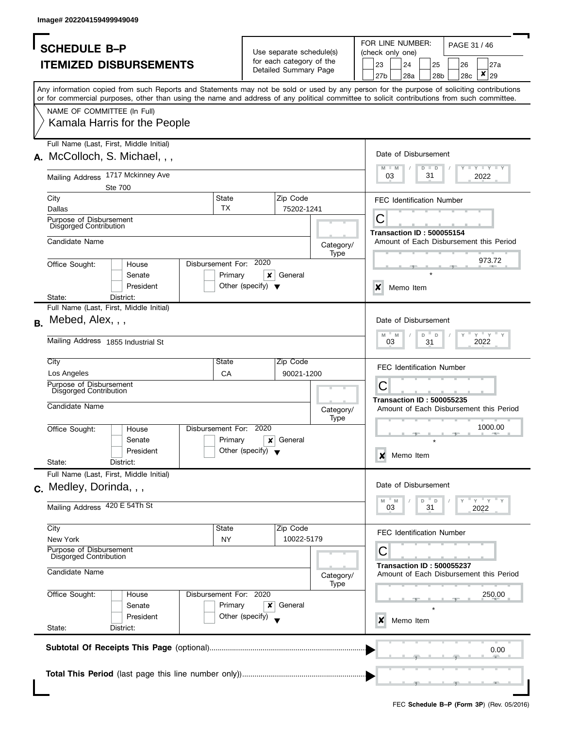| <b>SCHEDULE B-P</b><br><b>ITEMIZED DISBURSEMENTS</b><br>Any information copied from such Reports and Statements may not be sold or used by any person for the purpose of soliciting contributions<br>or for commercial purposes, other than using the name and address of any political committee to solicit contributions from such committee.<br>NAME OF COMMITTEE (In Full)<br>Kamala Harris for the People<br>Full Name (Last, First, Middle Initial)<br>A. McColloch, S. Michael, , ,<br>Mailing Address 1717 Mckinney Ave<br><b>Ste 700</b><br>State<br>City |                                      | Use separate schedule(s)<br>for each category of the<br>Detailed Summary Page |                          | FOR LINE NUMBER:<br>PAGE 31 / 46<br>(check only one)<br>23<br>24<br>25<br>27a<br>26<br>×<br>29<br>27b<br>28a<br>28 <sub>b</sub><br>28c |  |  |  |  |  |  |
|--------------------------------------------------------------------------------------------------------------------------------------------------------------------------------------------------------------------------------------------------------------------------------------------------------------------------------------------------------------------------------------------------------------------------------------------------------------------------------------------------------------------------------------------------------------------|--------------------------------------|-------------------------------------------------------------------------------|--------------------------|----------------------------------------------------------------------------------------------------------------------------------------|--|--|--|--|--|--|
|                                                                                                                                                                                                                                                                                                                                                                                                                                                                                                                                                                    |                                      |                                                                               |                          |                                                                                                                                        |  |  |  |  |  |  |
|                                                                                                                                                                                                                                                                                                                                                                                                                                                                                                                                                                    |                                      |                                                                               |                          |                                                                                                                                        |  |  |  |  |  |  |
|                                                                                                                                                                                                                                                                                                                                                                                                                                                                                                                                                                    |                                      |                                                                               |                          |                                                                                                                                        |  |  |  |  |  |  |
|                                                                                                                                                                                                                                                                                                                                                                                                                                                                                                                                                                    |                                      |                                                                               |                          |                                                                                                                                        |  |  |  |  |  |  |
|                                                                                                                                                                                                                                                                                                                                                                                                                                                                                                                                                                    |                                      |                                                                               |                          |                                                                                                                                        |  |  |  |  |  |  |
|                                                                                                                                                                                                                                                                                                                                                                                                                                                                                                                                                                    |                                      |                                                                               |                          |                                                                                                                                        |  |  |  |  |  |  |
|                                                                                                                                                                                                                                                                                                                                                                                                                                                                                                                                                                    |                                      |                                                                               |                          |                                                                                                                                        |  |  |  |  |  |  |
|                                                                                                                                                                                                                                                                                                                                                                                                                                                                                                                                                                    |                                      |                                                                               |                          |                                                                                                                                        |  |  |  |  |  |  |
|                                                                                                                                                                                                                                                                                                                                                                                                                                                                                                                                                                    |                                      |                                                                               |                          | Date of Disbursement                                                                                                                   |  |  |  |  |  |  |
|                                                                                                                                                                                                                                                                                                                                                                                                                                                                                                                                                                    |                                      |                                                                               |                          | $\Box$ $\Upsilon$ $\Box$ $\Upsilon$ $\Box$ $\Upsilon$<br>M<br>$-M$<br>$D$ $D$<br>31<br>03<br>2022                                      |  |  |  |  |  |  |
|                                                                                                                                                                                                                                                                                                                                                                                                                                                                                                                                                                    |                                      |                                                                               |                          |                                                                                                                                        |  |  |  |  |  |  |
|                                                                                                                                                                                                                                                                                                                                                                                                                                                                                                                                                                    |                                      | Zip Code                                                                      |                          | <b>FEC Identification Number</b>                                                                                                       |  |  |  |  |  |  |
| <b>TX</b><br>Dallas                                                                                                                                                                                                                                                                                                                                                                                                                                                                                                                                                |                                      | 75202-1241                                                                    |                          |                                                                                                                                        |  |  |  |  |  |  |
| Purpose of Disbursement                                                                                                                                                                                                                                                                                                                                                                                                                                                                                                                                            |                                      |                                                                               |                          | С                                                                                                                                      |  |  |  |  |  |  |
| Disgorged Contribution                                                                                                                                                                                                                                                                                                                                                                                                                                                                                                                                             |                                      |                                                                               |                          | <b>Transaction ID: 500055154</b>                                                                                                       |  |  |  |  |  |  |
| Candidate Name                                                                                                                                                                                                                                                                                                                                                                                                                                                                                                                                                     |                                      |                                                                               | Category/                | Amount of Each Disbursement this Period                                                                                                |  |  |  |  |  |  |
|                                                                                                                                                                                                                                                                                                                                                                                                                                                                                                                                                                    |                                      |                                                                               | Type                     |                                                                                                                                        |  |  |  |  |  |  |
| Disbursement For: 2020<br>Office Sought:<br>House                                                                                                                                                                                                                                                                                                                                                                                                                                                                                                                  |                                      |                                                                               |                          | 973.72                                                                                                                                 |  |  |  |  |  |  |
| Senate<br>Primary                                                                                                                                                                                                                                                                                                                                                                                                                                                                                                                                                  | ×                                    | General                                                                       |                          |                                                                                                                                        |  |  |  |  |  |  |
| President                                                                                                                                                                                                                                                                                                                                                                                                                                                                                                                                                          | Other (specify) $\blacktriangledown$ |                                                                               |                          | $\boldsymbol{x}$<br>Memo Item                                                                                                          |  |  |  |  |  |  |
| State:<br>District:                                                                                                                                                                                                                                                                                                                                                                                                                                                                                                                                                |                                      |                                                                               |                          |                                                                                                                                        |  |  |  |  |  |  |
| Full Name (Last, First, Middle Initial)                                                                                                                                                                                                                                                                                                                                                                                                                                                                                                                            |                                      |                                                                               |                          |                                                                                                                                        |  |  |  |  |  |  |
| Mebed, Alex, , ,                                                                                                                                                                                                                                                                                                                                                                                                                                                                                                                                                   |                                      |                                                                               |                          | Date of Disbursement                                                                                                                   |  |  |  |  |  |  |
|                                                                                                                                                                                                                                                                                                                                                                                                                                                                                                                                                                    |                                      |                                                                               |                          | $Y'$ Y<br>D<br>D<br>M<br>M                                                                                                             |  |  |  |  |  |  |
| Mailing Address 1855 Industrial St                                                                                                                                                                                                                                                                                                                                                                                                                                                                                                                                 |                                      |                                                                               |                          | 2022<br>03<br>31                                                                                                                       |  |  |  |  |  |  |
| City<br>State                                                                                                                                                                                                                                                                                                                                                                                                                                                                                                                                                      |                                      | Zip Code                                                                      |                          | <b>FEC Identification Number</b>                                                                                                       |  |  |  |  |  |  |
| Los Angeles<br>CA<br>Purpose of Disbursement                                                                                                                                                                                                                                                                                                                                                                                                                                                                                                                       |                                      | 90021-1200                                                                    |                          |                                                                                                                                        |  |  |  |  |  |  |
| Disgorged Contribution                                                                                                                                                                                                                                                                                                                                                                                                                                                                                                                                             |                                      |                                                                               |                          | С                                                                                                                                      |  |  |  |  |  |  |
| Candidate Name                                                                                                                                                                                                                                                                                                                                                                                                                                                                                                                                                     |                                      |                                                                               |                          | <b>Transaction ID: 500055235</b><br>Amount of Each Disbursement this Period                                                            |  |  |  |  |  |  |
|                                                                                                                                                                                                                                                                                                                                                                                                                                                                                                                                                                    |                                      |                                                                               | Category/<br><b>Type</b> |                                                                                                                                        |  |  |  |  |  |  |
| Disbursement For: 2020<br>Office Sought:<br>House                                                                                                                                                                                                                                                                                                                                                                                                                                                                                                                  |                                      |                                                                               |                          | 1000.00                                                                                                                                |  |  |  |  |  |  |
| Primary<br>Senate                                                                                                                                                                                                                                                                                                                                                                                                                                                                                                                                                  | x                                    | General                                                                       |                          |                                                                                                                                        |  |  |  |  |  |  |
| President                                                                                                                                                                                                                                                                                                                                                                                                                                                                                                                                                          | Other (specify) $\bullet$            |                                                                               |                          |                                                                                                                                        |  |  |  |  |  |  |
| State:<br>District:                                                                                                                                                                                                                                                                                                                                                                                                                                                                                                                                                |                                      |                                                                               |                          | Memo Item<br>x                                                                                                                         |  |  |  |  |  |  |
| Full Name (Last, First, Middle Initial)                                                                                                                                                                                                                                                                                                                                                                                                                                                                                                                            |                                      |                                                                               |                          |                                                                                                                                        |  |  |  |  |  |  |
| c. Medley, Dorinda, , ,                                                                                                                                                                                                                                                                                                                                                                                                                                                                                                                                            |                                      |                                                                               |                          | Date of Disbursement                                                                                                                   |  |  |  |  |  |  |
|                                                                                                                                                                                                                                                                                                                                                                                                                                                                                                                                                                    |                                      |                                                                               |                          | $= Y = Y$<br>M<br>D<br>D<br>M                                                                                                          |  |  |  |  |  |  |
| Mailing Address 420 E 54Th St                                                                                                                                                                                                                                                                                                                                                                                                                                                                                                                                      |                                      |                                                                               |                          | 03<br>31<br>2022                                                                                                                       |  |  |  |  |  |  |
|                                                                                                                                                                                                                                                                                                                                                                                                                                                                                                                                                                    |                                      |                                                                               |                          |                                                                                                                                        |  |  |  |  |  |  |
| City<br>State                                                                                                                                                                                                                                                                                                                                                                                                                                                                                                                                                      |                                      | Zip Code<br>10022-5179                                                        |                          | <b>FEC Identification Number</b>                                                                                                       |  |  |  |  |  |  |
| New York<br>NY<br>Purpose of Disbursement                                                                                                                                                                                                                                                                                                                                                                                                                                                                                                                          |                                      |                                                                               |                          |                                                                                                                                        |  |  |  |  |  |  |
| Disgorged Contribution                                                                                                                                                                                                                                                                                                                                                                                                                                                                                                                                             |                                      |                                                                               |                          | С                                                                                                                                      |  |  |  |  |  |  |
| Candidate Name                                                                                                                                                                                                                                                                                                                                                                                                                                                                                                                                                     |                                      |                                                                               | Category/<br>Type        | <b>Transaction ID: 500055237</b><br>Amount of Each Disbursement this Period                                                            |  |  |  |  |  |  |
| Disbursement For: 2020<br>Office Sought:<br>House                                                                                                                                                                                                                                                                                                                                                                                                                                                                                                                  |                                      |                                                                               |                          | 250.00                                                                                                                                 |  |  |  |  |  |  |
| Primary<br>Senate                                                                                                                                                                                                                                                                                                                                                                                                                                                                                                                                                  | ×                                    | General                                                                       |                          |                                                                                                                                        |  |  |  |  |  |  |
| President                                                                                                                                                                                                                                                                                                                                                                                                                                                                                                                                                          | Other (specify)                      |                                                                               |                          |                                                                                                                                        |  |  |  |  |  |  |
| State:<br>District:                                                                                                                                                                                                                                                                                                                                                                                                                                                                                                                                                |                                      |                                                                               |                          | Memo Item<br>x                                                                                                                         |  |  |  |  |  |  |
|                                                                                                                                                                                                                                                                                                                                                                                                                                                                                                                                                                    |                                      |                                                                               |                          |                                                                                                                                        |  |  |  |  |  |  |
|                                                                                                                                                                                                                                                                                                                                                                                                                                                                                                                                                                    |                                      |                                                                               |                          | 0.00                                                                                                                                   |  |  |  |  |  |  |
|                                                                                                                                                                                                                                                                                                                                                                                                                                                                                                                                                                    |                                      |                                                                               |                          |                                                                                                                                        |  |  |  |  |  |  |
|                                                                                                                                                                                                                                                                                                                                                                                                                                                                                                                                                                    |                                      |                                                                               |                          |                                                                                                                                        |  |  |  |  |  |  |
|                                                                                                                                                                                                                                                                                                                                                                                                                                                                                                                                                                    |                                      |                                                                               |                          |                                                                                                                                        |  |  |  |  |  |  |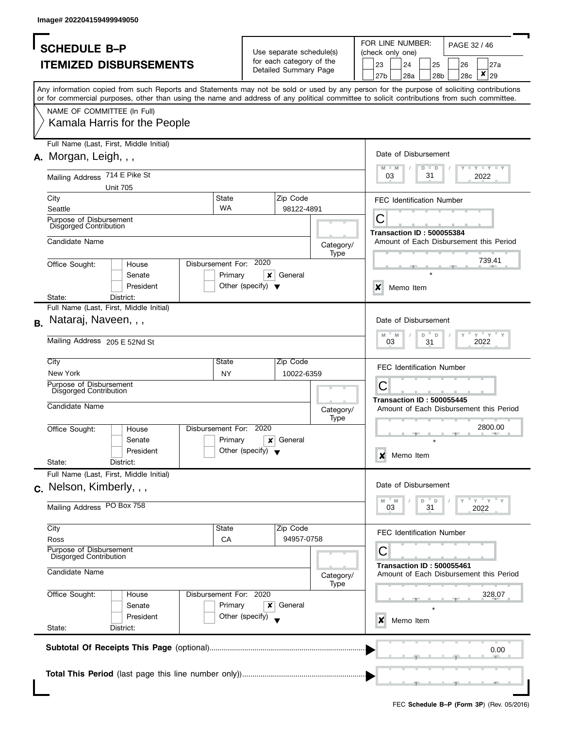|                                                                                                                                                                                                                                                                                         |                                                                              |                                                   |                   |  |                                                                 | FOR LINE NUMBER:                 |                                                                                 |                       |              |                                         |  |  |  |  |
|-----------------------------------------------------------------------------------------------------------------------------------------------------------------------------------------------------------------------------------------------------------------------------------------|------------------------------------------------------------------------------|---------------------------------------------------|-------------------|--|-----------------------------------------------------------------|----------------------------------|---------------------------------------------------------------------------------|-----------------------|--------------|-----------------------------------------|--|--|--|--|
| <b>SCHEDULE B-P</b>                                                                                                                                                                                                                                                                     |                                                                              | Use separate schedule(s)                          |                   |  |                                                                 | (check only one)                 |                                                                                 |                       | PAGE 32 / 46 |                                         |  |  |  |  |
| <b>ITEMIZED DISBURSEMENTS</b>                                                                                                                                                                                                                                                           |                                                                              | for each category of the<br>Detailed Summary Page |                   |  | 23<br>27 <sub>b</sub>                                           | 24<br>28a                        |                                                                                 | 25<br>28 <sub>b</sub> | 26<br>28c    | 27a<br>×<br>29                          |  |  |  |  |
| Any information copied from such Reports and Statements may not be sold or used by any person for the purpose of soliciting contributions<br>or for commercial purposes, other than using the name and address of any political committee to solicit contributions from such committee. |                                                                              |                                                   |                   |  |                                                                 |                                  |                                                                                 |                       |              |                                         |  |  |  |  |
| NAME OF COMMITTEE (In Full)<br>Kamala Harris for the People                                                                                                                                                                                                                             |                                                                              |                                                   |                   |  |                                                                 |                                  |                                                                                 |                       |              |                                         |  |  |  |  |
| Full Name (Last, First, Middle Initial)                                                                                                                                                                                                                                                 |                                                                              |                                                   |                   |  |                                                                 |                                  |                                                                                 |                       |              |                                         |  |  |  |  |
| A. Morgan, Leigh, , ,                                                                                                                                                                                                                                                                   |                                                                              |                                                   |                   |  | Date of Disbursement<br><b>LEY LEY LEY</b><br>M<br>$D$ $D$<br>M |                                  |                                                                                 |                       |              |                                         |  |  |  |  |
| Mailing Address 714 E Pike St<br><b>Unit 705</b>                                                                                                                                                                                                                                        |                                                                              |                                                   |                   |  | 03                                                              |                                  | 31                                                                              |                       |              | 2022                                    |  |  |  |  |
| City<br>Seattle                                                                                                                                                                                                                                                                         | State<br><b>WA</b>                                                           | Zip Code<br>98122-4891                            |                   |  | <b>FEC Identification Number</b>                                |                                  |                                                                                 |                       |              |                                         |  |  |  |  |
| Purpose of Disbursement<br>Disgorged Contribution                                                                                                                                                                                                                                       |                                                                              |                                                   |                   |  | С                                                               | <b>Transaction ID: 500055384</b> |                                                                                 |                       |              |                                         |  |  |  |  |
| Candidate Name                                                                                                                                                                                                                                                                          |                                                                              |                                                   | Category/<br>Type |  |                                                                 |                                  |                                                                                 |                       |              | Amount of Each Disbursement this Period |  |  |  |  |
| Office Sought:<br>House<br>Senate<br>President                                                                                                                                                                                                                                          | 2020<br>Disbursement For:<br>Primary                                         | $\pmb{\times}$<br>General                         |                   |  |                                                                 |                                  |                                                                                 |                       |              | 739.41                                  |  |  |  |  |
| State:<br>District:                                                                                                                                                                                                                                                                     | Other (specify) $\blacktriangledown$                                         |                                                   |                   |  | X                                                               | Memo Item                        |                                                                                 |                       |              |                                         |  |  |  |  |
| Full Name (Last, First, Middle Initial)                                                                                                                                                                                                                                                 |                                                                              |                                                   |                   |  |                                                                 |                                  |                                                                                 |                       |              |                                         |  |  |  |  |
| Nataraj, Naveen, , ,<br><b>B.</b>                                                                                                                                                                                                                                                       |                                                                              |                                                   |                   |  | M                                                               | Date of Disbursement<br>M        | D                                                                               | $\mathsf{D}$          |              | $Y = Y$                                 |  |  |  |  |
| Mailing Address 205 E 52Nd St<br>City                                                                                                                                                                                                                                                   | State                                                                        | Zip Code                                          |                   |  |                                                                 | 03                               | 31                                                                              |                       |              | 2022                                    |  |  |  |  |
| New York                                                                                                                                                                                                                                                                                | <b>NY</b>                                                                    | 10022-6359                                        |                   |  | <b>FEC Identification Number</b>                                |                                  |                                                                                 |                       |              |                                         |  |  |  |  |
| Purpose of Disbursement<br><b>Disgorged Contribution</b>                                                                                                                                                                                                                                |                                                                              |                                                   |                   |  | C<br><b>Transaction ID: 500055445</b>                           |                                  |                                                                                 |                       |              |                                         |  |  |  |  |
| Candidate Name                                                                                                                                                                                                                                                                          |                                                                              |                                                   | Category/<br>Type |  |                                                                 |                                  |                                                                                 |                       |              | Amount of Each Disbursement this Period |  |  |  |  |
| Office Sought:<br>House<br>Senate                                                                                                                                                                                                                                                       | Disbursement For:<br>2020<br>Primary<br>Other (specify) $\blacktriangledown$ | General<br>×                                      |                   |  |                                                                 | 2800.00                          |                                                                                 |                       |              |                                         |  |  |  |  |
| President<br>State:<br>District:                                                                                                                                                                                                                                                        |                                                                              |                                                   |                   |  | X                                                               | Memo Item                        |                                                                                 |                       |              |                                         |  |  |  |  |
| Full Name (Last, First, Middle Initial)                                                                                                                                                                                                                                                 |                                                                              |                                                   |                   |  |                                                                 |                                  |                                                                                 |                       |              |                                         |  |  |  |  |
| c. Nelson, Kimberly, , ,                                                                                                                                                                                                                                                                |                                                                              |                                                   |                   |  |                                                                 | Date of Disbursement             |                                                                                 |                       |              |                                         |  |  |  |  |
| Mailing Address PO Box 758                                                                                                                                                                                                                                                              |                                                                              |                                                   |                   |  | M                                                               | $- M$<br>03                      | $-\gamma$ $-\gamma$<br>D<br>D<br>31<br>2022<br><b>FEC Identification Number</b> |                       |              |                                         |  |  |  |  |
| City                                                                                                                                                                                                                                                                                    | State                                                                        | Zip Code                                          |                   |  |                                                                 |                                  |                                                                                 |                       |              |                                         |  |  |  |  |
| Ross<br>Purpose of Disbursement<br><b>Disgorged Contribution</b>                                                                                                                                                                                                                        | CA                                                                           | 94957-0758                                        |                   |  | С                                                               |                                  |                                                                                 |                       |              |                                         |  |  |  |  |
| Candidate Name                                                                                                                                                                                                                                                                          |                                                                              |                                                   | Category/<br>Type |  |                                                                 |                                  | <b>Transaction ID: 500055461</b><br>Amount of Each Disbursement this Period     |                       |              |                                         |  |  |  |  |
| Office Sought:<br>House<br>Senate<br>President<br>State:<br>District:                                                                                                                                                                                                                   | Disbursement For: 2020<br>Primary<br>Other (specify)                         | x<br>General                                      |                   |  |                                                                 |                                  | 328.07<br>Memo Item<br>x                                                        |                       |              |                                         |  |  |  |  |
|                                                                                                                                                                                                                                                                                         |                                                                              |                                                   |                   |  |                                                                 |                                  |                                                                                 |                       |              |                                         |  |  |  |  |
|                                                                                                                                                                                                                                                                                         |                                                                              |                                                   |                   |  |                                                                 |                                  |                                                                                 |                       |              | 0.00                                    |  |  |  |  |
|                                                                                                                                                                                                                                                                                         |                                                                              |                                                   |                   |  |                                                                 |                                  |                                                                                 |                       |              |                                         |  |  |  |  |
|                                                                                                                                                                                                                                                                                         |                                                                              |                                                   |                   |  |                                                                 |                                  |                                                                                 |                       |              |                                         |  |  |  |  |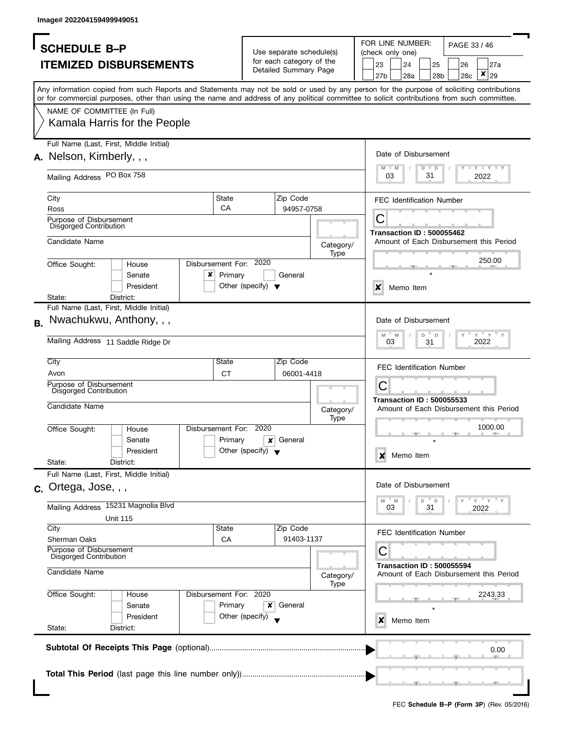| <b>SCHEDULE B-P</b><br><b>ITEMIZED DISBURSEMENTS</b><br>NAME OF COMMITTEE (In Full)<br>Kamala Harris for the People<br>Full Name (Last, First, Middle Initial)<br>A. Nelson, Kimberly, , ,<br>Mailing Address PO Box 758<br>City<br><b>Ross</b><br>Purpose of Disbursement<br><b>Disgorged Contribution</b><br>Candidate Name<br>Office Sought: | Any information copied from such Reports and Statements may not be sold or used by any person for the purpose of soliciting contributions<br>or for commercial purposes, other than using the name and address of any political committee to solicit contributions from such committee.<br>House | State<br>CA                          | Use separate schedule(s)<br>for each category of the<br>Detailed Summary Page<br>Zip Code<br>94957-0758 |             |                           | 23<br>27b<br>03 | FOR LINE NUMBER:<br>(check only one)<br>24<br>28a<br>Date of Disbursement | 25<br>28b<br>$D$ $D$<br>31 | PAGE 33 / 46<br>26<br>28c | 27a<br>$\pmb{\mathsf{x}}$<br>29<br>$T$ $Y$ $T$ $Y$ $T$ $Y$<br>2022 |
|-------------------------------------------------------------------------------------------------------------------------------------------------------------------------------------------------------------------------------------------------------------------------------------------------------------------------------------------------|--------------------------------------------------------------------------------------------------------------------------------------------------------------------------------------------------------------------------------------------------------------------------------------------------|--------------------------------------|---------------------------------------------------------------------------------------------------------|-------------|---------------------------|-----------------|---------------------------------------------------------------------------|----------------------------|---------------------------|--------------------------------------------------------------------|
|                                                                                                                                                                                                                                                                                                                                                 |                                                                                                                                                                                                                                                                                                  |                                      |                                                                                                         |             |                           |                 |                                                                           |                            |                           |                                                                    |
|                                                                                                                                                                                                                                                                                                                                                 |                                                                                                                                                                                                                                                                                                  |                                      |                                                                                                         |             |                           |                 |                                                                           |                            |                           |                                                                    |
|                                                                                                                                                                                                                                                                                                                                                 |                                                                                                                                                                                                                                                                                                  |                                      |                                                                                                         |             |                           |                 |                                                                           |                            |                           |                                                                    |
|                                                                                                                                                                                                                                                                                                                                                 |                                                                                                                                                                                                                                                                                                  |                                      |                                                                                                         |             |                           |                 |                                                                           |                            |                           |                                                                    |
|                                                                                                                                                                                                                                                                                                                                                 |                                                                                                                                                                                                                                                                                                  |                                      |                                                                                                         |             |                           |                 |                                                                           |                            |                           |                                                                    |
|                                                                                                                                                                                                                                                                                                                                                 |                                                                                                                                                                                                                                                                                                  |                                      |                                                                                                         |             |                           |                 |                                                                           |                            |                           |                                                                    |
|                                                                                                                                                                                                                                                                                                                                                 |                                                                                                                                                                                                                                                                                                  |                                      |                                                                                                         |             |                           |                 |                                                                           |                            |                           |                                                                    |
|                                                                                                                                                                                                                                                                                                                                                 |                                                                                                                                                                                                                                                                                                  |                                      |                                                                                                         |             |                           |                 |                                                                           |                            |                           |                                                                    |
|                                                                                                                                                                                                                                                                                                                                                 |                                                                                                                                                                                                                                                                                                  |                                      |                                                                                                         |             |                           |                 |                                                                           |                            |                           |                                                                    |
|                                                                                                                                                                                                                                                                                                                                                 |                                                                                                                                                                                                                                                                                                  |                                      |                                                                                                         |             |                           |                 |                                                                           |                            |                           |                                                                    |
|                                                                                                                                                                                                                                                                                                                                                 |                                                                                                                                                                                                                                                                                                  |                                      |                                                                                                         |             |                           |                 | <b>FEC Identification Number</b>                                          |                            |                           |                                                                    |
|                                                                                                                                                                                                                                                                                                                                                 |                                                                                                                                                                                                                                                                                                  |                                      |                                                                                                         |             |                           |                 |                                                                           |                            |                           |                                                                    |
|                                                                                                                                                                                                                                                                                                                                                 |                                                                                                                                                                                                                                                                                                  |                                      |                                                                                                         |             |                           | С               | <b>Transaction ID: 500055462</b>                                          |                            |                           |                                                                    |
|                                                                                                                                                                                                                                                                                                                                                 |                                                                                                                                                                                                                                                                                                  |                                      |                                                                                                         | Category/   |                           |                 |                                                                           |                            |                           | Amount of Each Disbursement this Period                            |
|                                                                                                                                                                                                                                                                                                                                                 |                                                                                                                                                                                                                                                                                                  | Disbursement For: 2020               |                                                                                                         | Type        |                           |                 |                                                                           |                            |                           | 250.00                                                             |
|                                                                                                                                                                                                                                                                                                                                                 | x<br>Senate                                                                                                                                                                                                                                                                                      | Primary                              | General                                                                                                 |             |                           |                 |                                                                           |                            |                           |                                                                    |
|                                                                                                                                                                                                                                                                                                                                                 | President                                                                                                                                                                                                                                                                                        | Other (specify) $\blacktriangledown$ |                                                                                                         |             | $\boldsymbol{\mathsf{x}}$ |                 | Memo Item                                                                 |                            |                           |                                                                    |
| State:<br>District:                                                                                                                                                                                                                                                                                                                             |                                                                                                                                                                                                                                                                                                  |                                      |                                                                                                         |             |                           |                 |                                                                           |                            |                           |                                                                    |
| Full Name (Last, First, Middle Initial)                                                                                                                                                                                                                                                                                                         |                                                                                                                                                                                                                                                                                                  |                                      |                                                                                                         |             |                           |                 |                                                                           |                            |                           |                                                                    |
| Nwachukwu, Anthony, , ,                                                                                                                                                                                                                                                                                                                         |                                                                                                                                                                                                                                                                                                  |                                      |                                                                                                         |             |                           | $M - M$         | Date of Disbursement                                                      |                            |                           | $Y$ $Y$ $Y$                                                        |
| Mailing Address 11 Saddle Ridge Dr                                                                                                                                                                                                                                                                                                              |                                                                                                                                                                                                                                                                                                  |                                      |                                                                                                         |             |                           | 03              |                                                                           | D<br>$\mathbb D$<br>31     |                           | 2022                                                               |
| City                                                                                                                                                                                                                                                                                                                                            |                                                                                                                                                                                                                                                                                                  | State                                | Zip Code                                                                                                |             |                           |                 | <b>FEC Identification Number</b>                                          |                            |                           |                                                                    |
| Avon                                                                                                                                                                                                                                                                                                                                            |                                                                                                                                                                                                                                                                                                  | <b>CT</b>                            | 06001-4418                                                                                              |             |                           |                 |                                                                           |                            |                           |                                                                    |
| Purpose of Disbursement<br>Disgorged Contribution                                                                                                                                                                                                                                                                                               |                                                                                                                                                                                                                                                                                                  |                                      |                                                                                                         |             |                           | С               |                                                                           |                            |                           |                                                                    |
| Candidate Name                                                                                                                                                                                                                                                                                                                                  |                                                                                                                                                                                                                                                                                                  |                                      |                                                                                                         | Category/   |                           |                 | <b>Transaction ID: 500055533</b>                                          |                            |                           | Amount of Each Disbursement this Period                            |
| Office Sought:                                                                                                                                                                                                                                                                                                                                  | House                                                                                                                                                                                                                                                                                            | Disbursement For: 2020               |                                                                                                         | <b>Type</b> |                           |                 |                                                                           |                            |                           | 1000.00                                                            |
|                                                                                                                                                                                                                                                                                                                                                 | Senate                                                                                                                                                                                                                                                                                           | Primary<br>×                         | General                                                                                                 |             |                           |                 |                                                                           |                            |                           |                                                                    |
|                                                                                                                                                                                                                                                                                                                                                 | President                                                                                                                                                                                                                                                                                        | Other (specify) $\blacktriangledown$ |                                                                                                         |             |                           |                 |                                                                           |                            |                           |                                                                    |
| State:<br>District:                                                                                                                                                                                                                                                                                                                             |                                                                                                                                                                                                                                                                                                  |                                      |                                                                                                         |             |                           | x               | Memo Item                                                                 |                            |                           |                                                                    |
| Full Name (Last, First, Middle Initial)                                                                                                                                                                                                                                                                                                         |                                                                                                                                                                                                                                                                                                  |                                      |                                                                                                         |             |                           |                 |                                                                           |                            |                           |                                                                    |
| $c.$ Ortega, Jose, $,$ ,                                                                                                                                                                                                                                                                                                                        |                                                                                                                                                                                                                                                                                                  |                                      |                                                                                                         |             |                           |                 | Date of Disbursement                                                      |                            |                           |                                                                    |
| Mailing Address 15231 Magnolia Blvd                                                                                                                                                                                                                                                                                                             |                                                                                                                                                                                                                                                                                                  |                                      |                                                                                                         |             |                           | $-M$<br>M       |                                                                           | D<br>D                     |                           | $=$ $\overline{Y}$ $=$ $\overline{Y}$                              |
| <b>Unit 115</b>                                                                                                                                                                                                                                                                                                                                 |                                                                                                                                                                                                                                                                                                  |                                      |                                                                                                         |             |                           | 03              |                                                                           | 31                         |                           | 2022                                                               |
| City                                                                                                                                                                                                                                                                                                                                            |                                                                                                                                                                                                                                                                                                  | State                                | Zip Code                                                                                                |             |                           |                 |                                                                           |                            |                           |                                                                    |
| Sherman Oaks                                                                                                                                                                                                                                                                                                                                    |                                                                                                                                                                                                                                                                                                  | CA                                   | 91403-1137                                                                                              |             |                           |                 | <b>FEC Identification Number</b>                                          |                            |                           |                                                                    |
| Purpose of Disbursement<br>Disgorged Contribution                                                                                                                                                                                                                                                                                               |                                                                                                                                                                                                                                                                                                  |                                      |                                                                                                         |             |                           | С               |                                                                           |                            |                           |                                                                    |
| Candidate Name                                                                                                                                                                                                                                                                                                                                  |                                                                                                                                                                                                                                                                                                  |                                      |                                                                                                         | Category/   |                           |                 | <b>Transaction ID: 500055594</b>                                          |                            |                           | Amount of Each Disbursement this Period                            |
| Office Sought:                                                                                                                                                                                                                                                                                                                                  | House                                                                                                                                                                                                                                                                                            | Disbursement For: 2020               |                                                                                                         | Type        |                           |                 |                                                                           |                            |                           | 2243.33                                                            |
|                                                                                                                                                                                                                                                                                                                                                 | Senate                                                                                                                                                                                                                                                                                           | Primary<br>×                         | General                                                                                                 |             |                           |                 |                                                                           |                            |                           |                                                                    |
|                                                                                                                                                                                                                                                                                                                                                 | President                                                                                                                                                                                                                                                                                        | Other (specify)                      |                                                                                                         |             |                           | x               | Memo Item                                                                 |                            |                           |                                                                    |
| State:<br>District:                                                                                                                                                                                                                                                                                                                             |                                                                                                                                                                                                                                                                                                  |                                      |                                                                                                         |             |                           |                 |                                                                           |                            |                           |                                                                    |
|                                                                                                                                                                                                                                                                                                                                                 |                                                                                                                                                                                                                                                                                                  |                                      |                                                                                                         |             |                           |                 |                                                                           |                            |                           |                                                                    |
|                                                                                                                                                                                                                                                                                                                                                 |                                                                                                                                                                                                                                                                                                  |                                      |                                                                                                         |             |                           |                 |                                                                           |                            |                           | 0.00                                                               |
|                                                                                                                                                                                                                                                                                                                                                 |                                                                                                                                                                                                                                                                                                  |                                      |                                                                                                         |             |                           |                 |                                                                           |                            |                           |                                                                    |
|                                                                                                                                                                                                                                                                                                                                                 |                                                                                                                                                                                                                                                                                                  |                                      |                                                                                                         |             |                           |                 |                                                                           |                            |                           |                                                                    |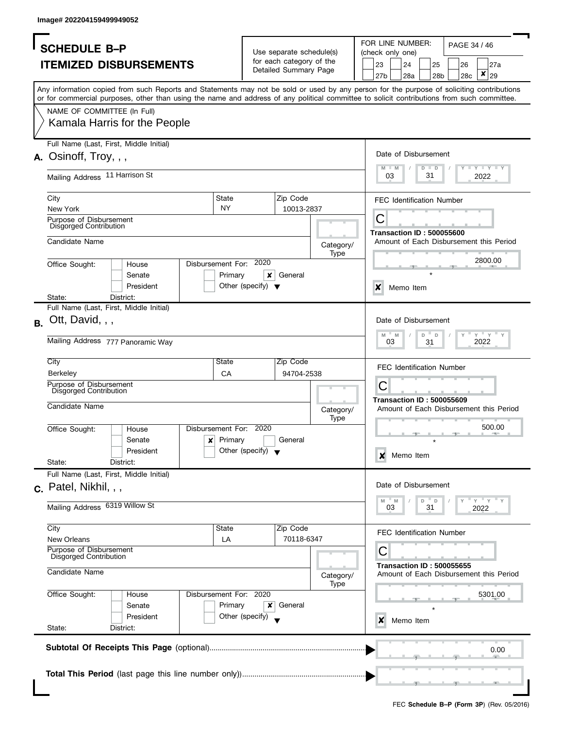|           | <b>SCHEDULE B-P</b>                               |                                                                                                                                                                                                                                                                                         |                         |                                      |                                                   |                   | FOR LINE NUMBER:<br>PAGE 34 / 46<br>(check only one) |           |                      |                 |                                  |                                                       |
|-----------|---------------------------------------------------|-----------------------------------------------------------------------------------------------------------------------------------------------------------------------------------------------------------------------------------------------------------------------------------------|-------------------------|--------------------------------------|---------------------------------------------------|-------------------|------------------------------------------------------|-----------|----------------------|-----------------|----------------------------------|-------------------------------------------------------|
|           |                                                   |                                                                                                                                                                                                                                                                                         |                         |                                      | Use separate schedule(s)                          |                   |                                                      |           |                      |                 |                                  |                                                       |
|           |                                                   | <b>ITEMIZED DISBURSEMENTS</b>                                                                                                                                                                                                                                                           |                         |                                      | for each category of the<br>Detailed Summary Page |                   |                                                      | 23        | 24                   | 25              | 26                               | 27a                                                   |
|           |                                                   |                                                                                                                                                                                                                                                                                         |                         |                                      |                                                   |                   |                                                      | 27b       | 28a                  | 28 <sub>b</sub> | 28c                              | ×<br>29                                               |
|           |                                                   | Any information copied from such Reports and Statements may not be sold or used by any person for the purpose of soliciting contributions<br>or for commercial purposes, other than using the name and address of any political committee to solicit contributions from such committee. |                         |                                      |                                                   |                   |                                                      |           |                      |                 |                                  |                                                       |
|           | NAME OF COMMITTEE (In Full)                       |                                                                                                                                                                                                                                                                                         |                         |                                      |                                                   |                   |                                                      |           |                      |                 |                                  |                                                       |
|           |                                                   | Kamala Harris for the People                                                                                                                                                                                                                                                            |                         |                                      |                                                   |                   |                                                      |           |                      |                 |                                  |                                                       |
|           | Full Name (Last, First, Middle Initial)           |                                                                                                                                                                                                                                                                                         |                         |                                      |                                                   |                   |                                                      |           |                      |                 |                                  |                                                       |
|           | $A.$ Osinoff, Troy, , ,                           |                                                                                                                                                                                                                                                                                         |                         |                                      |                                                   |                   |                                                      |           | Date of Disbursement |                 |                                  |                                                       |
|           |                                                   |                                                                                                                                                                                                                                                                                         |                         |                                      |                                                   |                   |                                                      | M<br>$-M$ |                      | $D$ $D$         |                                  | $\Box$ $\Upsilon$ $\Box$ $\Upsilon$ $\Box$ $\Upsilon$ |
|           | Mailing Address 11 Harrison St                    |                                                                                                                                                                                                                                                                                         |                         |                                      |                                                   |                   |                                                      | 03        |                      | 31              |                                  | 2022                                                  |
|           |                                                   |                                                                                                                                                                                                                                                                                         |                         |                                      |                                                   |                   |                                                      |           |                      |                 |                                  |                                                       |
|           | City                                              |                                                                                                                                                                                                                                                                                         | State                   |                                      | Zip Code                                          |                   |                                                      |           |                      |                 | <b>FEC Identification Number</b> |                                                       |
|           | New York                                          |                                                                                                                                                                                                                                                                                         | <b>NY</b>               |                                      | 10013-2837                                        |                   |                                                      | С         |                      |                 |                                  |                                                       |
|           | Purpose of Disbursement<br>Disgorged Contribution |                                                                                                                                                                                                                                                                                         |                         |                                      |                                                   |                   |                                                      |           |                      |                 |                                  |                                                       |
|           |                                                   |                                                                                                                                                                                                                                                                                         |                         |                                      |                                                   |                   |                                                      |           |                      |                 | <b>Transaction ID: 500055600</b> |                                                       |
|           | Candidate Name                                    |                                                                                                                                                                                                                                                                                         |                         |                                      |                                                   | Category/         |                                                      |           |                      |                 |                                  | Amount of Each Disbursement this Period               |
|           |                                                   |                                                                                                                                                                                                                                                                                         | Disbursement For: 2020  |                                      |                                                   | Type              |                                                      |           |                      |                 |                                  | 2800.00                                               |
|           | Office Sought:                                    | House                                                                                                                                                                                                                                                                                   |                         |                                      |                                                   |                   |                                                      |           |                      |                 |                                  |                                                       |
|           |                                                   | Senate                                                                                                                                                                                                                                                                                  | Primary                 | ×                                    | General                                           |                   |                                                      |           |                      |                 |                                  |                                                       |
|           |                                                   | President                                                                                                                                                                                                                                                                               |                         | Other (specify) $\blacktriangledown$ |                                                   |                   |                                                      | X         | Memo Item            |                 |                                  |                                                       |
|           | State:<br>Full Name (Last, First, Middle Initial) | District:                                                                                                                                                                                                                                                                               |                         |                                      |                                                   |                   |                                                      |           |                      |                 |                                  |                                                       |
|           |                                                   |                                                                                                                                                                                                                                                                                         |                         |                                      |                                                   |                   |                                                      |           |                      |                 |                                  |                                                       |
| <b>B.</b> | Ott, David, , ,                                   |                                                                                                                                                                                                                                                                                         |                         |                                      |                                                   |                   |                                                      |           | Date of Disbursement |                 |                                  |                                                       |
|           |                                                   |                                                                                                                                                                                                                                                                                         |                         |                                      |                                                   |                   |                                                      | $M - M$   |                      | D<br>D          |                                  | $Y = Y$                                               |
|           | Mailing Address 777 Panoramic Way                 |                                                                                                                                                                                                                                                                                         |                         |                                      |                                                   |                   |                                                      | 03        |                      | 31              |                                  | 2022                                                  |
|           | City                                              |                                                                                                                                                                                                                                                                                         | State                   |                                      | Zip Code                                          |                   |                                                      |           |                      |                 |                                  |                                                       |
|           | <b>Berkeley</b>                                   |                                                                                                                                                                                                                                                                                         | CA                      |                                      | 94704-2538                                        |                   |                                                      |           |                      |                 | <b>FEC Identification Number</b> |                                                       |
|           | Purpose of Disbursement                           |                                                                                                                                                                                                                                                                                         |                         |                                      |                                                   |                   |                                                      | С         |                      |                 |                                  |                                                       |
|           | Disgorged Contribution                            |                                                                                                                                                                                                                                                                                         |                         |                                      |                                                   |                   |                                                      |           |                      |                 |                                  |                                                       |
|           | Candidate Name                                    |                                                                                                                                                                                                                                                                                         |                         |                                      |                                                   |                   |                                                      |           |                      |                 | <b>Transaction ID: 500055609</b> | Amount of Each Disbursement this Period               |
|           |                                                   |                                                                                                                                                                                                                                                                                         |                         |                                      |                                                   | Category/<br>Type |                                                      |           |                      |                 |                                  |                                                       |
|           | Office Sought:                                    | House                                                                                                                                                                                                                                                                                   | Disbursement For: 2020  |                                      |                                                   |                   |                                                      |           |                      |                 |                                  | 500.00                                                |
|           |                                                   | Senate                                                                                                                                                                                                                                                                                  | Primary<br>$\mathbf{x}$ |                                      | General                                           |                   |                                                      |           |                      |                 |                                  |                                                       |
|           |                                                   | President                                                                                                                                                                                                                                                                               |                         | Other (specify) $\blacktriangledown$ |                                                   |                   |                                                      |           |                      |                 |                                  |                                                       |
|           | State:                                            | District:                                                                                                                                                                                                                                                                               |                         |                                      |                                                   |                   |                                                      | ×         | Memo Item            |                 |                                  |                                                       |
|           | Full Name (Last, First, Middle Initial)           |                                                                                                                                                                                                                                                                                         |                         |                                      |                                                   |                   |                                                      |           |                      |                 |                                  |                                                       |
|           |                                                   |                                                                                                                                                                                                                                                                                         |                         |                                      |                                                   |                   |                                                      |           | Date of Disbursement |                 |                                  |                                                       |
|           | c. Patel, Nikhil, , ,                             |                                                                                                                                                                                                                                                                                         |                         |                                      |                                                   |                   |                                                      |           |                      |                 |                                  |                                                       |
|           | Mailing Address 6319 Willow St                    |                                                                                                                                                                                                                                                                                         |                         |                                      |                                                   |                   |                                                      | M<br>03   | $- M$                | D<br>D<br>31    |                                  | " Y " Y<br>2022                                       |
|           |                                                   |                                                                                                                                                                                                                                                                                         |                         |                                      |                                                   |                   |                                                      |           |                      |                 |                                  |                                                       |
|           | City                                              |                                                                                                                                                                                                                                                                                         | State                   |                                      | Zip Code                                          |                   |                                                      |           |                      |                 | <b>FEC Identification Number</b> |                                                       |
|           | New Orleans                                       |                                                                                                                                                                                                                                                                                         | LA                      |                                      | 70118-6347                                        |                   |                                                      |           |                      |                 |                                  |                                                       |
|           | Purpose of Disbursement<br>Disgorged Contribution |                                                                                                                                                                                                                                                                                         |                         |                                      |                                                   |                   |                                                      | С         |                      |                 |                                  |                                                       |
|           | Candidate Name                                    |                                                                                                                                                                                                                                                                                         |                         |                                      |                                                   | Category/         |                                                      |           |                      |                 | <b>Transaction ID: 500055655</b> | Amount of Each Disbursement this Period               |
|           |                                                   |                                                                                                                                                                                                                                                                                         |                         |                                      |                                                   | Type              |                                                      |           |                      |                 |                                  |                                                       |
|           | Office Sought:                                    | House                                                                                                                                                                                                                                                                                   | Disbursement For: 2020  |                                      |                                                   |                   |                                                      |           |                      |                 |                                  | 5301.00                                               |
|           |                                                   | Senate                                                                                                                                                                                                                                                                                  | Primary                 | ×                                    | General                                           |                   |                                                      |           |                      |                 |                                  |                                                       |
|           |                                                   | President                                                                                                                                                                                                                                                                               |                         | Other (specify)                      |                                                   |                   |                                                      | x         | Memo Item            |                 |                                  |                                                       |
|           | State:                                            | District:                                                                                                                                                                                                                                                                               |                         |                                      |                                                   |                   |                                                      |           |                      |                 |                                  |                                                       |
|           |                                                   |                                                                                                                                                                                                                                                                                         |                         |                                      |                                                   |                   |                                                      |           |                      |                 |                                  |                                                       |
|           |                                                   |                                                                                                                                                                                                                                                                                         |                         |                                      |                                                   |                   |                                                      |           |                      |                 |                                  | 0.00                                                  |
|           |                                                   |                                                                                                                                                                                                                                                                                         |                         |                                      |                                                   |                   |                                                      |           |                      |                 |                                  |                                                       |
|           |                                                   |                                                                                                                                                                                                                                                                                         |                         |                                      |                                                   |                   |                                                      |           |                      |                 |                                  |                                                       |
|           |                                                   |                                                                                                                                                                                                                                                                                         |                         |                                      |                                                   |                   |                                                      |           |                      |                 |                                  |                                                       |
|           |                                                   |                                                                                                                                                                                                                                                                                         |                         |                                      |                                                   |                   |                                                      |           |                      |                 |                                  |                                                       |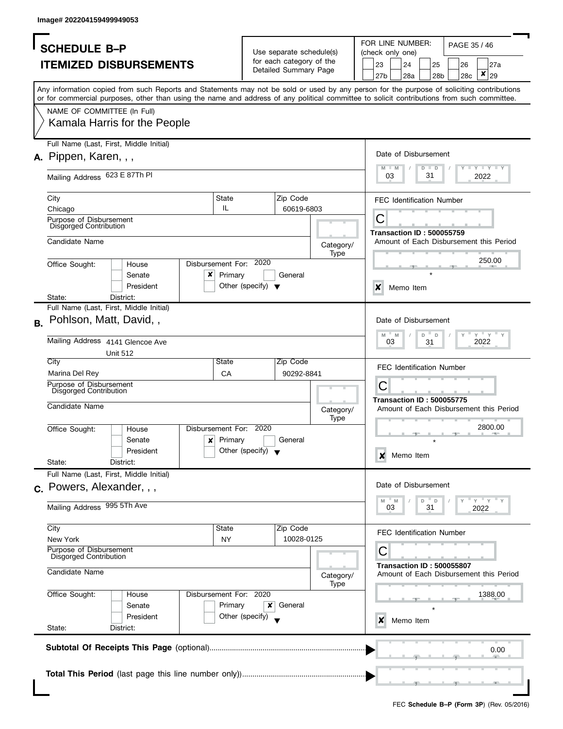|           | <b>SCHEDULE B-P</b>                                                                                                                                                                                                                                                                     |                                      |   | Use separate schedule(s) |                   | FOR LINE NUMBER:<br>PAGE 35 / 46<br>(check only one)<br>23<br>24<br>25<br>26<br>27a |         |                                  |         |                 |     |                         |                                         |
|-----------|-----------------------------------------------------------------------------------------------------------------------------------------------------------------------------------------------------------------------------------------------------------------------------------------|--------------------------------------|---|--------------------------|-------------------|-------------------------------------------------------------------------------------|---------|----------------------------------|---------|-----------------|-----|-------------------------|-----------------------------------------|
|           | <b>ITEMIZED DISBURSEMENTS</b>                                                                                                                                                                                                                                                           |                                      |   | for each category of the |                   |                                                                                     |         |                                  |         |                 |     |                         |                                         |
|           |                                                                                                                                                                                                                                                                                         |                                      |   | Detailed Summary Page    |                   |                                                                                     | 27b     | 28a                              |         | 28 <sub>b</sub> | 28c | ×                       | 29                                      |
|           |                                                                                                                                                                                                                                                                                         |                                      |   |                          |                   |                                                                                     |         |                                  |         |                 |     |                         |                                         |
|           | Any information copied from such Reports and Statements may not be sold or used by any person for the purpose of soliciting contributions<br>or for commercial purposes, other than using the name and address of any political committee to solicit contributions from such committee. |                                      |   |                          |                   |                                                                                     |         |                                  |         |                 |     |                         |                                         |
|           | NAME OF COMMITTEE (In Full)                                                                                                                                                                                                                                                             |                                      |   |                          |                   |                                                                                     |         |                                  |         |                 |     |                         |                                         |
|           | Kamala Harris for the People                                                                                                                                                                                                                                                            |                                      |   |                          |                   |                                                                                     |         |                                  |         |                 |     |                         |                                         |
|           | Full Name (Last, First, Middle Initial)                                                                                                                                                                                                                                                 |                                      |   |                          |                   |                                                                                     |         |                                  |         |                 |     |                         |                                         |
|           | A. Pippen, Karen, , ,                                                                                                                                                                                                                                                                   |                                      |   |                          |                   |                                                                                     |         | Date of Disbursement             |         |                 |     |                         |                                         |
|           |                                                                                                                                                                                                                                                                                         |                                      |   |                          |                   |                                                                                     | M       | $-M$                             | $D$ $D$ |                 |     | <b>LYLYLY</b>           |                                         |
|           | Mailing Address 623 E 87Th PI                                                                                                                                                                                                                                                           |                                      |   |                          |                   |                                                                                     | 03      |                                  | 31      |                 |     | 2022                    |                                         |
|           |                                                                                                                                                                                                                                                                                         |                                      |   |                          |                   |                                                                                     |         |                                  |         |                 |     |                         |                                         |
|           | City                                                                                                                                                                                                                                                                                    | State                                |   | Zip Code                 |                   |                                                                                     |         | <b>FEC Identification Number</b> |         |                 |     |                         |                                         |
|           | Chicago                                                                                                                                                                                                                                                                                 | IL                                   |   | 60619-6803               |                   |                                                                                     |         |                                  |         |                 |     |                         |                                         |
|           | Purpose of Disbursement<br><b>Disgorged Contribution</b>                                                                                                                                                                                                                                |                                      |   |                          |                   |                                                                                     | С       |                                  |         |                 |     |                         |                                         |
|           |                                                                                                                                                                                                                                                                                         |                                      |   |                          |                   |                                                                                     |         | <b>Transaction ID: 500055759</b> |         |                 |     |                         |                                         |
|           | Candidate Name                                                                                                                                                                                                                                                                          |                                      |   |                          | Category/         |                                                                                     |         |                                  |         |                 |     |                         | Amount of Each Disbursement this Period |
|           |                                                                                                                                                                                                                                                                                         |                                      |   |                          | Type              |                                                                                     |         |                                  |         |                 |     | 250.00                  |                                         |
|           | Disbursement For: 2020<br>Office Sought:<br>House                                                                                                                                                                                                                                       |                                      |   |                          |                   |                                                                                     |         |                                  |         |                 |     |                         |                                         |
|           | x<br>Senate                                                                                                                                                                                                                                                                             | Primary                              |   | General                  |                   |                                                                                     |         |                                  |         |                 |     |                         |                                         |
|           | President                                                                                                                                                                                                                                                                               | Other (specify) $\blacktriangledown$ |   |                          |                   |                                                                                     | X       | Memo Item                        |         |                 |     |                         |                                         |
|           | State:<br>District:<br>Full Name (Last, First, Middle Initial)                                                                                                                                                                                                                          |                                      |   |                          |                   |                                                                                     |         |                                  |         |                 |     |                         |                                         |
|           |                                                                                                                                                                                                                                                                                         |                                      |   |                          |                   |                                                                                     |         |                                  |         |                 |     |                         |                                         |
| <b>B.</b> | Pohlson, Matt, David,,                                                                                                                                                                                                                                                                  |                                      |   |                          |                   |                                                                                     |         | Date of Disbursement             |         |                 |     |                         |                                         |
|           | Mailing Address 4141 Glencoe Ave                                                                                                                                                                                                                                                        |                                      |   |                          |                   |                                                                                     | $M$ $M$ |                                  | D       | D               |     | $Y = Y$                 |                                         |
|           |                                                                                                                                                                                                                                                                                         |                                      |   |                          |                   |                                                                                     | 03      |                                  | 31      |                 |     | 2022                    |                                         |
|           | <b>Unit 512</b><br>City                                                                                                                                                                                                                                                                 | State                                |   | Zip Code                 |                   |                                                                                     |         |                                  |         |                 |     |                         |                                         |
|           | Marina Del Rey                                                                                                                                                                                                                                                                          | CA                                   |   | 90292-8841               |                   |                                                                                     |         | <b>FEC Identification Number</b> |         |                 |     |                         |                                         |
|           | Purpose of Disbursement                                                                                                                                                                                                                                                                 |                                      |   |                          |                   |                                                                                     | С       |                                  |         |                 |     |                         |                                         |
|           | Disgorged Contribution                                                                                                                                                                                                                                                                  |                                      |   |                          |                   |                                                                                     |         |                                  |         |                 |     |                         |                                         |
|           | Candidate Name                                                                                                                                                                                                                                                                          |                                      |   |                          |                   |                                                                                     |         | <b>Transaction ID: 500055775</b> |         |                 |     |                         | Amount of Each Disbursement this Period |
|           |                                                                                                                                                                                                                                                                                         |                                      |   |                          | Category/<br>Type |                                                                                     |         |                                  |         |                 |     |                         |                                         |
|           | Disbursement For: 2020<br>Office Sought:<br>House                                                                                                                                                                                                                                       |                                      |   |                          |                   |                                                                                     |         |                                  |         |                 |     |                         | 2800.00                                 |
|           | $\boldsymbol{\mathsf{x}}$<br>Senate                                                                                                                                                                                                                                                     | Primary                              |   | General                  |                   |                                                                                     |         |                                  |         |                 |     |                         |                                         |
|           | President                                                                                                                                                                                                                                                                               | Other (specify) $\bullet$            |   |                          |                   |                                                                                     |         |                                  |         |                 |     |                         |                                         |
|           | State:<br>District:                                                                                                                                                                                                                                                                     |                                      |   |                          |                   |                                                                                     | X       | Memo Item                        |         |                 |     |                         |                                         |
|           | Full Name (Last, First, Middle Initial)                                                                                                                                                                                                                                                 |                                      |   |                          |                   |                                                                                     |         |                                  |         |                 |     |                         |                                         |
|           | c. Powers, Alexander, , ,                                                                                                                                                                                                                                                               |                                      |   |                          |                   |                                                                                     |         | Date of Disbursement             |         |                 |     |                         |                                         |
|           |                                                                                                                                                                                                                                                                                         |                                      |   |                          |                   |                                                                                     | M       | M                                | D       | D               |     | $-\gamma$ $-\gamma$ $-$ |                                         |
|           | Mailing Address 995 5Th Ave                                                                                                                                                                                                                                                             |                                      |   |                          |                   |                                                                                     | 03      |                                  | 31      |                 |     | 2022                    |                                         |
|           |                                                                                                                                                                                                                                                                                         |                                      |   |                          |                   |                                                                                     |         |                                  |         |                 |     |                         |                                         |
|           | City                                                                                                                                                                                                                                                                                    | State                                |   | Zip Code                 |                   |                                                                                     |         | <b>FEC Identification Number</b> |         |                 |     |                         |                                         |
|           | New York                                                                                                                                                                                                                                                                                | <b>NY</b>                            |   | 10028-0125               |                   |                                                                                     |         |                                  |         |                 |     |                         |                                         |
|           | Purpose of Disbursement<br><b>Disgorged Contribution</b>                                                                                                                                                                                                                                |                                      |   |                          |                   |                                                                                     | С       |                                  |         |                 |     |                         |                                         |
|           | Candidate Name                                                                                                                                                                                                                                                                          |                                      |   |                          | Category/         |                                                                                     |         | <b>Transaction ID: 500055807</b> |         |                 |     |                         | Amount of Each Disbursement this Period |
|           |                                                                                                                                                                                                                                                                                         |                                      |   |                          | Type              |                                                                                     |         |                                  |         |                 |     |                         |                                         |
|           | Disbursement For: 2020<br>Office Sought:<br>House                                                                                                                                                                                                                                       |                                      |   |                          |                   |                                                                                     |         |                                  |         |                 |     |                         | 1388.00                                 |
|           | Senate                                                                                                                                                                                                                                                                                  | Primary                              | x | General                  |                   |                                                                                     |         |                                  |         |                 |     |                         |                                         |
|           | President                                                                                                                                                                                                                                                                               | Other (specify)                      |   |                          |                   |                                                                                     | x       | Memo Item                        |         |                 |     |                         |                                         |
|           | State:<br>District:                                                                                                                                                                                                                                                                     |                                      |   |                          |                   |                                                                                     |         |                                  |         |                 |     |                         |                                         |
|           |                                                                                                                                                                                                                                                                                         |                                      |   |                          |                   |                                                                                     |         |                                  |         |                 |     |                         |                                         |
|           |                                                                                                                                                                                                                                                                                         |                                      |   |                          |                   |                                                                                     |         |                                  |         |                 |     |                         | 0.00                                    |
|           |                                                                                                                                                                                                                                                                                         |                                      |   |                          |                   |                                                                                     |         |                                  |         |                 |     |                         |                                         |
|           |                                                                                                                                                                                                                                                                                         |                                      |   |                          |                   |                                                                                     |         |                                  |         |                 |     |                         |                                         |
|           |                                                                                                                                                                                                                                                                                         |                                      |   |                          |                   |                                                                                     |         |                                  |         |                 |     |                         |                                         |
|           |                                                                                                                                                                                                                                                                                         |                                      |   |                          |                   |                                                                                     |         |                                  |         |                 |     |                         |                                         |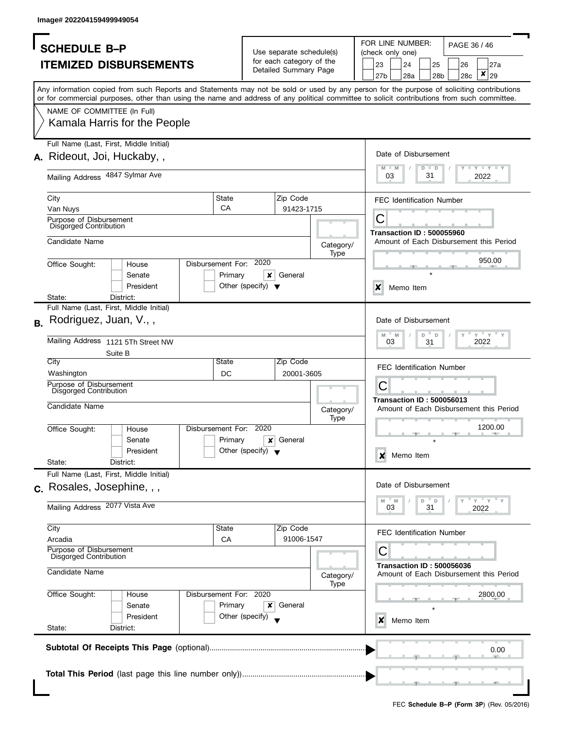| <b>SCHEDULE B-P</b>                                                                                                                                                                                                                                                                     | Use separate schedule(s)                          |                   | FOR LINE NUMBER:<br>PAGE 36 / 46<br>(check only one)                        |
|-----------------------------------------------------------------------------------------------------------------------------------------------------------------------------------------------------------------------------------------------------------------------------------------|---------------------------------------------------|-------------------|-----------------------------------------------------------------------------|
| <b>ITEMIZED DISBURSEMENTS</b>                                                                                                                                                                                                                                                           | for each category of the<br>Detailed Summary Page |                   | 23<br>24<br>25<br>26<br>27a                                                 |
|                                                                                                                                                                                                                                                                                         |                                                   |                   | ×<br>29<br>27 <sub>b</sub><br>28a<br>28 <sub>b</sub><br>28c                 |
| Any information copied from such Reports and Statements may not be sold or used by any person for the purpose of soliciting contributions<br>or for commercial purposes, other than using the name and address of any political committee to solicit contributions from such committee. |                                                   |                   |                                                                             |
| NAME OF COMMITTEE (In Full)                                                                                                                                                                                                                                                             |                                                   |                   |                                                                             |
| Kamala Harris for the People                                                                                                                                                                                                                                                            |                                                   |                   |                                                                             |
| Full Name (Last, First, Middle Initial)                                                                                                                                                                                                                                                 |                                                   |                   | Date of Disbursement                                                        |
| A. Rideout, Joi, Huckaby,,                                                                                                                                                                                                                                                              |                                                   |                   | <b>LEY LEY LEY</b><br>$M - M$<br>$D$ $D$                                    |
| Mailing Address 4847 Sylmar Ave                                                                                                                                                                                                                                                         |                                                   |                   | 31<br>03<br>2022                                                            |
| State<br>City                                                                                                                                                                                                                                                                           | Zip Code                                          |                   | <b>FEC Identification Number</b>                                            |
| CA<br>Van Nuys                                                                                                                                                                                                                                                                          |                                                   | 91423-1715        | С                                                                           |
| Purpose of Disbursement<br>Disgorged Contribution                                                                                                                                                                                                                                       |                                                   |                   | <b>Transaction ID: 500055960</b>                                            |
| Candidate Name                                                                                                                                                                                                                                                                          |                                                   | Category/         | Amount of Each Disbursement this Period                                     |
|                                                                                                                                                                                                                                                                                         |                                                   | Type              | 950.00                                                                      |
| Disbursement For:<br>Office Sought:<br>House                                                                                                                                                                                                                                            | 2020<br>General                                   |                   |                                                                             |
| Primary<br>Senate<br>President                                                                                                                                                                                                                                                          | ×<br>Other (specify) $\blacktriangledown$         |                   | X<br>Memo Item                                                              |
| State:<br>District:                                                                                                                                                                                                                                                                     |                                                   |                   |                                                                             |
| Full Name (Last, First, Middle Initial)                                                                                                                                                                                                                                                 |                                                   |                   |                                                                             |
| Rodriguez, Juan, V.,,<br>В.                                                                                                                                                                                                                                                             |                                                   |                   | Date of Disbursement<br>$Y = Y$<br>D<br>M<br>M<br>D                         |
| Mailing Address 1121 5Th Street NW                                                                                                                                                                                                                                                      |                                                   |                   | 03<br>2022<br>31                                                            |
| Suite B<br>City<br>State                                                                                                                                                                                                                                                                | Zip Code                                          |                   |                                                                             |
| Washington<br>DC                                                                                                                                                                                                                                                                        |                                                   | 20001-3605        | <b>FEC Identification Number</b>                                            |
| Purpose of Disbursement                                                                                                                                                                                                                                                                 |                                                   |                   | С                                                                           |
| <b>Disgorged Contribution</b>                                                                                                                                                                                                                                                           |                                                   |                   | <b>Transaction ID: 500056013</b>                                            |
| Candidate Name                                                                                                                                                                                                                                                                          |                                                   | Category/<br>Type | Amount of Each Disbursement this Period                                     |
| Disbursement For:<br>Office Sought:<br>House                                                                                                                                                                                                                                            | 2020                                              |                   | 1200.00                                                                     |
| Primary<br>Senate                                                                                                                                                                                                                                                                       | General<br>X                                      |                   |                                                                             |
| President                                                                                                                                                                                                                                                                               | Other (specify) $\blacktriangledown$              |                   | Memo Item<br>×                                                              |
| State:<br>District:<br>Full Name (Last, First, Middle Initial)                                                                                                                                                                                                                          |                                                   |                   |                                                                             |
| c. Rosales, Josephine, , ,                                                                                                                                                                                                                                                              |                                                   |                   | Date of Disbursement                                                        |
|                                                                                                                                                                                                                                                                                         |                                                   |                   | $-\gamma + \gamma$<br>M<br>D<br>D                                           |
| Mailing Address 2077 Vista Ave                                                                                                                                                                                                                                                          |                                                   |                   | M<br>03<br>31<br>2022                                                       |
| City<br>State                                                                                                                                                                                                                                                                           | Zip Code                                          |                   | <b>FEC Identification Number</b>                                            |
| Arcadia<br>CA                                                                                                                                                                                                                                                                           |                                                   | 91006-1547        |                                                                             |
| Purpose of Disbursement<br>Disgorged Contribution                                                                                                                                                                                                                                       |                                                   |                   | С                                                                           |
| Candidate Name                                                                                                                                                                                                                                                                          |                                                   | Category/<br>Type | <b>Transaction ID: 500056036</b><br>Amount of Each Disbursement this Period |
| Disbursement For: 2020<br>Office Sought:<br>House                                                                                                                                                                                                                                       |                                                   |                   | 2800.00                                                                     |
|                                                                                                                                                                                                                                                                                         | General<br>×                                      |                   |                                                                             |
| Primary<br>Senate                                                                                                                                                                                                                                                                       |                                                   |                   | Memo Item<br>x                                                              |
| President                                                                                                                                                                                                                                                                               | Other (specify)                                   |                   |                                                                             |
| State:<br>District:                                                                                                                                                                                                                                                                     |                                                   |                   |                                                                             |
|                                                                                                                                                                                                                                                                                         |                                                   |                   |                                                                             |
|                                                                                                                                                                                                                                                                                         |                                                   |                   | 0.00                                                                        |
|                                                                                                                                                                                                                                                                                         |                                                   |                   |                                                                             |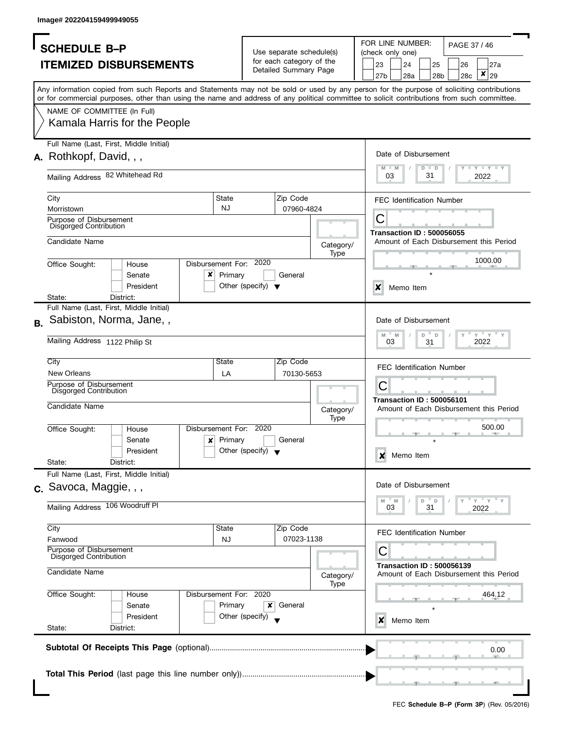|           | <b>SCHEDULE B-P</b>                               |                                                                                                                                                                                                                                                                                         |                           |                                      | Use separate schedule(s) |           | FOR LINE NUMBER:<br>PAGE 37 / 46<br>(check only one)<br>27a |         |                                         |               |                       |           |                                 |                                         |
|-----------|---------------------------------------------------|-----------------------------------------------------------------------------------------------------------------------------------------------------------------------------------------------------------------------------------------------------------------------------------------|---------------------------|--------------------------------------|--------------------------|-----------|-------------------------------------------------------------|---------|-----------------------------------------|---------------|-----------------------|-----------|---------------------------------|-----------------------------------------|
|           |                                                   | <b>ITEMIZED DISBURSEMENTS</b>                                                                                                                                                                                                                                                           |                           |                                      | for each category of the |           |                                                             | 23      | 24                                      |               |                       |           |                                 |                                         |
|           |                                                   |                                                                                                                                                                                                                                                                                         |                           |                                      | Detailed Summary Page    |           |                                                             | 27b     | 28a                                     |               | 25<br>28 <sub>b</sub> | 26<br>28c | ×                               | 29                                      |
|           |                                                   |                                                                                                                                                                                                                                                                                         |                           |                                      |                          |           |                                                             |         |                                         |               |                       |           |                                 |                                         |
|           |                                                   | Any information copied from such Reports and Statements may not be sold or used by any person for the purpose of soliciting contributions<br>or for commercial purposes, other than using the name and address of any political committee to solicit contributions from such committee. |                           |                                      |                          |           |                                                             |         |                                         |               |                       |           |                                 |                                         |
|           | NAME OF COMMITTEE (In Full)                       |                                                                                                                                                                                                                                                                                         |                           |                                      |                          |           |                                                             |         |                                         |               |                       |           |                                 |                                         |
|           |                                                   | Kamala Harris for the People                                                                                                                                                                                                                                                            |                           |                                      |                          |           |                                                             |         |                                         |               |                       |           |                                 |                                         |
|           |                                                   | Full Name (Last, First, Middle Initial)                                                                                                                                                                                                                                                 |                           |                                      |                          |           |                                                             |         |                                         |               |                       |           |                                 |                                         |
|           | A. Rothkopf, David, , ,                           |                                                                                                                                                                                                                                                                                         |                           |                                      |                          |           |                                                             |         | Date of Disbursement                    |               |                       |           |                                 |                                         |
|           | Mailing Address 82 Whitehead Rd                   |                                                                                                                                                                                                                                                                                         |                           |                                      |                          |           |                                                             | M<br>03 | $-M$                                    | $D$ $D$<br>31 |                       |           | <b>LYLYLY</b><br>2022           |                                         |
|           | City                                              |                                                                                                                                                                                                                                                                                         | State                     |                                      | Zip Code                 |           |                                                             |         |                                         |               |                       |           |                                 |                                         |
|           | Morristown                                        |                                                                                                                                                                                                                                                                                         | <b>NJ</b>                 |                                      | 07960-4824               |           |                                                             |         | <b>FEC Identification Number</b>        |               |                       |           |                                 |                                         |
|           | Purpose of Disbursement                           |                                                                                                                                                                                                                                                                                         |                           |                                      |                          |           |                                                             | С       |                                         |               |                       |           |                                 |                                         |
|           | Disgorged Contribution                            |                                                                                                                                                                                                                                                                                         |                           |                                      |                          |           |                                                             |         | <b>Transaction ID: 500056055</b>        |               |                       |           |                                 |                                         |
|           | Candidate Name                                    |                                                                                                                                                                                                                                                                                         |                           |                                      |                          | Category/ |                                                             |         | Amount of Each Disbursement this Period |               |                       |           |                                 |                                         |
|           |                                                   |                                                                                                                                                                                                                                                                                         |                           |                                      |                          | Type      |                                                             |         |                                         |               |                       |           |                                 |                                         |
|           | Office Sought:                                    | House                                                                                                                                                                                                                                                                                   |                           | Disbursement For: 2020               |                          |           |                                                             |         |                                         |               |                       |           | 1000.00                         |                                         |
|           |                                                   | x<br>Senate                                                                                                                                                                                                                                                                             | Primary                   |                                      | General                  |           |                                                             |         |                                         |               |                       |           |                                 |                                         |
|           |                                                   | President                                                                                                                                                                                                                                                                               |                           | Other (specify) $\blacktriangledown$ |                          |           |                                                             | X       | Memo Item                               |               |                       |           |                                 |                                         |
|           | State:                                            | District:                                                                                                                                                                                                                                                                               |                           |                                      |                          |           |                                                             |         |                                         |               |                       |           |                                 |                                         |
|           |                                                   | Full Name (Last, First, Middle Initial)                                                                                                                                                                                                                                                 |                           |                                      |                          |           |                                                             |         |                                         |               |                       |           |                                 |                                         |
| <b>B.</b> |                                                   | Sabiston, Norma, Jane,,                                                                                                                                                                                                                                                                 |                           |                                      |                          |           |                                                             | $M$ $M$ | Date of Disbursement                    | D             | D                     |           | $Y = Y$                         |                                         |
|           | Mailing Address 1122 Philip St                    |                                                                                                                                                                                                                                                                                         |                           |                                      |                          |           |                                                             | 03      |                                         | 31            |                       |           | 2022                            |                                         |
|           | City                                              |                                                                                                                                                                                                                                                                                         | State                     |                                      | Zip Code                 |           |                                                             |         | <b>FEC Identification Number</b>        |               |                       |           |                                 |                                         |
|           | <b>New Orleans</b>                                |                                                                                                                                                                                                                                                                                         | LA                        |                                      | 70130-5653               |           |                                                             |         |                                         |               |                       |           |                                 |                                         |
|           | Purpose of Disbursement<br>Disgorged Contribution |                                                                                                                                                                                                                                                                                         |                           |                                      |                          |           |                                                             | С       |                                         |               |                       |           |                                 |                                         |
|           |                                                   |                                                                                                                                                                                                                                                                                         |                           |                                      |                          |           |                                                             |         | <b>Transaction ID: 500056101</b>        |               |                       |           |                                 |                                         |
|           | Candidate Name                                    |                                                                                                                                                                                                                                                                                         |                           |                                      |                          | Category/ |                                                             |         |                                         |               |                       |           |                                 | Amount of Each Disbursement this Period |
|           |                                                   |                                                                                                                                                                                                                                                                                         |                           | Disbursement For: 2020               |                          | Type      |                                                             |         |                                         |               |                       |           |                                 | 500.00                                  |
|           | Office Sought:                                    | House                                                                                                                                                                                                                                                                                   | Primary                   |                                      | General                  |           |                                                             |         |                                         |               |                       |           |                                 |                                         |
|           |                                                   | Senate<br>President                                                                                                                                                                                                                                                                     | $\boldsymbol{\mathsf{x}}$ | Other (specify) $\bullet$            |                          |           |                                                             |         |                                         |               |                       |           |                                 |                                         |
|           | State:                                            | District:                                                                                                                                                                                                                                                                               |                           |                                      |                          |           |                                                             | X       | Memo Item                               |               |                       |           |                                 |                                         |
|           |                                                   | Full Name (Last, First, Middle Initial)                                                                                                                                                                                                                                                 |                           |                                      |                          |           |                                                             |         |                                         |               |                       |           |                                 |                                         |
|           | $c.$ Savoca, Maggie, $, ,$                        |                                                                                                                                                                                                                                                                                         |                           |                                      |                          |           |                                                             |         | Date of Disbursement                    |               |                       |           |                                 |                                         |
|           |                                                   |                                                                                                                                                                                                                                                                                         |                           |                                      |                          |           |                                                             |         |                                         |               |                       |           |                                 |                                         |
|           | Mailing Address 106 Woodruff PI                   |                                                                                                                                                                                                                                                                                         |                           |                                      |                          |           |                                                             | M<br>03 | M                                       | D<br>31       | D                     |           | $-\gamma$ $-\gamma$ $-$<br>2022 |                                         |
|           | City                                              |                                                                                                                                                                                                                                                                                         | State                     |                                      | Zip Code                 |           |                                                             |         |                                         |               |                       |           |                                 |                                         |
|           | Fanwood                                           |                                                                                                                                                                                                                                                                                         | <b>NJ</b>                 |                                      | 07023-1138               |           |                                                             |         | <b>FEC Identification Number</b>        |               |                       |           |                                 |                                         |
|           | Purpose of Disbursement<br>Disgorged Contribution |                                                                                                                                                                                                                                                                                         |                           |                                      |                          |           |                                                             | С       |                                         |               |                       |           |                                 |                                         |
|           | Candidate Name                                    |                                                                                                                                                                                                                                                                                         |                           |                                      |                          | Category/ |                                                             |         | <b>Transaction ID: 500056139</b>        |               |                       |           |                                 | Amount of Each Disbursement this Period |
|           |                                                   |                                                                                                                                                                                                                                                                                         |                           |                                      |                          | Type      |                                                             |         |                                         |               |                       |           |                                 |                                         |
|           | Office Sought:                                    | House                                                                                                                                                                                                                                                                                   |                           | Disbursement For: 2020               |                          |           |                                                             |         |                                         |               |                       |           |                                 | 464.12                                  |
|           |                                                   | Senate                                                                                                                                                                                                                                                                                  | Primary                   | x                                    | General                  |           |                                                             |         |                                         |               |                       |           |                                 |                                         |
|           |                                                   | President                                                                                                                                                                                                                                                                               |                           | Other (specify)                      |                          |           |                                                             | x       | Memo Item                               |               |                       |           |                                 |                                         |
|           | State:                                            | District:                                                                                                                                                                                                                                                                               |                           |                                      |                          |           |                                                             |         |                                         |               |                       |           |                                 |                                         |
|           |                                                   |                                                                                                                                                                                                                                                                                         |                           |                                      |                          |           |                                                             |         |                                         |               |                       |           |                                 |                                         |
|           |                                                   |                                                                                                                                                                                                                                                                                         |                           |                                      |                          |           |                                                             |         |                                         |               |                       |           |                                 | 0.00                                    |
|           |                                                   |                                                                                                                                                                                                                                                                                         |                           |                                      |                          |           |                                                             |         |                                         |               |                       |           |                                 |                                         |
|           |                                                   |                                                                                                                                                                                                                                                                                         |                           |                                      |                          |           |                                                             |         |                                         |               |                       |           |                                 |                                         |
|           |                                                   |                                                                                                                                                                                                                                                                                         |                           |                                      |                          |           |                                                             |         |                                         |               |                       |           |                                 |                                         |
|           |                                                   |                                                                                                                                                                                                                                                                                         |                           |                                      |                          |           |                                                             |         |                                         |               |                       |           |                                 |                                         |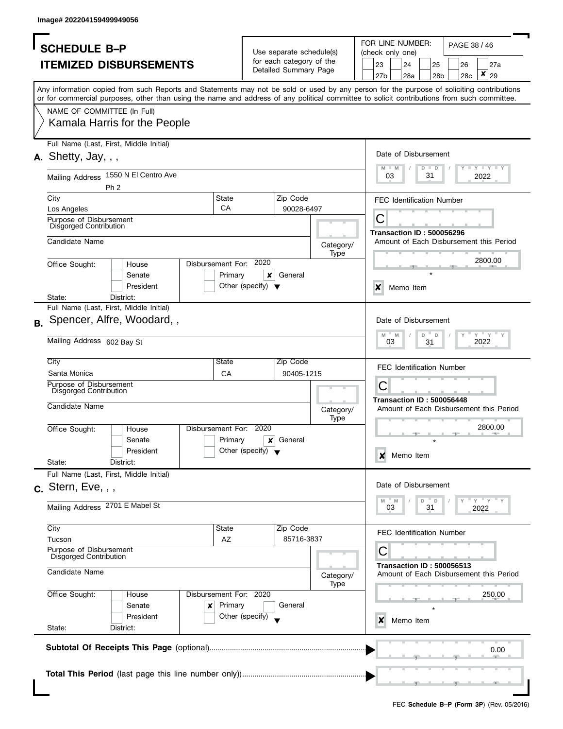| <b>SCHEDULE B-P</b>                                                                                                                        |                        |                                      | Use separate schedule(s) |           | FOR LINE NUMBER:<br>PAGE 38 / 46<br>(check only one)<br>23<br>24 |                           |                                  |   |                       |           |                                         |
|--------------------------------------------------------------------------------------------------------------------------------------------|------------------------|--------------------------------------|--------------------------|-----------|------------------------------------------------------------------|---------------------------|----------------------------------|---|-----------------------|-----------|-----------------------------------------|
|                                                                                                                                            |                        |                                      | for each category of the |           |                                                                  |                           |                                  |   |                       |           |                                         |
| <b>ITEMIZED DISBURSEMENTS</b>                                                                                                              |                        |                                      | Detailed Summary Page    |           |                                                                  | 27 <sub>b</sub>           | 28a                              |   | 25<br>28 <sub>b</sub> | 26<br>28c | 27a<br>×<br>29                          |
| Any information copied from such Reports and Statements may not be sold or used by any person for the purpose of soliciting contributions  |                        |                                      |                          |           |                                                                  |                           |                                  |   |                       |           |                                         |
| or for commercial purposes, other than using the name and address of any political committee to solicit contributions from such committee. |                        |                                      |                          |           |                                                                  |                           |                                  |   |                       |           |                                         |
| NAME OF COMMITTEE (In Full)<br>Kamala Harris for the People                                                                                |                        |                                      |                          |           |                                                                  |                           |                                  |   |                       |           |                                         |
|                                                                                                                                            |                        |                                      |                          |           |                                                                  |                           |                                  |   |                       |           |                                         |
| Full Name (Last, First, Middle Initial)                                                                                                    |                        |                                      |                          |           |                                                                  |                           | Date of Disbursement             |   |                       |           |                                         |
| $A.$ Shetty, Jay, , ,                                                                                                                      |                        |                                      |                          |           |                                                                  | $M - M$                   |                                  |   | $D$ $D$               |           | $T$ $Y$ $T$ $Y$ $T$ $Y$                 |
| 1550 N El Centro Ave<br><b>Mailing Address</b>                                                                                             |                        |                                      |                          |           |                                                                  | 03                        |                                  |   | 31                    |           | 2022                                    |
| Ph <sub>2</sub>                                                                                                                            |                        |                                      |                          |           |                                                                  |                           |                                  |   |                       |           |                                         |
| City<br>Los Angeles                                                                                                                        | State<br>CA            |                                      | Zip Code<br>90028-6497   |           |                                                                  |                           | <b>FEC Identification Number</b> |   |                       |           |                                         |
| Purpose of Disbursement                                                                                                                    |                        |                                      |                          |           |                                                                  | C                         |                                  |   |                       |           |                                         |
| <b>Disgorged Contribution</b>                                                                                                              |                        |                                      |                          |           |                                                                  |                           | <b>Transaction ID: 500056296</b> |   |                       |           |                                         |
| Candidate Name                                                                                                                             |                        |                                      |                          | Category/ |                                                                  |                           |                                  |   |                       |           | Amount of Each Disbursement this Period |
|                                                                                                                                            | Disbursement For:      | 2020                                 |                          | Type      |                                                                  |                           |                                  |   |                       |           | 2800.00                                 |
| Office Sought:<br>House<br>Senate                                                                                                          | Primary                | ×                                    | General                  |           |                                                                  |                           |                                  |   |                       |           |                                         |
| President                                                                                                                                  |                        | Other (specify) $\blacktriangledown$ |                          |           |                                                                  | $\boldsymbol{\mathsf{x}}$ | Memo Item                        |   |                       |           |                                         |
| State:<br>District:                                                                                                                        |                        |                                      |                          |           |                                                                  |                           |                                  |   |                       |           |                                         |
| Full Name (Last, First, Middle Initial)                                                                                                    |                        |                                      |                          |           |                                                                  |                           |                                  |   |                       |           |                                         |
| Spencer, Alfre, Woodard,,<br>В.                                                                                                            |                        |                                      |                          |           |                                                                  |                           | Date of Disbursement             |   |                       |           |                                         |
| Mailing Address 602 Bay St                                                                                                                 |                        |                                      |                          |           |                                                                  | M                         | M<br>03                          | D | $\mathsf D$<br>31     |           | $-\gamma + \gamma + \gamma$<br>2022     |
| City                                                                                                                                       | <b>State</b>           |                                      | Zip Code                 |           |                                                                  |                           | <b>FEC Identification Number</b> |   |                       |           |                                         |
| Santa Monica<br>Purpose of Disbursement                                                                                                    | CA                     |                                      | 90405-1215               |           |                                                                  |                           |                                  |   |                       |           |                                         |
| Disgorged Contribution                                                                                                                     |                        |                                      |                          |           |                                                                  | С                         |                                  |   |                       |           |                                         |
| Candidate Name                                                                                                                             |                        |                                      |                          | Category/ |                                                                  |                           | Transaction ID: 500056448        |   |                       |           | Amount of Each Disbursement this Period |
| Office Sought:<br>House                                                                                                                    | Disbursement For:      | 2020                                 |                          | Type      |                                                                  |                           |                                  |   |                       |           | 2800.00                                 |
| Senate                                                                                                                                     | Primary                | ×                                    | General                  |           |                                                                  |                           |                                  |   |                       |           |                                         |
| President                                                                                                                                  |                        | Other (specify) $\blacktriangledown$ |                          |           |                                                                  | x                         | Memo Item                        |   |                       |           |                                         |
| State:<br>District:                                                                                                                        |                        |                                      |                          |           |                                                                  |                           |                                  |   |                       |           |                                         |
| Full Name (Last, First, Middle Initial)                                                                                                    |                        |                                      |                          |           |                                                                  |                           | Date of Disbursement             |   |                       |           |                                         |
| $c.$ Stern, Eve, $,$ ,                                                                                                                     |                        |                                      |                          |           |                                                                  |                           |                                  |   |                       |           | $-\gamma + \gamma$                      |
| Mailing Address 2701 E Mabel St                                                                                                            |                        |                                      |                          |           |                                                                  | M                         | M<br>03                          | D | $\mathsf D$<br>31     |           | 2022                                    |
| City                                                                                                                                       | State                  |                                      | Zip Code                 |           |                                                                  |                           | <b>FEC Identification Number</b> |   |                       |           |                                         |
| Tucson                                                                                                                                     | AZ                     |                                      | 85716-3837               |           |                                                                  |                           |                                  |   |                       |           |                                         |
| Purpose of Disbursement<br>Disgorged Contribution                                                                                          |                        |                                      |                          |           |                                                                  | С                         |                                  |   |                       |           |                                         |
| Candidate Name                                                                                                                             |                        |                                      |                          | Category/ |                                                                  |                           | <b>Transaction ID: 500056513</b> |   |                       |           | Amount of Each Disbursement this Period |
| Office Sought:<br>House                                                                                                                    | Disbursement For: 2020 |                                      |                          | Type      |                                                                  |                           |                                  |   |                       |           | 250.00                                  |
| Senate                                                                                                                                     | Primary<br>x           |                                      | General                  |           |                                                                  |                           |                                  |   |                       |           |                                         |
| President                                                                                                                                  |                        | Other (specify)                      |                          |           |                                                                  | x                         | Memo Item                        |   |                       |           |                                         |
| State:<br>District:                                                                                                                        |                        |                                      |                          |           |                                                                  |                           |                                  |   |                       |           |                                         |
|                                                                                                                                            |                        |                                      |                          |           |                                                                  |                           |                                  |   |                       |           |                                         |
|                                                                                                                                            |                        |                                      |                          |           |                                                                  |                           |                                  |   |                       |           | 0.00                                    |
|                                                                                                                                            |                        |                                      |                          |           |                                                                  |                           |                                  |   |                       |           |                                         |
|                                                                                                                                            |                        |                                      |                          |           |                                                                  |                           |                                  |   |                       |           |                                         |
|                                                                                                                                            |                        |                                      |                          |           |                                                                  |                           |                                  |   |                       |           |                                         |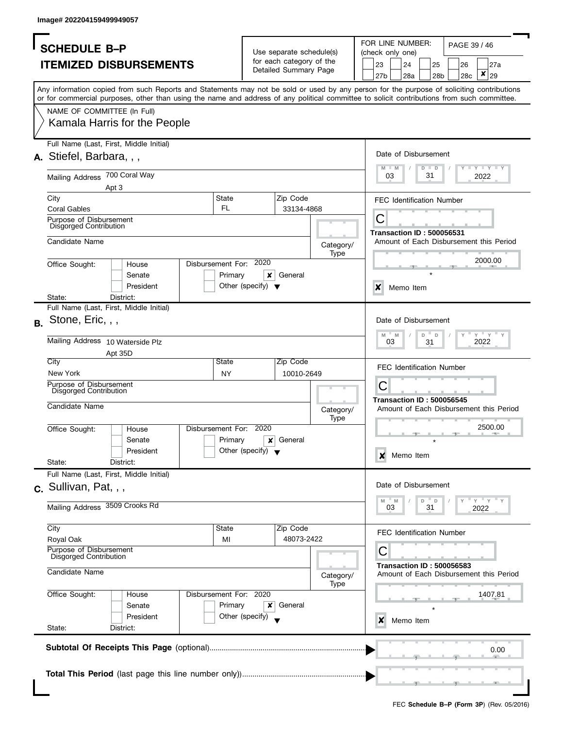| <b>SCHEDULE B-P</b><br><b>ITEMIZED DISBURSEMENTS</b><br>Any information copied from such Reports and Statements may not be sold or used by any person for the purpose of soliciting contributions<br>or for commercial purposes, other than using the name and address of any political committee to solicit contributions from such committee.<br>NAME OF COMMITTEE (In Full)<br>Kamala Harris for the People |                                      | Use separate schedule(s)<br>for each category of the<br>Detailed Summary Page |                   |                                                             | 23            | 24                                                                      |                        |  |  |                                                               |
|----------------------------------------------------------------------------------------------------------------------------------------------------------------------------------------------------------------------------------------------------------------------------------------------------------------------------------------------------------------------------------------------------------------|--------------------------------------|-------------------------------------------------------------------------------|-------------------|-------------------------------------------------------------|---------------|-------------------------------------------------------------------------|------------------------|--|--|---------------------------------------------------------------|
|                                                                                                                                                                                                                                                                                                                                                                                                                |                                      |                                                                               |                   |                                                             |               | FOR LINE NUMBER:<br>PAGE 39 / 46<br>(check only one)<br>25<br>27a<br>26 |                        |  |  |                                                               |
|                                                                                                                                                                                                                                                                                                                                                                                                                |                                      |                                                                               |                   | ×<br>29<br>27 <sub>b</sub><br>28a<br>28 <sub>b</sub><br>28c |               |                                                                         |                        |  |  |                                                               |
|                                                                                                                                                                                                                                                                                                                                                                                                                |                                      |                                                                               |                   |                                                             |               |                                                                         |                        |  |  |                                                               |
|                                                                                                                                                                                                                                                                                                                                                                                                                |                                      |                                                                               |                   |                                                             |               |                                                                         |                        |  |  |                                                               |
|                                                                                                                                                                                                                                                                                                                                                                                                                |                                      |                                                                               |                   |                                                             |               |                                                                         |                        |  |  |                                                               |
|                                                                                                                                                                                                                                                                                                                                                                                                                |                                      |                                                                               |                   |                                                             |               |                                                                         |                        |  |  |                                                               |
|                                                                                                                                                                                                                                                                                                                                                                                                                |                                      |                                                                               |                   |                                                             |               |                                                                         |                        |  |  |                                                               |
|                                                                                                                                                                                                                                                                                                                                                                                                                |                                      |                                                                               |                   |                                                             |               |                                                                         |                        |  |  |                                                               |
| Full Name (Last, First, Middle Initial)                                                                                                                                                                                                                                                                                                                                                                        |                                      |                                                                               |                   |                                                             |               |                                                                         |                        |  |  |                                                               |
| A. Stiefel, Barbara, , ,                                                                                                                                                                                                                                                                                                                                                                                       |                                      |                                                                               |                   |                                                             |               | Date of Disbursement                                                    |                        |  |  |                                                               |
| Mailing Address 700 Coral Way                                                                                                                                                                                                                                                                                                                                                                                  |                                      |                                                                               |                   |                                                             | $M - M$<br>03 |                                                                         | $D$ $D$<br>31          |  |  | Y TY TY TY<br>2022                                            |
| Apt 3                                                                                                                                                                                                                                                                                                                                                                                                          |                                      |                                                                               |                   |                                                             |               |                                                                         |                        |  |  |                                                               |
| State<br>City                                                                                                                                                                                                                                                                                                                                                                                                  |                                      | Zip Code                                                                      |                   |                                                             |               | <b>FEC Identification Number</b>                                        |                        |  |  |                                                               |
| FL<br><b>Coral Gables</b>                                                                                                                                                                                                                                                                                                                                                                                      |                                      | 33134-4868                                                                    |                   |                                                             |               |                                                                         |                        |  |  |                                                               |
| Purpose of Disbursement<br><b>Disgorged Contribution</b>                                                                                                                                                                                                                                                                                                                                                       |                                      |                                                                               |                   |                                                             | С             |                                                                         |                        |  |  |                                                               |
|                                                                                                                                                                                                                                                                                                                                                                                                                |                                      |                                                                               |                   |                                                             |               | <b>Transaction ID: 500056531</b>                                        |                        |  |  |                                                               |
| Candidate Name                                                                                                                                                                                                                                                                                                                                                                                                 |                                      |                                                                               | Category/         |                                                             |               |                                                                         |                        |  |  | Amount of Each Disbursement this Period                       |
| Disbursement For:<br>Office Sought:<br>House                                                                                                                                                                                                                                                                                                                                                                   | 2020                                 |                                                                               | Type              |                                                             |               |                                                                         |                        |  |  | 2000.00                                                       |
| Senate                                                                                                                                                                                                                                                                                                                                                                                                         | Primary<br>x                         | General                                                                       |                   |                                                             |               |                                                                         |                        |  |  |                                                               |
| President                                                                                                                                                                                                                                                                                                                                                                                                      | Other (specify) $\blacktriangledown$ |                                                                               |                   |                                                             | X             | Memo Item                                                               |                        |  |  |                                                               |
| State:<br>District:                                                                                                                                                                                                                                                                                                                                                                                            |                                      |                                                                               |                   |                                                             |               |                                                                         |                        |  |  |                                                               |
| Full Name (Last, First, Middle Initial)                                                                                                                                                                                                                                                                                                                                                                        |                                      |                                                                               |                   |                                                             |               |                                                                         |                        |  |  |                                                               |
| Stone, Eric, , ,                                                                                                                                                                                                                                                                                                                                                                                               |                                      |                                                                               |                   |                                                             |               | Date of Disbursement                                                    |                        |  |  |                                                               |
| Mailing Address 10 Waterside Plz                                                                                                                                                                                                                                                                                                                                                                               |                                      |                                                                               |                   |                                                             | M<br>03       | M                                                                       | D<br>D<br>31           |  |  | $\gamma$ $\gamma$ $\gamma$ $\gamma$ $\gamma$ $\gamma$<br>2022 |
| Apt 35D                                                                                                                                                                                                                                                                                                                                                                                                        |                                      |                                                                               |                   |                                                             |               |                                                                         |                        |  |  |                                                               |
| City<br>State                                                                                                                                                                                                                                                                                                                                                                                                  |                                      | Zip Code                                                                      |                   |                                                             |               | <b>FEC Identification Number</b>                                        |                        |  |  |                                                               |
| New York<br>NY                                                                                                                                                                                                                                                                                                                                                                                                 |                                      | 10010-2649                                                                    |                   |                                                             |               |                                                                         |                        |  |  |                                                               |
| Purpose of Disbursement<br><b>Disgorged Contribution</b>                                                                                                                                                                                                                                                                                                                                                       |                                      |                                                                               |                   |                                                             | Ĉ             |                                                                         |                        |  |  |                                                               |
| Candidate Name                                                                                                                                                                                                                                                                                                                                                                                                 |                                      |                                                                               |                   |                                                             |               | <b>Transaction ID: 500056545</b>                                        |                        |  |  |                                                               |
|                                                                                                                                                                                                                                                                                                                                                                                                                |                                      |                                                                               | Category/<br>Type |                                                             |               |                                                                         |                        |  |  | Amount of Each Disbursement this Period                       |
| Disbursement For:<br>Office Sought:<br>House                                                                                                                                                                                                                                                                                                                                                                   | 2020                                 |                                                                               |                   |                                                             |               |                                                                         |                        |  |  | 2500.00                                                       |
| Senate                                                                                                                                                                                                                                                                                                                                                                                                         | Primary<br>×                         | General                                                                       |                   |                                                             |               |                                                                         |                        |  |  |                                                               |
| President                                                                                                                                                                                                                                                                                                                                                                                                      | Other (specify) $\blacktriangledown$ |                                                                               |                   |                                                             | x             | Memo Item                                                               |                        |  |  |                                                               |
| State:<br>District:                                                                                                                                                                                                                                                                                                                                                                                            |                                      |                                                                               |                   |                                                             |               |                                                                         |                        |  |  |                                                               |
| Full Name (Last, First, Middle Initial)                                                                                                                                                                                                                                                                                                                                                                        |                                      |                                                                               |                   |                                                             |               |                                                                         |                        |  |  |                                                               |
| $c.$ Sullivan, Pat, , ,                                                                                                                                                                                                                                                                                                                                                                                        |                                      |                                                                               |                   |                                                             |               | Date of Disbursement                                                    |                        |  |  |                                                               |
| Mailing Address 3509 Crooks Rd                                                                                                                                                                                                                                                                                                                                                                                 |                                      |                                                                               |                   |                                                             | M<br>03       | M                                                                       | D<br>$\mathsf D$<br>31 |  |  | $-\gamma + \gamma + \gamma$<br>2022                           |
|                                                                                                                                                                                                                                                                                                                                                                                                                |                                      |                                                                               |                   |                                                             |               |                                                                         |                        |  |  |                                                               |
| City<br>State                                                                                                                                                                                                                                                                                                                                                                                                  |                                      | Zip Code                                                                      |                   |                                                             |               | <b>FEC Identification Number</b>                                        |                        |  |  |                                                               |
| Royal Oak<br>MI                                                                                                                                                                                                                                                                                                                                                                                                |                                      | 48073-2422                                                                    |                   |                                                             |               |                                                                         |                        |  |  |                                                               |
| Purpose of Disbursement<br>Disgorged Contribution                                                                                                                                                                                                                                                                                                                                                              |                                      |                                                                               |                   |                                                             | C             |                                                                         |                        |  |  |                                                               |
| Candidate Name                                                                                                                                                                                                                                                                                                                                                                                                 |                                      |                                                                               |                   |                                                             |               | <b>Transaction ID: 500056583</b>                                        |                        |  |  | Amount of Each Disbursement this Period                       |
|                                                                                                                                                                                                                                                                                                                                                                                                                |                                      |                                                                               | Category/<br>Type |                                                             |               |                                                                         |                        |  |  |                                                               |
| Office Sought:<br>Disbursement For: 2020<br>House                                                                                                                                                                                                                                                                                                                                                              |                                      |                                                                               |                   |                                                             |               |                                                                         |                        |  |  | 1407.81                                                       |
| Senate                                                                                                                                                                                                                                                                                                                                                                                                         | Primary<br>x                         | General                                                                       |                   |                                                             |               |                                                                         |                        |  |  |                                                               |
| President                                                                                                                                                                                                                                                                                                                                                                                                      | Other (specify)                      |                                                                               |                   |                                                             | x             | Memo Item                                                               |                        |  |  |                                                               |
| State:<br>District:                                                                                                                                                                                                                                                                                                                                                                                            |                                      |                                                                               |                   |                                                             |               |                                                                         |                        |  |  |                                                               |
|                                                                                                                                                                                                                                                                                                                                                                                                                |                                      |                                                                               |                   |                                                             |               |                                                                         |                        |  |  |                                                               |
|                                                                                                                                                                                                                                                                                                                                                                                                                |                                      |                                                                               |                   |                                                             |               |                                                                         |                        |  |  | 0.00                                                          |
|                                                                                                                                                                                                                                                                                                                                                                                                                |                                      |                                                                               |                   |                                                             |               |                                                                         |                        |  |  |                                                               |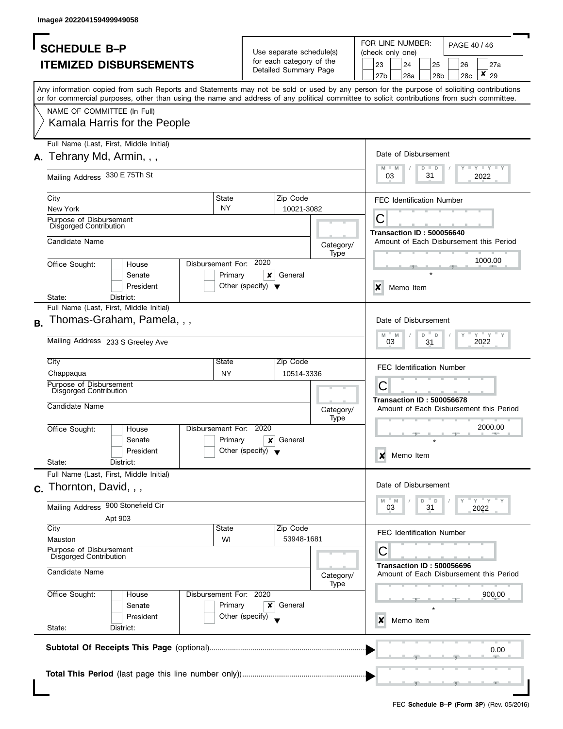|           | <b>SCHEDULE B-P</b>                               |                                                                                                                                                                                                                                                                                         |                    |                                           | Use separate schedule(s) |                   | FOR LINE NUMBER:<br>PAGE 40 / 46<br>(check only one)<br>23<br>24<br>25<br>26<br>27a |                 |                                  |               |                 |     |                                         |
|-----------|---------------------------------------------------|-----------------------------------------------------------------------------------------------------------------------------------------------------------------------------------------------------------------------------------------------------------------------------------------|--------------------|-------------------------------------------|--------------------------|-------------------|-------------------------------------------------------------------------------------|-----------------|----------------------------------|---------------|-----------------|-----|-----------------------------------------|
|           |                                                   | <b>ITEMIZED DISBURSEMENTS</b>                                                                                                                                                                                                                                                           |                    |                                           | for each category of the |                   |                                                                                     |                 |                                  |               |                 |     |                                         |
|           |                                                   |                                                                                                                                                                                                                                                                                         |                    |                                           | Detailed Summary Page    |                   |                                                                                     | 27 <sub>b</sub> | 28a                              |               | 28 <sub>b</sub> | 28c | $\pmb{\times}$<br>29                    |
|           |                                                   | Any information copied from such Reports and Statements may not be sold or used by any person for the purpose of soliciting contributions<br>or for commercial purposes, other than using the name and address of any political committee to solicit contributions from such committee. |                    |                                           |                          |                   |                                                                                     |                 |                                  |               |                 |     |                                         |
|           | NAME OF COMMITTEE (In Full)                       |                                                                                                                                                                                                                                                                                         |                    |                                           |                          |                   |                                                                                     |                 |                                  |               |                 |     |                                         |
|           |                                                   | Kamala Harris for the People                                                                                                                                                                                                                                                            |                    |                                           |                          |                   |                                                                                     |                 |                                  |               |                 |     |                                         |
|           | Tehrany Md, Armin, , ,                            | Full Name (Last, First, Middle Initial)                                                                                                                                                                                                                                                 |                    |                                           |                          |                   |                                                                                     |                 | Date of Disbursement             |               |                 |     |                                         |
|           | Mailing Address 330 E 75Th St                     |                                                                                                                                                                                                                                                                                         |                    |                                           |                          |                   |                                                                                     | M<br>M<br>03    |                                  | $D$ $D$<br>31 |                 |     | <b>LYLYL</b><br>2022                    |
| City      | New York                                          |                                                                                                                                                                                                                                                                                         | State<br><b>NY</b> |                                           | Zip Code<br>10021-3082   |                   |                                                                                     |                 | <b>FEC Identification Number</b> |               |                 |     |                                         |
|           | Purpose of Disbursement<br>Disgorged Contribution |                                                                                                                                                                                                                                                                                         |                    |                                           |                          |                   |                                                                                     | С               | <b>Transaction ID: 500056640</b> |               |                 |     |                                         |
|           | Candidate Name                                    |                                                                                                                                                                                                                                                                                         |                    |                                           |                          | Category/         |                                                                                     |                 |                                  |               |                 |     | Amount of Each Disbursement this Period |
|           | Office Sought:                                    | House                                                                                                                                                                                                                                                                                   |                    | Disbursement For: 2020                    |                          | Type              |                                                                                     |                 |                                  |               |                 |     | 1000.00                                 |
|           |                                                   | Senate                                                                                                                                                                                                                                                                                  |                    | Primary<br>x                              | General                  |                   |                                                                                     |                 |                                  |               |                 |     |                                         |
|           |                                                   | President                                                                                                                                                                                                                                                                               |                    | Other (specify) $\blacktriangledown$      |                          |                   |                                                                                     | X               | Memo Item                        |               |                 |     |                                         |
| State:    |                                                   | District:<br>Full Name (Last, First, Middle Initial)                                                                                                                                                                                                                                    |                    |                                           |                          |                   |                                                                                     |                 |                                  |               |                 |     |                                         |
| <b>B.</b> |                                                   | Thomas-Graham, Pamela, , ,                                                                                                                                                                                                                                                              |                    |                                           |                          |                   |                                                                                     |                 | Date of Disbursement             |               |                 |     |                                         |
|           |                                                   | Mailing Address 233 S Greeley Ave                                                                                                                                                                                                                                                       |                    |                                           |                          |                   |                                                                                     | M<br>03         | $-M$                             | D<br>D<br>31  |                 |     | $Y = Y$<br>2022                         |
| City      |                                                   |                                                                                                                                                                                                                                                                                         | State              |                                           | Zip Code                 |                   |                                                                                     |                 | <b>FEC Identification Number</b> |               |                 |     |                                         |
|           | Chappaqua<br>Purpose of Disbursement              |                                                                                                                                                                                                                                                                                         | <b>NY</b>          |                                           | 10514-3336               |                   |                                                                                     | C               |                                  |               |                 |     |                                         |
|           | Disgorged Contribution                            |                                                                                                                                                                                                                                                                                         |                    |                                           |                          |                   |                                                                                     |                 | <b>Transaction ID: 500056678</b> |               |                 |     |                                         |
|           | Candidate Name                                    |                                                                                                                                                                                                                                                                                         |                    |                                           |                          | Category/<br>Type |                                                                                     |                 |                                  |               |                 |     | Amount of Each Disbursement this Period |
|           | Office Sought:                                    | House                                                                                                                                                                                                                                                                                   | Disbursement For:  | 2020                                      |                          |                   |                                                                                     |                 |                                  |               |                 |     | 2000.00                                 |
|           |                                                   | Senate<br>President                                                                                                                                                                                                                                                                     |                    | Primary<br>×<br>Other (specify) $\bullet$ | General                  |                   |                                                                                     |                 |                                  |               |                 |     |                                         |
| State:    |                                                   | District:                                                                                                                                                                                                                                                                               |                    |                                           |                          |                   |                                                                                     | x               | Memo Item                        |               |                 |     |                                         |
|           |                                                   | Full Name (Last, First, Middle Initial)                                                                                                                                                                                                                                                 |                    |                                           |                          |                   |                                                                                     |                 |                                  |               |                 |     |                                         |
|           | c. Thornton, David, , ,                           |                                                                                                                                                                                                                                                                                         |                    |                                           |                          |                   |                                                                                     | M               | Date of Disbursement<br>M        | D<br>D        |                 |     | $=$ $Y =$ $X =$                         |
|           |                                                   | Mailing Address 900 Stonefield Cir                                                                                                                                                                                                                                                      |                    |                                           |                          |                   |                                                                                     | 03              |                                  | 31            |                 |     | 2022                                    |
| City      |                                                   | Apt 903                                                                                                                                                                                                                                                                                 | State              |                                           | Zip Code                 |                   |                                                                                     |                 |                                  |               |                 |     |                                         |
|           | Mauston                                           |                                                                                                                                                                                                                                                                                         |                    | WI                                        | 53948-1681               |                   |                                                                                     |                 | <b>FEC Identification Number</b> |               |                 |     |                                         |
|           | Purpose of Disbursement<br>Disgorged Contribution |                                                                                                                                                                                                                                                                                         |                    |                                           |                          |                   |                                                                                     | С               | <b>Transaction ID: 500056696</b> |               |                 |     |                                         |
|           | Candidate Name                                    |                                                                                                                                                                                                                                                                                         |                    |                                           |                          | Category/<br>Type |                                                                                     |                 |                                  |               |                 |     | Amount of Each Disbursement this Period |
|           | Office Sought:                                    | House<br>Senate                                                                                                                                                                                                                                                                         |                    | Disbursement For: 2020<br>Primary<br>×    | General                  |                   |                                                                                     |                 |                                  |               |                 |     | 900.00                                  |
| State:    |                                                   | President<br>District:                                                                                                                                                                                                                                                                  |                    | Other (specify)                           |                          |                   |                                                                                     | x               | Memo Item                        |               |                 |     |                                         |
|           |                                                   |                                                                                                                                                                                                                                                                                         |                    |                                           |                          |                   |                                                                                     |                 |                                  |               |                 |     |                                         |
|           |                                                   |                                                                                                                                                                                                                                                                                         |                    |                                           |                          |                   |                                                                                     |                 |                                  |               |                 |     | 0.00                                    |
|           |                                                   |                                                                                                                                                                                                                                                                                         |                    |                                           |                          |                   |                                                                                     |                 |                                  |               |                 |     |                                         |
|           |                                                   |                                                                                                                                                                                                                                                                                         |                    |                                           |                          |                   |                                                                                     |                 |                                  |               |                 |     |                                         |
|           |                                                   |                                                                                                                                                                                                                                                                                         |                    |                                           |                          |                   |                                                                                     |                 |                                  |               |                 |     |                                         |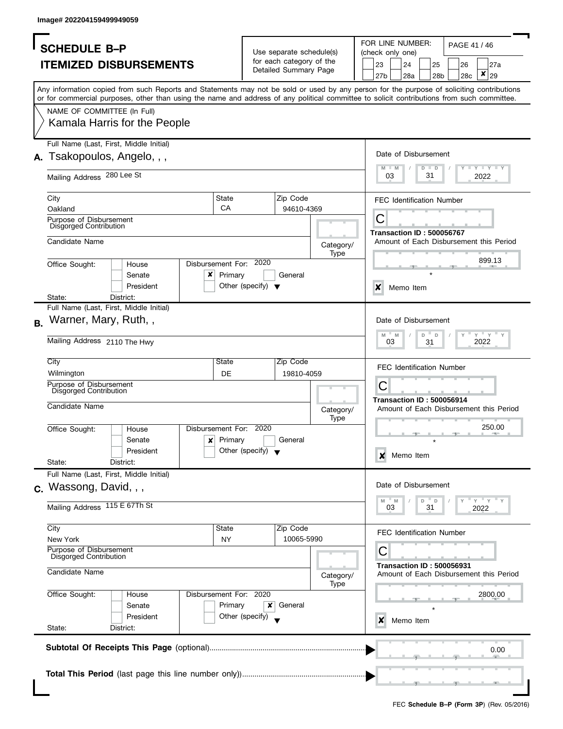|           | <b>SCHEDULE B-P</b>                                                                                                                                                                                                                                                                     |                                              |                                      |                                                      |                   |           | FOR LINE NUMBER:                 |         |                       | PAGE 41 / 46 |                                         |
|-----------|-----------------------------------------------------------------------------------------------------------------------------------------------------------------------------------------------------------------------------------------------------------------------------------------|----------------------------------------------|--------------------------------------|------------------------------------------------------|-------------------|-----------|----------------------------------|---------|-----------------------|--------------|-----------------------------------------|
|           |                                                                                                                                                                                                                                                                                         |                                              |                                      | Use separate schedule(s)<br>for each category of the |                   |           | (check only one)                 |         |                       |              |                                         |
|           | <b>ITEMIZED DISBURSEMENTS</b>                                                                                                                                                                                                                                                           |                                              |                                      | Detailed Summary Page                                |                   | 23<br>27b | 24<br>28a                        |         | 25<br>28 <sub>b</sub> | 26<br>28c    | 27a<br>×<br>29                          |
|           | Any information copied from such Reports and Statements may not be sold or used by any person for the purpose of soliciting contributions<br>or for commercial purposes, other than using the name and address of any political committee to solicit contributions from such committee. |                                              |                                      |                                                      |                   |           |                                  |         |                       |              |                                         |
|           | NAME OF COMMITTEE (In Full)                                                                                                                                                                                                                                                             |                                              |                                      |                                                      |                   |           |                                  |         |                       |              |                                         |
|           | Kamala Harris for the People                                                                                                                                                                                                                                                            |                                              |                                      |                                                      |                   |           |                                  |         |                       |              |                                         |
|           | Full Name (Last, First, Middle Initial)<br>Tsakopoulos, Angelo, , ,                                                                                                                                                                                                                     |                                              |                                      |                                                      |                   | $M - M$   | Date of Disbursement             | $D$ $D$ |                       |              | <b>LIVELY LI</b>                        |
|           | Mailing Address 280 Lee St                                                                                                                                                                                                                                                              |                                              |                                      |                                                      |                   | 03        |                                  | 31      |                       |              | 2022                                    |
|           | City<br>Oakland                                                                                                                                                                                                                                                                         | State<br>CA                                  |                                      | Zip Code<br>94610-4369                               |                   |           | <b>FEC Identification Number</b> |         |                       |              |                                         |
|           | Purpose of Disbursement<br>Disgorged Contribution                                                                                                                                                                                                                                       |                                              |                                      |                                                      |                   | С         | <b>Transaction ID: 500056767</b> |         |                       |              |                                         |
|           | Candidate Name                                                                                                                                                                                                                                                                          |                                              |                                      |                                                      | Category/<br>Type |           |                                  |         |                       |              | Amount of Each Disbursement this Period |
|           | Office Sought:<br>House<br>×<br>Senate                                                                                                                                                                                                                                                  | Disbursement For:<br>Primary                 | 2020                                 | General                                              |                   |           |                                  |         |                       |              | 899.13                                  |
|           | President<br>State:<br>District:                                                                                                                                                                                                                                                        |                                              | Other (specify) $\blacktriangledown$ |                                                      |                   | X         | Memo Item                        |         |                       |              |                                         |
|           | Full Name (Last, First, Middle Initial)                                                                                                                                                                                                                                                 |                                              |                                      |                                                      |                   |           |                                  |         |                       |              |                                         |
| <b>B.</b> | Warner, Mary, Ruth,,                                                                                                                                                                                                                                                                    |                                              |                                      |                                                      |                   | M         | Date of Disbursement<br>M        | D       | D                     |              | $Y = Y$                                 |
|           | Mailing Address 2110 The Hwy                                                                                                                                                                                                                                                            |                                              |                                      |                                                      |                   |           | 03                               | 31      |                       |              | 2022                                    |
|           | City<br>Wilmington                                                                                                                                                                                                                                                                      | State<br>DE                                  |                                      | Zip Code<br>19810-4059                               |                   |           | <b>FEC Identification Number</b> |         |                       |              |                                         |
|           | Purpose of Disbursement<br>Disgorged Contribution                                                                                                                                                                                                                                       |                                              |                                      |                                                      |                   | С         | <b>Transaction ID: 500056914</b> |         |                       |              |                                         |
|           | Candidate Name                                                                                                                                                                                                                                                                          |                                              |                                      |                                                      | Category/<br>Type |           |                                  |         |                       |              | Amount of Each Disbursement this Period |
|           | Office Sought:<br>House<br>Senate                                                                                                                                                                                                                                                       | Disbursement For:<br>Primary<br>$\mathsf{x}$ | 2020                                 | General                                              |                   |           |                                  |         |                       |              | 250.00                                  |
|           | President<br>State:<br>District:                                                                                                                                                                                                                                                        |                                              | Other (specify) $\blacktriangledown$ |                                                      |                   | X         | Memo Item                        |         |                       |              |                                         |
|           | Full Name (Last, First, Middle Initial)                                                                                                                                                                                                                                                 |                                              |                                      |                                                      |                   |           |                                  |         |                       |              |                                         |
|           | c. Wassong, David, , ,                                                                                                                                                                                                                                                                  |                                              |                                      |                                                      |                   | M         | Date of Disbursement<br>M        | D       | D                     | Y            | $=$ $Y$ $+$ $Y$ $+$                     |
|           | Mailing Address 115 E 67Th St                                                                                                                                                                                                                                                           |                                              |                                      |                                                      |                   |           | 03                               | 31      |                       |              | 2022                                    |
|           | City<br>New York                                                                                                                                                                                                                                                                        | State<br>ΝY                                  |                                      | Zip Code<br>10065-5990                               |                   |           | <b>FEC Identification Number</b> |         |                       |              |                                         |
|           | Purpose of Disbursement<br>Disgorged Contribution                                                                                                                                                                                                                                       |                                              |                                      |                                                      |                   | C         |                                  |         |                       |              |                                         |
|           | Candidate Name                                                                                                                                                                                                                                                                          |                                              |                                      |                                                      | Category/<br>Type |           | <b>Transaction ID: 500056931</b> |         |                       |              | Amount of Each Disbursement this Period |
|           | Office Sought:<br>House<br>Senate<br>President                                                                                                                                                                                                                                          | Disbursement For: 2020<br>Primary            | ×<br>Other (specify)                 | General                                              |                   | x         | Memo Item                        |         |                       |              | 2800.00                                 |
|           | State:<br>District:                                                                                                                                                                                                                                                                     |                                              |                                      |                                                      |                   |           |                                  |         |                       |              |                                         |
|           |                                                                                                                                                                                                                                                                                         |                                              |                                      |                                                      |                   |           |                                  |         |                       |              | 0.00                                    |
|           |                                                                                                                                                                                                                                                                                         |                                              |                                      |                                                      |                   |           |                                  |         |                       |              |                                         |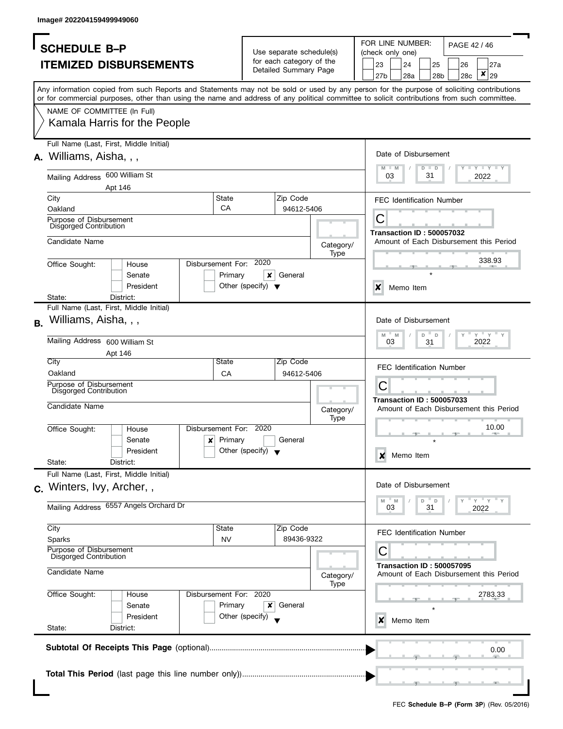| <b>SCHEDULE B-P</b><br><b>ITEMIZED DISBURSEMENTS</b>                                                                                                                                                                                                                                    |                         |                                      | Use separate schedule(s)<br>for each category of the |                   |                                                                                     |                           |                                  |               |        |     |                                         |
|-----------------------------------------------------------------------------------------------------------------------------------------------------------------------------------------------------------------------------------------------------------------------------------------|-------------------------|--------------------------------------|------------------------------------------------------|-------------------|-------------------------------------------------------------------------------------|---------------------------|----------------------------------|---------------|--------|-----|-----------------------------------------|
|                                                                                                                                                                                                                                                                                         |                         |                                      |                                                      |                   | FOR LINE NUMBER:<br>PAGE 42 / 46<br>(check only one)<br>23<br>24<br>25<br>26<br>27a |                           |                                  |               |        |     |                                         |
|                                                                                                                                                                                                                                                                                         |                         |                                      |                                                      |                   |                                                                                     |                           |                                  |               |        |     |                                         |
|                                                                                                                                                                                                                                                                                         |                         |                                      | Detailed Summary Page                                |                   |                                                                                     |                           |                                  |               |        |     | $\pmb{\mathsf{x}}$                      |
|                                                                                                                                                                                                                                                                                         |                         |                                      |                                                      |                   |                                                                                     | 27b                       | 28a                              |               | 28b    | 28c | 29                                      |
| Any information copied from such Reports and Statements may not be sold or used by any person for the purpose of soliciting contributions<br>or for commercial purposes, other than using the name and address of any political committee to solicit contributions from such committee. |                         |                                      |                                                      |                   |                                                                                     |                           |                                  |               |        |     |                                         |
|                                                                                                                                                                                                                                                                                         |                         |                                      |                                                      |                   |                                                                                     |                           |                                  |               |        |     |                                         |
| NAME OF COMMITTEE (In Full)                                                                                                                                                                                                                                                             |                         |                                      |                                                      |                   |                                                                                     |                           |                                  |               |        |     |                                         |
| Kamala Harris for the People                                                                                                                                                                                                                                                            |                         |                                      |                                                      |                   |                                                                                     |                           |                                  |               |        |     |                                         |
| Full Name (Last, First, Middle Initial)                                                                                                                                                                                                                                                 |                         |                                      |                                                      |                   |                                                                                     |                           |                                  |               |        |     |                                         |
|                                                                                                                                                                                                                                                                                         |                         |                                      |                                                      |                   |                                                                                     |                           | Date of Disbursement             |               |        |     |                                         |
| Williams, Aisha, , ,                                                                                                                                                                                                                                                                    |                         |                                      |                                                      |                   |                                                                                     |                           |                                  |               |        |     |                                         |
| Mailing Address 600 William St                                                                                                                                                                                                                                                          |                         |                                      |                                                      |                   |                                                                                     | 03                        |                                  | $D$ $D$<br>31 |        |     | $T$ $Y$ $T$ $Y$ $T$ $Y$<br>2022         |
| Apt 146                                                                                                                                                                                                                                                                                 |                         |                                      |                                                      |                   |                                                                                     |                           |                                  |               |        |     |                                         |
| City                                                                                                                                                                                                                                                                                    | <b>State</b>            |                                      | Zip Code                                             |                   |                                                                                     |                           | <b>FEC Identification Number</b> |               |        |     |                                         |
| Oakland                                                                                                                                                                                                                                                                                 | CA                      |                                      | 94612-5406                                           |                   |                                                                                     |                           |                                  |               |        |     |                                         |
| Purpose of Disbursement                                                                                                                                                                                                                                                                 |                         |                                      |                                                      |                   |                                                                                     | С                         |                                  |               |        |     |                                         |
| <b>Disgorged Contribution</b>                                                                                                                                                                                                                                                           |                         |                                      |                                                      |                   |                                                                                     |                           | <b>Transaction ID: 500057032</b> |               |        |     |                                         |
| Candidate Name                                                                                                                                                                                                                                                                          |                         |                                      |                                                      | Category/         |                                                                                     |                           |                                  |               |        |     | Amount of Each Disbursement this Period |
|                                                                                                                                                                                                                                                                                         |                         |                                      |                                                      | Type              |                                                                                     |                           |                                  |               |        |     |                                         |
| Office Sought:<br>House                                                                                                                                                                                                                                                                 | Disbursement For: 2020  |                                      |                                                      |                   |                                                                                     |                           |                                  |               |        |     | 338.93                                  |
| Senate                                                                                                                                                                                                                                                                                  | Primary                 | ×                                    | General                                              |                   |                                                                                     |                           |                                  |               |        |     |                                         |
| President                                                                                                                                                                                                                                                                               |                         | Other (specify) $\blacktriangledown$ |                                                      |                   |                                                                                     | $\boldsymbol{\mathsf{x}}$ | Memo Item                        |               |        |     |                                         |
| State:<br>District:<br>Full Name (Last, First, Middle Initial)                                                                                                                                                                                                                          |                         |                                      |                                                      |                   |                                                                                     |                           |                                  |               |        |     |                                         |
|                                                                                                                                                                                                                                                                                         |                         |                                      |                                                      |                   |                                                                                     |                           |                                  |               |        |     |                                         |
| Williams, Aisha, , ,                                                                                                                                                                                                                                                                    |                         |                                      |                                                      |                   |                                                                                     |                           | Date of Disbursement             |               |        |     |                                         |
| Mailing Address 600 William St                                                                                                                                                                                                                                                          |                         |                                      |                                                      |                   |                                                                                     | $M - M$<br>03             |                                  | D<br>31       | $\Box$ |     | $Y$ $Y$ $Y$<br>2022                     |
| Apt 146                                                                                                                                                                                                                                                                                 |                         |                                      |                                                      |                   |                                                                                     |                           |                                  |               |        |     |                                         |
| City                                                                                                                                                                                                                                                                                    | State                   |                                      | Zip Code                                             |                   |                                                                                     |                           |                                  |               |        |     |                                         |
| Oakland                                                                                                                                                                                                                                                                                 | CA                      |                                      | 94612-5406                                           |                   |                                                                                     |                           | <b>FEC Identification Number</b> |               |        |     |                                         |
| Purpose of Disbursement<br>Disgorged Contribution                                                                                                                                                                                                                                       |                         |                                      |                                                      |                   |                                                                                     | С                         |                                  |               |        |     |                                         |
|                                                                                                                                                                                                                                                                                         |                         |                                      |                                                      |                   |                                                                                     |                           | <b>Transaction ID: 500057033</b> |               |        |     |                                         |
| Candidate Name                                                                                                                                                                                                                                                                          |                         |                                      |                                                      | Category/         |                                                                                     |                           |                                  |               |        |     | Amount of Each Disbursement this Period |
|                                                                                                                                                                                                                                                                                         | Disbursement For: 2020  |                                      |                                                      | <b>Type</b>       |                                                                                     |                           |                                  |               |        |     | 10.00                                   |
| Office Sought:<br>House<br>Senate                                                                                                                                                                                                                                                       | Primary<br>$\mathbf{x}$ |                                      | General                                              |                   |                                                                                     |                           |                                  |               |        |     |                                         |
| President                                                                                                                                                                                                                                                                               |                         | Other (specify) $\blacktriangledown$ |                                                      |                   |                                                                                     |                           |                                  |               |        |     |                                         |
| State:<br>District:                                                                                                                                                                                                                                                                     |                         |                                      |                                                      |                   |                                                                                     | X                         | Memo Item                        |               |        |     |                                         |
| Full Name (Last, First, Middle Initial)                                                                                                                                                                                                                                                 |                         |                                      |                                                      |                   |                                                                                     |                           |                                  |               |        |     |                                         |
| c. Winters, Ivy, Archer,,                                                                                                                                                                                                                                                               |                         |                                      |                                                      |                   |                                                                                     |                           | Date of Disbursement             |               |        |     |                                         |
|                                                                                                                                                                                                                                                                                         |                         |                                      |                                                      |                   |                                                                                     | M                         | $-M$                             | D             | D      |     | $=$ $\overline{Y}$ $=$ $\overline{Y}$   |
| Mailing Address 6557 Angels Orchard Dr                                                                                                                                                                                                                                                  |                         |                                      |                                                      |                   |                                                                                     | 03                        |                                  | 31            |        |     | 2022                                    |
|                                                                                                                                                                                                                                                                                         |                         |                                      |                                                      |                   |                                                                                     |                           |                                  |               |        |     |                                         |
| City                                                                                                                                                                                                                                                                                    | State                   |                                      | Zip Code                                             |                   |                                                                                     |                           | <b>FEC Identification Number</b> |               |        |     |                                         |
| Sparks<br>Purpose of Disbursement                                                                                                                                                                                                                                                       | <b>NV</b>               |                                      | 89436-9322                                           |                   |                                                                                     |                           |                                  |               |        |     |                                         |
| Disgorged Contribution                                                                                                                                                                                                                                                                  |                         |                                      |                                                      |                   |                                                                                     | C                         |                                  |               |        |     |                                         |
| Candidate Name                                                                                                                                                                                                                                                                          |                         |                                      |                                                      |                   |                                                                                     |                           | <b>Transaction ID: 500057095</b> |               |        |     | Amount of Each Disbursement this Period |
|                                                                                                                                                                                                                                                                                         |                         |                                      |                                                      | Category/<br>Type |                                                                                     |                           |                                  |               |        |     |                                         |
| Office Sought:<br>House                                                                                                                                                                                                                                                                 | Disbursement For: 2020  |                                      |                                                      |                   |                                                                                     |                           |                                  |               |        |     | 2783.33                                 |
| Senate                                                                                                                                                                                                                                                                                  | Primary                 | ×                                    | General                                              |                   |                                                                                     |                           |                                  |               |        |     |                                         |
| President                                                                                                                                                                                                                                                                               |                         | Other (specify)                      |                                                      |                   |                                                                                     | x                         | Memo Item                        |               |        |     |                                         |
| State:<br>District:                                                                                                                                                                                                                                                                     |                         |                                      |                                                      |                   |                                                                                     |                           |                                  |               |        |     |                                         |
|                                                                                                                                                                                                                                                                                         |                         |                                      |                                                      |                   |                                                                                     |                           |                                  |               |        |     |                                         |
|                                                                                                                                                                                                                                                                                         |                         |                                      |                                                      |                   |                                                                                     |                           |                                  |               |        |     |                                         |
|                                                                                                                                                                                                                                                                                         |                         |                                      |                                                      |                   |                                                                                     |                           |                                  |               |        |     | 0.00                                    |
|                                                                                                                                                                                                                                                                                         |                         |                                      |                                                      |                   |                                                                                     |                           |                                  |               |        |     |                                         |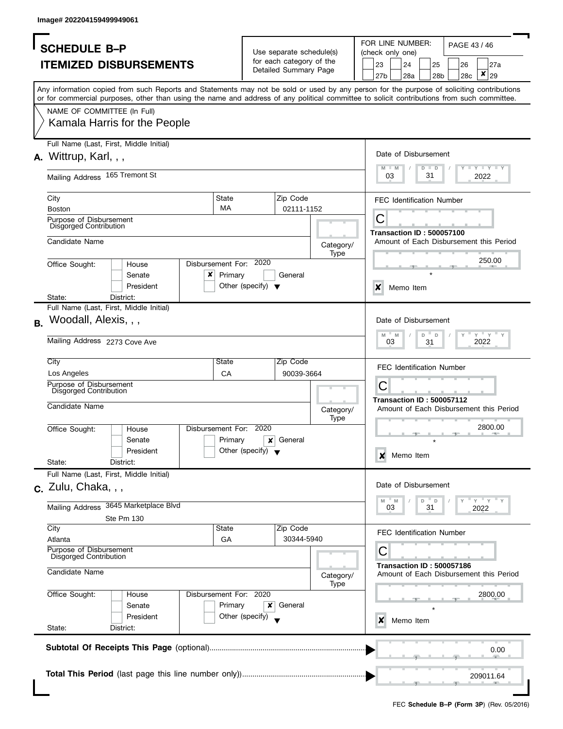|                | <b>SCHEDULE B-P</b>                               |                                      |                                                      | FOR LINE NUMBER:<br>PAGE 43 / 46<br>(check only one)                                                                                                                                                                                                                                    |  |  |  |  |
|----------------|---------------------------------------------------|--------------------------------------|------------------------------------------------------|-----------------------------------------------------------------------------------------------------------------------------------------------------------------------------------------------------------------------------------------------------------------------------------------|--|--|--|--|
|                |                                                   |                                      | Use separate schedule(s)<br>for each category of the |                                                                                                                                                                                                                                                                                         |  |  |  |  |
|                | <b>ITEMIZED DISBURSEMENTS</b>                     |                                      | Detailed Summary Page                                | 23<br>24<br>25<br>27a<br>26                                                                                                                                                                                                                                                             |  |  |  |  |
|                |                                                   |                                      |                                                      | ×<br>28a<br>29<br>27b<br>28b<br>28c                                                                                                                                                                                                                                                     |  |  |  |  |
|                |                                                   |                                      |                                                      | Any information copied from such Reports and Statements may not be sold or used by any person for the purpose of soliciting contributions<br>or for commercial purposes, other than using the name and address of any political committee to solicit contributions from such committee. |  |  |  |  |
|                |                                                   |                                      |                                                      |                                                                                                                                                                                                                                                                                         |  |  |  |  |
|                | NAME OF COMMITTEE (In Full)                       |                                      |                                                      |                                                                                                                                                                                                                                                                                         |  |  |  |  |
|                | Kamala Harris for the People                      |                                      |                                                      |                                                                                                                                                                                                                                                                                         |  |  |  |  |
|                | Full Name (Last, First, Middle Initial)           |                                      |                                                      |                                                                                                                                                                                                                                                                                         |  |  |  |  |
|                | $A.$ Wittrup, Karl, , ,                           |                                      |                                                      | Date of Disbursement                                                                                                                                                                                                                                                                    |  |  |  |  |
|                |                                                   |                                      |                                                      | Y TYTYTY<br>$M - M$<br>$D$ $D$                                                                                                                                                                                                                                                          |  |  |  |  |
|                | Mailing Address 165 Tremont St                    |                                      |                                                      | 31<br>03<br>2022                                                                                                                                                                                                                                                                        |  |  |  |  |
| City           |                                                   | State                                | Zip Code                                             | <b>FEC Identification Number</b>                                                                                                                                                                                                                                                        |  |  |  |  |
| <b>Boston</b>  |                                                   | MA                                   | 02111-1152                                           |                                                                                                                                                                                                                                                                                         |  |  |  |  |
|                | Purpose of Disbursement                           |                                      |                                                      | С                                                                                                                                                                                                                                                                                       |  |  |  |  |
|                | Disgorged Contribution                            |                                      |                                                      |                                                                                                                                                                                                                                                                                         |  |  |  |  |
| Candidate Name |                                                   |                                      |                                                      | <b>Transaction ID: 500057100</b><br>Amount of Each Disbursement this Period                                                                                                                                                                                                             |  |  |  |  |
|                |                                                   |                                      | Category/                                            |                                                                                                                                                                                                                                                                                         |  |  |  |  |
|                |                                                   | Disbursement For: 2020               | Type                                                 | 250.00                                                                                                                                                                                                                                                                                  |  |  |  |  |
| Office Sought: | House                                             |                                      |                                                      |                                                                                                                                                                                                                                                                                         |  |  |  |  |
|                | x<br>Senate                                       | Primary                              | General                                              |                                                                                                                                                                                                                                                                                         |  |  |  |  |
|                | President                                         | Other (specify) $\blacktriangledown$ |                                                      | X<br>Memo Item                                                                                                                                                                                                                                                                          |  |  |  |  |
| State:         | District:                                         |                                      |                                                      |                                                                                                                                                                                                                                                                                         |  |  |  |  |
|                | Full Name (Last, First, Middle Initial)           |                                      |                                                      |                                                                                                                                                                                                                                                                                         |  |  |  |  |
| <b>B.</b>      | Woodall, Alexis, , ,                              |                                      |                                                      | Date of Disbursement                                                                                                                                                                                                                                                                    |  |  |  |  |
|                |                                                   |                                      |                                                      | $Y'$ $Y'$ $Y$<br>$M - M$<br>D<br>$\mathbb D$                                                                                                                                                                                                                                            |  |  |  |  |
|                | Mailing Address 2273 Cove Ave                     |                                      |                                                      | 03<br>2022<br>31                                                                                                                                                                                                                                                                        |  |  |  |  |
| City           |                                                   | State                                | Zip Code                                             | <b>FEC Identification Number</b>                                                                                                                                                                                                                                                        |  |  |  |  |
| Los Angeles    |                                                   | CA                                   | 90039-3664                                           |                                                                                                                                                                                                                                                                                         |  |  |  |  |
|                | Purpose of Disbursement                           |                                      |                                                      | С                                                                                                                                                                                                                                                                                       |  |  |  |  |
|                | <b>Disgorged Contribution</b>                     |                                      |                                                      | <b>Transaction ID: 500057112</b>                                                                                                                                                                                                                                                        |  |  |  |  |
| Candidate Name |                                                   |                                      | Category/                                            | Amount of Each Disbursement this Period                                                                                                                                                                                                                                                 |  |  |  |  |
|                |                                                   |                                      | Type                                                 |                                                                                                                                                                                                                                                                                         |  |  |  |  |
| Office Sought: | House                                             | Disbursement For:                    | 2020                                                 | 2800.00                                                                                                                                                                                                                                                                                 |  |  |  |  |
|                | Senate                                            | Primary                              | General<br>x                                         |                                                                                                                                                                                                                                                                                         |  |  |  |  |
|                | President                                         | Other (specify) $\blacktriangledown$ |                                                      |                                                                                                                                                                                                                                                                                         |  |  |  |  |
| State:         | District:                                         |                                      |                                                      | Memo Item<br>X                                                                                                                                                                                                                                                                          |  |  |  |  |
|                | Full Name (Last, First, Middle Initial)           |                                      |                                                      |                                                                                                                                                                                                                                                                                         |  |  |  |  |
|                |                                                   |                                      |                                                      |                                                                                                                                                                                                                                                                                         |  |  |  |  |
|                | $c.$ Zulu, Chaka, , ,                             |                                      |                                                      | Date of Disbursement                                                                                                                                                                                                                                                                    |  |  |  |  |
|                |                                                   |                                      |                                                      | $-\gamma + \gamma + \gamma$<br>$-M$<br>D<br>$\mathsf D$<br>M                                                                                                                                                                                                                            |  |  |  |  |
|                | Mailing Address 3645 Marketplace Blvd             |                                      |                                                      | 31<br>03<br>2022                                                                                                                                                                                                                                                                        |  |  |  |  |
|                | Ste Pm 130                                        |                                      |                                                      |                                                                                                                                                                                                                                                                                         |  |  |  |  |
| City           |                                                   | State                                | Zip Code                                             | <b>FEC Identification Number</b>                                                                                                                                                                                                                                                        |  |  |  |  |
| Atlanta        |                                                   | GA                                   | 30344-5940                                           |                                                                                                                                                                                                                                                                                         |  |  |  |  |
|                | Purpose of Disbursement<br>Disgorged Contribution |                                      |                                                      | С                                                                                                                                                                                                                                                                                       |  |  |  |  |
| Candidate Name |                                                   |                                      | Category/                                            | <b>Transaction ID: 500057186</b><br>Amount of Each Disbursement this Period                                                                                                                                                                                                             |  |  |  |  |
|                |                                                   |                                      | Type                                                 |                                                                                                                                                                                                                                                                                         |  |  |  |  |
| Office Sought: | House                                             | Disbursement For: 2020               |                                                      | 2800.00                                                                                                                                                                                                                                                                                 |  |  |  |  |
|                | Senate                                            | Primary                              | General<br>x                                         |                                                                                                                                                                                                                                                                                         |  |  |  |  |
|                | President                                         | Other (specify)                      |                                                      | x<br>Memo Item                                                                                                                                                                                                                                                                          |  |  |  |  |
| State:         | District:                                         |                                      |                                                      |                                                                                                                                                                                                                                                                                         |  |  |  |  |
|                |                                                   |                                      |                                                      |                                                                                                                                                                                                                                                                                         |  |  |  |  |
|                |                                                   |                                      |                                                      | 0.00                                                                                                                                                                                                                                                                                    |  |  |  |  |
|                |                                                   |                                      |                                                      |                                                                                                                                                                                                                                                                                         |  |  |  |  |
|                |                                                   |                                      |                                                      |                                                                                                                                                                                                                                                                                         |  |  |  |  |
|                |                                                   |                                      |                                                      | 209011.64                                                                                                                                                                                                                                                                               |  |  |  |  |
|                |                                                   |                                      |                                                      |                                                                                                                                                                                                                                                                                         |  |  |  |  |
|                |                                                   |                                      |                                                      |                                                                                                                                                                                                                                                                                         |  |  |  |  |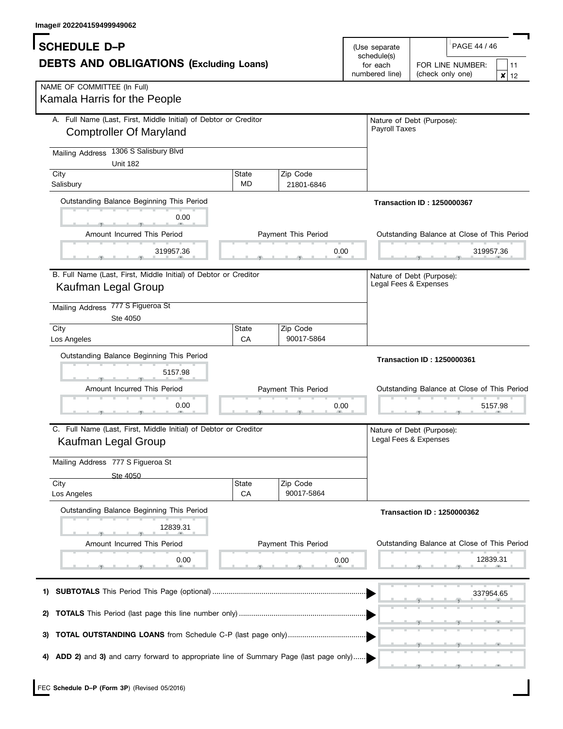I

| Image# 202204159499949062                                                                                                                             |                    |                        |                                                            |                                                                                  |
|-------------------------------------------------------------------------------------------------------------------------------------------------------|--------------------|------------------------|------------------------------------------------------------|----------------------------------------------------------------------------------|
| <b>SCHEDULE D-P</b><br><b>DEBTS AND OBLIGATIONS (Excluding Loans)</b>                                                                                 |                    |                        | (Use separate<br>schedule(s)<br>for each<br>numbered line) | PAGE 44 / 46<br>FOR LINE NUMBER:<br>11<br>(check only one)<br>×<br>12            |
| NAME OF COMMITTEE (In Full)<br>Kamala Harris for the People                                                                                           |                    |                        |                                                            |                                                                                  |
| A. Full Name (Last, First, Middle Initial) of Debtor or Creditor<br><b>Comptroller Of Maryland</b><br>1306 S Salisbury Blvd<br><b>Mailing Address</b> |                    |                        | <b>Payroll Taxes</b>                                       | Nature of Debt (Purpose):                                                        |
| <b>Unit 182</b>                                                                                                                                       |                    |                        |                                                            |                                                                                  |
| City<br>Salisbury                                                                                                                                     | State<br><b>MD</b> | Zip Code<br>21801-6846 |                                                            |                                                                                  |
| Outstanding Balance Beginning This Period<br>0.00<br>Amount Incurred This Period                                                                      |                    | Payment This Period    |                                                            | <b>Transaction ID: 1250000367</b><br>Outstanding Balance at Close of This Period |
|                                                                                                                                                       |                    |                        |                                                            |                                                                                  |
| 319957.36                                                                                                                                             |                    |                        | 0.00                                                       | 319957.36                                                                        |
| B. Full Name (Last, First, Middle Initial) of Debtor or Creditor<br>Kaufman Legal Group<br>777 S Figueroa St<br>Mailing Address<br>Ste 4050           |                    |                        | Legal Fees & Expenses                                      | Nature of Debt (Purpose):                                                        |
| City                                                                                                                                                  | State              | Zip Code               |                                                            |                                                                                  |
| Los Angeles                                                                                                                                           | CA                 | 90017-5864             |                                                            |                                                                                  |
| Outstanding Balance Beginning This Period<br>5157.98<br>Amount Incurred This Period                                                                   |                    | Payment This Period    |                                                            | <b>Transaction ID: 1250000361</b><br>Outstanding Balance at Close of This Period |
| 0.00                                                                                                                                                  |                    |                        | 0.00                                                       | 5157.98                                                                          |
| C. Full Name (Last, First, Middle Initial) of Debtor or Creditor<br>Kaufman Legal Group                                                               |                    |                        |                                                            | Nature of Debt (Purpose):<br>Legal Fees & Expenses                               |
| Mailing Address 777 S Figueroa St                                                                                                                     |                    |                        |                                                            |                                                                                  |
| Ste 4050<br>City<br>Los Angeles                                                                                                                       | State<br>CA        | Zip Code<br>90017-5864 |                                                            |                                                                                  |
| Outstanding Balance Beginning This Period<br>12839.31                                                                                                 |                    |                        |                                                            | <b>Transaction ID: 1250000362</b>                                                |
| Amount Incurred This Period                                                                                                                           |                    | Payment This Period    |                                                            | Outstanding Balance at Close of This Period                                      |
| 0.00                                                                                                                                                  |                    |                        | 0.00                                                       | 12839.31                                                                         |
| 1)                                                                                                                                                    |                    |                        |                                                            | 337954.65                                                                        |
| 2)                                                                                                                                                    |                    |                        |                                                            |                                                                                  |
| 3)                                                                                                                                                    |                    |                        |                                                            |                                                                                  |
| ADD 2) and 3) and carry forward to appropriate line of Summary Page (last page only)                                                                  |                    |                        |                                                            |                                                                                  |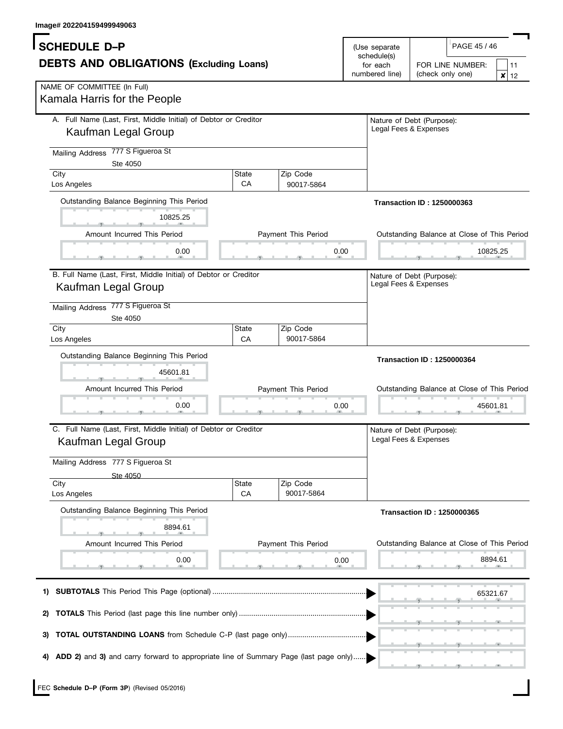| lmage# 202204159499949063<br><b>SCHEDULE D-P</b><br>(Use separate<br>schedule(s)<br><b>DEBTS AND OBLIGATIONS (Excluding Loans)</b><br>numbered line) |             |                                                    |                       | PAGE 45 / 46<br>FOR LINE NUMBER:<br>11<br>(check only one)<br>×<br>12            |  |  |
|------------------------------------------------------------------------------------------------------------------------------------------------------|-------------|----------------------------------------------------|-----------------------|----------------------------------------------------------------------------------|--|--|
| NAME OF COMMITTEE (In Full)<br>Kamala Harris for the People                                                                                          |             |                                                    |                       |                                                                                  |  |  |
| A. Full Name (Last, First, Middle Initial) of Debtor or Creditor<br>Kaufman Legal Group                                                              |             |                                                    |                       | Nature of Debt (Purpose):<br>Legal Fees & Expenses                               |  |  |
| 777 S Figueroa St<br><b>Mailing Address</b><br>Ste 4050                                                                                              |             |                                                    |                       |                                                                                  |  |  |
| City<br>Los Angeles                                                                                                                                  | State<br>CA | Zip Code<br>90017-5864                             |                       |                                                                                  |  |  |
| Outstanding Balance Beginning This Period<br>10825.25                                                                                                |             |                                                    |                       | <b>Transaction ID: 1250000363</b>                                                |  |  |
| Amount Incurred This Period                                                                                                                          |             | Payment This Period                                |                       | Outstanding Balance at Close of This Period                                      |  |  |
| 0.00                                                                                                                                                 |             | 0.00                                               |                       | 10825.25                                                                         |  |  |
| B. Full Name (Last, First, Middle Initial) of Debtor or Creditor<br>Kaufman Legal Group<br>Mailing Address 777 S Figueroa St                         |             |                                                    | Legal Fees & Expenses | Nature of Debt (Purpose):                                                        |  |  |
| Ste 4050<br>City                                                                                                                                     | State       | Zip Code                                           |                       |                                                                                  |  |  |
| Los Angeles                                                                                                                                          | CA          | 90017-5864                                         |                       |                                                                                  |  |  |
| Outstanding Balance Beginning This Period<br>45601.81<br>Amount Incurred This Period                                                                 |             | Payment This Period                                |                       | <b>Transaction ID: 1250000364</b><br>Outstanding Balance at Close of This Period |  |  |
| 0.00                                                                                                                                                 |             | 0.00                                               |                       | 45601.81                                                                         |  |  |
| C. Full Name (Last, First, Middle Initial) of Debtor or Creditor<br>Kaufman Legal Group                                                              |             | Nature of Debt (Purpose):<br>Legal Fees & Expenses |                       |                                                                                  |  |  |
| Mailing Address 777 S Figueroa St<br>Ste 4050                                                                                                        |             |                                                    |                       |                                                                                  |  |  |
| City<br>Los Angeles                                                                                                                                  | State<br>CA | Zip Code<br>90017-5864                             |                       |                                                                                  |  |  |
| Outstanding Balance Beginning This Period                                                                                                            |             |                                                    |                       | <b>Transaction ID: 1250000365</b>                                                |  |  |
| 8894.61                                                                                                                                              |             |                                                    |                       |                                                                                  |  |  |
| Amount Incurred This Period                                                                                                                          |             | Payment This Period                                |                       | Outstanding Balance at Close of This Period                                      |  |  |
| 0.00                                                                                                                                                 |             | 0.00                                               |                       | 8894.61                                                                          |  |  |
| 1)                                                                                                                                                   |             |                                                    |                       | 65321.67                                                                         |  |  |
| 2)                                                                                                                                                   |             |                                                    |                       |                                                                                  |  |  |
| 3)                                                                                                                                                   |             |                                                    |                       |                                                                                  |  |  |
| ADD 2) and 3) and carry forward to appropriate line of Summary Page (last page only)<br>4)                                                           |             |                                                    |                       |                                                                                  |  |  |